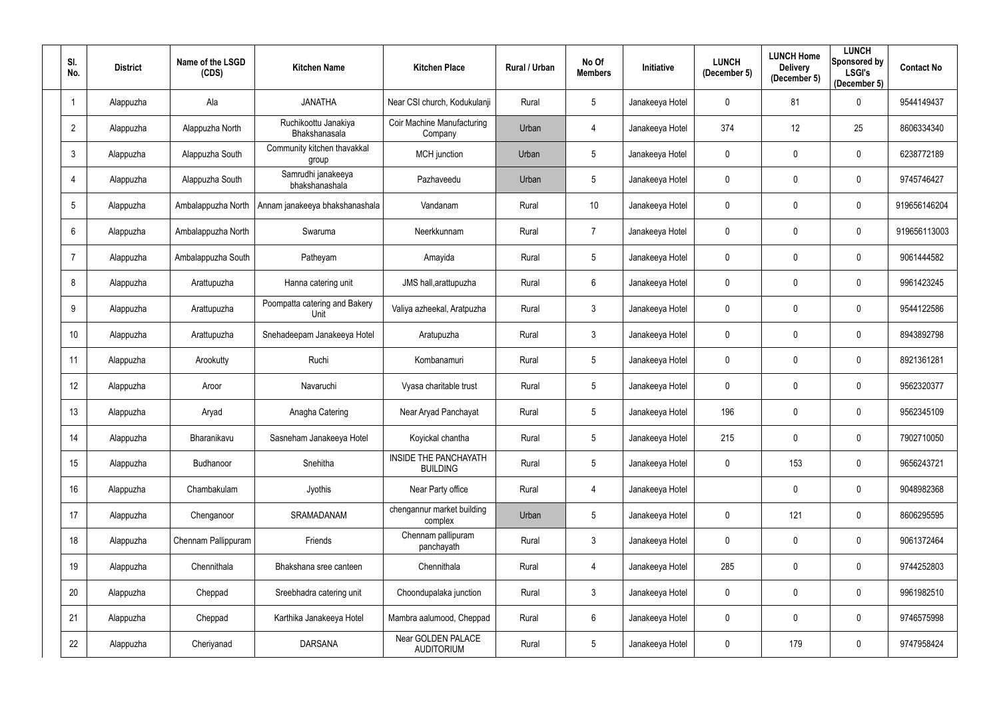| SI.<br>No.     | <b>District</b> | Name of the LSGD<br>(CDS) | <b>Kitchen Name</b>                          | <b>Kitchen Place</b>                     | <b>Rural / Urban</b> | No Of<br><b>Members</b> | Initiative      | <b>LUNCH</b><br>(December 5) | <b>LUNCH Home</b><br><b>Delivery</b><br>(December 5) | <b>LUNCH</b><br>Sponsored by<br><b>LSGI's</b><br>(December 5) | <b>Contact No</b> |
|----------------|-----------------|---------------------------|----------------------------------------------|------------------------------------------|----------------------|-------------------------|-----------------|------------------------------|------------------------------------------------------|---------------------------------------------------------------|-------------------|
|                | Alappuzha       | Ala                       | <b>JANATHA</b>                               | Near CSI church, Kodukulanji             | Rural                | $5\phantom{.0}$         | Janakeeya Hotel | 0                            | 81                                                   | $\mathbf 0$                                                   | 9544149437        |
| $\overline{2}$ | Alappuzha       | Alappuzha North           | Ruchikoottu Janakiya<br><b>Bhakshanasala</b> | Coir Machine Manufacturing<br>Company    | Urban                | 4                       | Janakeeya Hotel | 374                          | 12                                                   | 25                                                            | 8606334340        |
| 3              | Alappuzha       | Alappuzha South           | Community kitchen thavakkal<br>group         | MCH junction                             | Urban                | $5\phantom{.0}$         | Janakeeya Hotel | $\mathbf 0$                  | $\mathbf{0}$                                         | $\mathbf 0$                                                   | 6238772189        |
|                | Alappuzha       | Alappuzha South           | Samrudhi janakeeya<br>bhakshanashala         | Pazhaveedu                               | Urban                | 5 <sub>5</sub>          | Janakeeya Hotel | 0                            | $\mathbf{0}$                                         | $\mathbf 0$                                                   | 9745746427        |
| 5              | Alappuzha       | Ambalappuzha North        | Annam janakeeya bhakshanashala               | Vandanam                                 | Rural                | 10 <sup>°</sup>         | Janakeeya Hotel | 0                            | $\mathbf{0}$                                         | $\mathbf 0$                                                   | 919656146204      |
| 6              | Alappuzha       | Ambalappuzha North        | Swaruma                                      | Neerkkunnam                              | Rural                | $\overline{7}$          | Janakeeya Hotel | 0                            | $\mathbf 0$                                          | $\mathbf 0$                                                   | 919656113003      |
|                | Alappuzha       | Ambalappuzha South        | Patheyam                                     | Amayida                                  | Rural                | 5 <sub>5</sub>          | Janakeeya Hotel | 0                            | $\mathbf{0}$                                         | $\mathbf 0$                                                   | 9061444582        |
| 8              | Alappuzha       | Arattupuzha               | Hanna catering unit                          | JMS hall, arattupuzha                    | Rural                | 6                       | Janakeeya Hotel | 0                            | $\mathbf 0$                                          | $\mathbf 0$                                                   | 9961423245        |
| 9              | Alappuzha       | Arattupuzha               | Poompatta catering and Bakery<br>Unit        | Valiya azheekal, Aratpuzha               | Rural                | $\mathfrak{Z}$          | Janakeeya Hotel | 0                            | $\mathbf{0}$                                         | $\mathbf 0$                                                   | 9544122586        |
| 10             | Alappuzha       | Arattupuzha               | Snehadeepam Janakeeya Hotel                  | Aratupuzha                               | Rural                | $\mathfrak{Z}$          | Janakeeya Hotel | 0                            | $\pmb{0}$                                            | $\mathbf 0$                                                   | 8943892798        |
| 11             | Alappuzha       | Arookutty                 | Ruchi                                        | Kombanamuri                              | Rural                | $5\phantom{.0}$         | Janakeeya Hotel | 0                            | $\mathbf 0$                                          | $\mathbf 0$                                                   | 8921361281        |
| 12             | Alappuzha       | Aroor                     | Navaruchi                                    | Vyasa charitable trust                   | Rural                | 5                       | Janakeeya Hotel | 0                            | $\mathbf 0$                                          | $\mathbf 0$                                                   | 9562320377        |
| 13             | Alappuzha       | Aryad                     | Anagha Catering                              | Near Aryad Panchayat                     | Rural                | $5\phantom{.0}$         | Janakeeya Hotel | 196                          | $\mathbf 0$                                          | $\mathbf 0$                                                   | 9562345109        |
| 14             | Alappuzha       | Bharanikavu               | Sasneham Janakeeya Hotel                     | Koyickal chantha                         | Rural                | 5                       | Janakeeya Hotel | 215                          | $\mathbf 0$                                          | $\mathbf 0$                                                   | 7902710050        |
| 15             | Alappuzha       | Budhanoor                 | Snehitha                                     | INSIDE THE PANCHAYATH<br><b>BUILDING</b> | Rural                | 5                       | Janakeeya Hotel | $\mathbf 0$                  | 153                                                  | $\overline{0}$                                                | 9656243721        |
| 16             | Alappuzha       | Chambakulam               | Jyothis                                      | Near Party office                        | Rural                | 4                       | Janakeeya Hotel |                              | $\pmb{0}$                                            | $\mathbf 0$                                                   | 9048982368        |
| 17             | Alappuzha       | Chenganoor                | SRAMADANAM                                   | chengannur market building<br>complex    | Urban                | 5                       | Janakeeya Hotel | 0                            | 121                                                  | $\mathbf 0$                                                   | 8606295595        |
| 18             | Alappuzha       | Chennam Pallippuram       | Friends                                      | Chennam pallipuram<br>panchayath         | Rural                | $\mathfrak{Z}$          | Janakeeya Hotel | $\mathbf 0$                  | $\pmb{0}$                                            | $\mathbf 0$                                                   | 9061372464        |
| 19             | Alappuzha       | Chennithala               | Bhakshana sree canteen                       | Chennithala                              | Rural                | 4                       | Janakeeya Hotel | 285                          | $\pmb{0}$                                            | $\mathbf 0$                                                   | 9744252803        |
| 20             | Alappuzha       | Cheppad                   | Sreebhadra catering unit                     | Choondupalaka junction                   | Rural                | $\mathfrak{Z}$          | Janakeeya Hotel | $\mathbf 0$                  | $\pmb{0}$                                            | $\mathbf 0$                                                   | 9961982510        |
| 21             | Alappuzha       | Cheppad                   | Karthika Janakeeya Hotel                     | Mambra aalumood, Cheppad                 | Rural                | 6                       | Janakeeya Hotel | $\mathbf 0$                  | $\pmb{0}$                                            | $\mathbf 0$                                                   | 9746575998        |
| 22             | Alappuzha       | Cheriyanad                | <b>DARSANA</b>                               | Near GOLDEN PALACE<br><b>AUDITORIUM</b>  | Rural                | 5                       | Janakeeya Hotel | 0                            | 179                                                  | $\overline{0}$                                                | 9747958424        |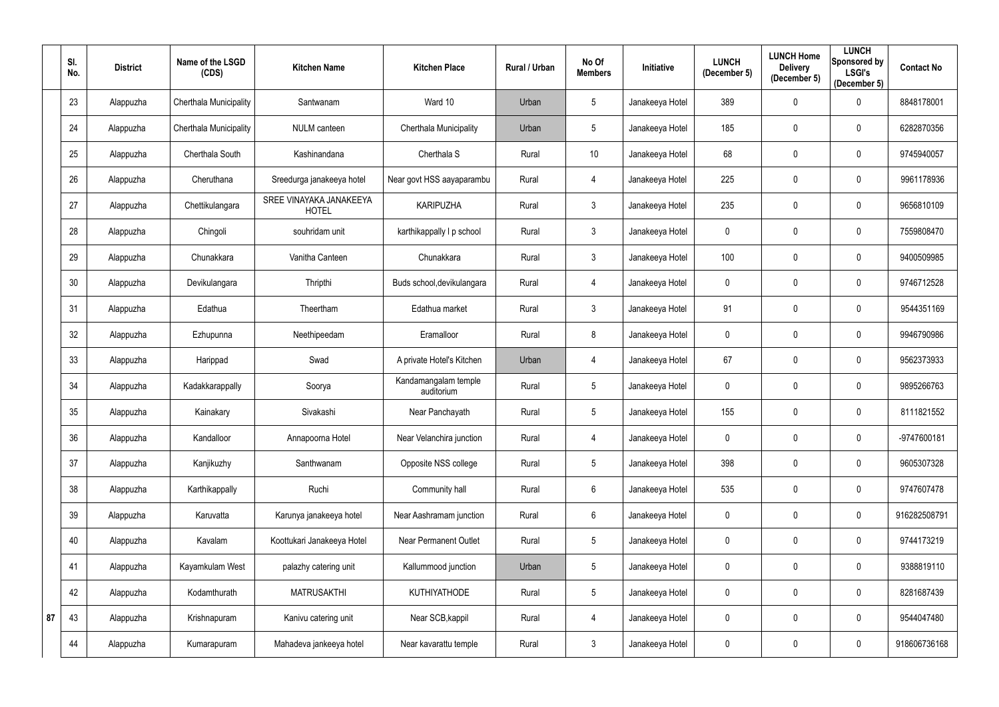|    | SI.<br>No. | <b>District</b> | Name of the LSGD<br>(CDS)     | <b>Kitchen Name</b>                     | <b>Kitchen Place</b>               | Rural / Urban | No Of<br><b>Members</b> | <b>Initiative</b> | <b>LUNCH</b><br>(December 5) | <b>LUNCH Home</b><br><b>Delivery</b><br>(December 5) | <b>LUNCH</b><br>Sponsored by<br><b>LSGI's</b><br>(December 5) | <b>Contact No</b> |
|----|------------|-----------------|-------------------------------|-----------------------------------------|------------------------------------|---------------|-------------------------|-------------------|------------------------------|------------------------------------------------------|---------------------------------------------------------------|-------------------|
|    | 23         | Alappuzha       | Cherthala Municipality        | Santwanam                               | Ward 10                            | Urban         | $5\phantom{.0}$         | Janakeeya Hotel   | 389                          | $\mathbf 0$                                          | $\mathbf 0$                                                   | 8848178001        |
|    | 24         | Alappuzha       | <b>Cherthala Municipality</b> | <b>NULM</b> canteen                     | Cherthala Municipality             | Urban         | 5                       | Janakeeya Hotel   | 185                          | $\mathbf 0$                                          | $\mathbf 0$                                                   | 6282870356        |
|    | 25         | Alappuzha       | Cherthala South               | Kashinandana                            | Cherthala S                        | Rural         | 10 <sup>°</sup>         | Janakeeya Hotel   | 68                           | $\mathbf{0}$                                         | $\mathbf 0$                                                   | 9745940057        |
|    | 26         | Alappuzha       | Cheruthana                    | Sreedurga janakeeya hotel               | Near govt HSS aayaparambu          | Rural         | 4                       | Janakeeya Hotel   | 225                          | $\mathbf 0$                                          | $\mathbf 0$                                                   | 9961178936        |
|    | 27         | Alappuzha       | Chettikulangara               | SREE VINAYAKA JANAKEEYA<br><b>HOTEL</b> | <b>KARIPUZHA</b>                   | Rural         | 3                       | Janakeeya Hotel   | 235                          | $\mathbf 0$                                          | $\mathbf 0$                                                   | 9656810109        |
|    | 28         | Alappuzha       | Chingoli                      | souhridam unit                          | karthikappally I p school          | Rural         | $\mathfrak{Z}$          | Janakeeya Hotel   | $\mathbf 0$                  | $\mathbf 0$                                          | $\mathbf 0$                                                   | 7559808470        |
|    | 29         | Alappuzha       | Chunakkara                    | Vanitha Canteen                         | Chunakkara                         | Rural         | $\mathfrak{Z}$          | Janakeeya Hotel   | 100                          | $\mathbf 0$                                          | $\mathbf 0$                                                   | 9400509985        |
|    | 30         | Alappuzha       | Devikulangara                 | Thripthi                                | Buds school, devikulangara         | Rural         | 4                       | Janakeeya Hotel   | 0                            | $\mathbf 0$                                          | $\mathbf 0$                                                   | 9746712528        |
|    | 31         | Alappuzha       | Edathua                       | Theertham                               | Edathua market                     | Rural         | $\mathfrak{Z}$          | Janakeeya Hotel   | 91                           | $\mathbf 0$                                          | $\mathbf 0$                                                   | 9544351169        |
|    | 32         | Alappuzha       | Ezhupunna                     | Neethipeedam                            | Eramalloor                         | Rural         | 8                       | Janakeeya Hotel   | $\mathbf 0$                  | $\mathbf 0$                                          | $\mathbf 0$                                                   | 9946790986        |
|    | 33         | Alappuzha       | Harippad                      | Swad                                    | A private Hotel's Kitchen          | Urban         | 4                       | Janakeeya Hotel   | 67                           | $\mathbf 0$                                          | $\mathbf 0$                                                   | 9562373933        |
|    | 34         | Alappuzha       | Kadakkarappally               | Soorya                                  | Kandamangalam temple<br>auditorium | Rural         | $5\phantom{.0}$         | Janakeeya Hotel   | 0                            | $\mathbf 0$                                          | $\mathbf 0$                                                   | 9895266763        |
|    | 35         | Alappuzha       | Kainakary                     | Sivakashi                               | Near Panchayath                    | Rural         | $5\phantom{.0}$         | Janakeeya Hotel   | 155                          | $\mathbf 0$                                          | $\mathbf 0$                                                   | 8111821552        |
|    | 36         | Alappuzha       | Kandalloor                    | Annapoorna Hotel                        | Near Velanchira junction           | Rural         | 4                       | Janakeeya Hotel   | $\mathbf 0$                  | $\mathbf 0$                                          | $\mathbf 0$                                                   | -9747600181       |
|    | 37         | Alappuzha       | Kanjikuzhy                    | Santhwanam                              | Opposite NSS college               | Rural         | 5                       | Janakeeya Hotel   | 398                          | $\mathbf 0$                                          | $\overline{0}$                                                | 9605307328        |
|    | 38         | Alappuzha       | Karthikappally                | Ruchi                                   | Community hall                     | Rural         | $6\,$                   | Janakeeya Hotel   | 535                          | $\mathbf 0$                                          | $\mathbf 0$                                                   | 9747607478        |
|    | 39         | Alappuzha       | Karuvatta                     | Karunya janakeeya hotel                 | Near Aashramam junction            | Rural         | 6                       | Janakeeya Hotel   | 0                            | $\mathbf 0$                                          | $\mathbf 0$                                                   | 916282508791      |
|    | 40         | Alappuzha       | Kavalam                       | Koottukari Janakeeya Hotel              | <b>Near Permanent Outlet</b>       | Rural         | $5\phantom{.0}$         | Janakeeya Hotel   | $\mathbf 0$                  | $\mathbf 0$                                          | $\mathbf 0$                                                   | 9744173219        |
|    | 41         | Alappuzha       | Kayamkulam West               | palazhy catering unit                   | Kallummood junction                | Urban         | $5\phantom{.0}$         | Janakeeya Hotel   | $\mathbf 0$                  | $\mathbf 0$                                          | $\overline{0}$                                                | 9388819110        |
|    | 42         | Alappuzha       | Kodamthurath                  | <b>MATRUSAKTHI</b>                      | KUTHIYATHODE                       | Rural         | $5\phantom{.0}$         | Janakeeya Hotel   | 0                            | $\mathbf 0$                                          | $\overline{0}$                                                | 8281687439        |
| 87 | 43         | Alappuzha       | Krishnapuram                  | Kanivu catering unit                    | Near SCB, kappil                   | Rural         | 4                       | Janakeeya Hotel   | $\pmb{0}$                    | $\pmb{0}$                                            | $\mathbf 0$                                                   | 9544047480        |
|    | 44         | Alappuzha       | Kumarapuram                   | Mahadeva jankeeya hotel                 | Near kavarattu temple              | Rural         | 3                       | Janakeeya Hotel   | $\pmb{0}$                    | $\mathbf 0$                                          | $\mathbf 0$                                                   | 918606736168      |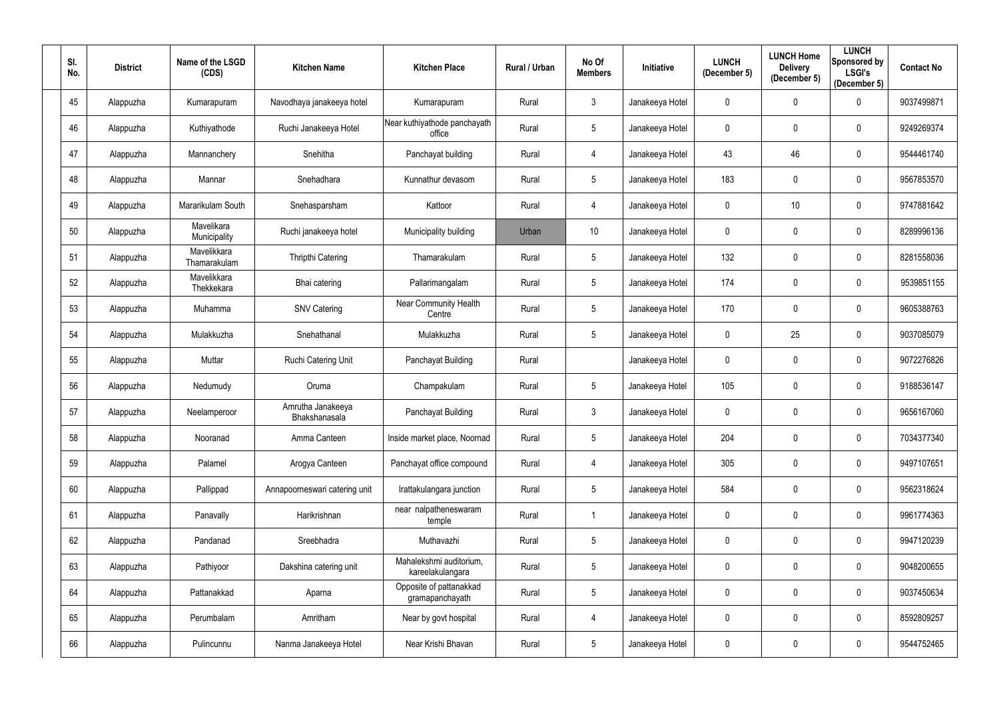| SI.<br>No. | <b>District</b> | Name of the LSGD<br>(CDS)   | <b>Kitchen Name</b>                | <b>Kitchen Place</b>                        | Rural / Urban | No Of<br><b>Members</b> | Initiative      | <b>LUNCH</b><br>(December 5) | <b>LUNCH Home</b><br><b>Delivery</b><br>(December 5) | <b>LUNCH</b><br><b>Sponsored by</b><br><b>LSGI's</b><br>(December 5) | <b>Contact No</b> |
|------------|-----------------|-----------------------------|------------------------------------|---------------------------------------------|---------------|-------------------------|-----------------|------------------------------|------------------------------------------------------|----------------------------------------------------------------------|-------------------|
| 45         | Alappuzha       | Kumarapuram                 | Navodhaya janakeeya hotel          | Kumarapuram                                 | Rural         | $\mathbf{3}$            | Janakeeya Hotel | 0                            | $\boldsymbol{0}$                                     | 0                                                                    | 9037499871        |
| 46         | Alappuzha       | Kuthiyathode                | Ruchi Janakeeya Hotel              | Near kuthiyathode panchayath<br>office      | Rural         | 5                       | Janakeeya Hotel | 0                            | $\mathbf 0$                                          | 0                                                                    | 9249269374        |
| 47         | Alappuzha       | Mannanchery                 | Snehitha                           | Panchayat building                          | Rural         | 4                       | Janakeeya Hotel | 43                           | 46                                                   | $\mathbf 0$                                                          | 9544461740        |
| 48         | Alappuzha       | Mannar                      | Snehadhara                         | Kunnathur devasom                           | Rural         | 5                       | Janakeeya Hotel | 183                          | $\mathbf 0$                                          | $\mathbf 0$                                                          | 9567853570        |
| 49         | Alappuzha       | Mararikulam South           | Snehasparsham                      | Kattoor                                     | Rural         | 4                       | Janakeeya Hotel | 0                            | 10                                                   | $\mathbf 0$                                                          | 9747881642        |
| 50         | Alappuzha       | Mavelikara<br>Municipality  | Ruchi janakeeya hotel              | Municipality building                       | Urban         | 10 <sup>°</sup>         | Janakeeya Hotel | 0                            | $\mathbf 0$                                          | 0                                                                    | 8289996136        |
| 51         | Alappuzha       | Mavelikkara<br>Thamarakulam | <b>Thripthi Catering</b>           | Thamarakulam                                | Rural         | 5                       | Janakeeya Hotel | 132                          | $\mathbf 0$                                          | $\mathbf 0$                                                          | 8281558036        |
| 52         | Alappuzha       | Mavelikkara<br>Thekkekara   | Bhai catering                      | Pallarimangalam                             | Rural         | 5                       | Janakeeya Hotel | 174                          | $\mathbf 0$                                          | $\mathbf 0$                                                          | 9539851155        |
| 53         | Alappuzha       | Muhamma                     | <b>SNV Catering</b>                | Near Community Health<br>Centre             | Rural         | 5                       | Janakeeya Hotel | 170                          | $\mathbf 0$                                          | $\mathbf 0$                                                          | 9605388763        |
| 54         | Alappuzha       | Mulakkuzha                  | Snehathanal                        | Mulakkuzha                                  | Rural         | 5                       | Janakeeya Hotel | 0                            | 25                                                   | $\mathbf 0$                                                          | 9037085079        |
| 55         | Alappuzha       | Muttar                      | Ruchi Catering Unit                | Panchayat Building                          | Rural         |                         | Janakeeya Hotel | 0                            | $\mathbf 0$                                          | 0                                                                    | 9072276826        |
| 56         | Alappuzha       | Nedumudy                    | Oruma                              | Champakulam                                 | Rural         | 5                       | Janakeeya Hotel | 105                          | $\mathbf 0$                                          | $\mathbf 0$                                                          | 9188536147        |
| 57         | Alappuzha       | Neelamperoor                | Amrutha Janakeeya<br>Bhakshanasala | Panchayat Building                          | Rural         | 3                       | Janakeeya Hotel | 0                            | $\mathbf 0$                                          | 0                                                                    | 9656167060        |
| 58         | Alappuzha       | Nooranad                    | Amma Canteen                       | Inside market place, Noornad                | Rural         | 5                       | Janakeeya Hotel | 204                          | $\mathbf 0$                                          | $\mathbf 0$                                                          | 7034377340        |
| 59         | Alappuzha       | Palamel                     | Arogya Canteen                     | Panchayat office compound                   | Rural         | 4                       | Janakeeya Hotel | 305                          | $\mathbf 0$                                          | $\mathbf 0$                                                          | 9497107651        |
| 60         | Alappuzha       | Pallippad                   | Annapoorneswari catering unit      | Irattakulangara junction                    | Rural         | $5\phantom{.0}$         | Janakeeya Hotel | 584                          | $\pmb{0}$                                            | $\mathbf 0$                                                          | 9562318624        |
| 61         | Alappuzha       | Panavally                   | Harikrishnan                       | near nalpatheneswaram<br>temple             | Rural         |                         | Janakeeya Hotel | 0                            | $\pmb{0}$                                            | $\mathbf 0$                                                          | 9961774363        |
| 62         | Alappuzha       | Pandanad                    | Sreebhadra                         | Muthavazhi                                  | Rural         | 5                       | Janakeeya Hotel | 0                            | $\pmb{0}$                                            | $\mathbf 0$                                                          | 9947120239        |
| 63         | Alappuzha       | Pathiyoor                   | Dakshina catering unit             | Mahalekshmi auditorium,<br>kareelakulangara | Rural         | 5                       | Janakeeya Hotel | 0                            | $\mathbf 0$                                          | $\mathbf 0$                                                          | 9048200655        |
| 64         | Alappuzha       | Pattanakkad                 | Aparna                             | Opposite of pattanakkad<br>gramapanchayath  | Rural         | $5\phantom{.0}$         | Janakeeya Hotel | 0                            | $\pmb{0}$                                            | $\mathbf 0$                                                          | 9037450634        |
| 65         | Alappuzha       | Perumbalam                  | Amritham                           | Near by govt hospital                       | Rural         | 4                       | Janakeeya Hotel | 0                            | $\pmb{0}$                                            | $\mathbf 0$                                                          | 8592809257        |
| 66         | Alappuzha       | Pulincunnu                  | Nanma Janakeeya Hotel              | Near Krishi Bhavan                          | Rural         | $5\phantom{.0}$         | Janakeeya Hotel | 0                            | $\boldsymbol{0}$                                     | $\boldsymbol{0}$                                                     | 9544752465        |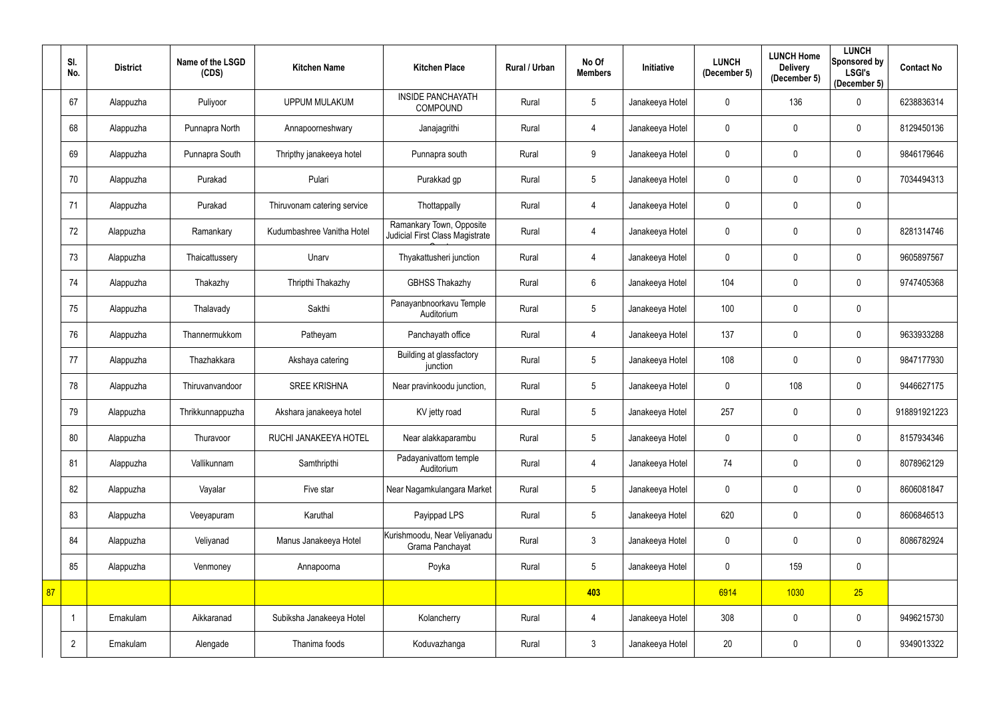|    | SI.<br>No.     | <b>District</b> | Name of the LSGD<br>(CDS) | <b>Kitchen Name</b>         | <b>Kitchen Place</b>                                        | <b>Rural / Urban</b> | No Of<br><b>Members</b> | Initiative      | <b>LUNCH</b><br>(December 5) | <b>LUNCH Home</b><br><b>Delivery</b><br>(December 5) | <b>LUNCH</b><br>Sponsored by<br><b>LSGI's</b><br>(December 5) | <b>Contact No</b> |
|----|----------------|-----------------|---------------------------|-----------------------------|-------------------------------------------------------------|----------------------|-------------------------|-----------------|------------------------------|------------------------------------------------------|---------------------------------------------------------------|-------------------|
|    | 67             | Alappuzha       | Puliyoor                  | <b>UPPUM MULAKUM</b>        | <b>INSIDE PANCHAYATH</b><br><b>COMPOUND</b>                 | Rural                | $5\,$                   | Janakeeya Hotel | $\mathbf 0$                  | 136                                                  | $\mathbf 0$                                                   | 6238836314        |
|    | 68             | Alappuzha       | Punnapra North            | Annapoorneshwary            | Janajagrithi                                                | Rural                | 4                       | Janakeeya Hotel | $\mathbf 0$                  | $\mathbf{0}$                                         | $\mathbf 0$                                                   | 8129450136        |
|    | 69             | Alappuzha       | Punnapra South            | Thripthy janakeeya hotel    | Punnapra south                                              | Rural                | 9                       | Janakeeya Hotel | $\mathbf 0$                  | $\mathbf 0$                                          | $\pmb{0}$                                                     | 9846179646        |
|    | 70             | Alappuzha       | Purakad                   | Pulari                      | Purakkad gp                                                 | Rural                | $\overline{5}$          | Janakeeya Hotel | $\mathbf 0$                  | $\mathbf 0$                                          | $\mathbf 0$                                                   | 7034494313        |
|    | 71             | Alappuzha       | Purakad                   | Thiruvonam catering service | Thottappally                                                | Rural                | 4                       | Janakeeya Hotel | $\mathbf 0$                  | $\mathbf{0}$                                         | $\pmb{0}$                                                     |                   |
|    | 72             | Alappuzha       | Ramankary                 | Kudumbashree Vanitha Hotel  | Ramankary Town, Opposite<br>Judicial First Class Magistrate | Rural                | 4                       | Janakeeya Hotel | 0                            | $\mathbf 0$                                          | $\mathbf 0$                                                   | 8281314746        |
|    | 73             | Alappuzha       | Thaicattussery            | Unarv                       | Thyakattusheri junction                                     | Rural                | 4                       | Janakeeya Hotel | $\mathbf 0$                  | $\mathbf 0$                                          | $\mathbf 0$                                                   | 9605897567        |
|    | 74             | Alappuzha       | Thakazhy                  | Thripthi Thakazhy           | <b>GBHSS Thakazhy</b>                                       | Rural                | $6\,$                   | Janakeeya Hotel | 104                          | $\mathbf 0$                                          | $\mathbf 0$                                                   | 9747405368        |
|    | 75             | Alappuzha       | Thalavady                 | Sakthi                      | Panayanbnoorkavu Temple<br>Auditorium                       | Rural                | $\overline{5}$          | Janakeeya Hotel | 100                          | $\mathbf 0$                                          | $\pmb{0}$                                                     |                   |
|    | 76             | Alappuzha       | Thannermukkom             | Patheyam                    | Panchayath office                                           | Rural                | 4                       | Janakeeya Hotel | 137                          | $\mathbf 0$                                          | $\pmb{0}$                                                     | 9633933288        |
|    | 77             | Alappuzha       | Thazhakkara               | Akshaya catering            | Building at glassfactory<br>junction                        | Rural                | $\overline{5}$          | Janakeeya Hotel | 108                          | $\mathbf 0$                                          | $\mathbf 0$                                                   | 9847177930        |
|    | 78             | Alappuzha       | Thiruvanvandoor           | <b>SREE KRISHNA</b>         | Near pravinkoodu junction,                                  | Rural                | $5\,$                   | Janakeeya Hotel | $\mathbf 0$                  | 108                                                  | $\mathbf 0$                                                   | 9446627175        |
|    | 79             | Alappuzha       | Thrikkunnappuzha          | Akshara janakeeya hotel     | KV jetty road                                               | Rural                | $5\phantom{.0}$         | Janakeeya Hotel | 257                          | $\mathbf 0$                                          | $\mathbf 0$                                                   | 918891921223      |
|    | 80             | Alappuzha       | Thuravoor                 | RUCHI JANAKEEYA HOTEL       | Near alakkaparambu                                          | Rural                | $5\,$                   | Janakeeya Hotel | $\mathbf 0$                  | $\mathbf 0$                                          | $\mathbf 0$                                                   | 8157934346        |
|    | 81             | Alappuzha       | Vallikunnam               | Samthripthi                 | Padayanivattom temple<br>Auditorium                         | Rural                | 4                       | Janakeeya Hotel | 74                           | $\mathbf 0$                                          | $\mathbf 0$                                                   | 8078962129        |
|    | 82             | Alappuzha       | Vayalar                   | Five star                   | Near Nagamkulangara Market                                  | Rural                | $\sqrt{5}$              | Janakeeya Hotel | 0                            | $\mathbf 0$                                          | $\mathbf 0$                                                   | 8606081847        |
|    | 83             | Alappuzha       | Veeyapuram                | Karuthal                    | Payippad LPS                                                | Rural                | $5\,$                   | Janakeeya Hotel | 620                          | $\mathbf 0$                                          | $\mathbf 0$                                                   | 8606846513        |
|    | 84             | Alappuzha       | Veliyanad                 | Manus Janakeeya Hotel       | Kurishmoodu, Near Veliyanadu<br>Grama Panchayat             | Rural                | $\mathfrak{Z}$          | Janakeeya Hotel | 0                            | $\mathbf 0$                                          | $\mathbf 0$                                                   | 8086782924        |
|    | 85             | Alappuzha       | Venmoney                  | Annapoorna                  | Poyka                                                       | Rural                | $\overline{5}$          | Janakeeya Hotel | 0                            | 159                                                  | $\pmb{0}$                                                     |                   |
| 87 |                |                 |                           |                             |                                                             |                      | 403                     |                 | 6914                         | 1030                                                 | 25                                                            |                   |
|    |                | Ernakulam       | Aikkaranad                | Subiksha Janakeeya Hotel    | Kolancherry                                                 | Rural                | $\overline{4}$          | Janakeeya Hotel | 308                          | $\mathbf 0$                                          | $\mathbf 0$                                                   | 9496215730        |
|    | $\overline{2}$ | Ernakulam       | Alengade                  | Thanima foods               | Koduvazhanga                                                | Rural                | $\mathfrak{Z}$          | Janakeeya Hotel | 20                           | $\boldsymbol{0}$                                     | $\mathbf 0$                                                   | 9349013322        |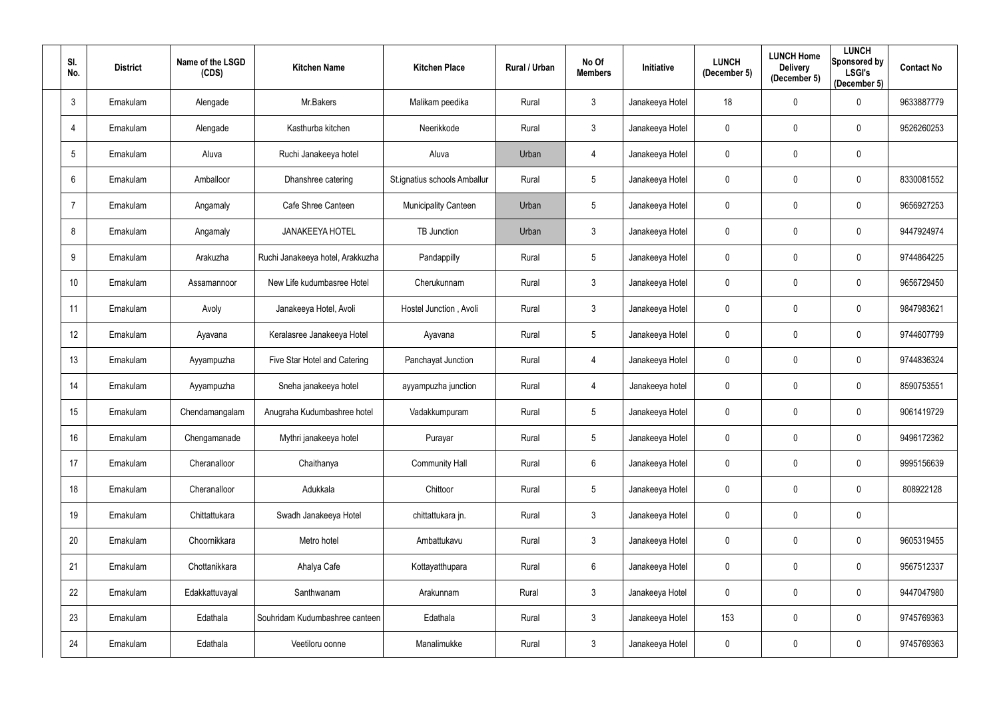| SI.<br>No.   | <b>District</b> | Name of the LSGD<br>(CDS) | <b>Kitchen Name</b>              | <b>Kitchen Place</b>         | <b>Rural / Urban</b> | No Of<br><b>Members</b> | Initiative      | <b>LUNCH</b><br>(December 5) | <b>LUNCH Home</b><br><b>Delivery</b><br>(December 5) | <b>LUNCH</b><br>Sponsored by<br><b>LSGI's</b><br>(December 5) | <b>Contact No</b> |
|--------------|-----------------|---------------------------|----------------------------------|------------------------------|----------------------|-------------------------|-----------------|------------------------------|------------------------------------------------------|---------------------------------------------------------------|-------------------|
| $\mathbf{3}$ | Ernakulam       | Alengade                  | Mr.Bakers                        | Malikam peedika              | Rural                | $\mathfrak{Z}$          | Janakeeya Hotel | 18                           | $\pmb{0}$                                            | $\mathbf 0$                                                   | 9633887779        |
|              | Ernakulam       | Alengade                  | Kasthurba kitchen                | Neerikkode                   | Rural                | $\mathfrak{Z}$          | Janakeeya Hotel | 0                            | $\mathbf 0$                                          | $\mathbf 0$                                                   | 9526260253        |
| 5            | Ernakulam       | Aluva                     | Ruchi Janakeeya hotel            | Aluva                        | Urban                | 4                       | Janakeeya Hotel | $\mathbf 0$                  | $\pmb{0}$                                            | $\mathbf 0$                                                   |                   |
| 6            | Ernakulam       | Amballoor                 | Dhanshree catering               | St.ignatius schools Amballur | Rural                | $5\phantom{.0}$         | Janakeeya Hotel | 0                            | $\mathbf 0$                                          | $\mathbf 0$                                                   | 8330081552        |
|              | Ernakulam       | Angamaly                  | Cafe Shree Canteen               | <b>Municipality Canteen</b>  | Urban                | $5\phantom{.0}$         | Janakeeya Hotel | 0                            | $\mathbf 0$                                          | $\mathbf 0$                                                   | 9656927253        |
| 8            | Ernakulam       | Angamaly                  | <b>JANAKEEYA HOTEL</b>           | <b>TB Junction</b>           | Urban                | $\mathfrak{Z}$          | Janakeeya Hotel | 0                            | $\mathbf 0$                                          | $\mathbf 0$                                                   | 9447924974        |
| 9            | Ernakulam       | Arakuzha                  | Ruchi Janakeeya hotel, Arakkuzha | Pandappilly                  | Rural                | $5\overline{)}$         | Janakeeya Hotel | 0                            | $\mathbf 0$                                          | $\mathbf 0$                                                   | 9744864225        |
| 10           | Ernakulam       | Assamannoor               | New Life kudumbasree Hotel       | Cherukunnam                  | Rural                | $\mathfrak{Z}$          | Janakeeya Hotel | $\mathbf 0$                  | $\mathbf 0$                                          | $\mathbf 0$                                                   | 9656729450        |
| 11           | Ernakulam       | Avoly                     | Janakeeya Hotel, Avoli           | Hostel Junction, Avoli       | Rural                | $\mathfrak{Z}$          | Janakeeya Hotel | 0                            | $\mathbf 0$                                          | $\mathbf 0$                                                   | 9847983621        |
| 12           | Ernakulam       | Ayavana                   | Keralasree Janakeeya Hotel       | Ayavana                      | Rural                | $5\phantom{.0}$         | Janakeeya Hotel | $\mathbf 0$                  | $\mathbf 0$                                          | $\mathbf 0$                                                   | 9744607799        |
| 13           | Ernakulam       | Ayyampuzha                | Five Star Hotel and Catering     | Panchayat Junction           | Rural                | 4                       | Janakeeya Hotel | 0                            | $\mathbf 0$                                          | $\mathbf 0$                                                   | 9744836324        |
| 14           | Ernakulam       | Ayyampuzha                | Sneha janakeeya hotel            | ayyampuzha junction          | Rural                | 4                       | Janakeeya hotel | $\mathbf 0$                  | $\mathbf 0$                                          | $\overline{0}$                                                | 8590753551        |
| 15           | Ernakulam       | Chendamangalam            | Anugraha Kudumbashree hotel      | Vadakkumpuram                | Rural                | $5\phantom{.0}$         | Janakeeya Hotel | 0                            | $\mathbf 0$                                          | 0                                                             | 9061419729        |
| 16           | Ernakulam       | Chengamanade              | Mythri janakeeya hotel           | Purayar                      | Rural                | $5\overline{)}$         | Janakeeya Hotel | $\mathbf 0$                  | $\mathbf 0$                                          | $\mathbf 0$                                                   | 9496172362        |
| 17           | Ernakulam       | Cheranalloor              | Chaithanya                       | <b>Community Hall</b>        | Rural                | $6\phantom{.}$          | Janakeeya Hotel | 0                            | $\pmb{0}$                                            | $\overline{0}$                                                | 9995156639        |
| 18           | Ernakulam       | Cheranalloor              | Adukkala                         | Chittoor                     | Rural                | $5\phantom{.0}$         | Janakeeya Hotel | $\mathbf 0$                  | $\boldsymbol{0}$                                     | $\mathbf 0$                                                   | 808922128         |
| 19           | Ernakulam       | Chittattukara             | Swadh Janakeeya Hotel            | chittattukara jn.            | Rural                | $\mathfrak{Z}$          | Janakeeya Hotel | $\mathbf 0$                  | $\pmb{0}$                                            | $\mathbf 0$                                                   |                   |
| 20           | Ernakulam       | Choornikkara              | Metro hotel                      | Ambattukavu                  | Rural                | $\mathfrak{Z}$          | Janakeeya Hotel | $\mathbf 0$                  | $\pmb{0}$                                            | $\overline{0}$                                                | 9605319455        |
| 21           | Ernakulam       | Chottanikkara             | Ahalya Cafe                      | Kottayatthupara              | Rural                | $6\phantom{.}$          | Janakeeya Hotel | 0                            | $\pmb{0}$                                            | $\mathbf 0$                                                   | 9567512337        |
| 22           | Ernakulam       | Edakkattuvayal            | Santhwanam                       | Arakunnam                    | Rural                | $\mathfrak{Z}$          | Janakeeya Hotel | 0                            | $\pmb{0}$                                            | $\mathbf 0$                                                   | 9447047980        |
| 23           | Ernakulam       | Edathala                  | Souhridam Kudumbashree canteen   | Edathala                     | Rural                | $\mathfrak{Z}$          | Janakeeya Hotel | 153                          | $\pmb{0}$                                            | $\overline{0}$                                                | 9745769363        |
| 24           | Ernakulam       | Edathala                  | Veetiloru oonne                  | Manalimukke                  | Rural                | 3 <sup>1</sup>          | Janakeeya Hotel | 0                            | $\pmb{0}$                                            | $\overline{0}$                                                | 9745769363        |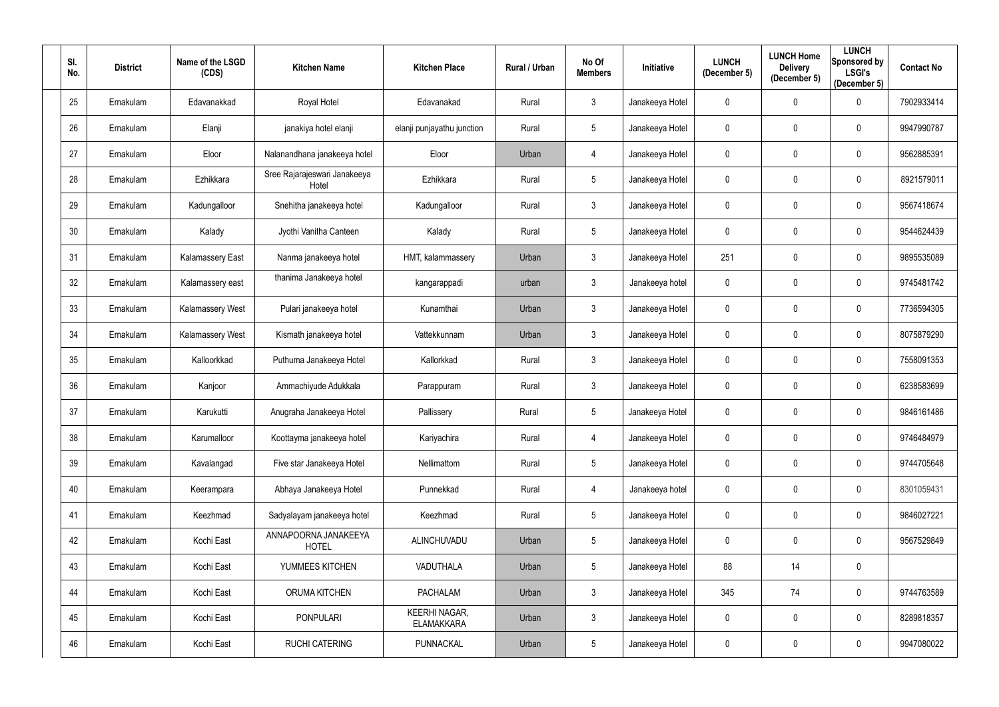| SI.<br>No.      | <b>District</b> | Name of the LSGD<br>(CDS) | <b>Kitchen Name</b>                   | <b>Kitchen Place</b>                      | Rural / Urban | No Of<br><b>Members</b> | Initiative      | <b>LUNCH</b><br>(December 5) | <b>LUNCH Home</b><br><b>Delivery</b><br>(December 5) | <b>LUNCH</b><br><b>Sponsored by</b><br><b>LSGI's</b><br>(December 5) | <b>Contact No</b> |
|-----------------|-----------------|---------------------------|---------------------------------------|-------------------------------------------|---------------|-------------------------|-----------------|------------------------------|------------------------------------------------------|----------------------------------------------------------------------|-------------------|
| 25              | Ernakulam       | Edavanakkad               | Royal Hotel                           | Edavanakad                                | Rural         | 3                       | Janakeeya Hotel | 0                            | $\mathbf 0$                                          | 0                                                                    | 7902933414        |
| 26              | Ernakulam       | Elanji                    | janakiya hotel elanji                 | elanji punjayathu junction                | Rural         | 5                       | Janakeeya Hotel | 0                            | $\mathbf 0$                                          | 0                                                                    | 9947990787        |
| 27              | Ernakulam       | Eloor                     | Nalanandhana janakeeya hotel          | Eloor                                     | Urban         | 4                       | Janakeeya Hotel | 0                            | $\mathbf 0$                                          | $\mathbf 0$                                                          | 9562885391        |
| 28              | Ernakulam       | Ezhikkara                 | Sree Rajarajeswari Janakeeya<br>Hotel | Ezhikkara                                 | Rural         | 5                       | Janakeeya Hotel | 0                            | $\mathbf 0$                                          | $\mathbf 0$                                                          | 8921579011        |
| 29              | Ernakulam       | Kadungalloor              | Snehitha janakeeya hotel              | Kadungalloor                              | Rural         | $\mathfrak{Z}$          | Janakeeya Hotel | 0                            | $\mathbf 0$                                          | $\mathbf 0$                                                          | 9567418674        |
| 30 <sup>°</sup> | Ernakulam       | Kalady                    | Jyothi Vanitha Canteen                | Kalady                                    | Rural         | 5 <sup>5</sup>          | Janakeeya Hotel | 0                            | $\mathbf 0$                                          | $\mathbf 0$                                                          | 9544624439        |
| 31              | Ernakulam       | <b>Kalamassery East</b>   | Nanma janakeeya hotel                 | HMT, kalammassery                         | Urban         | 3 <sup>1</sup>          | Janakeeya Hotel | 251                          | $\mathbf 0$                                          | $\mathbf 0$                                                          | 9895535089        |
| 32              | Ernakulam       | Kalamassery east          | thanima Janakeeya hotel               | kangarappadi                              | urban         | $\mathfrak{Z}$          | Janakeeya hotel | 0                            | $\pmb{0}$                                            | $\mathbf 0$                                                          | 9745481742        |
| 33              | Ernakulam       | <b>Kalamassery West</b>   | Pulari janakeeya hotel                | Kunamthai                                 | Urban         | 3 <sup>1</sup>          | Janakeeya Hotel | 0                            | $\mathbf 0$                                          | $\mathbf 0$                                                          | 7736594305        |
| 34              | Ernakulam       | <b>Kalamassery West</b>   | Kismath janakeeya hotel               | Vattekkunnam                              | Urban         | $\mathbf{3}$            | Janakeeya Hotel | $\mathbf 0$                  | $\mathbf 0$                                          | $\mathbf 0$                                                          | 8075879290        |
| 35              | Ernakulam       | Kalloorkkad               | Puthuma Janakeeya Hotel               | Kallorkkad                                | Rural         | 3 <sup>1</sup>          | Janakeeya Hotel | 0                            | $\mathbf 0$                                          | $\mathbf 0$                                                          | 7558091353        |
| 36              | Ernakulam       | Kanjoor                   | Ammachiyude Adukkala                  | Parappuram                                | Rural         | $\mathfrak{Z}$          | Janakeeya Hotel | 0                            | $\mathbf 0$                                          | $\mathbf 0$                                                          | 6238583699        |
| 37              | Ernakulam       | Karukutti                 | Anugraha Janakeeya Hotel              | Pallissery                                | Rural         | 5                       | Janakeeya Hotel | 0                            | $\mathbf 0$                                          | 0                                                                    | 9846161486        |
| 38              | Ernakulam       | Karumalloor               | Koottayma janakeeya hotel             | Kariyachira                               | Rural         | 4                       | Janakeeya Hotel | $\mathbf{0}$                 | $\mathbf 0$                                          | $\mathbf 0$                                                          | 9746484979        |
| 39              | Ernakulam       | Kavalangad                | Five star Janakeeya Hotel             | Nellimattom                               | Rural         | $5\phantom{.0}$         | Janakeeya Hotel | 0                            | $\mathbf 0$                                          | $\mathbf 0$                                                          | 9744705648        |
| 40              | Ernakulam       | Keerampara                | Abhaya Janakeeya Hotel                | Punnekkad                                 | Rural         | $\overline{4}$          | Janakeeya hotel | $\mathbf{0}$                 | $\pmb{0}$                                            | $\mathbf 0$                                                          | 8301059431        |
| 41              | Ernakulam       | Keezhmad                  | Sadyalayam janakeeya hotel            | Keezhmad                                  | Rural         | $5\phantom{.0}$         | Janakeeya Hotel | $\mathbf 0$                  | $\pmb{0}$                                            | $\mathbf 0$                                                          | 9846027221        |
| 42              | Ernakulam       | Kochi East                | ANNAPOORNA JANAKEEYA<br><b>HOTEL</b>  | ALINCHUVADU                               | Urban         | $5\phantom{.0}$         | Janakeeya Hotel | 0                            | $\pmb{0}$                                            | $\mathbf 0$                                                          | 9567529849        |
| 43              | Ernakulam       | Kochi East                | YUMMEES KITCHEN                       | VADUTHALA                                 | Urban         | $5\phantom{.0}$         | Janakeeya Hotel | 88                           | 14                                                   | $\bf{0}$                                                             |                   |
| 44              | Ernakulam       | Kochi East                | <b>ORUMA KITCHEN</b>                  | <b>PACHALAM</b>                           | Urban         | $\mathfrak{Z}$          | Janakeeya Hotel | 345                          | 74                                                   | $\overline{0}$                                                       | 9744763589        |
| 45              | Ernakulam       | Kochi East                | <b>PONPULARI</b>                      | <b>KEERHI NAGAR,</b><br><b>ELAMAKKARA</b> | Urban         | $\mathbf{3}$            | Janakeeya Hotel | $\mathbf{0}$                 | $\pmb{0}$                                            | $\mathbf 0$                                                          | 8289818357        |
| 46              | Ernakulam       | Kochi East                | <b>RUCHI CATERING</b>                 | PUNNACKAL                                 | Urban         | 5 <sup>5</sup>          | Janakeeya Hotel | 0                            | $\boldsymbol{0}$                                     | $\overline{0}$                                                       | 9947080022        |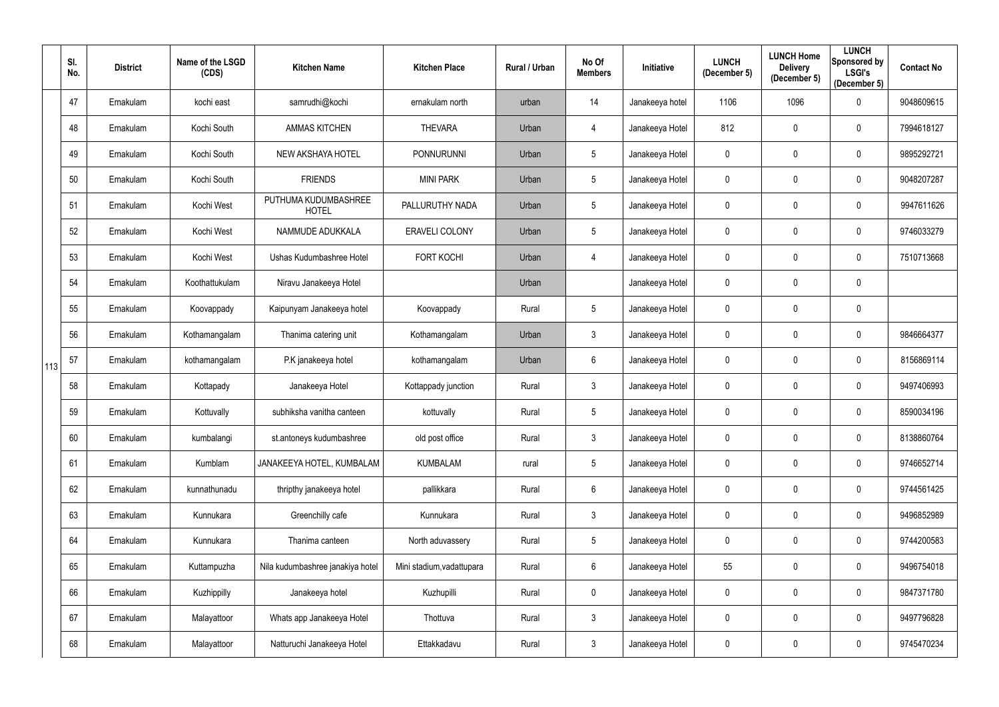|     | SI.<br>No. | <b>District</b> | Name of the LSGD<br>(CDS) | <b>Kitchen Name</b>                  | <b>Kitchen Place</b>      | Rural / Urban | No Of<br><b>Members</b> | Initiative      | <b>LUNCH</b><br>(December 5) | <b>LUNCH Home</b><br><b>Delivery</b><br>(December 5) | <b>LUNCH</b><br>Sponsored by<br><b>LSGI's</b><br>(December 5) | <b>Contact No</b> |
|-----|------------|-----------------|---------------------------|--------------------------------------|---------------------------|---------------|-------------------------|-----------------|------------------------------|------------------------------------------------------|---------------------------------------------------------------|-------------------|
|     | 47         | Ernakulam       | kochi east                | samrudhi@kochi                       | ernakulam north           | urban         | 14                      | Janakeeya hotel | 1106                         | 1096                                                 | $\mathbf 0$                                                   | 9048609615        |
|     | 48         | Ernakulam       | Kochi South               | <b>AMMAS KITCHEN</b>                 | <b>THEVARA</b>            | Urban         | 4                       | Janakeeya Hotel | 812                          | $\mathbf 0$                                          | $\mathbf 0$                                                   | 7994618127        |
|     | 49         | Ernakulam       | Kochi South               | NEW AKSHAYA HOTEL                    | <b>PONNURUNNI</b>         | Urban         | $5\phantom{.0}$         | Janakeeya Hotel | 0                            | $\mathbf 0$                                          | $\overline{0}$                                                | 9895292721        |
|     | 50         | Ernakulam       | Kochi South               | <b>FRIENDS</b>                       | <b>MINI PARK</b>          | Urban         | $5\phantom{.0}$         | Janakeeya Hotel | 0                            | $\mathbf 0$                                          | $\mathbf 0$                                                   | 9048207287        |
|     | 51         | Ernakulam       | Kochi West                | PUTHUMA KUDUMBASHREE<br><b>HOTEL</b> | PALLURUTHY NADA           | Urban         | $5\phantom{.0}$         | Janakeeya Hotel | 0                            | $\mathbf 0$                                          | $\mathbf 0$                                                   | 9947611626        |
|     | 52         | Ernakulam       | Kochi West                | NAMMUDE ADUKKALA                     | <b>ERAVELI COLONY</b>     | Urban         | $5\phantom{.0}$         | Janakeeya Hotel | 0                            | $\mathbf 0$                                          | $\boldsymbol{0}$                                              | 9746033279        |
|     | 53         | Ernakulam       | Kochi West                | Ushas Kudumbashree Hotel             | <b>FORT KOCHI</b>         | Urban         | 4                       | Janakeeya Hotel | 0                            | $\mathbf 0$                                          | $\overline{0}$                                                | 7510713668        |
|     | 54         | Ernakulam       | Koothattukulam            | Niravu Janakeeya Hotel               |                           | Urban         |                         | Janakeeya Hotel | 0                            | $\mathbf 0$                                          | $\overline{0}$                                                |                   |
|     | 55         | Ernakulam       | Koovappady                | Kaipunyam Janakeeya hotel            | Koovappady                | Rural         | $5\phantom{.0}$         | Janakeeya Hotel | 0                            | $\mathbf 0$                                          | $\overline{0}$                                                |                   |
|     | 56         | Ernakulam       | Kothamangalam             | Thanima catering unit                | Kothamangalam             | Urban         | $\mathbf{3}$            | Janakeeya Hotel | $\mathbf 0$                  | $\mathbf 0$                                          | $\boldsymbol{0}$                                              | 9846664377        |
| 113 | 57         | Ernakulam       | kothamangalam             | P.K janakeeya hotel                  | kothamangalam             | Urban         | $6\phantom{.}$          | Janakeeya Hotel | 0                            | $\mathbf 0$                                          | $\mathbf 0$                                                   | 8156869114        |
|     | 58         | Ernakulam       | Kottapady                 | Janakeeya Hotel                      | Kottappady junction       | Rural         | $\mathfrak{Z}$          | Janakeeya Hotel | 0                            | $\mathbf 0$                                          | $\overline{0}$                                                | 9497406993        |
|     | 59         | Ernakulam       | Kottuvally                | subhiksha vanitha canteen            | kottuvally                | Rural         | $5\phantom{.0}$         | Janakeeya Hotel | 0                            | $\mathbf 0$                                          | $\mathbf 0$                                                   | 8590034196        |
|     | 60         | Ernakulam       | kumbalangi                | st.antoneys kudumbashree             | old post office           | Rural         | $\mathfrak{Z}$          | Janakeeya Hotel | $\mathbf 0$                  | $\mathbf 0$                                          | $\mathbf 0$                                                   | 8138860764        |
|     | 61         | Ernakulam       | Kumblam                   | JANAKEEYA HOTEL, KUMBALAM            | <b>KUMBALAM</b>           | rural         | $5\phantom{.0}$         | Janakeeya Hotel | $\mathbf 0$                  | $\pmb{0}$                                            | $\overline{0}$                                                | 9746652714        |
|     | 62         | Ernakulam       | kunnathunadu              | thripthy janakeeya hotel             | pallikkara                | Rural         | $6\,$                   | Janakeeya Hotel | 0                            | $\mathbf 0$                                          | $\mathbf 0$                                                   | 9744561425        |
|     | 63         | Ernakulam       | Kunnukara                 | Greenchilly cafe                     | Kunnukara                 | Rural         | $\mathfrak{Z}$          | Janakeeya Hotel | 0                            | $\mathbf 0$                                          | $\mathbf 0$                                                   | 9496852989        |
|     | 64         | Ernakulam       | Kunnukara                 | Thanima canteen                      | North aduvassery          | Rural         | $5\phantom{.0}$         | Janakeeya Hotel | $\mathbf 0$                  | $\mathbf 0$                                          | $\overline{0}$                                                | 9744200583        |
|     | 65         | Ernakulam       | Kuttampuzha               | Nila kudumbashree janakiya hotel     | Mini stadium, vadattupara | Rural         | $6\phantom{.}6$         | Janakeeya Hotel | 55                           | $\mathbf 0$                                          | $\overline{0}$                                                | 9496754018        |
|     | 66         | Ernakulam       | Kuzhippilly               | Janakeeya hotel                      | Kuzhupilli                | Rural         | $\mathbf 0$             | Janakeeya Hotel | 0                            | $\mathbf 0$                                          | $\mathbf 0$                                                   | 9847371780        |
|     | 67         | Ernakulam       | Malayattoor               | Whats app Janakeeya Hotel            | Thottuva                  | Rural         | $\mathfrak{Z}$          | Janakeeya Hotel | $\pmb{0}$                    | $\pmb{0}$                                            | $\mathbf 0$                                                   | 9497796828        |
|     | 68         | Ernakulam       | Malayattoor               | Natturuchi Janakeeya Hotel           | Ettakkadavu               | Rural         | $\mathfrak{Z}$          | Janakeeya Hotel | 0                            | $\mathbf 0$                                          | $\overline{0}$                                                | 9745470234        |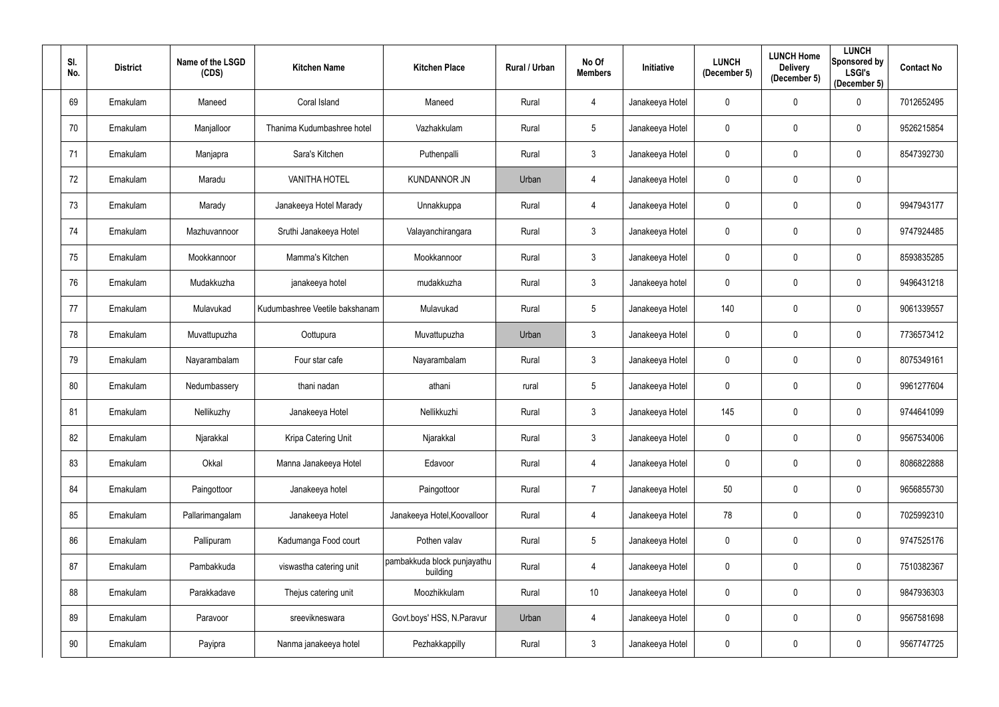| SI.<br>No. | <b>District</b> | Name of the LSGD<br>(CDS) | <b>Kitchen Name</b>            | <b>Kitchen Place</b>                    | <b>Rural / Urban</b> | No Of<br><b>Members</b> | Initiative      | <b>LUNCH</b><br>(December 5) | <b>LUNCH Home</b><br><b>Delivery</b><br>(December 5) | <b>LUNCH</b><br>Sponsored by<br><b>LSGI's</b><br>(December 5) | <b>Contact No</b> |
|------------|-----------------|---------------------------|--------------------------------|-----------------------------------------|----------------------|-------------------------|-----------------|------------------------------|------------------------------------------------------|---------------------------------------------------------------|-------------------|
| 69         | Ernakulam       | Maneed                    | Coral Island                   | Maneed                                  | Rural                | 4                       | Janakeeya Hotel | 0                            | $\mathbf 0$                                          | $\mathbf 0$                                                   | 7012652495        |
| 70         | Ernakulam       | Manjalloor                | Thanima Kudumbashree hotel     | Vazhakkulam                             | Rural                | 5                       | Janakeeya Hotel | 0                            | $\mathbf 0$                                          | $\mathbf 0$                                                   | 9526215854        |
| 71         | Ernakulam       | Manjapra                  | Sara's Kitchen                 | Puthenpalli                             | Rural                | $\mathbf{3}$            | Janakeeya Hotel | $\mathbf 0$                  | $\mathbf 0$                                          | $\mathbf 0$                                                   | 8547392730        |
| 72         | Ernakulam       | Maradu                    | <b>VANITHA HOTEL</b>           | <b>KUNDANNOR JN</b>                     | Urban                | 4                       | Janakeeya Hotel | 0                            | $\boldsymbol{0}$                                     | $\mathbf 0$                                                   |                   |
| 73         | Ernakulam       | Marady                    | Janakeeya Hotel Marady         | Unnakkuppa                              | Rural                | 4                       | Janakeeya Hotel | 0                            | $\boldsymbol{0}$                                     | $\mathbf 0$                                                   | 9947943177        |
| 74         | Ernakulam       | Mazhuvannoor              | Sruthi Janakeeya Hotel         | Valayanchirangara                       | Rural                | $\mathbf{3}$            | Janakeeya Hotel | 0                            | $\mathbf 0$                                          | $\mathbf 0$                                                   | 9747924485        |
| 75         | Ernakulam       | Mookkannoor               | Mamma's Kitchen                | Mookkannoor                             | Rural                | $\mathbf{3}$            | Janakeeya Hotel | 0                            | $\mathbf 0$                                          | $\mathbf 0$                                                   | 8593835285        |
| 76         | Ernakulam       | Mudakkuzha                | janakeeya hotel                | mudakkuzha                              | Rural                | $\mathbf{3}$            | Janakeeya hotel | 0                            | $\boldsymbol{0}$                                     | $\mathbf 0$                                                   | 9496431218        |
| 77         | Ernakulam       | Mulavukad                 | Kudumbashree Veetile bakshanam | Mulavukad                               | Rural                | 5                       | Janakeeya Hotel | 140                          | $\boldsymbol{0}$                                     | $\mathbf 0$                                                   | 9061339557        |
| 78         | Ernakulam       | Muvattupuzha              | Oottupura                      | Muvattupuzha                            | Urban                | $\mathfrak{S}$          | Janakeeya Hotel | $\mathbf 0$                  | $\boldsymbol{0}$                                     | $\mathbf 0$                                                   | 7736573412        |
| 79         | Ernakulam       | Nayarambalam              | Four star cafe                 | Nayarambalam                            | Rural                | $\mathbf{3}$            | Janakeeya Hotel | 0                            | $\mathbf 0$                                          | $\mathbf 0$                                                   | 8075349161        |
| 80         | Ernakulam       | Nedumbassery              | thani nadan                    | athani                                  | rural                | 5                       | Janakeeya Hotel | 0                            | $\boldsymbol{0}$                                     | $\mathbf 0$                                                   | 9961277604        |
| 81         | Ernakulam       | Nellikuzhy                | Janakeeya Hotel                | Nellikkuzhi                             | Rural                | 3                       | Janakeeya Hotel | 145                          | $\mathbf 0$                                          | 0                                                             | 9744641099        |
| 82         | Ernakulam       | Njarakkal                 | Kripa Catering Unit            | Njarakkal                               | Rural                | $\mathfrak{S}$          | Janakeeya Hotel | $\mathbf 0$                  | $\mathbf 0$                                          | $\mathbf 0$                                                   | 9567534006        |
| 83         | Ernakulam       | Okkal                     | Manna Janakeeya Hotel          | Edavoor                                 | Rural                | $\overline{4}$          | Janakeeya Hotel | $\mathbf 0$                  | $\pmb{0}$                                            | $\overline{0}$                                                | 8086822888        |
| 84         | Ernakulam       | Paingottoor               | Janakeeya hotel                | Paingottoor                             | Rural                | $\overline{7}$          | Janakeeya Hotel | 50                           | $\pmb{0}$                                            | $\mathbf 0$                                                   | 9656855730        |
| 85         | Ernakulam       | Pallarimangalam           | Janakeeya Hotel                | Janakeeya Hotel, Koovalloor             | Rural                | 4                       | Janakeeya Hotel | 78                           | $\pmb{0}$                                            | $\mathbf 0$                                                   | 7025992310        |
| 86         | Ernakulam       | Pallipuram                | Kadumanga Food court           | Pothen valav                            | Rural                | 5                       | Janakeeya Hotel | $\mathbf 0$                  | $\pmb{0}$                                            | $\mathbf 0$                                                   | 9747525176        |
| 87         | Ernakulam       | Pambakkuda                | viswastha catering unit        | pambakkuda block punjayathu<br>building | Rural                | 4                       | Janakeeya Hotel | 0                            | $\boldsymbol{0}$                                     | $\mathbf 0$                                                   | 7510382367        |
| 88         | Ernakulam       | Parakkadave               | Thejus catering unit           | Moozhikkulam                            | Rural                | 10                      | Janakeeya Hotel | $\mathbf 0$                  | $\pmb{0}$                                            | $\overline{0}$                                                | 9847936303        |
| 89         | Ernakulam       | Paravoor                  | sreevikneswara                 | Govt.boys' HSS, N.Paravur               | Urban                | 4                       | Janakeeya Hotel | 0                            | $\pmb{0}$                                            | $\overline{0}$                                                | 9567581698        |
| 90         | Ernakulam       | Payipra                   | Nanma janakeeya hotel          | Pezhakkappilly                          | Rural                | $\mathfrak{S}$          | Janakeeya Hotel | 0                            | $\boldsymbol{0}$                                     | $\overline{0}$                                                | 9567747725        |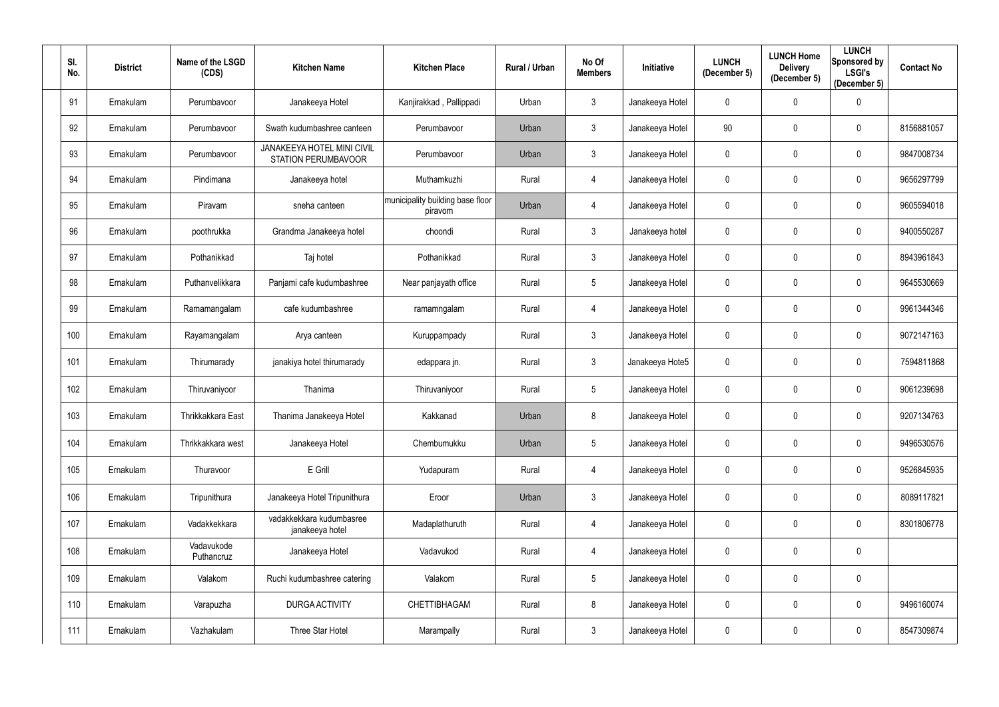| SI.<br>No. | <b>District</b> | Name of the LSGD<br>(CDS) | <b>Kitchen Name</b>                                      | <b>Kitchen Place</b>                        | Rural / Urban | No Of<br><b>Members</b> | Initiative      | <b>LUNCH</b><br>(December 5) | <b>LUNCH Home</b><br><b>Delivery</b><br>(December 5) | <b>LUNCH</b><br>Sponsored by<br><b>LSGI's</b><br>(December 5) | <b>Contact No</b> |
|------------|-----------------|---------------------------|----------------------------------------------------------|---------------------------------------------|---------------|-------------------------|-----------------|------------------------------|------------------------------------------------------|---------------------------------------------------------------|-------------------|
| 91         | Ernakulam       | Perumbavoor               | Janakeeya Hotel                                          | Kanjirakkad, Pallippadi                     | Urban         | $\mathfrak{Z}$          | Janakeeya Hotel | $\pmb{0}$                    | $\pmb{0}$                                            | $\overline{0}$                                                |                   |
| 92         | Ernakulam       | Perumbavoor               | Swath kudumbashree canteen                               | Perumbavoor                                 | Urban         | $\mathfrak{Z}$          | Janakeeya Hotel | 90                           | $\mathbf 0$                                          | $\overline{0}$                                                | 8156881057        |
| 93         | Ernakulam       | Perumbavoor               | <b>JANAKEEYA HOTEL MINI CIVIL</b><br>STATION PERUMBAVOOR | Perumbavoor                                 | Urban         | $\mathbf{3}$            | Janakeeya Hotel | $\mathbf 0$                  | $\mathbf 0$                                          | $\overline{0}$                                                | 9847008734        |
| 94         | Ernakulam       | Pindimana                 | Janakeeya hotel                                          | Muthamkuzhi                                 | Rural         | 4                       | Janakeeya Hotel | 0                            | $\overline{0}$                                       | $\overline{0}$                                                | 9656297799        |
| 95         | Ernakulam       | Piravam                   | sneha canteen                                            | municipality building base floor<br>piravom | Urban         | 4                       | Janakeeya Hotel | $\mathbf 0$                  | $\mathbf 0$                                          | $\overline{0}$                                                | 9605594018        |
| 96         | Ernakulam       | poothrukka                | Grandma Janakeeya hotel                                  | choondi                                     | Rural         | $\mathfrak{Z}$          | Janakeeya hotel | 0                            | $\mathbf 0$                                          | $\overline{0}$                                                | 9400550287        |
| 97         | Ernakulam       | Pothanikkad               | Taj hotel                                                | Pothanikkad                                 | Rural         | $\mathfrak{Z}$          | Janakeeya Hotel | $\mathbf 0$                  | $\mathbf 0$                                          | $\overline{0}$                                                | 8943961843        |
| 98         | Ernakulam       | Puthanvelikkara           | Panjami cafe kudumbashree                                | Near panjayath office                       | Rural         | 5                       | Janakeeya Hotel | $\mathbf 0$                  | $\overline{0}$                                       | $\overline{0}$                                                | 9645530669        |
| 99         | Ernakulam       | Ramamangalam              | cafe kudumbashree                                        | ramamngalam                                 | Rural         | 4                       | Janakeeya Hotel | $\mathbf 0$                  | $\mathbf 0$                                          | $\mathbf 0$                                                   | 9961344346        |
| 100        | Ernakulam       | Rayamangalam              | Arya canteen                                             | Kuruppampady                                | Rural         | $\mathfrak{Z}$          | Janakeeya Hotel | $\mathbf 0$                  | $\mathbf 0$                                          | $\overline{0}$                                                | 9072147163        |
| 101        | Ernakulam       | Thirumarady               | janakiya hotel thirumarady                               | edappara jn.                                | Rural         | $\mathfrak{Z}$          | Janakeeya Hote5 | $\mathbf 0$                  | $\mathbf 0$                                          | $\overline{0}$                                                | 7594811868        |
| 102        | Ernakulam       | Thiruvaniyoor             | Thanima                                                  | Thiruvaniyoor                               | Rural         | 5                       | Janakeeya Hotel | 0                            | $\mathbf 0$                                          | $\overline{0}$                                                | 9061239698        |
| 103        | Ernakulam       | Thrikkakkara East         | Thanima Janakeeya Hotel                                  | Kakkanad                                    | Urban         | 8                       | Janakeeya Hotel |                              | $\Omega$                                             | $\mathbf 0$                                                   | 9207134763        |
| 104        | Ernakulam       | Thrikkakkara west         | Janakeeya Hotel                                          | Chembumukku                                 | Urban         | $5\phantom{.0}$         | Janakeeya Hotel | 0                            | $\pmb{0}$                                            | $\mathbf 0$                                                   | 9496530576        |
| 105        | Ernakulam       | Thuravoor                 | E Grill                                                  | Yudapuram                                   | Rural         | 4                       | Janakeeya Hotel | $\mathbf 0$                  | $\mathbf 0$                                          | $\mathbf 0$                                                   | 9526845935        |
| 106        | Ernakulam       | Tripunithura              | Janakeeya Hotel Tripunithura                             | Eroor                                       | Urban         | $\mathfrak{Z}$          | Janakeeya Hotel | 0                            | $\overline{0}$                                       | $\mathbf 0$                                                   | 8089117821        |
| 107        | Ernakulam       | Vadakkekkara              | vadakkekkara kudumbasree<br>janakeeya hotel              | Madaplathuruth                              | Rural         | 4                       | Janakeeya Hotel | 0                            | $\mathbf 0$                                          | $\mathbf 0$                                                   | 8301806778        |
| 108        | Ernakulam       | Vadavukode<br>Puthancruz  | Janakeeya Hotel                                          | Vadavukod                                   | Rural         | 4                       | Janakeeya Hotel | $\mathbf 0$                  | $\mathbf 0$                                          | $\mathbf 0$                                                   |                   |
| 109        | Ernakulam       | Valakom                   | Ruchi kudumbashree catering                              | Valakom                                     | Rural         | $5\phantom{.0}$         | Janakeeya Hotel | $\pmb{0}$                    | $\mathbf 0$                                          | $\mathbf 0$                                                   |                   |
| 110        | Ernakulam       | Varapuzha                 | <b>DURGA ACTIVITY</b>                                    | CHETTIBHAGAM                                | Rural         | 8                       | Janakeeya Hotel | 0                            | $\mathbf 0$                                          | $\mathbf 0$                                                   | 9496160074        |
| 111        | Ernakulam       | Vazhakulam                | Three Star Hotel                                         | Marampally                                  | Rural         | $\mathfrak{Z}$          | Janakeeya Hotel | 0                            | $\mathbf 0$                                          | $\mathbf 0$                                                   | 8547309874        |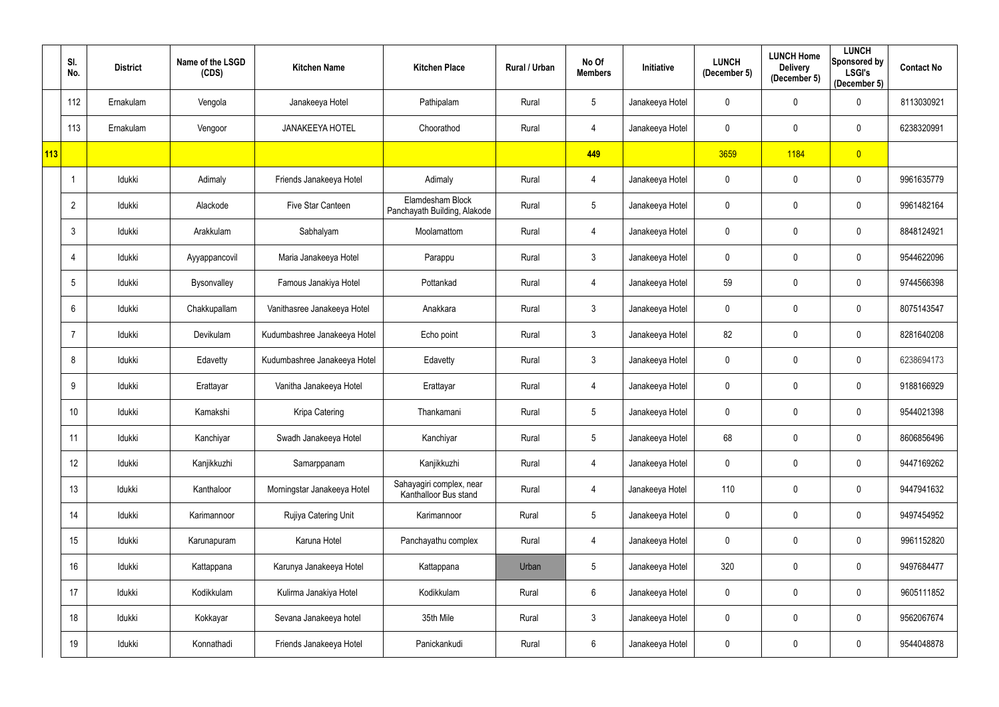|     | SI.<br>No.      | <b>District</b> | Name of the LSGD<br>(CDS) | <b>Kitchen Name</b>          | <b>Kitchen Place</b>                              | Rural / Urban | No Of<br><b>Members</b> | <b>Initiative</b> | <b>LUNCH</b><br>(December 5) | <b>LUNCH Home</b><br><b>Delivery</b><br>(December 5) | <b>LUNCH</b><br>Sponsored by<br><b>LSGI's</b><br>(December 5) | <b>Contact No</b> |
|-----|-----------------|-----------------|---------------------------|------------------------------|---------------------------------------------------|---------------|-------------------------|-------------------|------------------------------|------------------------------------------------------|---------------------------------------------------------------|-------------------|
|     | 112             | Ernakulam       | Vengola                   | Janakeeya Hotel              | Pathipalam                                        | Rural         | $5\phantom{.0}$         | Janakeeya Hotel   | $\mathbf 0$                  | $\mathbf 0$                                          | $\mathbf 0$                                                   | 8113030921        |
|     | 113             | Ernakulam       | Vengoor                   | <b>JANAKEEYA HOTEL</b>       | Choorathod                                        | Rural         | 4                       | Janakeeya Hotel   | $\mathbf 0$                  | $\mathbf 0$                                          | $\mathbf 0$                                                   | 6238320991        |
| 113 |                 |                 |                           |                              |                                                   |               | 449                     |                   | 3659                         | 1184                                                 | $\overline{0}$                                                |                   |
|     | -1              | Idukki          | Adimaly                   | Friends Janakeeya Hotel      | Adimaly                                           | Rural         | 4                       | Janakeeya Hotel   | $\mathbf 0$                  | $\mathbf 0$                                          | $\mathbf 0$                                                   | 9961635779        |
|     | $\overline{2}$  | Idukki          | Alackode                  | Five Star Canteen            | Elamdesham Block<br>Panchayath Building, Alakode  | Rural         | 5                       | Janakeeya Hotel   | 0                            | $\mathbf 0$                                          | $\mathbf 0$                                                   | 9961482164        |
|     | 3               | Idukki          | Arakkulam                 | Sabhalyam                    | Moolamattom                                       | Rural         | 4                       | Janakeeya Hotel   | $\mathbf 0$                  | $\mathbf 0$                                          | $\mathbf 0$                                                   | 8848124921        |
|     | 4               | Idukki          | Ayyappancovil             | Maria Janakeeya Hotel        | Parappu                                           | Rural         | $\mathfrak{Z}$          | Janakeeya Hotel   | $\mathbf 0$                  | $\mathbf 0$                                          | $\mathbf 0$                                                   | 9544622096        |
|     | 5               | Idukki          | Bysonvalley               | Famous Janakiya Hotel        | Pottankad                                         | Rural         | 4                       | Janakeeya Hotel   | 59                           | $\mathbf 0$                                          | $\mathbf 0$                                                   | 9744566398        |
|     | 6               | Idukki          | Chakkupallam              | Vanithasree Janakeeya Hotel  | Anakkara                                          | Rural         | $\mathbf{3}$            | Janakeeya Hotel   | 0                            | $\mathbf 0$                                          | $\mathbf 0$                                                   | 8075143547        |
|     | 7               | Idukki          | Devikulam                 | Kudumbashree Janakeeya Hotel | Echo point                                        | Rural         | $\mathfrak{Z}$          | Janakeeya Hotel   | 82                           | $\mathbf 0$                                          | $\mathbf 0$                                                   | 8281640208        |
|     | 8               | Idukki          | Edavetty                  | Kudumbashree Janakeeya Hotel | Edavetty                                          | Rural         | $\mathfrak{Z}$          | Janakeeya Hotel   | $\mathbf 0$                  | $\mathbf 0$                                          | $\mathbf 0$                                                   | 6238694173        |
|     | 9               | Idukki          | Erattayar                 | Vanitha Janakeeya Hotel      | Erattayar                                         | Rural         | 4                       | Janakeeya Hotel   | 0                            | $\mathbf 0$                                          | $\mathbf 0$                                                   | 9188166929        |
|     | 10 <sup>°</sup> | Idukki          | Kamakshi                  | Kripa Catering               | Thankamani                                        | Rural         | $5\phantom{.0}$         | Janakeeya Hotel   | 0                            | $\mathbf 0$                                          | $\mathbf 0$                                                   | 9544021398        |
|     | 11              | Idukki          | Kanchiyar                 | Swadh Janakeeya Hotel        | Kanchiyar                                         | Rural         | $5\phantom{.0}$         | Janakeeya Hotel   | 68                           | $\mathbf 0$                                          | $\mathbf 0$                                                   | 8606856496        |
|     | 12              | ldukki          | Kanjikkuzhi               | Samarppanam                  | Kanjikkuzhi                                       | Rural         | 4                       | Janakeeya Hotel   | $\mathbf 0$                  | $\mathbf 0$                                          | $\overline{0}$                                                | 9447169262        |
|     | 13              | Idukki          | Kanthaloor                | Morningstar Janakeeya Hotel  | Sahayagiri complex, near<br>Kanthalloor Bus stand | Rural         | 4                       | Janakeeya Hotel   | 110                          | $\mathbf 0$                                          | $\mathbf 0$                                                   | 9447941632        |
|     | 14              | Idukki          | Karimannoor               | Rujiya Catering Unit         | Karimannoor                                       | Rural         | $\sqrt{5}$              | Janakeeya Hotel   | $\mathbf 0$                  | $\pmb{0}$                                            | $\mathbf 0$                                                   | 9497454952        |
|     | 15              | Idukki          | Karunapuram               | Karuna Hotel                 | Panchayathu complex                               | Rural         | 4                       | Janakeeya Hotel   | $\mathbf 0$                  | $\mathbf 0$                                          | $\mathbf 0$                                                   | 9961152820        |
|     | 16              | Idukki          | Kattappana                | Karunya Janakeeya Hotel      | Kattappana                                        | Urban         | $5\phantom{.0}$         | Janakeeya Hotel   | 320                          | $\mathbf 0$                                          | $\overline{0}$                                                | 9497684477        |
|     | 17              | Idukki          | Kodikkulam                | Kulirma Janakiya Hotel       | Kodikkulam                                        | Rural         | $6\,$                   | Janakeeya Hotel   | $\mathbf 0$                  | $\mathbf 0$                                          | $\mathbf 0$                                                   | 9605111852        |
|     | 18              | Idukki          | Kokkayar                  | Sevana Janakeeya hotel       | 35th Mile                                         | Rural         | $\mathbf{3}$            | Janakeeya Hotel   | $\boldsymbol{0}$             | $\pmb{0}$                                            | $\overline{0}$                                                | 9562067674        |
|     | 19              | Idukki          | Konnathadi                | Friends Janakeeya Hotel      | Panickankudi                                      | Rural         | $6\phantom{.}$          | Janakeeya Hotel   | $\mathbf 0$                  | $\pmb{0}$                                            | $\overline{0}$                                                | 9544048878        |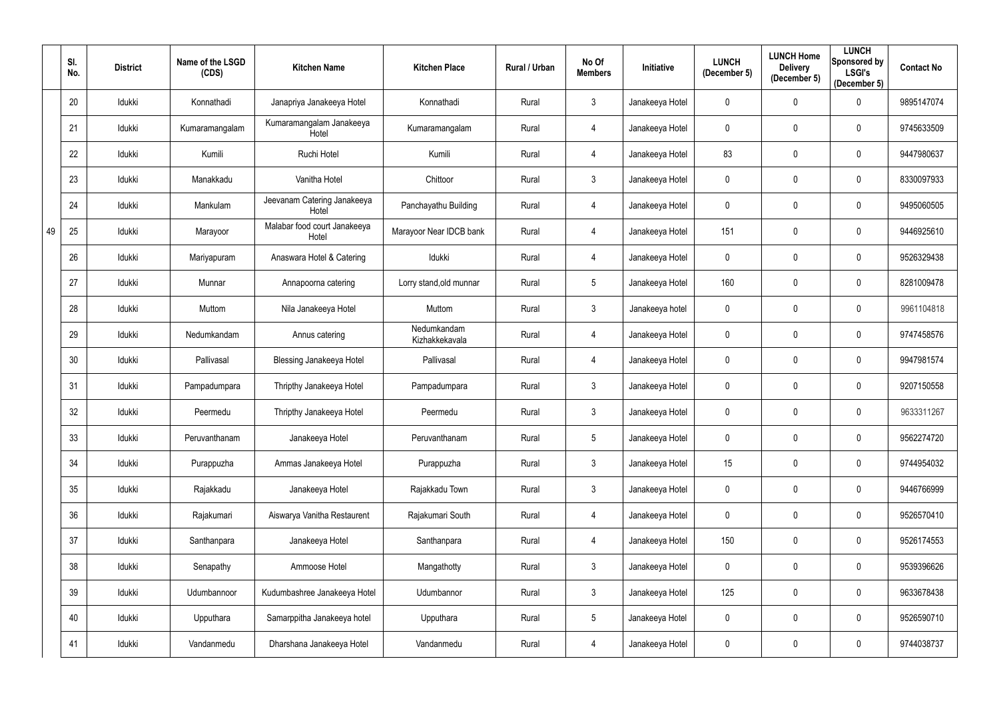|    | SI.<br>No. | <b>District</b> | Name of the LSGD<br>(CDS) | <b>Kitchen Name</b>                   | <b>Kitchen Place</b>          | Rural / Urban | No Of<br><b>Members</b> | Initiative      | <b>LUNCH</b><br>(December 5) | <b>LUNCH Home</b><br><b>Delivery</b><br>(December 5) | <b>LUNCH</b><br>Sponsored by<br><b>LSGI's</b><br>(December 5) | <b>Contact No</b> |
|----|------------|-----------------|---------------------------|---------------------------------------|-------------------------------|---------------|-------------------------|-----------------|------------------------------|------------------------------------------------------|---------------------------------------------------------------|-------------------|
|    | 20         | Idukki          | Konnathadi                | Janapriya Janakeeya Hotel             | Konnathadi                    | Rural         | $\mathfrak{Z}$          | Janakeeya Hotel | 0                            | $\mathbf 0$                                          | $\mathbf 0$                                                   | 9895147074        |
|    | 21         | Idukki          | Kumaramangalam            | Kumaramangalam Janakeeya<br>Hotel     | Kumaramangalam                | Rural         | 4                       | Janakeeya Hotel | 0                            | $\mathbf 0$                                          | $\mathbf 0$                                                   | 9745633509        |
|    | 22         | Idukki          | Kumili                    | Ruchi Hotel                           | Kumili                        | Rural         | 4                       | Janakeeya Hotel | 83                           | $\pmb{0}$                                            | $\mathbf 0$                                                   | 9447980637        |
|    | 23         | Idukki          | Manakkadu                 | Vanitha Hotel                         | Chittoor                      | Rural         | $\mathfrak{Z}$          | Janakeeya Hotel | 0                            | $\mathbf 0$                                          | $\mathbf 0$                                                   | 8330097933        |
|    | 24         | Idukki          | Mankulam                  | Jeevanam Catering Janakeeya<br>Hotel  | Panchayathu Building          | Rural         | 4                       | Janakeeya Hotel | 0                            | $\mathbf 0$                                          | $\overline{0}$                                                | 9495060505        |
| 49 | 25         | Idukki          | Marayoor                  | Malabar food court Janakeeya<br>Hotel | Marayoor Near IDCB bank       | Rural         | 4                       | Janakeeya Hotel | 151                          | $\overline{0}$                                       | $\boldsymbol{0}$                                              | 9446925610        |
|    | 26         | Idukki          | Mariyapuram               | Anaswara Hotel & Catering             | Idukki                        | Rural         | 4                       | Janakeeya Hotel | 0                            | $\mathbf{0}$                                         | $\mathbf 0$                                                   | 9526329438        |
|    | 27         | Idukki          | Munnar                    | Annapoorna catering                   | Lorry stand, old munnar       | Rural         | $5\phantom{.0}$         | Janakeeya Hotel | 160                          | $\overline{0}$                                       | $\mathbf 0$                                                   | 8281009478        |
|    | 28         | Idukki          | Muttom                    | Nila Janakeeya Hotel                  | Muttom                        | Rural         | $\mathbf{3}$            | Janakeeya hotel | 0                            | $\mathbf 0$                                          | $\mathbf 0$                                                   | 9961104818        |
|    | 29         | Idukki          | Nedumkandam               | Annus catering                        | Nedumkandam<br>Kizhakkekavala | Rural         | 4                       | Janakeeya Hotel | $\mathbf 0$                  | $\mathbf 0$                                          | $\mathbf 0$                                                   | 9747458576        |
|    | 30         | Idukki          | Pallivasal                | <b>Blessing Janakeeya Hotel</b>       | Pallivasal                    | Rural         | 4                       | Janakeeya Hotel | 0                            | $\mathbf 0$                                          | $\mathbf 0$                                                   | 9947981574        |
|    | 31         | Idukki          | Pampadumpara              | Thripthy Janakeeya Hotel              | Pampadumpara                  | Rural         | $\mathfrak{Z}$          | Janakeeya Hotel | 0                            | $\mathbf 0$                                          | $\mathbf 0$                                                   | 9207150558        |
|    | 32         | Idukki          | Peermedu                  | Thripthy Janakeeya Hotel              | Peermedu                      | Rural         | $\mathbf{3}$            | Janakeeya Hotel | 0                            | $\mathbf 0$                                          | $\mathbf 0$                                                   | 9633311267        |
|    | 33         | Idukki          | Peruvanthanam             | Janakeeya Hotel                       | Peruvanthanam                 | Rural         | $5\phantom{.0}$         | Janakeeya Hotel | 0                            | $\mathbf 0$                                          | $\mathbf 0$                                                   | 9562274720        |
|    | 34         | Idukki          | Purappuzha                | Ammas Janakeeya Hotel                 | Purappuzha                    | Rural         | $\mathfrak{Z}$          | Janakeeya Hotel | 15                           | $\mathbf 0$                                          | $\mathbf 0$                                                   | 9744954032        |
|    | 35         | Idukki          | Rajakkadu                 | Janakeeya Hotel                       | Rajakkadu Town                | Rural         | $\mathfrak{Z}$          | Janakeeya Hotel | $\mathbf 0$                  | $\mathbf 0$                                          | $\overline{0}$                                                | 9446766999        |
|    | 36         | Idukki          | Rajakumari                | Aiswarya Vanitha Restaurent           | Rajakumari South              | Rural         | 4                       | Janakeeya Hotel | 0                            | $\mathbf 0$                                          | $\mathbf 0$                                                   | 9526570410        |
|    | 37         | Idukki          | Santhanpara               | Janakeeya Hotel                       | Santhanpara                   | Rural         | 4                       | Janakeeya Hotel | 150                          | $\mathbf 0$                                          | $\mathbf 0$                                                   | 9526174553        |
|    | 38         | Idukki          | Senapathy                 | Ammoose Hotel                         | Mangathotty                   | Rural         | $\mathfrak{Z}$          | Janakeeya Hotel | $\mathbf 0$                  | $\mathbf 0$                                          | $\mathbf 0$                                                   | 9539396626        |
|    | 39         | Idukki          | Udumbannoor               | Kudumbashree Janakeeya Hotel          | Udumbannor                    | Rural         | $\mathfrak{Z}$          | Janakeeya Hotel | 125                          | $\mathbf 0$                                          | $\mathbf 0$                                                   | 9633678438        |
|    | 40         | Idukki          | Upputhara                 | Samarppitha Janakeeya hotel           | Upputhara                     | Rural         | $\overline{5}$          | Janakeeya Hotel | $\boldsymbol{0}$             | $\mathbf 0$                                          | $\mathbf 0$                                                   | 9526590710        |
|    | 41         | Idukki          | Vandanmedu                | Dharshana Janakeeya Hotel             | Vandanmedu                    | Rural         | 4                       | Janakeeya Hotel | 0                            | $\pmb{0}$                                            | $\overline{0}$                                                | 9744038737        |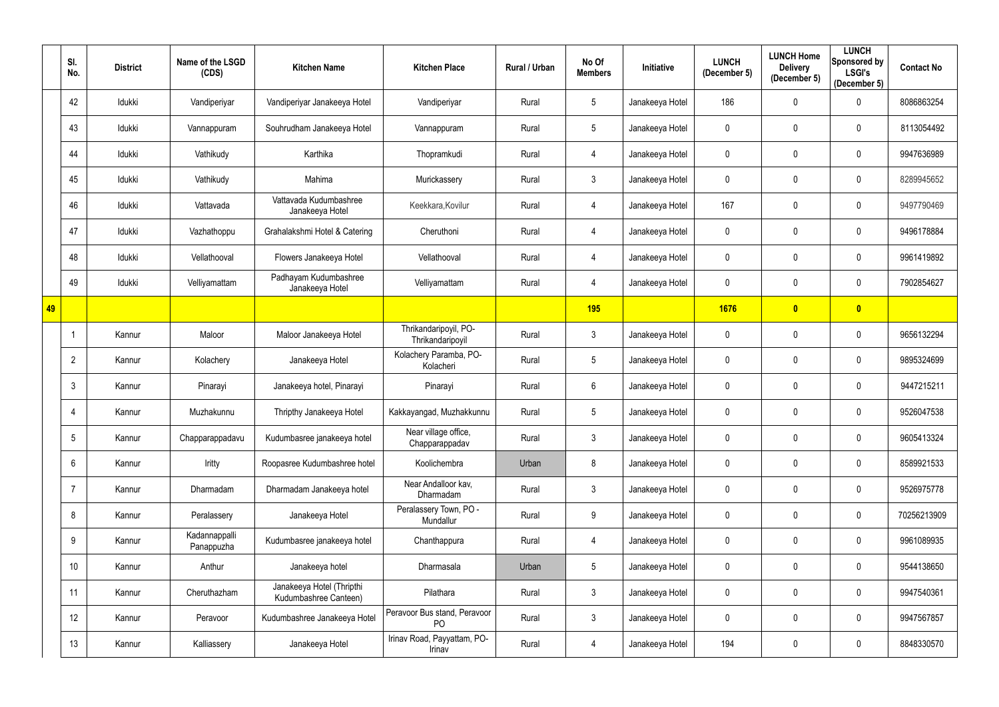|    | SI.<br>No.      | <b>District</b> | Name of the LSGD<br>(CDS)   | <b>Kitchen Name</b>                                | <b>Kitchen Place</b>                           | Rural / Urban | No Of<br><b>Members</b> | <b>Initiative</b> | <b>LUNCH</b><br>(December 5) | <b>LUNCH Home</b><br><b>Delivery</b><br>(December 5) | <b>LUNCH</b><br>Sponsored by<br><b>LSGI's</b><br>(December 5) | <b>Contact No</b> |
|----|-----------------|-----------------|-----------------------------|----------------------------------------------------|------------------------------------------------|---------------|-------------------------|-------------------|------------------------------|------------------------------------------------------|---------------------------------------------------------------|-------------------|
|    | 42              | Idukki          | Vandiperiyar                | Vandiperiyar Janakeeya Hotel                       | Vandiperiyar                                   | Rural         | $5\phantom{.0}$         | Janakeeya Hotel   | 186                          | $\mathbf 0$                                          | $\mathbf 0$                                                   | 8086863254        |
|    | 43              | Idukki          | Vannappuram                 | Souhrudham Janakeeya Hotel                         | Vannappuram                                    | Rural         | $5\phantom{.0}$         | Janakeeya Hotel   | 0                            | $\mathbf{0}$                                         | $\mathbf 0$                                                   | 8113054492        |
|    | 44              | Idukki          | Vathikudy                   | Karthika                                           | Thopramkudi                                    | Rural         | 4                       | Janakeeya Hotel   | 0                            | $\mathbf{0}$                                         | $\mathbf 0$                                                   | 9947636989        |
|    | 45              | Idukki          | Vathikudy                   | Mahima                                             | Murickassery                                   | Rural         | $\mathfrak{Z}$          | Janakeeya Hotel   | 0                            | $\mathbf 0$                                          | $\mathbf 0$                                                   | 8289945652        |
|    | 46              | Idukki          | Vattavada                   | Vattavada Kudumbashree<br>Janakeeya Hotel          | Keekkara, Kovilur                              | Rural         | 4                       | Janakeeya Hotel   | 167                          | $\mathbf{0}$                                         | $\mathbf 0$                                                   | 9497790469        |
|    | 47              | Idukki          | Vazhathoppu                 | Grahalakshmi Hotel & Catering                      | Cheruthoni                                     | Rural         | 4                       | Janakeeya Hotel   | $\mathbf 0$                  | $\mathbf{0}$                                         | $\mathbf 0$                                                   | 9496178884        |
|    | 48              | Idukki          | Vellathooval                | Flowers Janakeeya Hotel                            | Vellathooval                                   | Rural         | 4                       | Janakeeya Hotel   | 0                            | $\mathbf{0}$                                         | $\mathbf 0$                                                   | 9961419892        |
|    | 49              | Idukki          | Velliyamattam               | Padhayam Kudumbashree<br>Janakeeya Hotel           | Velliyamattam                                  | Rural         | 4                       | Janakeeya Hotel   | 0                            | $\mathbf{0}$                                         | $\mathbf 0$                                                   | 7902854627        |
| 49 |                 |                 |                             |                                                    |                                                |               | <b>195</b>              |                   | 1676                         | $\overline{\mathbf{0}}$                              | $\overline{\mathbf{0}}$                                       |                   |
|    |                 | Kannur          | Maloor                      | Maloor Janakeeya Hotel                             | Thrikandaripoyil, PO-<br>Thrikandaripoyil      | Rural         | $\mathfrak{Z}$          | Janakeeya Hotel   | $\mathbf 0$                  | $\mathbf{0}$                                         | $\mathbf 0$                                                   | 9656132294        |
|    | $\overline{2}$  | Kannur          | Kolachery                   | Janakeeya Hotel                                    | Kolachery Paramba, PO-<br>Kolacheri            | Rural         | $5\phantom{.0}$         | Janakeeya Hotel   | 0                            | $\mathbf{0}$                                         | $\mathbf 0$                                                   | 9895324699        |
|    | 3               | Kannur          | Pinarayi                    | Janakeeya hotel, Pinarayi                          | Pinarayi                                       | Rural         | $6\phantom{.}$          | Janakeeya Hotel   | 0                            | $\mathbf{0}$                                         | $\mathbf 0$                                                   | 9447215211        |
|    |                 | Kannur          | Muzhakunnu                  | Thripthy Janakeeya Hotel                           | Kakkayangad, Muzhakkunnu                       | Rural         | $5\phantom{.0}$         | Janakeeya Hotel   | 0                            | $\mathbf 0$                                          | $\mathbf 0$                                                   | 9526047538        |
|    | 5               | Kannur          | Chapparappadavu             | Kudumbasree janakeeya hotel                        | Near village office,<br>Chapparappadav         | Rural         | $\mathfrak{Z}$          | Janakeeya Hotel   | $\mathbf 0$                  | $\mathbf 0$                                          | $\mathbf 0$                                                   | 9605413324        |
|    | 6               | Kannur          | Iritty                      | Roopasree Kudumbashree hotel                       | Koolichembra                                   | Urban         | 8                       | Janakeeya Hotel   | $\mathbf 0$                  | $\mathbf{0}$                                         | $\overline{0}$                                                | 8589921533        |
|    |                 | Kannur          | Dharmadam                   | Dharmadam Janakeeya hotel                          | Near Andalloor kav.<br>Dharmadam               | Rural         | $\mathfrak{Z}$          | Janakeeya Hotel   | $\mathbf 0$                  | $\mathbf 0$                                          | $\mathbf 0$                                                   | 9526975778        |
|    | 8               | Kannur          | Peralassery                 | Janakeeya Hotel                                    | Peralassery Town, PO -<br>Mundallur            | Rural         | $9\,$                   | Janakeeya Hotel   | $\mathbf 0$                  | $\mathbf 0$                                          | $\mathbf 0$                                                   | 70256213909       |
|    | 9               | Kannur          | Kadannappalli<br>Panappuzha | Kudumbasree janakeeya hotel                        | Chanthappura                                   | Rural         | 4                       | Janakeeya Hotel   | $\mathbf 0$                  | $\mathbf 0$                                          | $\mathbf 0$                                                   | 9961089935        |
|    | 10 <sup>°</sup> | Kannur          | Anthur                      | Janakeeya hotel                                    | Dharmasala                                     | Urban         | $5\phantom{.0}$         | Janakeeya Hotel   | $\mathbf 0$                  | $\mathbf{0}$                                         | $\overline{0}$                                                | 9544138650        |
|    | 11              | Kannur          | Cheruthazham                | Janakeeya Hotel (Thripthi<br>Kudumbashree Canteen) | Pilathara                                      | Rural         | $\mathfrak{Z}$          | Janakeeya Hotel   | $\mathbf 0$                  | $\mathbf 0$                                          | $\overline{0}$                                                | 9947540361        |
|    | 12              | Kannur          | Peravoor                    | Kudumbashree Janakeeya Hotel                       | Peravoor Bus stand, Peravoor<br>P <sub>O</sub> | Rural         | $\mathbf{3}$            | Janakeeya Hotel   | $\mathbf 0$                  | $\pmb{0}$                                            | $\mathbf 0$                                                   | 9947567857        |
|    | 13              | Kannur          | Kalliassery                 | Janakeeya Hotel                                    | Irinav Road, Payyattam, PO-<br>Irinav          | Rural         | 4                       | Janakeeya Hotel   | 194                          | $\mathbf 0$                                          | $\mathbf 0$                                                   | 8848330570        |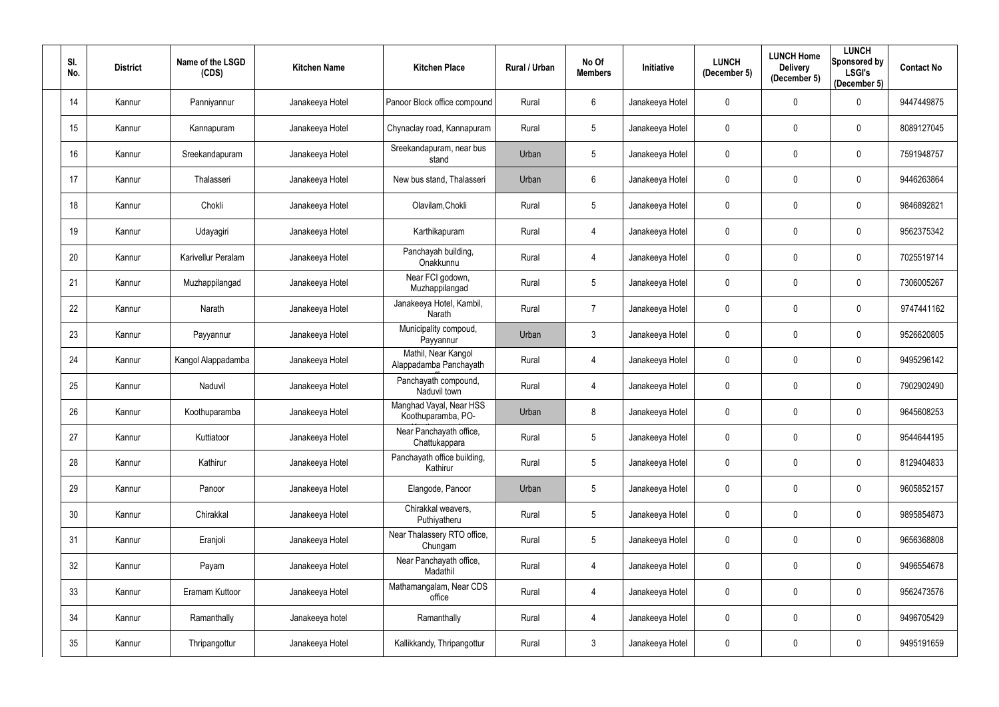| SI.<br>No. | <b>District</b> | Name of the LSGD<br>(CDS) | <b>Kitchen Name</b> | <b>Kitchen Place</b>                          | Rural / Urban | No Of<br><b>Members</b> | Initiative      | <b>LUNCH</b><br>(December 5) | <b>LUNCH Home</b><br><b>Delivery</b><br>(December 5) | <b>LUNCH</b><br>Sponsored by<br><b>LSGI's</b><br>(December 5) | <b>Contact No</b> |
|------------|-----------------|---------------------------|---------------------|-----------------------------------------------|---------------|-------------------------|-----------------|------------------------------|------------------------------------------------------|---------------------------------------------------------------|-------------------|
| 14         | Kannur          | Panniyannur               | Janakeeya Hotel     | Panoor Block office compound                  | Rural         | 6                       | Janakeeya Hotel | 0                            | $\mathbf 0$                                          | $\mathbf 0$                                                   | 9447449875        |
| 15         | Kannur          | Kannapuram                | Janakeeya Hotel     | Chynaclay road, Kannapuram                    | Rural         | 5 <sub>5</sub>          | Janakeeya Hotel | 0                            | $\mathbf 0$                                          | $\mathbf 0$                                                   | 8089127045        |
| 16         | Kannur          | Sreekandapuram            | Janakeeya Hotel     | Sreekandapuram, near bus<br>stand             | Urban         | $5\phantom{.0}$         | Janakeeya Hotel | 0                            | $\pmb{0}$                                            | $\mathbf 0$                                                   | 7591948757        |
| 17         | Kannur          | Thalasseri                | Janakeeya Hotel     | New bus stand, Thalasseri                     | Urban         | $6\phantom{.0}$         | Janakeeya Hotel | 0                            | $\mathbf 0$                                          | $\mathbf 0$                                                   | 9446263864        |
| 18         | Kannur          | Chokli                    | Janakeeya Hotel     | Olavilam, Chokli                              | Rural         | 5                       | Janakeeya Hotel | 0                            | $\mathbf 0$                                          | $\mathbf 0$                                                   | 9846892821        |
| 19         | Kannur          | Udayagiri                 | Janakeeya Hotel     | Karthikapuram                                 | Rural         | 4                       | Janakeeya Hotel | 0                            | $\mathbf 0$                                          | $\boldsymbol{0}$                                              | 9562375342        |
| 20         | Kannur          | Karivellur Peralam        | Janakeeya Hotel     | Panchayah building,<br>Onakkunnu              | Rural         | 4                       | Janakeeya Hotel | 0                            | $\mathbf{0}$                                         | $\mathbf 0$                                                   | 7025519714        |
| 21         | Kannur          | Muzhappilangad            | Janakeeya Hotel     | Near FCI godown,<br>Muzhappilangad            | Rural         | 5                       | Janakeeya Hotel | 0                            | $\mathbf 0$                                          | $\mathbf 0$                                                   | 7306005267        |
| 22         | Kannur          | Narath                    | Janakeeya Hotel     | Janakeeya Hotel, Kambil,<br>Narath            | Rural         | $\overline{7}$          | Janakeeya Hotel | 0                            | $\mathbf 0$                                          | $\mathbf 0$                                                   | 9747441162        |
| 23         | Kannur          | Payyannur                 | Janakeeya Hotel     | Municipality compoud,<br>Payyannur            | Urban         | $\mathfrak{Z}$          | Janakeeya Hotel | $\mathbf 0$                  | $\mathbf 0$                                          | $\mathbf 0$                                                   | 9526620805        |
| 24         | Kannur          | Kangol Alappadamba        | Janakeeya Hotel     | Mathil, Near Kangol<br>Alappadamba Panchayath | Rural         | 4                       | Janakeeya Hotel | 0                            | $\pmb{0}$                                            | $\mathbf 0$                                                   | 9495296142        |
| 25         | Kannur          | Naduvil                   | Janakeeya Hotel     | Panchayath compound,<br>Naduvil town          | Rural         | 4                       | Janakeeya Hotel | 0                            | $\mathbf 0$                                          | $\mathbf 0$                                                   | 7902902490        |
| 26         | Kannur          | Koothuparamba             | Janakeeya Hotel     | Manghad Vayal, Near HSS<br>Koothuparamba, PO- | Urban         | 8                       | Janakeeya Hotel | 0                            | $\mathbf 0$                                          | $\mathbf 0$                                                   | 9645608253        |
| 27         | Kannur          | Kuttiatoor                | Janakeeya Hotel     | Near Panchayath office,<br>Chattukappara      | Rural         | $5\phantom{.0}$         | Janakeeya Hotel | 0                            | $\mathbf 0$                                          | $\mathbf 0$                                                   | 9544644195        |
| 28         | Kannur          | Kathirur                  | Janakeeya Hotel     | Panchayath office building,<br>Kathirur       | Rural         | 5                       | Janakeeya Hotel | $\mathbf 0$                  | $\pmb{0}$                                            | $\mathbf 0$                                                   | 8129404833        |
| 29         | Kannur          | Panoor                    | Janakeeya Hotel     | Elangode, Panoor                              | Urban         | 5                       | Janakeeya Hotel | $\mathbf 0$                  | $\pmb{0}$                                            | $\bf{0}$                                                      | 9605852157        |
| 30         | Kannur          | Chirakkal                 | Janakeeya Hotel     | Chirakkal weavers,<br>Puthiyatheru            | Rural         | $5\phantom{.0}$         | Janakeeya Hotel | 0                            | $\pmb{0}$                                            | $\mathbf 0$                                                   | 9895854873        |
| 31         | Kannur          | Eranjoli                  | Janakeeya Hotel     | Near Thalassery RTO office,<br>Chungam        | Rural         | $5\phantom{.0}$         | Janakeeya Hotel | $\mathbf 0$                  | $\mathbf 0$                                          | $\overline{0}$                                                | 9656368808        |
| 32         | Kannur          | Payam                     | Janakeeya Hotel     | Near Panchayath office,<br>Madathil           | Rural         | 4                       | Janakeeya Hotel | $\mathbf 0$                  | $\pmb{0}$                                            | $\mathbf 0$                                                   | 9496554678        |
| 33         | Kannur          | Eramam Kuttoor            | Janakeeya Hotel     | Mathamangalam, Near CDS<br>office             | Rural         | 4                       | Janakeeya Hotel | $\mathbf 0$                  | $\pmb{0}$                                            | $\mathbf 0$                                                   | 9562473576        |
| 34         | Kannur          | Ramanthally               | Janakeeya hotel     | Ramanthally                                   | Rural         | 4                       | Janakeeya Hotel | 0                            | $\pmb{0}$                                            | $\overline{0}$                                                | 9496705429        |
| 35         | Kannur          | Thripangottur             | Janakeeya Hotel     | Kallikkandy, Thripangottur                    | Rural         | $\mathfrak{Z}$          | Janakeeya Hotel | 0                            | $\boldsymbol{0}$                                     | $\overline{0}$                                                | 9495191659        |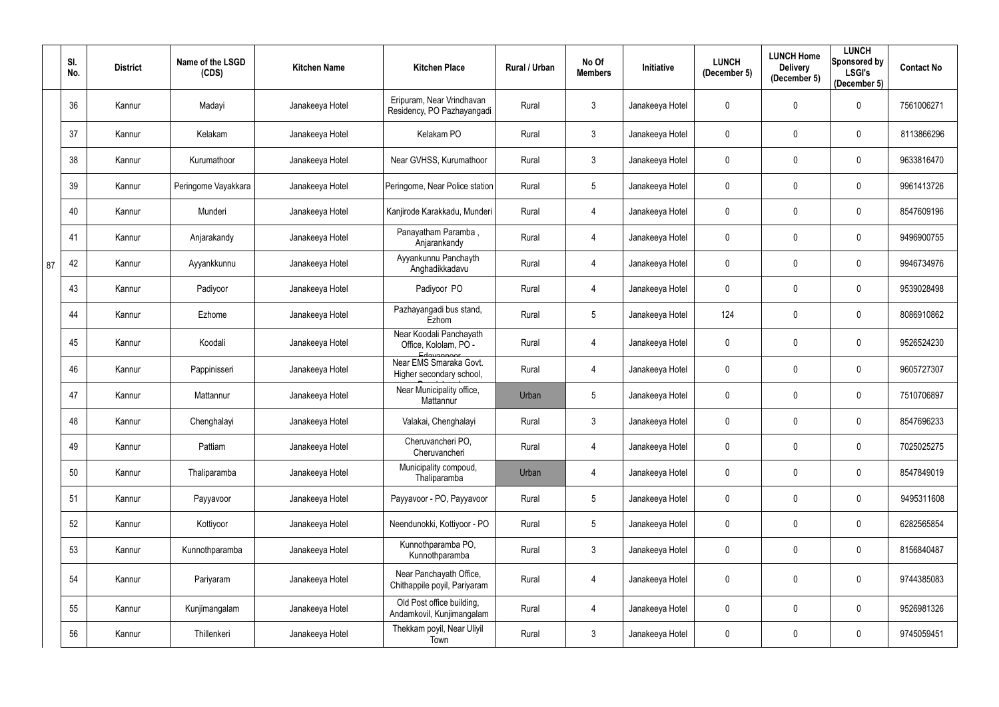|    | SI.<br>No. | <b>District</b> | Name of the LSGD<br>(CDS) | <b>Kitchen Name</b> | <b>Kitchen Place</b>                                             | Rural / Urban | No Of<br><b>Members</b> | Initiative      | <b>LUNCH</b><br>(December 5) | <b>LUNCH Home</b><br><b>Delivery</b><br>(December 5) | <b>LUNCH</b><br>Sponsored by<br><b>LSGI's</b><br>(December 5) | <b>Contact No</b> |
|----|------------|-----------------|---------------------------|---------------------|------------------------------------------------------------------|---------------|-------------------------|-----------------|------------------------------|------------------------------------------------------|---------------------------------------------------------------|-------------------|
|    | 36         | Kannur          | Madayi                    | Janakeeya Hotel     | Eripuram, Near Vrindhavan<br>Residency, PO Pazhayangadi          | Rural         | 3                       | Janakeeya Hotel | 0                            | $\Omega$                                             | $\mathbf 0$                                                   | 7561006271        |
|    | 37         | Kannur          | Kelakam                   | Janakeeya Hotel     | Kelakam PO                                                       | Rural         | $\mathbf{3}$            | Janakeeya Hotel | 0                            | $\mathbf{0}$                                         | $\mathbf 0$                                                   | 8113866296        |
|    | 38         | Kannur          | Kurumathoor               | Janakeeya Hotel     | Near GVHSS, Kurumathoor                                          | Rural         | $\mathfrak{Z}$          | Janakeeya Hotel | $\mathbf 0$                  | $\mathbf{0}$                                         | $\mathbf 0$                                                   | 9633816470        |
|    | 39         | Kannur          | Peringome Vayakkara       | Janakeeya Hotel     | Peringome, Near Police station                                   | Rural         | $5\phantom{.0}$         | Janakeeya Hotel | 0                            | $\mathbf{0}$                                         | $\mathbf 0$                                                   | 9961413726        |
|    | 40         | Kannur          | Munderi                   | Janakeeya Hotel     | Kanjirode Karakkadu, Munderi                                     | Rural         | 4                       | Janakeeya Hotel | 0                            | $\mathbf 0$                                          | $\mathbf 0$                                                   | 8547609196        |
|    | 41         | Kannur          | Anjarakandy               | Janakeeya Hotel     | Panayatham Paramba,<br>Anjarankandy                              | Rural         | 4                       | Janakeeya Hotel | 0                            | $\theta$                                             | $\mathbf{0}$                                                  | 9496900755        |
| 87 | 42         | Kannur          | Ayyankkunnu               | Janakeeya Hotel     | Ayyankunnu Panchayth<br>Anghadikkadavu                           | Rural         | 4                       | Janakeeya Hotel | 0                            | $\mathbf 0$                                          | $\mathbf 0$                                                   | 9946734976        |
|    | 43         | Kannur          | Padiyoor                  | Janakeeya Hotel     | Padiyoor PO                                                      | Rural         | 4                       | Janakeeya Hotel | 0                            | $\theta$                                             | $\mathbf 0$                                                   | 9539028498        |
|    | 44         | Kannur          | Ezhome                    | Janakeeya Hotel     | Pazhayangadi bus stand,<br>Ezhom                                 | Rural         | $5\phantom{.0}$         | Janakeeya Hotel | 124                          | $\mathbf 0$                                          | $\mathbf 0$                                                   | 8086910862        |
|    | 45         | Kannur          | Koodali                   | Janakeeya Hotel     | Near Koodali Panchayath<br>Office, Kololam, PO -                 | Rural         | 4                       | Janakeeya Hotel | 0                            | $\mathbf 0$                                          | $\mathbf 0$                                                   | 9526524230        |
|    | 46         | Kannur          | Pappinisseri              | Janakeeya Hotel     | Edavannoor<br>Near EMS Smaraka Govt.<br>Higher secondary school, | Rural         | 4                       | Janakeeya Hotel | 0                            | $\mathbf 0$                                          | $\mathbf 0$                                                   | 9605727307        |
|    | 47         | Kannur          | Mattannur                 | Janakeeya Hotel     | Near Municipality office,<br>Mattannur                           | Urban         | 5                       | Janakeeya Hotel | 0                            | $\mathbf 0$                                          | $\mathbf 0$                                                   | 7510706897        |
|    | 48         | Kannur          | Chenghalayi               | Janakeeya Hotel     | Valakai, Chenghalayi                                             | Rural         | 3 <sup>7</sup>          | Janakeeya Hotel | $\mathbf 0$                  | $\mathbf 0$                                          | $\mathbf 0$                                                   | 8547696233        |
|    | 49         | Kannur          | Pattiam                   | Janakeeya Hotel     | Cheruvancheri PO,<br>Cheruvancheri                               | Rural         | 4                       | Janakeeya Hotel | $\mathbf 0$                  | $\pmb{0}$                                            | $\mathbf 0$                                                   | 7025025275        |
|    | 50         | Kannur          | Thaliparamba              | Janakeeya Hotel     | Municipality compoud,<br>Thaliparamba                            | Urban         | 4                       | Janakeeya Hotel | $\mathbf 0$                  | $\mathbf 0$                                          | $\mathbf 0$                                                   | 8547849019        |
|    | 51         | Kannur          | Payyavoor                 | Janakeeya Hotel     | Payyavoor - PO, Payyavoor                                        | Rural         | $5\,$                   | Janakeeya Hotel | $\mathbf 0$                  | $\pmb{0}$                                            | $\mathbf 0$                                                   | 9495311608        |
|    | 52         | Kannur          | Kottiyoor                 | Janakeeya Hotel     | Neendunokki, Kottiyoor - PO                                      | Rural         | $5\phantom{.0}$         | Janakeeya Hotel | 0                            | $\mathbf 0$                                          | $\mathbf 0$                                                   | 6282565854        |
|    | 53         | Kannur          | Kunnothparamba            | Janakeeya Hotel     | Kunnothparamba PO,<br>Kunnothparamba                             | Rural         | $\mathfrak{Z}$          | Janakeeya Hotel | $\mathbf 0$                  | $\mathbf 0$                                          | $\mathbf 0$                                                   | 8156840487        |
|    | 54         | Kannur          | Pariyaram                 | Janakeeya Hotel     | Near Panchayath Office,<br>Chithappile poyil, Pariyaram          | Rural         | 4                       | Janakeeya Hotel | $\mathbf 0$                  | $\mathbf 0$                                          | $\overline{0}$                                                | 9744385083        |
|    | 55         | Kannur          | Kunjimangalam             | Janakeeya Hotel     | Old Post office building,<br>Andamkovil, Kunjimangalam           | Rural         | 4                       | Janakeeya Hotel | $\mathbf 0$                  | $\mathbf 0$                                          | $\mathbf 0$                                                   | 9526981326        |
|    | 56         | Kannur          | Thillenkeri               | Janakeeya Hotel     | Thekkam poyil, Near Uliyil<br>Town                               | Rural         | $\mathfrak{Z}$          | Janakeeya Hotel | 0                            | $\boldsymbol{0}$                                     | $\mathbf 0$                                                   | 9745059451        |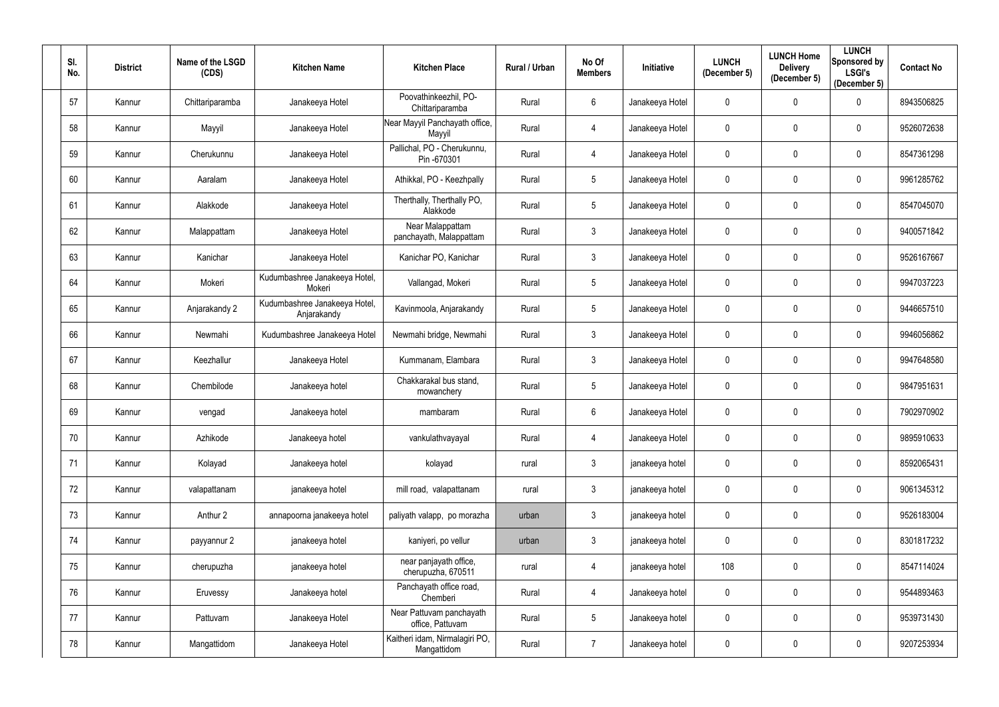| SI.<br>No. | <b>District</b> | Name of the LSGD<br>(CDS) | <b>Kitchen Name</b>                          | <b>Kitchen Place</b>                          | <b>Rural / Urban</b> | No Of<br><b>Members</b> | Initiative      | <b>LUNCH</b><br>(December 5) | <b>LUNCH Home</b><br><b>Delivery</b><br>(December 5) | <b>LUNCH</b><br>Sponsored by<br><b>LSGI's</b><br>(December 5) | <b>Contact No</b> |
|------------|-----------------|---------------------------|----------------------------------------------|-----------------------------------------------|----------------------|-------------------------|-----------------|------------------------------|------------------------------------------------------|---------------------------------------------------------------|-------------------|
| 57         | Kannur          | Chittariparamba           | Janakeeya Hotel                              | Poovathinkeezhil, PO-<br>Chittariparamba      | Rural                | 6                       | Janakeeya Hotel | 0                            | $\mathbf 0$                                          | $\mathbf 0$                                                   | 8943506825        |
| 58         | Kannur          | Mayyil                    | Janakeeya Hotel                              | Near Mayyil Panchayath office,<br>Mayyil      | Rural                | 4                       | Janakeeya Hotel | 0                            | $\mathbf 0$                                          | $\mathbf 0$                                                   | 9526072638        |
| 59         | Kannur          | Cherukunnu                | Janakeeya Hotel                              | Pallichal, PO - Cherukunnu,<br>Pin -670301    | Rural                | 4                       | Janakeeya Hotel | 0                            | $\pmb{0}$                                            | $\mathbf 0$                                                   | 8547361298        |
| 60         | Kannur          | Aaralam                   | Janakeeya Hotel                              | Athikkal, PO - Keezhpally                     | Rural                | 5                       | Janakeeya Hotel | 0                            | $\mathbf 0$                                          | $\mathbf 0$                                                   | 9961285762        |
| 61         | Kannur          | Alakkode                  | Janakeeya Hotel                              | Therthally, Therthally PO,<br>Alakkode        | Rural                | $5\phantom{.0}$         | Janakeeya Hotel | 0                            | $\mathbf 0$                                          | $\boldsymbol{0}$                                              | 8547045070        |
| 62         | Kannur          | Malappattam               | Janakeeya Hotel                              | Near Malappattam<br>panchayath, Malappattam   | Rural                | $\mathfrak{Z}$          | Janakeeya Hotel | 0                            | $\mathbf 0$                                          | $\boldsymbol{0}$                                              | 9400571842        |
| 63         | Kannur          | Kanichar                  | Janakeeya Hotel                              | Kanichar PO, Kanichar                         | Rural                | $\mathfrak{Z}$          | Janakeeya Hotel | 0                            | $\mathbf 0$                                          | $\mathbf 0$                                                   | 9526167667        |
| 64         | Kannur          | Mokeri                    | Kudumbashree Janakeeya Hotel,<br>Mokeri      | Vallangad, Mokeri                             | Rural                | 5                       | Janakeeya Hotel | 0                            | $\mathbf 0$                                          | $\mathbf 0$                                                   | 9947037223        |
| 65         | Kannur          | Anjarakandy 2             | Kudumbashree Janakeeya Hotel,<br>Anjarakandy | Kavinmoola, Anjarakandy                       | Rural                | $5\phantom{.0}$         | Janakeeya Hotel | 0                            | $\mathbf 0$                                          | $\mathbf 0$                                                   | 9446657510        |
| 66         | Kannur          | Newmahi                   | Kudumbashree Janakeeya Hotel                 | Newmahi bridge, Newmahi                       | Rural                | $\mathfrak{Z}$          | Janakeeya Hotel | $\mathbf 0$                  | $\mathbf 0$                                          | $\mathbf 0$                                                   | 9946056862        |
| 67         | Kannur          | Keezhallur                | Janakeeya Hotel                              | Kummanam, Elambara                            | Rural                | $\mathfrak{Z}$          | Janakeeya Hotel | 0                            | $\pmb{0}$                                            | $\mathbf 0$                                                   | 9947648580        |
| 68         | Kannur          | Chembilode                | Janakeeya hotel                              | Chakkarakal bus stand,<br>mowanchery          | Rural                | 5                       | Janakeeya Hotel | 0                            | $\mathbf 0$                                          | $\mathbf 0$                                                   | 9847951631        |
| 69         | Kannur          | vengad                    | Janakeeya hotel                              | mambaram                                      | Rural                | 6                       | Janakeeya Hotel | 0                            | $\mathbf 0$                                          | 0                                                             | 7902970902        |
| 70         | Kannur          | Azhikode                  | Janakeeya hotel                              | vankulathvayayal                              | Rural                | 4                       | Janakeeya Hotel | 0                            | $\mathbf 0$                                          | $\mathbf 0$                                                   | 9895910633        |
| 71         | Kannur          | Kolayad                   | Janakeeya hotel                              | kolayad                                       | rural                | $\mathfrak{Z}$          | janakeeya hotel | 0                            | $\pmb{0}$                                            | $\overline{0}$                                                | 8592065431        |
| 72         | Kannur          | valapattanam              | janakeeya hotel                              | mill road, valapattanam                       | rural                | $\mathfrak{Z}$          | janakeeya hotel | $\mathbf 0$                  | $\mathbf 0$                                          | $\mathbf 0$                                                   | 9061345312        |
| 73         | Kannur          | Anthur 2                  | annapoorna janakeeya hotel                   | paliyath valapp, po morazha                   | urban                | $\mathfrak{Z}$          | janakeeya hotel | 0                            | $\pmb{0}$                                            | $\overline{0}$                                                | 9526183004        |
| 74         | Kannur          | payyannur 2               | janakeeya hotel                              | kaniyeri, po vellur                           | urban                | $\mathfrak{Z}$          | janakeeya hotel | $\mathbf 0$                  | $\mathbf 0$                                          | $\overline{0}$                                                | 8301817232        |
| 75         | Kannur          | cherupuzha                | janakeeya hotel                              | near panjayath office,<br>cherupuzha, 670511  | rural                | 4                       | janakeeya hotel | 108                          | $\pmb{0}$                                            | $\overline{0}$                                                | 8547114024        |
| 76         | Kannur          | Eruvessy                  | Janakeeya hotel                              | Panchayath office road,<br>Chemberi           | Rural                | 4                       | Janakeeya hotel | 0                            | $\mathbf 0$                                          | $\mathbf 0$                                                   | 9544893463        |
| 77         | Kannur          | Pattuvam                  | Janakeeya Hotel                              | Near Pattuvam panchayath<br>office, Pattuvam  | Rural                | $5\phantom{.0}$         | Janakeeya hotel | 0                            | $\pmb{0}$                                            | $\mathbf 0$                                                   | 9539731430        |
| 78         | Kannur          | Mangattidom               | Janakeeya Hotel                              | Kaitheri idam, Nirmalagiri PO,<br>Mangattidom | Rural                | $\overline{7}$          | Janakeeya hotel | 0                            | $\pmb{0}$                                            | $\overline{0}$                                                | 9207253934        |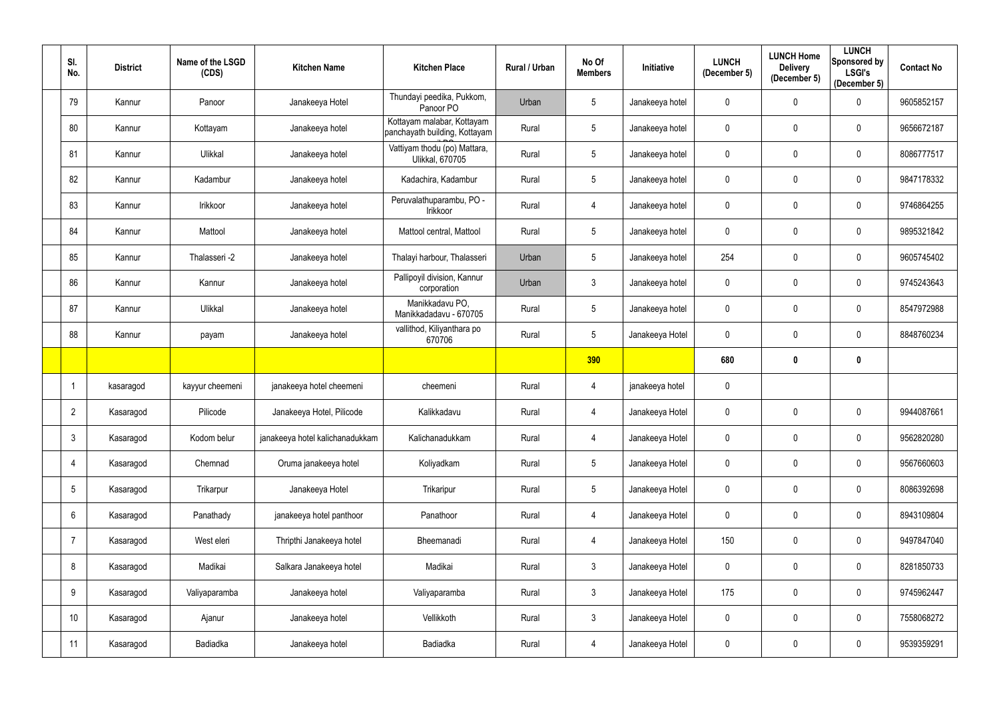| SI.<br>No.      | <b>District</b> | Name of the LSGD<br>(CDS) | <b>Kitchen Name</b>             | <b>Kitchen Place</b>                                        | Rural / Urban | No Of<br><b>Members</b> | <b>Initiative</b> | <b>LUNCH</b><br>(December 5) | <b>LUNCH Home</b><br><b>Delivery</b><br>(December 5) | <b>LUNCH</b><br>Sponsored by<br><b>LSGI's</b><br>(December 5) | <b>Contact No</b> |
|-----------------|-----------------|---------------------------|---------------------------------|-------------------------------------------------------------|---------------|-------------------------|-------------------|------------------------------|------------------------------------------------------|---------------------------------------------------------------|-------------------|
| 79              | Kannur          | Panoor                    | Janakeeya Hotel                 | Thundayi peedika, Pukkom,<br>Panoor PO                      | Urban         | $5\phantom{.0}$         | Janakeeya hotel   | $\mathbf 0$                  | $\mathbf 0$                                          | $\mathbf 0$                                                   | 9605852157        |
| 80              | Kannur          | Kottayam                  | Janakeeya hotel                 | Kottayam malabar, Kottayam<br>panchayath building, Kottayam | Rural         | 5                       | Janakeeya hotel   | $\mathbf 0$                  | $\mathbf{0}$                                         | $\mathbf 0$                                                   | 9656672187        |
| 81              | Kannur          | Ulikkal                   | Janakeeya hotel                 | Vattiyam thodu (po) Mattara,<br><b>Ulikkal, 670705</b>      | Rural         | $5\phantom{.0}$         | Janakeeya hotel   | $\mathbf 0$                  | $\mathbf{0}$                                         | $\mathbf 0$                                                   | 8086777517        |
| 82              | Kannur          | Kadambur                  | Janakeeya hotel                 | Kadachira, Kadambur                                         | Rural         | $5\phantom{.0}$         | Janakeeya hotel   | $\mathbf 0$                  | $\mathbf 0$                                          | $\mathbf 0$                                                   | 9847178332        |
| 83              | Kannur          | Irikkoor                  | Janakeeya hotel                 | Peruvalathuparambu, PO -<br>Irikkoor                        | Rural         | $\overline{4}$          | Janakeeya hotel   | $\mathbf 0$                  | $\mathbf{0}$                                         | $\mathbf 0$                                                   | 9746864255        |
| 84              | Kannur          | Mattool                   | Janakeeya hotel                 | Mattool central, Mattool                                    | Rural         | $5\phantom{.0}$         | Janakeeya hotel   | $\mathbf 0$                  | $\mathbf 0$                                          | $\mathbf 0$                                                   | 9895321842        |
| 85              | Kannur          | Thalasseri -2             | Janakeeya hotel                 | Thalayi harbour, Thalasseri                                 | Urban         | $5\phantom{.0}$         | Janakeeya hotel   | 254                          | $\mathbf 0$                                          | $\mathbf 0$                                                   | 9605745402        |
| 86              | Kannur          | Kannur                    | Janakeeya hotel                 | Pallipoyil division, Kannur<br>corporation                  | Urban         | $\mathbf{3}$            | Janakeeya hotel   | $\pmb{0}$                    | $\mathbf 0$                                          | $\mathbf 0$                                                   | 9745243643        |
| 87              | Kannur          | Ulikkal                   | Janakeeya hotel                 | Manikkadavu PO,<br>Manikkadadavu - 670705                   | Rural         | $5\phantom{.0}$         | Janakeeya hotel   | $\mathbf 0$                  | $\mathbf 0$                                          | $\mathbf 0$                                                   | 8547972988        |
| 88              | Kannur          | payam                     | Janakeeya hotel                 | vallithod, Kiliyanthara po<br>670706                        | Rural         | 5                       | Janakeeya Hotel   | $\mathbf 0$                  | $\mathbf 0$                                          | $\mathbf 0$                                                   | 8848760234        |
|                 |                 |                           |                                 |                                                             |               | 390                     |                   | 680                          | 0                                                    | $\mathbf 0$                                                   |                   |
|                 | kasaragod       | kayyur cheemeni           | janakeeya hotel cheemeni        | cheemeni                                                    | Rural         | 4                       | janakeeya hotel   | $\mathbf 0$                  |                                                      |                                                               |                   |
| $\overline{2}$  | Kasaragod       | Pilicode                  | Janakeeya Hotel, Pilicode       | Kalikkadavu                                                 | Rural         | 4                       | Janakeeya Hotel   | $\mathbf 0$                  | $\mathbf{0}$                                         | $\mathbf 0$                                                   | 9944087661        |
| $\mathfrak{Z}$  | Kasaragod       | Kodom belur               | janakeeya hotel kalichanadukkam | Kalichanadukkam                                             | Rural         | $\overline{4}$          | Janakeeya Hotel   | $\pmb{0}$                    | $\mathbf 0$                                          | $\mathbf 0$                                                   | 9562820280        |
| $\overline{4}$  | Kasaragod       | Chemnad                   | Oruma janakeeya hotel           | Koliyadkam                                                  | Rural         | $5\phantom{.0}$         | Janakeeya Hotel   | $\pmb{0}$                    | $\mathbf 0$                                          | $\overline{0}$                                                | 9567660603        |
| $5\overline{)}$ | Kasaragod       | Trikarpur                 | Janakeeya Hotel                 | Trikaripur                                                  | Rural         | $5\phantom{.0}$         | Janakeeya Hotel   | $\mathbf 0$                  | $\pmb{0}$                                            | $\mathbf 0$                                                   | 8086392698        |
| $6\phantom{.}6$ | Kasaragod       | Panathady                 | janakeeya hotel panthoor        | Panathoor                                                   | Rural         | $\overline{4}$          | Janakeeya Hotel   | $\pmb{0}$                    | $\mathbf 0$                                          | $\mathbf 0$                                                   | 8943109804        |
| $\overline{7}$  | Kasaragod       | West eleri                | Thripthi Janakeeya hotel        | Bheemanadi                                                  | Rural         | $\overline{4}$          | Janakeeya Hotel   | 150                          | $\boldsymbol{0}$                                     | $\mathbf 0$                                                   | 9497847040        |
| 8               | Kasaragod       | Madikai                   | Salkara Janakeeya hotel         | Madikai                                                     | Rural         | $\mathbf{3}$            | Janakeeya Hotel   | $\mathbf 0$                  | $\mathbf 0$                                          | $\overline{0}$                                                | 8281850733        |
| 9               | Kasaragod       | Valiyaparamba             | Janakeeya hotel                 | Valiyaparamba                                               | Rural         | $\mathbf{3}$            | Janakeeya Hotel   | 175                          | $\pmb{0}$                                            | $\mathbf 0$                                                   | 9745962447        |
| 10              | Kasaragod       | Ajanur                    | Janakeeya hotel                 | Vellikkoth                                                  | Rural         | $\mathbf{3}$            | Janakeeya Hotel   | $\pmb{0}$                    | $\mathbf 0$                                          | $\mathbf 0$                                                   | 7558068272        |
| 11              | Kasaragod       | Badiadka                  | Janakeeya hotel                 | Badiadka                                                    | Rural         | $\overline{4}$          | Janakeeya Hotel   | $\pmb{0}$                    | $\boldsymbol{0}$                                     | $\mathbf 0$                                                   | 9539359291        |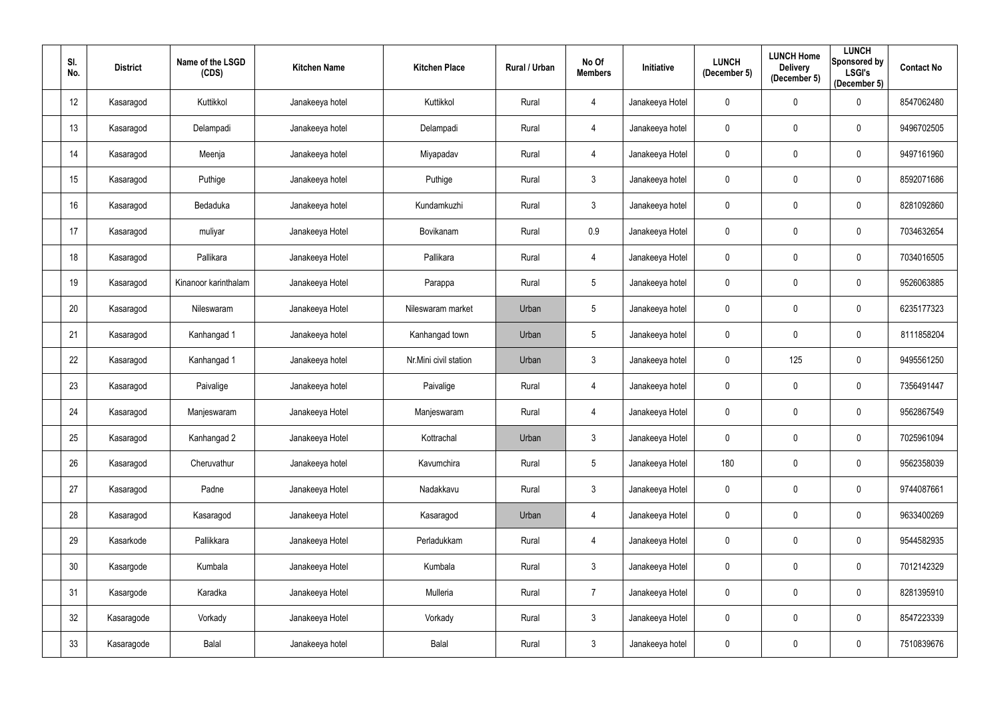| SI.<br>No. | <b>District</b> | Name of the LSGD<br>(CDS) | <b>Kitchen Name</b> | <b>Kitchen Place</b>  | Rural / Urban | No Of<br><b>Members</b> | Initiative      | <b>LUNCH</b><br>(December 5) | <b>LUNCH Home</b><br><b>Delivery</b><br>(December 5) | <b>LUNCH</b><br>Sponsored by<br><b>LSGI's</b><br>(December 5) | <b>Contact No</b> |
|------------|-----------------|---------------------------|---------------------|-----------------------|---------------|-------------------------|-----------------|------------------------------|------------------------------------------------------|---------------------------------------------------------------|-------------------|
| 12         | Kasaragod       | Kuttikkol                 | Janakeeya hotel     | Kuttikkol             | Rural         | 4                       | Janakeeya Hotel | 0                            | $\mathbf 0$                                          | $\overline{0}$                                                | 8547062480        |
| 13         | Kasaragod       | Delampadi                 | Janakeeya hotel     | Delampadi             | Rural         | 4                       | Janakeeya hotel | 0                            | $\mathbf 0$                                          | $\overline{0}$                                                | 9496702505        |
| 14         | Kasaragod       | Meenja                    | Janakeeya hotel     | Miyapadav             | Rural         | 4                       | Janakeeya Hotel | 0                            | $\mathbf 0$                                          | $\overline{0}$                                                | 9497161960        |
| 15         | Kasaragod       | Puthige                   | Janakeeya hotel     | Puthige               | Rural         | $\mathbf{3}$            | Janakeeya hotel | $\mathbf 0$                  | $\mathbf 0$                                          | $\overline{0}$                                                | 8592071686        |
| 16         | Kasaragod       | Bedaduka                  | Janakeeya hotel     | Kundamkuzhi           | Rural         | $\mathfrak{Z}$          | Janakeeya hotel | 0                            | $\mathbf 0$                                          | $\overline{0}$                                                | 8281092860        |
| 17         | Kasaragod       | muliyar                   | Janakeeya Hotel     | Bovikanam             | Rural         | 0.9                     | Janakeeya Hotel | 0                            | $\mathbf 0$                                          | $\mathbf 0$                                                   | 7034632654        |
| 18         | Kasaragod       | Pallikara                 | Janakeeya Hotel     | Pallikara             | Rural         | 4                       | Janakeeya Hotel | 0                            | $\mathbf 0$                                          | $\overline{0}$                                                | 7034016505        |
| 19         | Kasaragod       | Kinanoor karinthalam      | Janakeeya Hotel     | Parappa               | Rural         | $\sqrt{5}$              | Janakeeya hotel | 0                            | $\mathbf 0$                                          | $\overline{0}$                                                | 9526063885        |
| 20         | Kasaragod       | Nileswaram                | Janakeeya Hotel     | Nileswaram market     | Urban         | $5\phantom{.0}$         | Janakeeya hotel | 0                            | $\mathbf 0$                                          | $\overline{0}$                                                | 6235177323        |
| 21         | Kasaragod       | Kanhangad 1               | Janakeeya hotel     | Kanhangad town        | Urban         | $\overline{5}$          | Janakeeya hotel | 0                            | $\mathbf 0$                                          | $\overline{0}$                                                | 8111858204        |
| 22         | Kasaragod       | Kanhangad 1               | Janakeeya hotel     | Nr.Mini civil station | Urban         | $\mathbf{3}$            | Janakeeya hotel | $\mathbf 0$                  | 125                                                  | $\overline{0}$                                                | 9495561250        |
| 23         | Kasaragod       | Paivalige                 | Janakeeya hotel     | Paivalige             | Rural         | 4                       | Janakeeya hotel | 0                            | $\mathbf 0$                                          | $\overline{0}$                                                | 7356491447        |
| 24         | Kasaragod       | Manjeswaram               | Janakeeya Hotel     | Manjeswaram           | Rural         | $\overline{4}$          | Janakeeya Hotel | 0                            | $\mathbf 0$                                          | $\mathbf 0$                                                   | 9562867549        |
| 25         | Kasaragod       | Kanhangad 2               | Janakeeya Hotel     | Kottrachal            | Urban         | $\mathfrak{Z}$          | Janakeeya Hotel | 0                            | $\mathbf 0$                                          | $\pmb{0}$                                                     | 7025961094        |
| 26         | Kasaragod       | Cheruvathur               | Janakeeya hotel     | Kavumchira            | Rural         | $5\overline{)}$         | Janakeeya Hotel | 180                          | $\mathbf 0$                                          | $\mathbf 0$                                                   | 9562358039        |
| 27         | Kasaragod       | Padne                     | Janakeeya Hotel     | Nadakkavu             | Rural         | 3 <sup>1</sup>          | Janakeeya Hotel | 0                            | $\pmb{0}$                                            | $\mathbf 0$                                                   | 9744087661        |
| 28         | Kasaragod       | Kasaragod                 | Janakeeya Hotel     | Kasaragod             | Urban         | $\overline{4}$          | Janakeeya Hotel | $\mathbf 0$                  | $\mathbf 0$                                          | $\mathbf 0$                                                   | 9633400269        |
| 29         | Kasarkode       | Pallikkara                | Janakeeya Hotel     | Perladukkam           | Rural         | $\overline{4}$          | Janakeeya Hotel | $\pmb{0}$                    | $\boldsymbol{0}$                                     | $\mathbf 0$                                                   | 9544582935        |
| 30         | Kasargode       | Kumbala                   | Janakeeya Hotel     | Kumbala               | Rural         | $\mathfrak{Z}$          | Janakeeya Hotel | 0                            | $\mathbf 0$                                          | $\mathbf 0$                                                   | 7012142329        |
| 31         | Kasargode       | Karadka                   | Janakeeya Hotel     | Mulleria              | Rural         | $\overline{7}$          | Janakeeya Hotel | $\overline{0}$               | $\pmb{0}$                                            | $\mathbf 0$                                                   | 8281395910        |
| 32         | Kasaragode      | Vorkady                   | Janakeeya Hotel     | Vorkady               | Rural         | $\mathbf{3}$            | Janakeeya Hotel | 0                            | $\mathbf 0$                                          | $\mathbf 0$                                                   | 8547223339        |
| 33         | Kasaragode      | Balal                     | Janakeeya hotel     | Balal                 | Rural         | $\mathfrak{Z}$          | Janakeeya hotel | 0                            | $\boldsymbol{0}$                                     | $\overline{0}$                                                | 7510839676        |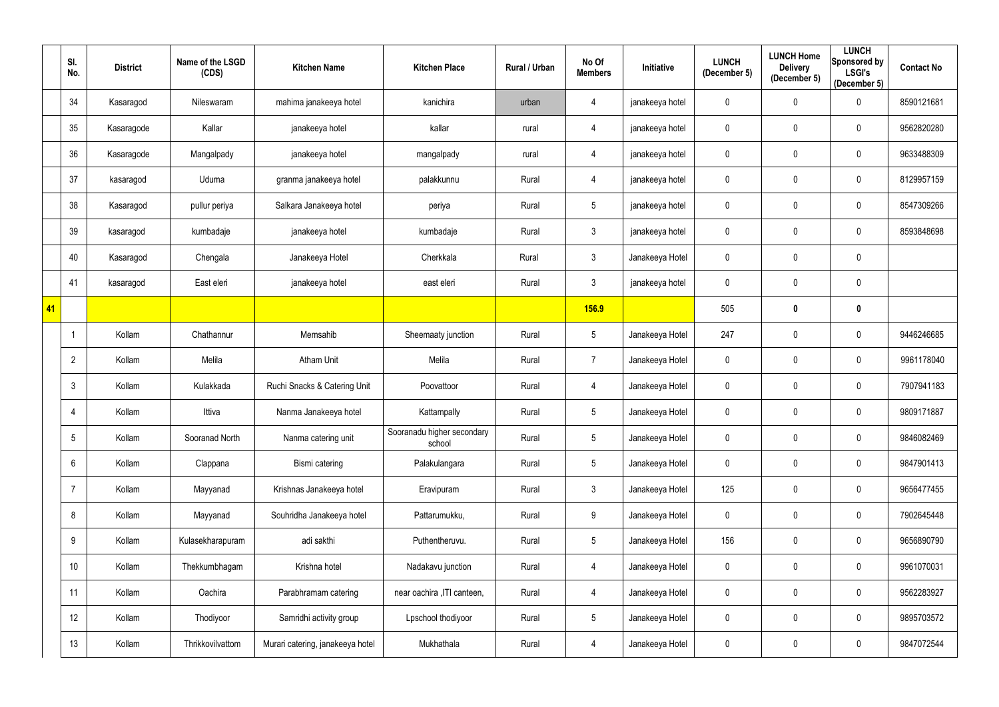|    | SI.<br>No.      | <b>District</b> | Name of the LSGD<br>(CDS) | <b>Kitchen Name</b>              | <b>Kitchen Place</b>                 | Rural / Urban | No Of<br><b>Members</b> | Initiative      | <b>LUNCH</b><br>(December 5) | <b>LUNCH Home</b><br><b>Delivery</b><br>(December 5) | <b>LUNCH</b><br>Sponsored by<br><b>LSGI's</b><br>(December 5) | <b>Contact No</b> |
|----|-----------------|-----------------|---------------------------|----------------------------------|--------------------------------------|---------------|-------------------------|-----------------|------------------------------|------------------------------------------------------|---------------------------------------------------------------|-------------------|
|    | 34              | Kasaragod       | Nileswaram                | mahima janakeeya hotel           | kanichira                            | urban         | 4                       | janakeeya hotel | $\pmb{0}$                    | $\overline{0}$                                       | $\overline{0}$                                                | 8590121681        |
|    | 35              | Kasaragode      | Kallar                    | janakeeya hotel                  | kallar                               | rural         | 4                       | janakeeya hotel | 0                            | $\mathbf 0$                                          | $\mathbf 0$                                                   | 9562820280        |
|    | 36              | Kasaragode      | Mangalpady                | janakeeya hotel                  | mangalpady                           | rural         | 4                       | janakeeya hotel | $\mathbf 0$                  | $\mathbf 0$                                          | $\overline{0}$                                                | 9633488309        |
|    | 37              | kasaragod       | Uduma                     | granma janakeeya hotel           | palakkunnu                           | Rural         | 4                       | janakeeya hotel | 0                            | $\mathbf 0$                                          | $\overline{0}$                                                | 8129957159        |
|    | 38              | Kasaragod       | pullur periya             | Salkara Janakeeya hotel          | periya                               | Rural         | $5\phantom{.0}$         | janakeeya hotel | 0                            | $\mathbf 0$                                          | $\overline{0}$                                                | 8547309266        |
|    | 39              | kasaragod       | kumbadaje                 | janakeeya hotel                  | kumbadaje                            | Rural         | $\mathfrak{Z}$          | janakeeya hotel | $\mathbf 0$                  | $\overline{0}$                                       | $\mathbf 0$                                                   | 8593848698        |
|    | 40              | Kasaragod       | Chengala                  | Janakeeya Hotel                  | Cherkkala                            | Rural         | $\mathfrak{Z}$          | Janakeeya Hotel | $\mathbf 0$                  | $\mathbf 0$                                          | $\overline{0}$                                                |                   |
|    | 41              | kasaragod       | East eleri                | janakeeya hotel                  | east eleri                           | Rural         | $\mathfrak{Z}$          | janakeeya hotel | $\mathbf 0$                  | $\mathbf 0$                                          | $\overline{0}$                                                |                   |
| 41 |                 |                 |                           |                                  |                                      |               | <b>156.9</b>            |                 | 505                          | $\boldsymbol{0}$                                     | $\mathbf{0}$                                                  |                   |
|    |                 | Kollam          | Chathannur                | Memsahib                         | Sheemaaty junction                   | Rural         | $5\phantom{.0}$         | Janakeeya Hotel | 247                          | $\overline{0}$                                       | $\overline{0}$                                                | 9446246685        |
|    | $\overline{2}$  | Kollam          | Melila                    | <b>Atham Unit</b>                | Melila                               | Rural         | $\overline{7}$          | Janakeeya Hotel | $\mathbf 0$                  | $\mathbf 0$                                          | $\overline{0}$                                                | 9961178040        |
|    | $\mathbf{3}$    | Kollam          | Kulakkada                 | Ruchi Snacks & Catering Unit     | Poovattoor                           | Rural         | 4                       | Janakeeya Hotel | $\mathbf 0$                  | $\overline{0}$                                       | $\overline{0}$                                                | 7907941183        |
|    | 4               | Kollam          | Ittiva                    | Nanma Janakeeya hotel            | Kattampally                          | Rural         | $5\phantom{.0}$         | Janakeeya Hotel | $\mathbf 0$                  | $\mathbf 0$                                          | $\mathbf 0$                                                   | 9809171887        |
|    | $5\overline{)}$ | Kollam          | Sooranad North            | Nanma catering unit              | Sooranadu higher secondary<br>school | Rural         | $5\phantom{.0}$         | Janakeeya Hotel | $\mathbf 0$                  | $\mathbf 0$                                          | $\mathbf 0$                                                   | 9846082469        |
|    | $6\phantom{.}$  | Kollam          | Clappana                  | Bismi catering                   | Palakulangara                        | Rural         | $5\phantom{.0}$         | Janakeeya Hotel | $\mathbf 0$                  | $\mathbf 0$                                          | $\overline{0}$                                                | 9847901413        |
|    | $\overline{7}$  | Kollam          | Mayyanad                  | Krishnas Janakeeya hotel         | Eravipuram                           | Rural         | $\mathfrak{Z}$          | Janakeeya Hotel | 125                          | $\mathbf 0$                                          | $\mathbf 0$                                                   | 9656477455        |
|    | 8               | Kollam          | Mayyanad                  | Souhridha Janakeeya hotel        | Pattarumukku,                        | Rural         | $9\,$                   | Janakeeya Hotel | $\mathbf 0$                  | $\pmb{0}$                                            | $\mathbf 0$                                                   | 7902645448        |
|    | 9               | Kollam          | Kulasekharapuram          | adi sakthi                       | Puthentheruvu.                       | Rural         | $5\phantom{.0}$         | Janakeeya Hotel | 156                          | $\mathbf 0$                                          | $\overline{0}$                                                | 9656890790        |
|    | 10              | Kollam          | Thekkumbhagam             | Krishna hotel                    | Nadakavu junction                    | Rural         | 4                       | Janakeeya Hotel | $\mathbf 0$                  | $\mathbf 0$                                          | $\overline{0}$                                                | 9961070031        |
|    | 11              | Kollam          | Oachira                   | Parabhramam catering             | near oachira , ITI canteen,          | Rural         | 4                       | Janakeeya Hotel | $\mathbf 0$                  | $\mathbf 0$                                          | $\mathbf 0$                                                   | 9562283927        |
|    | 12              | Kollam          | Thodiyoor                 | Samridhi activity group          | Lpschool thodiyoor                   | Rural         | $5\,$                   | Janakeeya Hotel | $\boldsymbol{0}$             | $\pmb{0}$                                            | $\mathbf 0$                                                   | 9895703572        |
|    | 13              | Kollam          | Thrikkovilvattom          | Murari catering, janakeeya hotel | Mukhathala                           | Rural         | 4                       | Janakeeya Hotel | $\mathbf 0$                  | $\pmb{0}$                                            | $\overline{0}$                                                | 9847072544        |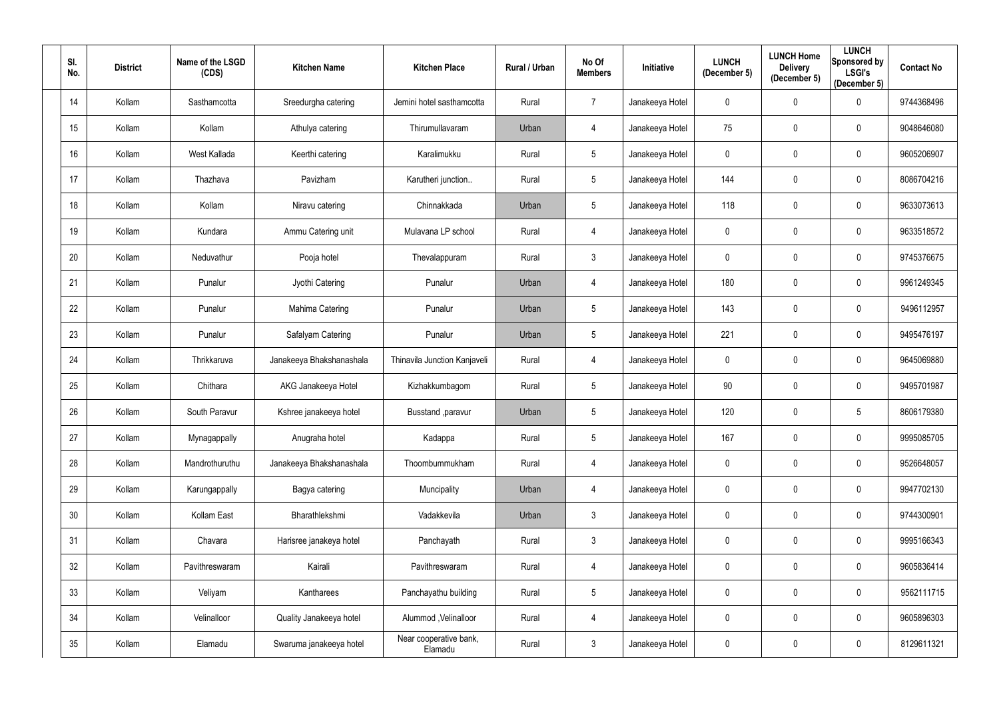| SI.<br>No. | <b>District</b> | Name of the LSGD<br>(CDS) | <b>Kitchen Name</b>      | <b>Kitchen Place</b>              | Rural / Urban | No Of<br><b>Members</b> | Initiative      | <b>LUNCH</b><br>(December 5) | <b>LUNCH Home</b><br><b>Delivery</b><br>(December 5) | <b>LUNCH</b><br>Sponsored by<br><b>LSGI's</b><br>(December 5) | <b>Contact No</b> |
|------------|-----------------|---------------------------|--------------------------|-----------------------------------|---------------|-------------------------|-----------------|------------------------------|------------------------------------------------------|---------------------------------------------------------------|-------------------|
| 14         | Kollam          | Sasthamcotta              | Sreedurgha catering      | Jemini hotel sasthamcotta         | Rural         | $\overline{7}$          | Janakeeya Hotel | 0                            | $\pmb{0}$                                            | $\mathbf 0$                                                   | 9744368496        |
| 15         | Kollam          | Kollam                    | Athulya catering         | Thirumullavaram                   | Urban         | 4                       | Janakeeya Hotel | 75                           | $\mathbf 0$                                          | $\mathbf 0$                                                   | 9048646080        |
| 16         | Kollam          | West Kallada              | Keerthi catering         | Karalimukku                       | Rural         | $5\phantom{.0}$         | Janakeeya Hotel | $\mathbf 0$                  | $\mathbf 0$                                          | $\overline{0}$                                                | 9605206907        |
| 17         | Kollam          | Thazhava                  | Pavizham                 | Karutheri junction                | Rural         | $5\phantom{.0}$         | Janakeeya Hotel | 144                          | $\mathbf 0$                                          | $\overline{0}$                                                | 8086704216        |
| 18         | Kollam          | Kollam                    | Niravu catering          | Chinnakkada                       | Urban         | $5\phantom{.0}$         | Janakeeya Hotel | 118                          | $\mathbf 0$                                          | $\overline{0}$                                                | 9633073613        |
| 19         | Kollam          | Kundara                   | Ammu Catering unit       | Mulavana LP school                | Rural         | 4                       | Janakeeya Hotel | 0                            | $\mathbf 0$                                          | $\mathbf 0$                                                   | 9633518572        |
| 20         | Kollam          | Neduvathur                | Pooja hotel              | Thevalappuram                     | Rural         | $\mathbf{3}$            | Janakeeya Hotel | $\mathbf 0$                  | $\mathbf 0$                                          | $\mathbf 0$                                                   | 9745376675        |
| 21         | Kollam          | Punalur                   | Jyothi Catering          | Punalur                           | Urban         | 4                       | Janakeeya Hotel | 180                          | $\mathbf 0$                                          | $\mathbf 0$                                                   | 9961249345        |
| 22         | Kollam          | Punalur                   | Mahima Catering          | Punalur                           | Urban         | $5\phantom{.0}$         | Janakeeya Hotel | 143                          | $\mathbf 0$                                          | $\mathbf 0$                                                   | 9496112957        |
| 23         | Kollam          | Punalur                   | Safalyam Catering        | Punalur                           | Urban         | $5\overline{)}$         | Janakeeya Hotel | 221                          | $\pmb{0}$                                            | $\mathbf 0$                                                   | 9495476197        |
| 24         | Kollam          | Thrikkaruva               | Janakeeya Bhakshanashala | Thinavila Junction Kanjaveli      | Rural         | 4                       | Janakeeya Hotel | $\mathbf 0$                  | $\mathbf 0$                                          | $\mathbf 0$                                                   | 9645069880        |
| 25         | Kollam          | Chithara                  | AKG Janakeeya Hotel      | Kizhakkumbagom                    | Rural         | 5                       | Janakeeya Hotel | 90                           | $\mathbf 0$                                          | $\mathbf 0$                                                   | 9495701987        |
| 26         | Kollam          | South Paravur             | Kshree janakeeya hotel   | Busstand , paravur                | Urban         | $5\phantom{.0}$         | Janakeeya Hotel | 120                          | $\mathbf 0$                                          | 5                                                             | 8606179380        |
| 27         | Kollam          | Mynagappally              | Anugraha hotel           | Kadappa                           | Rural         | 5                       | Janakeeya Hotel | 167                          | $\mathbf 0$                                          | $\mathbf 0$                                                   | 9995085705        |
| 28         | Kollam          | Mandrothuruthu            | Janakeeya Bhakshanashala | Thoombummukham                    | Rural         | 4                       | Janakeeya Hotel | $\mathbf 0$                  | $\pmb{0}$                                            | $\overline{0}$                                                | 9526648057        |
| 29         | Kollam          | Karungappally             | Bagya catering           | Muncipality                       | Urban         | $\overline{4}$          | Janakeeya Hotel | $\mathbf 0$                  | $\pmb{0}$                                            | $\mathbf 0$                                                   | 9947702130        |
| 30         | Kollam          | Kollam East               | Bharathlekshmi           | Vadakkevila                       | Urban         | $\mathfrak{Z}$          | Janakeeya Hotel | 0                            | $\pmb{0}$                                            | $\mathbf 0$                                                   | 9744300901        |
| 31         | Kollam          | Chavara                   | Harisree janakeya hotel  | Panchayath                        | Rural         | $\mathfrak{S}$          | Janakeeya Hotel | $\mathbf 0$                  | $\pmb{0}$                                            | $\mathbf 0$                                                   | 9995166343        |
| 32         | Kollam          | Pavithreswaram            | Kairali                  | Pavithreswaram                    | Rural         | 4                       | Janakeeya Hotel | 0                            | $\pmb{0}$                                            | $\mathbf 0$                                                   | 9605836414        |
| 33         | Kollam          | Veliyam                   | Kantharees               | Panchayathu building              | Rural         | $5\phantom{.0}$         | Janakeeya Hotel | $\mathbf 0$                  | $\pmb{0}$                                            | $\mathbf 0$                                                   | 9562111715        |
| 34         | Kollam          | Velinalloor               | Quality Janakeeya hotel  | Alummod, Velinalloor              | Rural         | 4                       | Janakeeya Hotel | $\mathbf 0$                  | $\pmb{0}$                                            | $\mathbf 0$                                                   | 9605896303        |
| 35         | Kollam          | Elamadu                   | Swaruma janakeeya hotel  | Near cooperative bank,<br>Elamadu | Rural         | $\mathfrak{Z}$          | Janakeeya Hotel | 0                            | $\boldsymbol{0}$                                     | $\overline{0}$                                                | 8129611321        |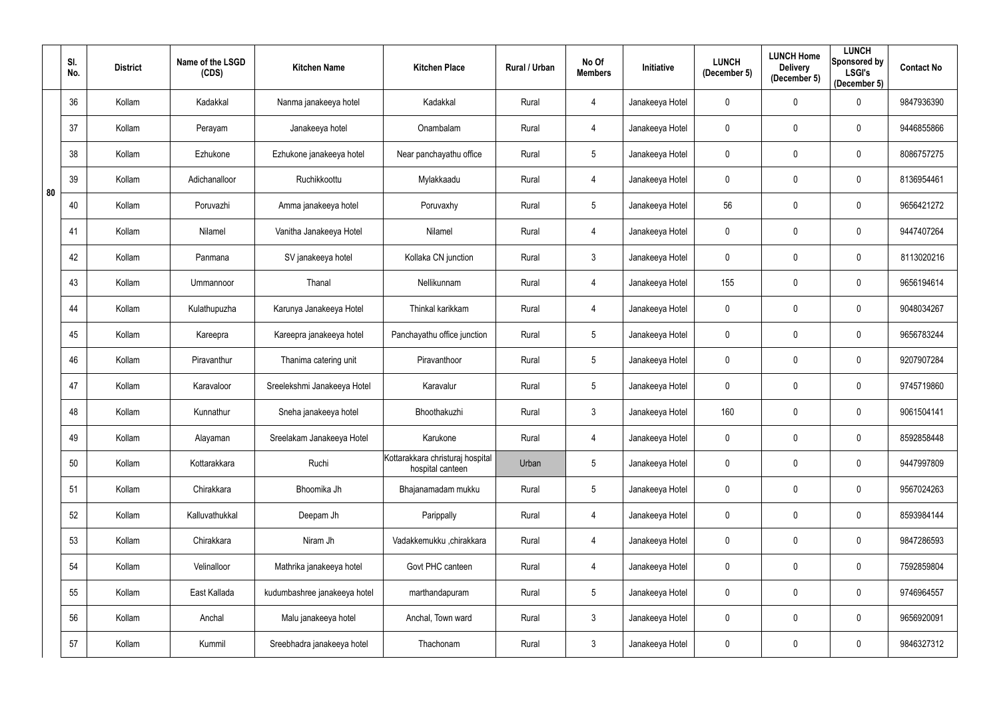|    | SI.<br>No. | <b>District</b> | Name of the LSGD<br>(CDS) | <b>Kitchen Name</b>          | <b>Kitchen Place</b>                                 | Rural / Urban | No Of<br><b>Members</b> | Initiative      | <b>LUNCH</b><br>(December 5) | <b>LUNCH Home</b><br><b>Delivery</b><br>(December 5) | <b>LUNCH</b><br>Sponsored by<br><b>LSGI's</b><br>(December 5) | <b>Contact No</b> |
|----|------------|-----------------|---------------------------|------------------------------|------------------------------------------------------|---------------|-------------------------|-----------------|------------------------------|------------------------------------------------------|---------------------------------------------------------------|-------------------|
|    | 36         | Kollam          | Kadakkal                  | Nanma janakeeya hotel        | Kadakkal                                             | Rural         | 4                       | Janakeeya Hotel | 0                            | $\overline{0}$                                       | $\mathbf 0$                                                   | 9847936390        |
|    | 37         | Kollam          | Perayam                   | Janakeeya hotel              | Onambalam                                            | Rural         | 4                       | Janakeeya Hotel | 0                            | $\mathbf 0$                                          | $\mathbf 0$                                                   | 9446855866        |
|    | 38         | Kollam          | Ezhukone                  | Ezhukone janakeeya hotel     | Near panchayathu office                              | Rural         | $5\phantom{.0}$         | Janakeeya Hotel | 0                            | $\pmb{0}$                                            | $\overline{0}$                                                | 8086757275        |
| 80 | 39         | Kollam          | Adichanalloor             | Ruchikkoottu                 | Mylakkaadu                                           | Rural         | 4                       | Janakeeya Hotel | 0                            | $\overline{0}$                                       | $\mathbf 0$                                                   | 8136954461        |
|    | 40         | Kollam          | Poruvazhi                 | Amma janakeeya hotel         | Poruvaxhy                                            | Rural         | $5\phantom{.0}$         | Janakeeya Hotel | 56                           | $\mathbf 0$                                          | $\overline{0}$                                                | 9656421272        |
|    | 41         | Kollam          | Nilamel                   | Vanitha Janakeeya Hotel      | Nilamel                                              | Rural         | 4                       | Janakeeya Hotel | 0                            | $\overline{0}$                                       | $\boldsymbol{0}$                                              | 9447407264        |
|    | 42         | Kollam          | Panmana                   | SV janakeeya hotel           | Kollaka CN junction                                  | Rural         | $\mathfrak{Z}$          | Janakeeya Hotel | 0                            | $\mathbf{0}$                                         | $\mathbf 0$                                                   | 8113020216        |
|    | 43         | Kollam          | Ummannoor                 | Thanal                       | Nellikunnam                                          | Rural         | 4                       | Janakeeya Hotel | 155                          | $\overline{0}$                                       | $\mathbf 0$                                                   | 9656194614        |
|    | 44         | Kollam          | Kulathupuzha              | Karunya Janakeeya Hotel      | Thinkal karikkam                                     | Rural         | 4                       | Janakeeya Hotel | 0                            | $\mathbf 0$                                          | $\mathbf 0$                                                   | 9048034267        |
|    | 45         | Kollam          | Kareepra                  | Kareepra janakeeya hotel     | Panchayathu office junction                          | Rural         | $5\phantom{.0}$         | Janakeeya Hotel | $\mathbf 0$                  | $\mathbf 0$                                          | $\mathbf 0$                                                   | 9656783244        |
|    | 46         | Kollam          | Piravanthur               | Thanima catering unit        | Piravanthoor                                         | Rural         | $5\phantom{.0}$         | Janakeeya Hotel | 0                            | $\mathbf 0$                                          | $\mathbf 0$                                                   | 9207907284        |
|    | 47         | Kollam          | Karavaloor                | Sreelekshmi Janakeeya Hotel  | Karavalur                                            | Rural         | $5\phantom{.0}$         | Janakeeya Hotel | 0                            | $\overline{0}$                                       | $\overline{0}$                                                | 9745719860        |
|    | 48         | Kollam          | Kunnathur                 | Sneha janakeeya hotel        | Bhoothakuzhi                                         | Rural         | $\mathbf{3}$            | Janakeeya Hotel | 160                          | $\mathbf 0$                                          | $\mathbf 0$                                                   | 9061504141        |
|    | 49         | Kollam          | Alayaman                  | Sreelakam Janakeeya Hotel    | Karukone                                             | Rural         | 4                       | Janakeeya Hotel | $\mathbf 0$                  | $\overline{0}$                                       | $\mathbf 0$                                                   | 8592858448        |
|    | 50         | Kollam          | Kottarakkara              | Ruchi                        | Kottarakkara christuraj hospital<br>hospital canteen | Urban         | $5\phantom{.0}$         | Janakeeya Hotel | $\mathbf 0$                  | $\pmb{0}$                                            | $\overline{0}$                                                | 9447997809        |
|    | 51         | Kollam          | Chirakkara                | Bhoomika Jh                  | Bhajanamadam mukku                                   | Rural         | $\overline{5}$          | Janakeeya Hotel | 0                            | $\mathbf 0$                                          | $\mathbf 0$                                                   | 9567024263        |
|    | 52         | Kollam          | Kalluvathukkal            | Deepam Jh                    | Parippally                                           | Rural         | 4                       | Janakeeya Hotel | 0                            | $\mathbf 0$                                          | $\mathbf 0$                                                   | 8593984144        |
|    | 53         | Kollam          | Chirakkara                | Niram Jh                     | Vadakkemukku ,chirakkara                             | Rural         | 4                       | Janakeeya Hotel | $\mathbf 0$                  | $\mathbf 0$                                          | $\mathbf 0$                                                   | 9847286593        |
|    | 54         | Kollam          | Velinalloor               | Mathrika janakeeya hotel     | Govt PHC canteen                                     | Rural         | 4                       | Janakeeya Hotel | $\mathbf 0$                  | $\mathbf 0$                                          | $\overline{0}$                                                | 7592859804        |
|    | 55         | Kollam          | East Kallada              | kudumbashree janakeeya hotel | marthandapuram                                       | Rural         | $\overline{5}$          | Janakeeya Hotel | 0                            | $\mathbf 0$                                          | $\mathbf 0$                                                   | 9746964557        |
|    | 56         | Kollam          | Anchal                    | Malu janakeeya hotel         | Anchal, Town ward                                    | Rural         | $\mathfrak{Z}$          | Janakeeya Hotel | $\pmb{0}$                    | $\overline{0}$                                       | $\overline{0}$                                                | 9656920091        |
|    | 57         | Kollam          | Kummil                    | Sreebhadra janakeeya hotel   | Thachonam                                            | Rural         | $\mathfrak{Z}$          | Janakeeya Hotel | 0                            | $\boldsymbol{0}$                                     | $\overline{0}$                                                | 9846327312        |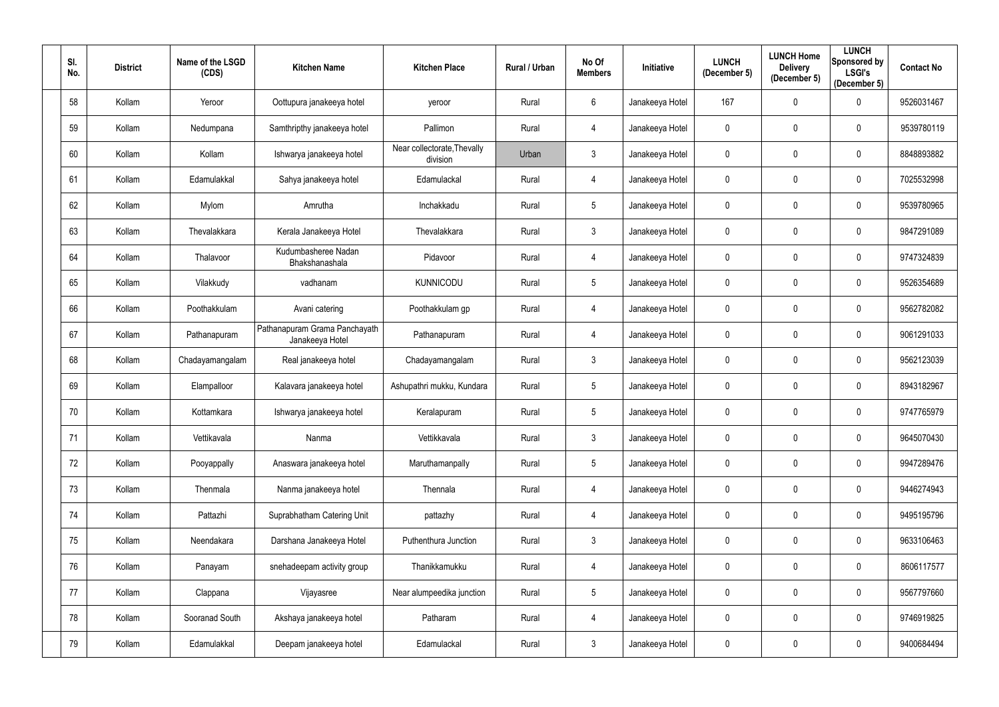| SI.<br>No. | <b>District</b> | Name of the LSGD<br>(CDS) | <b>Kitchen Name</b>                              | <b>Kitchen Place</b>                    | Rural / Urban | No Of<br><b>Members</b> | Initiative      | <b>LUNCH</b><br>(December 5) | <b>LUNCH Home</b><br><b>Delivery</b><br>(December 5) | <b>LUNCH</b><br>Sponsored by<br><b>LSGI's</b><br>(December 5) | <b>Contact No</b> |
|------------|-----------------|---------------------------|--------------------------------------------------|-----------------------------------------|---------------|-------------------------|-----------------|------------------------------|------------------------------------------------------|---------------------------------------------------------------|-------------------|
| 58         | Kollam          | Yeroor                    | Oottupura janakeeya hotel                        | yeroor                                  | Rural         | $6\phantom{.}6$         | Janakeeya Hotel | 167                          | $\mathbf 0$                                          | $\mathbf 0$                                                   | 9526031467        |
| 59         | Kollam          | Nedumpana                 | Samthripthy janakeeya hotel                      | Pallimon                                | Rural         | $\overline{4}$          | Janakeeya Hotel | 0                            | $\mathbf 0$                                          | $\mathbf 0$                                                   | 9539780119        |
| 60         | Kollam          | Kollam                    | Ishwarya janakeeya hotel                         | Near collectorate, Thevally<br>division | Urban         | $\mathfrak{Z}$          | Janakeeya Hotel | 0                            | $\mathbf{0}$                                         | $\mathbf 0$                                                   | 8848893882        |
| 61         | Kollam          | Edamulakkal               | Sahya janakeeya hotel                            | Edamulackal                             | Rural         | 4                       | Janakeeya Hotel | 0                            | $\mathbf{0}$                                         | $\mathbf 0$                                                   | 7025532998        |
| 62         | Kollam          | Mylom                     | Amrutha                                          | Inchakkadu                              | Rural         | $\overline{5}$          | Janakeeya Hotel | 0                            | $\mathbf{0}$                                         | $\overline{0}$                                                | 9539780965        |
| 63         | Kollam          | Thevalakkara              | Kerala Janakeeya Hotel                           | Thevalakkara                            | Rural         | $\mathfrak{Z}$          | Janakeeya Hotel | 0                            | $\mathbf 0$                                          | 0                                                             | 9847291089        |
| 64         | Kollam          | Thalavoor                 | Kudumbasheree Nadan<br>Bhakshanashala            | Pidavoor                                | Rural         | 4                       | Janakeeya Hotel | 0                            | $\mathbf{0}$                                         | $\mathbf 0$                                                   | 9747324839        |
| 65         | Kollam          | Vilakkudy                 | vadhanam                                         | <b>KUNNICODU</b>                        | Rural         | $\overline{5}$          | Janakeeya Hotel | 0                            | $\mathbf{0}$                                         | $\overline{0}$                                                | 9526354689        |
| 66         | Kollam          | Poothakkulam              | Avani catering                                   | Poothakkulam gp                         | Rural         | 4                       | Janakeeya Hotel | 0                            | $\mathbf 0$                                          | $\mathbf 0$                                                   | 9562782082        |
| 67         | Kollam          | Pathanapuram              | Pathanapuram Grama Panchayath<br>Janakeeya Hotel | Pathanapuram                            | Rural         | $\overline{4}$          | Janakeeya Hotel | 0                            | $\mathbf 0$                                          | $\mathbf 0$                                                   | 9061291033        |
| 68         | Kollam          | Chadayamangalam           | Real janakeeya hotel                             | Chadayamangalam                         | Rural         | $\mathfrak{Z}$          | Janakeeya Hotel | 0                            | $\mathbf 0$                                          | $\mathbf 0$                                                   | 9562123039        |
| 69         | Kollam          | Elampalloor               | Kalavara janakeeya hotel                         | Ashupathri mukku, Kundara               | Rural         | $\overline{5}$          | Janakeeya Hotel | 0                            | $\mathbf 0$                                          | $\overline{0}$                                                | 8943182967        |
| 70         | Kollam          | Kottamkara                | Ishwarya janakeeya hotel                         | Keralapuram                             | Rural         | 5                       | Janakeeya Hotel | 0                            | $\mathbf{0}$                                         | $\mathbf 0$                                                   | 9747765979        |
| 71         | Kollam          | Vettikavala               | Nanma                                            | Vettikkavala                            | Rural         | $\mathfrak{Z}$          | Janakeeya Hotel | $\mathbf 0$                  | $\mathbf 0$                                          | $\overline{0}$                                                | 9645070430        |
| 72         | Kollam          | Pooyappally               | Anaswara janakeeya hotel                         | Maruthamanpally                         | Rural         | $5\phantom{.0}$         | Janakeeya Hotel | 0                            | $\mathbf 0$                                          | $\overline{0}$                                                | 9947289476        |
| 73         | Kollam          | Thenmala                  | Nanma janakeeya hotel                            | Thennala                                | Rural         | $\overline{4}$          | Janakeeya Hotel | 0                            | $\mathbf 0$                                          | $\mathbf 0$                                                   | 9446274943        |
| 74         | Kollam          | Pattazhi                  | Suprabhatham Catering Unit                       | pattazhy                                | Rural         | 4                       | Janakeeya Hotel | 0                            | $\pmb{0}$                                            | $\mathbf 0$                                                   | 9495195796        |
| 75         | Kollam          | Neendakara                | Darshana Janakeeya Hotel                         | Puthenthura Junction                    | Rural         | $\mathfrak{Z}$          | Janakeeya Hotel | 0                            | $\mathbf 0$                                          | $\mathbf 0$                                                   | 9633106463        |
| 76         | Kollam          | Panayam                   | snehadeepam activity group                       | Thanikkamukku                           | Rural         | $\overline{4}$          | Janakeeya Hotel | 0                            | $\mathbf 0$                                          | $\overline{0}$                                                | 8606117577        |
| 77         | Kollam          | Clappana                  | Vijayasree                                       | Near alumpeedika junction               | Rural         | $\overline{5}$          | Janakeeya Hotel | 0                            | $\mathbf 0$                                          | $\mathbf 0$                                                   | 9567797660        |
| 78         | Kollam          | Sooranad South            | Akshaya janakeeya hotel                          | Patharam                                | Rural         | $\overline{4}$          | Janakeeya Hotel | 0                            | $\pmb{0}$                                            | $\mathbf 0$                                                   | 9746919825        |
| 79         | Kollam          | Edamulakkal               | Deepam janakeeya hotel                           | Edamulackal                             | Rural         | $\mathfrak{Z}$          | Janakeeya Hotel | 0                            | $\mathbf 0$                                          | $\overline{0}$                                                | 9400684494        |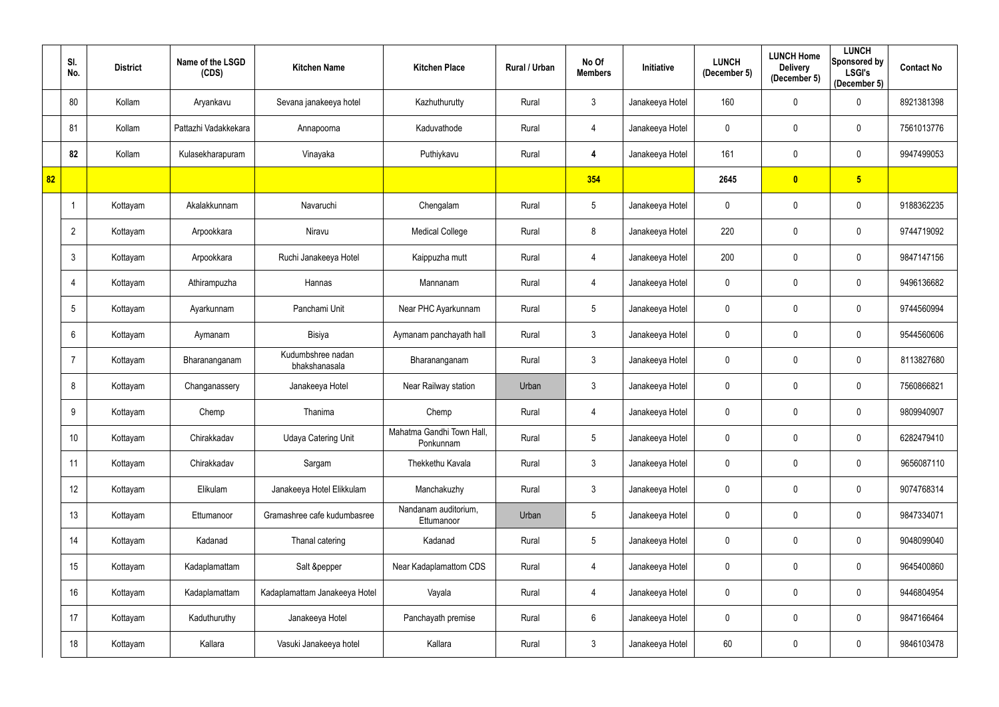|    | SI.<br>No.     | <b>District</b> | Name of the LSGD<br>(CDS) | <b>Kitchen Name</b>                | <b>Kitchen Place</b>                   | Rural / Urban | No Of<br><b>Members</b> | Initiative      | <b>LUNCH</b><br>(December 5) | <b>LUNCH Home</b><br><b>Delivery</b><br>(December 5) | <b>LUNCH</b><br>Sponsored by<br><b>LSGI's</b><br>(December 5) | <b>Contact No</b> |
|----|----------------|-----------------|---------------------------|------------------------------------|----------------------------------------|---------------|-------------------------|-----------------|------------------------------|------------------------------------------------------|---------------------------------------------------------------|-------------------|
|    | 80             | Kollam          | Aryankavu                 | Sevana janakeeya hotel             | Kazhuthurutty                          | Rural         | $\mathfrak{Z}$          | Janakeeya Hotel | 160                          | $\mathbf 0$                                          | $\pmb{0}$                                                     | 8921381398        |
|    | 81             | Kollam          | Pattazhi Vadakkekara      | Annapoorna                         | Kaduvathode                            | Rural         | 4                       | Janakeeya Hotel | $\mathbf 0$                  | $\mathbf 0$                                          | $\pmb{0}$                                                     | 7561013776        |
|    | 82             | Kollam          | Kulasekharapuram          | Vinayaka                           | Puthiykavu                             | Rural         | 4                       | Janakeeya Hotel | 161                          | $\mathbf 0$                                          | $\pmb{0}$                                                     | 9947499053        |
| 82 |                |                 |                           |                                    |                                        |               | 354                     |                 | 2645                         | $\overline{\mathbf{0}}$                              | 5 <sub>5</sub>                                                |                   |
|    |                | Kottayam        | Akalakkunnam              | Navaruchi                          | Chengalam                              | Rural         | $\overline{5}$          | Janakeeya Hotel | $\mathbf 0$                  | $\mathbf{0}$                                         | $\mathbf 0$                                                   | 9188362235        |
|    | $\overline{2}$ | Kottayam        | Arpookkara                | Niravu                             | <b>Medical College</b>                 | Rural         | 8                       | Janakeeya Hotel | 220                          | $\mathbf 0$                                          | $\mathbf 0$                                                   | 9744719092        |
|    | 3              | Kottayam        | Arpookkara                | Ruchi Janakeeya Hotel              | Kaippuzha mutt                         | Rural         | 4                       | Janakeeya Hotel | 200                          | $\mathbf 0$                                          | $\mathbf 0$                                                   | 9847147156        |
|    | 4              | Kottayam        | Athirampuzha              | Hannas                             | Mannanam                               | Rural         | 4                       | Janakeeya Hotel | $\mathbf 0$                  | $\mathbf 0$                                          | $\mathbf 0$                                                   | 9496136682        |
|    | 5              | Kottayam        | Ayarkunnam                | Panchami Unit                      | Near PHC Ayarkunnam                    | Rural         | $\overline{5}$          | Janakeeya Hotel | $\mathbf 0$                  | $\mathbf 0$                                          | $\pmb{0}$                                                     | 9744560994        |
|    | $6\phantom{1}$ | Kottayam        | Aymanam                   | Bisiya                             | Aymanam panchayath hall                | Rural         | $\mathfrak{Z}$          | Janakeeya Hotel | $\mathbf 0$                  | $\mathbf 0$                                          | $\mathbf 0$                                                   | 9544560606        |
|    | $\overline{7}$ | Kottayam        | Bharananganam             | Kudumbshree nadan<br>bhakshanasala | Bharananganam                          | Rural         | $\mathfrak{Z}$          | Janakeeya Hotel | $\mathbf 0$                  | $\mathbf 0$                                          | $\mathbf 0$                                                   | 8113827680        |
|    | 8              | Kottayam        | Changanassery             | Janakeeya Hotel                    | Near Railway station                   | Urban         | $\mathfrak{Z}$          | Janakeeya Hotel | $\mathbf 0$                  | $\mathbf 0$                                          | $\mathbf 0$                                                   | 7560866821        |
|    | 9              | Kottayam        | Chemp                     | Thanima                            | Chemp                                  | Rural         | 4                       | Janakeeya Hotel | $\mathbf 0$                  | $\mathbf{0}$                                         | $\mathbf 0$                                                   | 9809940907        |
|    | 10             | Kottayam        | Chirakkadav               | <b>Udaya Catering Unit</b>         | Mahatma Gandhi Town Hall,<br>Ponkunnam | Rural         | $5\,$                   | Janakeeya Hotel | $\mathbf 0$                  | $\mathbf 0$                                          | $\mathbf 0$                                                   | 6282479410        |
|    | 11             | Kottayam        | Chirakkadav               | Sargam                             | Thekkethu Kavala                       | Rural         | $\mathfrak{Z}$          | Janakeeya Hotel | $\mathbf 0$                  | $\mathbf 0$                                          | $\mathbf 0$                                                   | 9656087110        |
|    | 12             | Kottayam        | Elikulam                  | Janakeeya Hotel Elikkulam          | Manchakuzhy                            | Rural         | $\mathfrak{Z}$          | Janakeeya Hotel | 0                            | $\pmb{0}$                                            | $\mathbf 0$                                                   | 9074768314        |
|    | 13             | Kottayam        | Ettumanoor                | Gramashree cafe kudumbasree        | Nandanam auditorium,<br>Ettumanoor     | Urban         | $5\,$                   | Janakeeya Hotel | 0                            | $\mathbf 0$                                          | $\mathbf 0$                                                   | 9847334071        |
|    | 14             | Kottayam        | Kadanad                   | Thanal catering                    | Kadanad                                | Rural         | $5\,$                   | Janakeeya Hotel | $\pmb{0}$                    | $\mathbf 0$                                          | $\mathbf 0$                                                   | 9048099040        |
|    | 15             | Kottayam        | Kadaplamattam             | Salt &pepper                       | Near Kadaplamattom CDS                 | Rural         | $\overline{4}$          | Janakeeya Hotel | 0                            | $\mathbf 0$                                          | $\mathbf 0$                                                   | 9645400860        |
|    | 16             | Kottayam        | Kadaplamattam             | Kadaplamattam Janakeeya Hotel      | Vayala                                 | Rural         | $\overline{4}$          | Janakeeya Hotel | 0                            | $\mathbf 0$                                          | $\mathbf 0$                                                   | 9446804954        |
|    | 17             | Kottayam        | Kaduthuruthy              | Janakeeya Hotel                    | Panchayath premise                     | Rural         | $6\phantom{.}$          | Janakeeya Hotel | 0                            | $\mathbf 0$                                          | $\mathbf 0$                                                   | 9847166464        |
|    | 18             | Kottayam        | Kallara                   | Vasuki Janakeeya hotel             | Kallara                                | Rural         | $\mathfrak{Z}$          | Janakeeya Hotel | 60                           | $\boldsymbol{0}$                                     | 0                                                             | 9846103478        |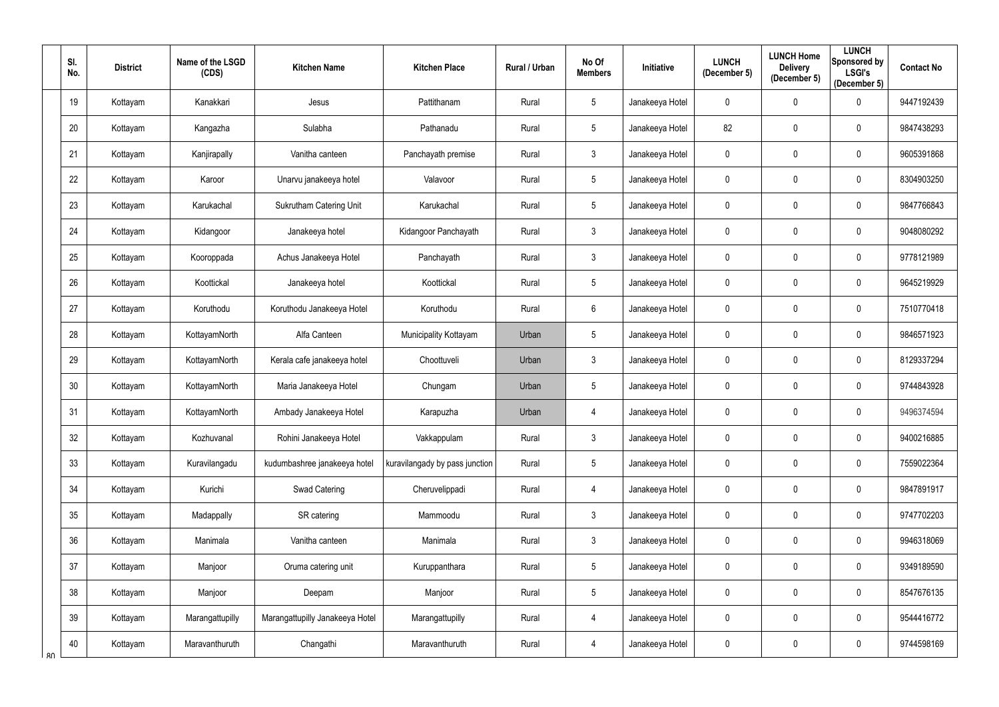| SI.<br>No. | <b>District</b> | Name of the LSGD<br>(CDS) | <b>Kitchen Name</b>             | <b>Kitchen Place</b>           | Rural / Urban | No Of<br><b>Members</b> | Initiative      | <b>LUNCH</b><br>(December 5) | <b>LUNCH Home</b><br><b>Delivery</b><br>(December 5) | <b>LUNCH</b><br>Sponsored by<br><b>LSGI's</b><br>(December 5) | <b>Contact No</b> |
|------------|-----------------|---------------------------|---------------------------------|--------------------------------|---------------|-------------------------|-----------------|------------------------------|------------------------------------------------------|---------------------------------------------------------------|-------------------|
| 19         | Kottayam        | Kanakkari                 | Jesus                           | Pattithanam                    | Rural         | $5\phantom{.0}$         | Janakeeya Hotel | 0                            | $\overline{0}$                                       | $\mathbf 0$                                                   | 9447192439        |
| 20         | Kottayam        | Kangazha                  | Sulabha                         | Pathanadu                      | Rural         | $5\phantom{.0}$         | Janakeeya Hotel | 82                           | $\mathbf 0$                                          | $\mathbf 0$                                                   | 9847438293        |
| 21         | Kottayam        | Kanjirapally              | Vanitha canteen                 | Panchayath premise             | Rural         | $\mathfrak{Z}$          | Janakeeya Hotel | $\mathbf 0$                  | $\pmb{0}$                                            | $\overline{0}$                                                | 9605391868        |
| 22         | Kottayam        | Karoor                    | Unarvu janakeeya hotel          | Valavoor                       | Rural         | $5\phantom{.0}$         | Janakeeya Hotel | 0                            | $\overline{0}$                                       | $\mathbf 0$                                                   | 8304903250        |
| 23         | Kottayam        | Karukachal                | <b>Sukrutham Catering Unit</b>  | Karukachal                     | Rural         | $5\phantom{.0}$         | Janakeeya Hotel | 0                            | $\mathbf 0$                                          | $\overline{0}$                                                | 9847766843        |
| 24         | Kottayam        | Kidangoor                 | Janakeeya hotel                 | Kidangoor Panchayath           | Rural         | $\mathfrak{Z}$          | Janakeeya Hotel | 0                            | $\overline{0}$                                       | $\boldsymbol{0}$                                              | 9048080292        |
| 25         | Kottayam        | Kooroppada                | Achus Janakeeya Hotel           | Panchayath                     | Rural         | $\mathfrak{Z}$          | Janakeeya Hotel | 0                            | $\mathbf 0$                                          | $\overline{0}$                                                | 9778121989        |
| 26         | Kottayam        | Koottickal                | Janakeeya hotel                 | Koottickal                     | Rural         | $\overline{5}$          | Janakeeya Hotel | 0                            | $\overline{0}$                                       | $\overline{0}$                                                | 9645219929        |
| 27         | Kottayam        | Koruthodu                 | Koruthodu Janakeeya Hotel       | Koruthodu                      | Rural         | 6                       | Janakeeya Hotel | 0                            | $\mathbf 0$                                          | $\overline{0}$                                                | 7510770418        |
| 28         | Kottayam        | KottayamNorth             | Alfa Canteen                    | Municipality Kottayam          | Urban         | $5\phantom{.0}$         | Janakeeya Hotel | $\mathbf 0$                  | $\mathbf 0$                                          | $\overline{0}$                                                | 9846571923        |
| 29         | Kottayam        | KottayamNorth             | Kerala cafe janakeeya hotel     | Choottuveli                    | Urban         | $\mathbf{3}$            | Janakeeya Hotel | 0                            | $\mathbf 0$                                          | $\overline{0}$                                                | 8129337294        |
| 30         | Kottayam        | KottayamNorth             | Maria Janakeeya Hotel           | Chungam                        | Urban         | $5\phantom{.0}$         | Janakeeya Hotel | 0                            | $\overline{0}$                                       | $\overline{0}$                                                | 9744843928        |
| 31         | Kottayam        | KottayamNorth             | Ambady Janakeeya Hotel          | Karapuzha                      | Urban         | 4                       | Janakeeya Hotel | 0                            | $\mathbf 0$                                          | $\mathbf 0$                                                   | 9496374594        |
| 32         | Kottayam        | Kozhuvanal                | Rohini Janakeeya Hotel          | Vakkappulam                    | Rural         | $\mathfrak{Z}$          | Janakeeya Hotel | $\mathbf 0$                  | $\mathbf 0$                                          | $\bf{0}$                                                      | 9400216885        |
| 33         | Kottayam        | Kuravilangadu             | kudumbashree janakeeya hotel    | kuravilangady by pass junction | Rural         | $5\phantom{.0}$         | Janakeeya Hotel | $\mathbf 0$                  | $\pmb{0}$                                            | $\overline{0}$                                                | 7559022364        |
| 34         | Kottayam        | Kurichi                   | Swad Catering                   | Cheruvelippadi                 | Rural         | 4                       | Janakeeya Hotel | 0                            | $\mathbf 0$                                          | $\overline{0}$                                                | 9847891917        |
| 35         | Kottayam        | Madappally                | SR catering                     | Mammoodu                       | Rural         | $\mathfrak{Z}$          | Janakeeya Hotel | 0                            | $\mathbf 0$                                          | $\mathbf 0$                                                   | 9747702203        |
| 36         | Kottayam        | Manimala                  | Vanitha canteen                 | Manimala                       | Rural         | $\mathfrak{Z}$          | Janakeeya Hotel | $\mathbf 0$                  | $\mathbf 0$                                          | $\mathbf 0$                                                   | 9946318069        |
| 37         | Kottayam        | Manjoor                   | Oruma catering unit             | Kuruppanthara                  | Rural         | $5\phantom{.0}$         | Janakeeya Hotel | 0                            | $\pmb{0}$                                            | $\overline{0}$                                                | 9349189590        |
| 38         | Kottayam        | Manjoor                   | Deepam                          | Manjoor                        | Rural         | $\overline{5}$          | Janakeeya Hotel | 0                            | $\mathbf 0$                                          | $\mathbf 0$                                                   | 8547676135        |
| 39         | Kottayam        | Marangattupilly           | Marangattupilly Janakeeya Hotel | Marangattupilly                | Rural         | 4                       | Janakeeya Hotel | $\pmb{0}$                    | $\overline{0}$                                       | $\overline{0}$                                                | 9544416772        |
| 40<br>R∩   | Kottayam        | Maravanthuruth            | Changathi                       | Maravanthuruth                 | Rural         | 4                       | Janakeeya Hotel | 0                            | $\mathbf 0$                                          | $\overline{0}$                                                | 9744598169        |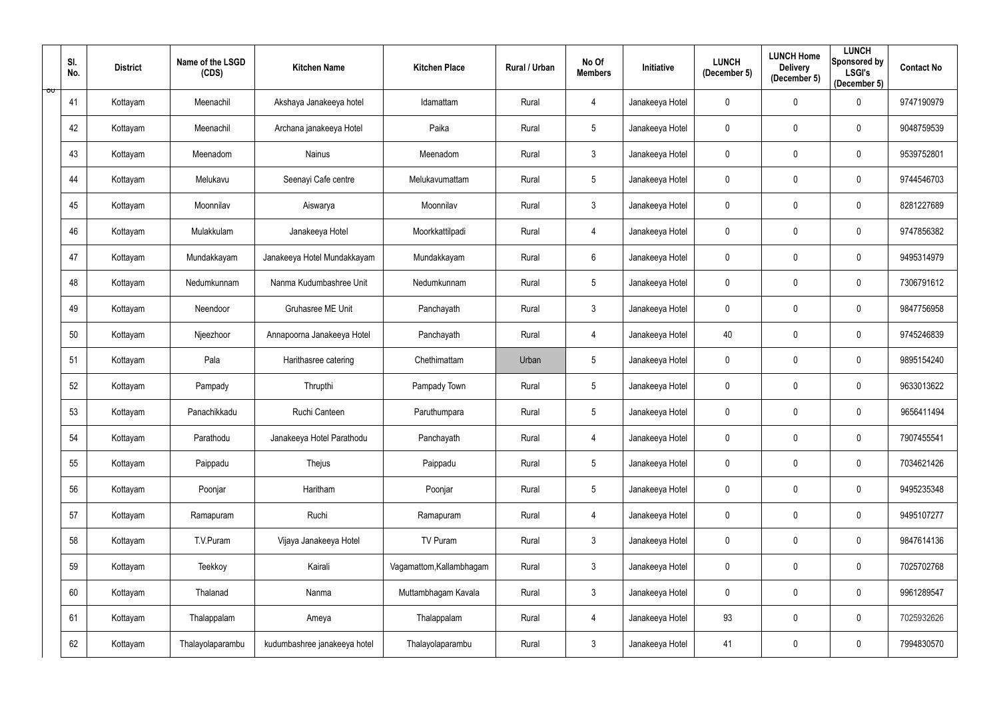|                         | SI.<br>No. | <b>District</b> | Name of the LSGD<br>(CDS) | <b>Kitchen Name</b>          | <b>Kitchen Place</b>     | Rural / Urban | No Of<br><b>Members</b> | Initiative      | <b>LUNCH</b><br>(December 5) | <b>LUNCH Home</b><br><b>Delivery</b><br>(December 5) | <b>LUNCH</b><br>Sponsored by<br><b>LSGI's</b><br>(December 5) | <b>Contact No</b> |
|-------------------------|------------|-----------------|---------------------------|------------------------------|--------------------------|---------------|-------------------------|-----------------|------------------------------|------------------------------------------------------|---------------------------------------------------------------|-------------------|
| $\overline{\mathsf{v}}$ | 41         | Kottayam        | Meenachil                 | Akshaya Janakeeya hotel      | Idamattam                | Rural         | 4                       | Janakeeya Hotel | 0                            | $\overline{0}$                                       | $\mathbf 0$                                                   | 9747190979        |
|                         | 42         | Kottayam        | Meenachil                 | Archana janakeeya Hotel      | Paika                    | Rural         | $5\phantom{.0}$         | Janakeeya Hotel | 0                            | $\mathbf 0$                                          | $\mathbf 0$                                                   | 9048759539        |
|                         | 43         | Kottayam        | Meenadom                  | <b>Nainus</b>                | Meenadom                 | Rural         | $\mathfrak{Z}$          | Janakeeya Hotel | $\mathbf 0$                  | $\pmb{0}$                                            | $\overline{0}$                                                | 9539752801        |
|                         | 44         | Kottayam        | Melukavu                  | Seenayi Cafe centre          | Melukavumattam           | Rural         | $5\phantom{.0}$         | Janakeeya Hotel | 0                            | $\overline{0}$                                       | $\mathbf 0$                                                   | 9744546703        |
|                         | 45         | Kottayam        | Moonnilav                 | Aiswarya                     | Moonnilav                | Rural         | $\mathfrak{Z}$          | Janakeeya Hotel | 0                            | $\mathbf 0$                                          | $\overline{0}$                                                | 8281227689        |
|                         | 46         | Kottayam        | Mulakkulam                | Janakeeya Hotel              | Moorkkattilpadi          | Rural         | 4                       | Janakeeya Hotel | 0                            | $\overline{0}$                                       | $\boldsymbol{0}$                                              | 9747856382        |
|                         | 47         | Kottayam        | Mundakkayam               | Janakeeya Hotel Mundakkayam  | Mundakkayam              | Rural         | $6\phantom{.}$          | Janakeeya Hotel | 0                            | $\mathbf 0$                                          | $\mathbf 0$                                                   | 9495314979        |
|                         | 48         | Kottayam        | Nedumkunnam               | Nanma Kudumbashree Unit      | Nedumkunnam              | Rural         | $\overline{5}$          | Janakeeya Hotel | 0                            | $\overline{0}$                                       | $\overline{0}$                                                | 7306791612        |
|                         | 49         | Kottayam        | Neendoor                  | Gruhasree ME Unit            | Panchayath               | Rural         | $\mathfrak{Z}$          | Janakeeya Hotel | 0                            | $\mathbf 0$                                          | $\overline{0}$                                                | 9847756958        |
|                         | 50         | Kottayam        | Njeezhoor                 | Annapoorna Janakeeya Hotel   | Panchayath               | Rural         | 4                       | Janakeeya Hotel | 40                           | $\mathbf 0$                                          | $\overline{0}$                                                | 9745246839        |
|                         | 51         | Kottayam        | Pala                      | Harithasree catering         | Chethimattam             | Urban         | $5\phantom{.0}$         | Janakeeya Hotel | 0                            | $\mathbf 0$                                          | $\overline{0}$                                                | 9895154240        |
|                         | 52         | Kottayam        | Pampady                   | Thrupthi                     | Pampady Town             | Rural         | $5\phantom{.0}$         | Janakeeya Hotel | 0                            | $\mathbf 0$                                          | $\overline{0}$                                                | 9633013622        |
|                         | 53         | Kottayam        | Panachikkadu              | Ruchi Canteen                | Paruthumpara             | Rural         | $5\phantom{.0}$         | Janakeeya Hotel | 0                            | $\mathbf 0$                                          | $\mathbf 0$                                                   | 9656411494        |
|                         | 54         | Kottayam        | Parathodu                 | Janakeeya Hotel Parathodu    | Panchayath               | Rural         | 4                       | Janakeeya Hotel | $\pmb{0}$                    | $\mathbf 0$                                          | $\bf{0}$                                                      | 7907455541        |
|                         | 55         | Kottayam        | Paippadu                  | Thejus                       | Paippadu                 | Rural         | $5\phantom{.0}$         | Janakeeya Hotel | $\mathbf 0$                  | $\mathbf 0$                                          | $\overline{0}$                                                | 7034621426        |
|                         | 56         | Kottayam        | Poonjar                   | Haritham                     | Poonjar                  | Rural         | $\overline{5}$          | Janakeeya Hotel | $\boldsymbol{0}$             | $\mathbf 0$                                          | $\overline{0}$                                                | 9495235348        |
|                         | 57         | Kottayam        | Ramapuram                 | Ruchi                        | Ramapuram                | Rural         | 4                       | Janakeeya Hotel | 0                            | $\mathbf 0$                                          | $\mathbf 0$                                                   | 9495107277        |
|                         | 58         | Kottayam        | T.V.Puram                 | Vijaya Janakeeya Hotel       | TV Puram                 | Rural         | $\mathfrak{Z}$          | Janakeeya Hotel | $\mathbf 0$                  | $\mathbf 0$                                          | $\mathbf 0$                                                   | 9847614136        |
|                         | 59         | Kottayam        | Teekkoy                   | Kairali                      | Vagamattom, Kallambhagam | Rural         | $\mathbf{3}$            | Janakeeya Hotel | $\mathbf 0$                  | $\mathbf 0$                                          | $\overline{0}$                                                | 7025702768        |
|                         | 60         | Kottayam        | Thalanad                  | Nanma                        | Muttambhagam Kavala      | Rural         | $\mathfrak{Z}$          | Janakeeya Hotel | $\pmb{0}$                    | $\mathbf 0$                                          | $\mathbf 0$                                                   | 9961289547        |
|                         | 61         | Kottayam        | Thalappalam               | Ameya                        | Thalappalam              | Rural         | 4                       | Janakeeya Hotel | 93                           | $\mathbf 0$                                          | $\mathbf 0$                                                   | 7025932626        |
|                         | 62         | Kottayam        | Thalayolaparambu          | kudumbashree janakeeya hotel | Thalayolaparambu         | Rural         | $\mathfrak{Z}$          | Janakeeya Hotel | 41                           | $\overline{0}$                                       | $\mathbf 0$                                                   | 7994830570        |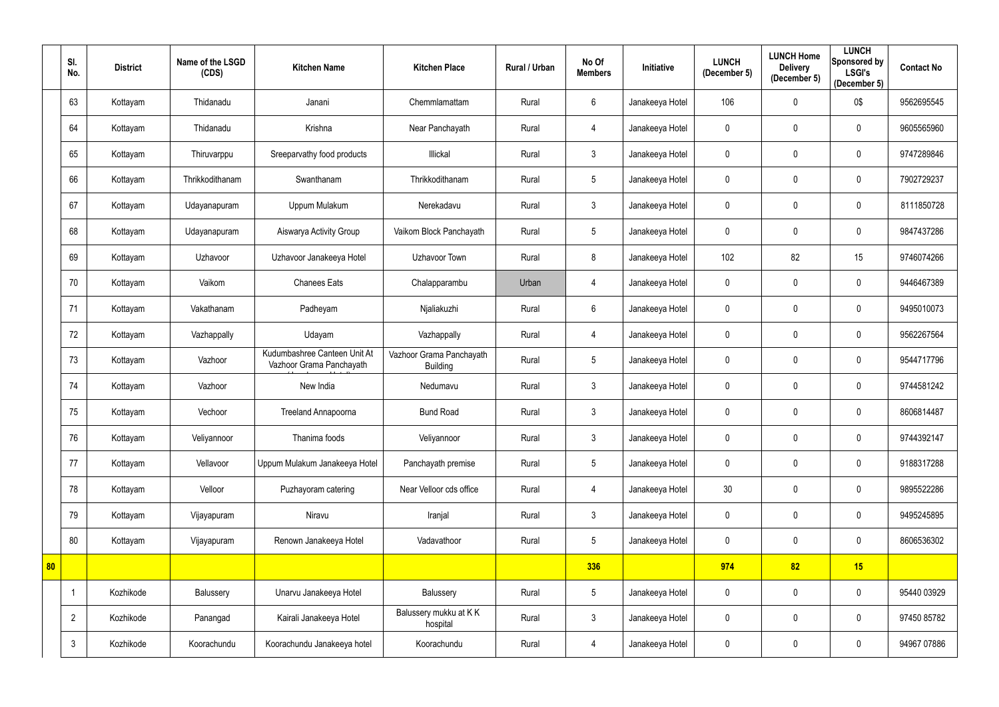|    | SI.<br>No.     | <b>District</b> | Name of the LSGD<br>(CDS) | <b>Kitchen Name</b>                                      | <b>Kitchen Place</b>                        | Rural / Urban | No Of<br><b>Members</b> | Initiative      | <b>LUNCH</b><br>(December 5) | <b>LUNCH Home</b><br><b>Delivery</b><br>(December 5) | <b>LUNCH</b><br>Sponsored by<br><b>LSGI's</b><br>(December 5) | <b>Contact No</b> |
|----|----------------|-----------------|---------------------------|----------------------------------------------------------|---------------------------------------------|---------------|-------------------------|-----------------|------------------------------|------------------------------------------------------|---------------------------------------------------------------|-------------------|
|    | 63             | Kottayam        | Thidanadu                 | Janani                                                   | Chemmlamattam                               | Rural         | $6\phantom{.}6$         | Janakeeya Hotel | 106                          | $\mathbf 0$                                          | 0\$                                                           | 9562695545        |
|    | 64             | Kottayam        | Thidanadu                 | Krishna                                                  | Near Panchayath                             | Rural         | 4                       | Janakeeya Hotel | 0                            | $\mathbf{0}$                                         | $\mathbf 0$                                                   | 9605565960        |
|    | 65             | Kottayam        | Thiruvarppu               | Sreeparvathy food products                               | Illickal                                    | Rural         | $\mathfrak{Z}$          | Janakeeya Hotel | 0                            | $\mathbf{0}$                                         | $\overline{0}$                                                | 9747289846        |
|    | 66             | Kottayam        | Thrikkodithanam           | Swanthanam                                               | Thrikkodithanam                             | Rural         | $\overline{5}$          | Janakeeya Hotel | 0                            | $\mathbf{0}$                                         | $\overline{0}$                                                | 7902729237        |
|    | 67             | Kottayam        | Udayanapuram              | Uppum Mulakum                                            | Nerekadavu                                  | Rural         | $\mathfrak{Z}$          | Janakeeya Hotel | 0                            | $\mathbf{0}$                                         | $\overline{0}$                                                | 8111850728        |
|    | 68             | Kottayam        | Udayanapuram              | Aiswarya Activity Group                                  | Vaikom Block Panchayath                     | Rural         | $5\phantom{.0}$         | Janakeeya Hotel | 0                            | $\mathbf{0}$                                         | $\mathbf 0$                                                   | 9847437286        |
|    | 69             | Kottayam        | Uzhavoor                  | Uzhavoor Janakeeya Hotel                                 | Uzhavoor Town                               | Rural         | 8                       | Janakeeya Hotel | 102                          | 82                                                   | 15                                                            | 9746074266        |
|    | 70             | Kottayam        | Vaikom                    | <b>Chanees Eats</b>                                      | Chalapparambu                               | Urban         | $\overline{4}$          | Janakeeya Hotel | 0                            | $\pmb{0}$                                            | $\overline{0}$                                                | 9446467389        |
|    | 71             | Kottayam        | Vakathanam                | Padheyam                                                 | Njaliakuzhi                                 | Rural         | $6\phantom{.}6$         | Janakeeya Hotel | 0                            | $\mathbf 0$                                          | $\mathbf 0$                                                   | 9495010073        |
|    | 72             | Kottayam        | Vazhappally               | Udayam                                                   | Vazhappally                                 | Rural         | 4                       | Janakeeya Hotel | 0                            | $\mathbf{0}$                                         | $\overline{0}$                                                | 9562267564        |
|    | 73             | Kottayam        | Vazhoor                   | Kudumbashree Canteen Unit At<br>Vazhoor Grama Panchayath | Vazhoor Grama Panchayath<br><b>Building</b> | Rural         | $5\phantom{.0}$         | Janakeeya Hotel | 0                            | $\mathbf{0}$                                         | $\overline{0}$                                                | 9544717796        |
|    | 74             | Kottayam        | Vazhoor                   | New India                                                | Nedumavu                                    | Rural         | $\mathfrak{Z}$          | Janakeeya Hotel | 0                            | $\mathbf{0}$                                         | $\mathbf 0$                                                   | 9744581242        |
|    | 75             | Kottayam        | Vechoor                   | Treeland Annapoorna                                      | <b>Bund Road</b>                            | Rural         | $\mathbf{3}$            | Janakeeya Hotel | 0                            | $\mathbf{0}$                                         | $\mathbf 0$                                                   | 8606814487        |
|    | 76             | Kottayam        | Veliyannoor               | Thanima foods                                            | Veliyannoor                                 | Rural         | $\mathfrak{Z}$          | Janakeeya Hotel | 0                            | $\mathbf 0$                                          | $\overline{0}$                                                | 9744392147        |
|    | 77             | Kottayam        | Vellavoor                 | Uppum Mulakum Janakeeya Hotel                            | Panchayath premise                          | Rural         | $5\overline{)}$         | Janakeeya Hotel | 0                            | $\mathbf{0}$                                         | $\overline{0}$                                                | 9188317288        |
|    | 78             | Kottayam        | Velloor                   | Puzhayoram catering                                      | Near Velloor cds office                     | Rural         | 4                       | Janakeeya Hotel | 30 <sub>2</sub>              | $\mathbf 0$                                          | $\mathbf 0$                                                   | 9895522286        |
|    | 79             | Kottayam        | Vijayapuram               | Niravu                                                   | Iranjal                                     | Rural         | $\mathfrak{Z}$          | Janakeeya Hotel | 0                            | $\mathbf 0$                                          | $\overline{0}$                                                | 9495245895        |
|    | 80             | Kottayam        | Vijayapuram               | Renown Janakeeya Hotel                                   | Vadavathoor                                 | Rural         | $\overline{5}$          | Janakeeya Hotel | $\mathbf 0$                  | $\pmb{0}$                                            | $\mathbf 0$                                                   | 8606536302        |
| 80 |                |                 |                           |                                                          |                                             |               | 336                     |                 | 974                          | 82                                                   | 15                                                            |                   |
|    | $\overline{1}$ | Kozhikode       | Balussery                 | Unarvu Janakeeya Hotel                                   | Balussery                                   | Rural         | $\sqrt{5}$              | Janakeeya Hotel | 0                            | $\mathbf 0$                                          | $\overline{0}$                                                | 95440 03929       |
|    | $\overline{2}$ | Kozhikode       | Panangad                  | Kairali Janakeeya Hotel                                  | Balussery mukku at KK<br>hospital           | Rural         | $\mathbf{3}$            | Janakeeya Hotel | 0                            | $\mathbf 0$                                          | $\mathbf 0$                                                   | 97450 85782       |
|    | $\mathbf{3}$   | Kozhikode       | Koorachundu               | Koorachundu Janakeeya hotel                              | Koorachundu                                 | Rural         | $\overline{4}$          | Janakeeya Hotel | 0                            | $\mathbf 0$                                          | $\overline{0}$                                                | 94967 07886       |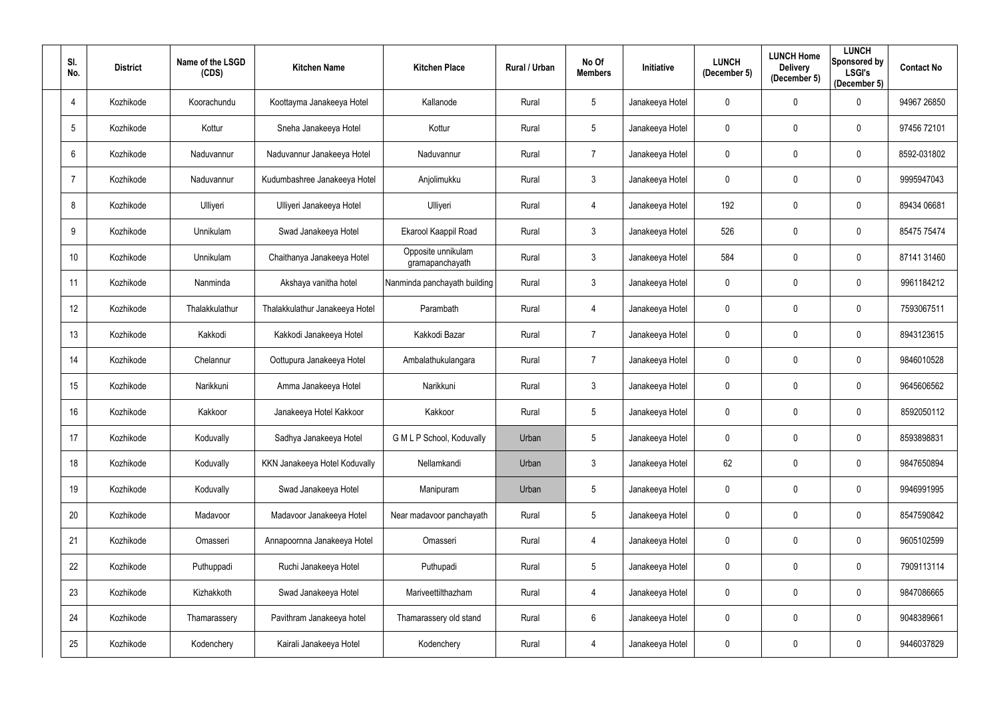| SI.<br>No.     | <b>District</b> | Name of the LSGD<br>(CDS) | <b>Kitchen Name</b>            | <b>Kitchen Place</b>                  | <b>Rural / Urban</b> | No Of<br><b>Members</b> | Initiative      | <b>LUNCH</b><br>(December 5) | <b>LUNCH Home</b><br><b>Delivery</b><br>(December 5) | <b>LUNCH</b><br>Sponsored by<br><b>LSGI's</b><br>(December 5) | <b>Contact No</b> |
|----------------|-----------------|---------------------------|--------------------------------|---------------------------------------|----------------------|-------------------------|-----------------|------------------------------|------------------------------------------------------|---------------------------------------------------------------|-------------------|
| $\overline{4}$ | Kozhikode       | Koorachundu               | Koottayma Janakeeya Hotel      | Kallanode                             | Rural                | 5                       | Janakeeya Hotel | 0                            | $\mathbf 0$                                          | $\mathbf 0$                                                   | 94967 26850       |
| 5              | Kozhikode       | Kottur                    | Sneha Janakeeya Hotel          | Kottur                                | Rural                | 5                       | Janakeeya Hotel | 0                            | $\mathbf 0$                                          | 0                                                             | 97456 72101       |
| 6              | Kozhikode       | Naduvannur                | Naduvannur Janakeeya Hotel     | Naduvannur                            | Rural                | $\overline{7}$          | Janakeeya Hotel | 0                            | $\mathbf 0$                                          | $\mathbf 0$                                                   | 8592-031802       |
| -7             | Kozhikode       | Naduvannur                | Kudumbashree Janakeeya Hotel   | Anjolimukku                           | Rural                | $\mathfrak{Z}$          | Janakeeya Hotel | 0                            | $\mathbf 0$                                          | $\mathbf 0$                                                   | 9995947043        |
| 8              | Kozhikode       | Ulliyeri                  | Ulliyeri Janakeeya Hotel       | Ulliyeri                              | Rural                | 4                       | Janakeeya Hotel | 192                          | $\mathbf 0$                                          | $\mathbf 0$                                                   | 89434 06681       |
| 9              | Kozhikode       | Unnikulam                 | Swad Janakeeya Hotel           | Ekarool Kaappil Road                  | Rural                | $\mathfrak{Z}$          | Janakeeya Hotel | 526                          | $\mathbf 0$                                          | $\mathbf 0$                                                   | 85475 75474       |
| 10             | Kozhikode       | Unnikulam                 | Chaithanya Janakeeya Hotel     | Opposite unnikulam<br>gramapanchayath | Rural                | $\mathfrak{Z}$          | Janakeeya Hotel | 584                          | $\mathbf 0$                                          | $\mathbf 0$                                                   | 87141 31460       |
| 11             | Kozhikode       | Nanminda                  | Akshaya vanitha hotel          | Nanminda panchayath building          | Rural                | $\mathfrak{Z}$          | Janakeeya Hotel | 0                            | $\boldsymbol{0}$                                     | $\mathbf 0$                                                   | 9961184212        |
| 12             | Kozhikode       | Thalakkulathur            | Thalakkulathur Janakeeya Hotel | Parambath                             | Rural                | 4                       | Janakeeya Hotel | 0                            | $\mathbf 0$                                          | $\mathbf 0$                                                   | 7593067511        |
| 13             | Kozhikode       | Kakkodi                   | Kakkodi Janakeeya Hotel        | Kakkodi Bazar                         | Rural                | $\overline{7}$          | Janakeeya Hotel | 0                            | $\mathbf 0$                                          | $\mathbf 0$                                                   | 8943123615        |
| 14             | Kozhikode       | Chelannur                 | Oottupura Janakeeya Hotel      | Ambalathukulangara                    | Rural                | $\overline{7}$          | Janakeeya Hotel | 0                            | $\mathbf 0$                                          | $\mathbf 0$                                                   | 9846010528        |
| 15             | Kozhikode       | Narikkuni                 | Amma Janakeeya Hotel           | Narikkuni                             | Rural                | $\mathfrak{Z}$          | Janakeeya Hotel | 0                            | $\mathbf 0$                                          | $\mathbf 0$                                                   | 9645606562        |
| 16             | Kozhikode       | Kakkoor                   | Janakeeya Hotel Kakkoor        | Kakkoor                               | Rural                | 5                       | Janakeeya Hotel | 0                            | $\mathbf 0$                                          | 0                                                             | 8592050112        |
| 17             | Kozhikode       | Koduvally                 | Sadhya Janakeeya Hotel         | G M L P School, Koduvally             | Urban                | 5                       | Janakeeya Hotel | 0                            | $\mathbf 0$                                          | $\mathbf 0$                                                   | 8593898831        |
| 18             | Kozhikode       | Koduvally                 | KKN Janakeeya Hotel Koduvally  | Nellamkandi                           | Urban                | $\mathbf{3}$            | Janakeeya Hotel | 62                           | $\mathbf 0$                                          | $\mathbf 0$                                                   | 9847650894        |
| 19             | Kozhikode       | Koduvally                 | Swad Janakeeya Hotel           | Manipuram                             | Urban                | 5                       | Janakeeya Hotel | $\mathbf 0$                  | $\boldsymbol{0}$                                     | $\mathbf 0$                                                   | 9946991995        |
| 20             | Kozhikode       | Madavoor                  | Madavoor Janakeeya Hotel       | Near madavoor panchayath              | Rural                | 5                       | Janakeeya Hotel | 0                            | $\pmb{0}$                                            | $\mathbf 0$                                                   | 8547590842        |
| 21             | Kozhikode       | Omasseri                  | Annapoornna Janakeeya Hotel    | Omasseri                              | Rural                | 4                       | Janakeeya Hotel | $\mathbf 0$                  | $\pmb{0}$                                            | $\bf{0}$                                                      | 9605102599        |
| 22             | Kozhikode       | Puthuppadi                | Ruchi Janakeeya Hotel          | Puthupadi                             | Rural                | 5                       | Janakeeya Hotel | 0                            | $\mathbf 0$                                          | $\mathbf 0$                                                   | 7909113114        |
| 23             | Kozhikode       | Kizhakkoth                | Swad Janakeeya Hotel           | Mariveettilthazham                    | Rural                | 4                       | Janakeeya Hotel | $\mathbf 0$                  | $\boldsymbol{0}$                                     | $\mathbf{0}$                                                  | 9847086665        |
| 24             | Kozhikode       | Thamarassery              | Pavithram Janakeeya hotel      | Thamarassery old stand                | Rural                | $6\phantom{.}$          | Janakeeya Hotel | 0                            | $\boldsymbol{0}$                                     | $\bf{0}$                                                      | 9048389661        |
| 25             | Kozhikode       | Kodenchery                | Kairali Janakeeya Hotel        | Kodenchery                            | Rural                | 4                       | Janakeeya Hotel | 0                            | $\boldsymbol{0}$                                     | $\mathbf 0$                                                   | 9446037829        |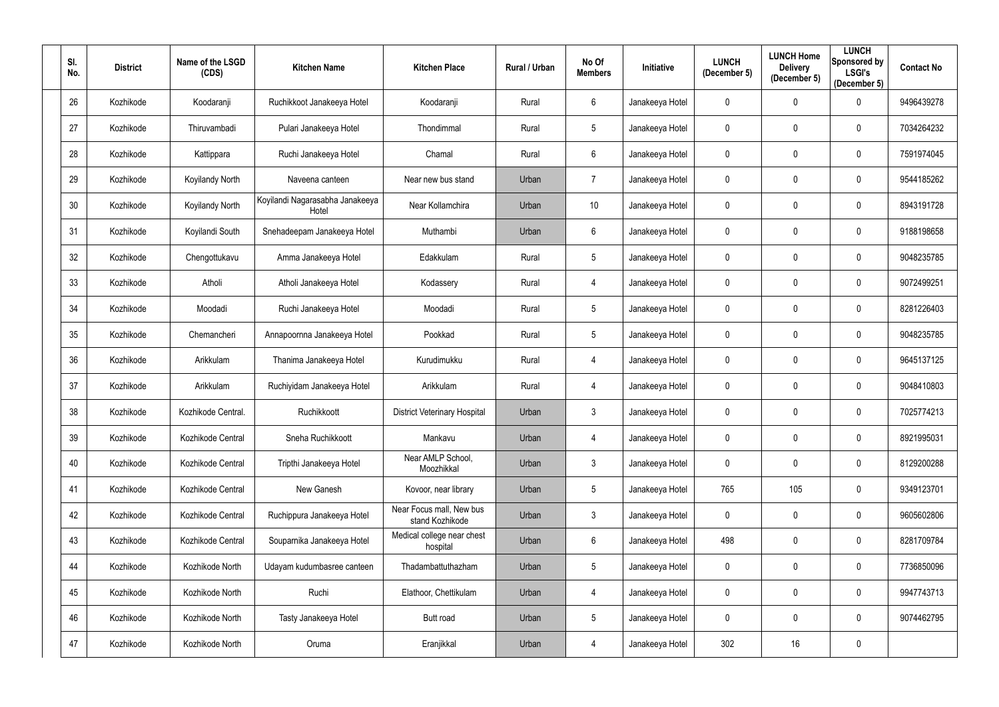| SI.<br>No. | <b>District</b> | Name of the LSGD<br>(CDS) | <b>Kitchen Name</b>                      | <b>Kitchen Place</b>                        | Rural / Urban | No Of<br><b>Members</b> | Initiative      | <b>LUNCH</b><br>(December 5) | <b>LUNCH Home</b><br><b>Delivery</b><br>(December 5) | <b>LUNCH</b><br><b>Sponsored by</b><br><b>LSGI's</b><br>(December 5) | <b>Contact No</b> |
|------------|-----------------|---------------------------|------------------------------------------|---------------------------------------------|---------------|-------------------------|-----------------|------------------------------|------------------------------------------------------|----------------------------------------------------------------------|-------------------|
| 26         | Kozhikode       | Koodaranji                | Ruchikkoot Janakeeya Hotel               | Koodaranji                                  | Rural         | 6                       | Janakeeya Hotel | 0                            | $\mathbf 0$                                          | 0                                                                    | 9496439278        |
| 27         | Kozhikode       | Thiruvambadi              | Pulari Janakeeya Hotel                   | Thondimmal                                  | Rural         | $5\overline{)}$         | Janakeeya Hotel | 0                            | $\mathbf 0$                                          | 0                                                                    | 7034264232        |
| 28         | Kozhikode       | Kattippara                | Ruchi Janakeeya Hotel                    | Chamal                                      | Rural         | 6                       | Janakeeya Hotel | 0                            | $\mathbf 0$                                          | $\mathbf 0$                                                          | 7591974045        |
| 29         | Kozhikode       | <b>Koyilandy North</b>    | Naveena canteen                          | Near new bus stand                          | Urban         | 7                       | Janakeeya Hotel | 0                            | $\mathbf 0$                                          | $\mathbf 0$                                                          | 9544185262        |
| 30         | Kozhikode       | Koyilandy North           | Koyilandi Nagarasabha Janakeeya<br>Hotel | Near Kollamchira                            | Urban         | 10 <sup>°</sup>         | Janakeeya Hotel | 0                            | $\mathbf 0$                                          | $\mathbf 0$                                                          | 8943191728        |
| 31         | Kozhikode       | Koyilandi South           | Snehadeepam Janakeeya Hotel              | Muthambi                                    | Urban         | 6                       | Janakeeya Hotel | 0                            | $\mathbf 0$                                          | 0                                                                    | 9188198658        |
| 32         | Kozhikode       | Chengottukavu             | Amma Janakeeya Hotel                     | Edakkulam                                   | Rural         | $5\overline{)}$         | Janakeeya Hotel | 0                            | $\mathbf 0$                                          | $\mathbf 0$                                                          | 9048235785        |
| 33         | Kozhikode       | Atholi                    | Atholi Janakeeya Hotel                   | Kodassery                                   | Rural         | 4                       | Janakeeya Hotel | 0                            | $\mathbf 0$                                          | $\mathbf 0$                                                          | 9072499251        |
| 34         | Kozhikode       | Moodadi                   | Ruchi Janakeeya Hotel                    | Moodadi                                     | Rural         | $5\overline{)}$         | Janakeeya Hotel | 0                            | $\mathbf 0$                                          | $\mathbf 0$                                                          | 8281226403        |
| 35         | Kozhikode       | Chemancheri               | Annapoornna Janakeeya Hotel              | Pookkad                                     | Rural         | 5                       | Janakeeya Hotel | 0                            | $\mathbf 0$                                          | $\mathbf 0$                                                          | 9048235785        |
| 36         | Kozhikode       | Arikkulam                 | Thanima Janakeeya Hotel                  | Kurudimukku                                 | Rural         | 4                       | Janakeeya Hotel | 0                            | $\mathbf 0$                                          | $\mathbf 0$                                                          | 9645137125        |
| 37         | Kozhikode       | Arikkulam                 | Ruchiyidam Janakeeya Hotel               | Arikkulam                                   | Rural         | 4                       | Janakeeya Hotel | 0                            | $\mathbf 0$                                          | $\mathbf 0$                                                          | 9048410803        |
| 38         | Kozhikode       | Kozhikode Central.        | Ruchikkoott                              | <b>District Veterinary Hospital</b>         | Urban         | 3                       | Janakeeya Hotel | 0                            | $\mathbf 0$                                          | 0                                                                    | 7025774213        |
| 39         | Kozhikode       | Kozhikode Central         | Sneha Ruchikkoott                        | Mankavu                                     | Urban         | 4                       | Janakeeya Hotel | 0                            | $\mathbf 0$                                          | $\mathbf 0$                                                          | 8921995031        |
| 40         | Kozhikode       | Kozhikode Central         | Tripthi Janakeeya Hotel                  | Near AMLP School,<br>Moozhikkal             | Urban         | 3 <sup>1</sup>          | Janakeeya Hotel | $\mathbf 0$                  | $\mathbf 0$                                          | $\overline{0}$                                                       | 8129200288        |
| 41         | Kozhikode       | Kozhikode Central         | New Ganesh                               | Kovoor, near library                        | Urban         | $5\phantom{.0}$         | Janakeeya Hotel | 765                          | 105                                                  | $\mathbf 0$                                                          | 9349123701        |
| 42         | Kozhikode       | Kozhikode Central         | Ruchippura Janakeeya Hotel               | Near Focus mall, New bus<br>stand Kozhikode | Urban         | $\mathfrak{Z}$          | Janakeeya Hotel | 0                            | $\pmb{0}$                                            | $\mathbf 0$                                                          | 9605602806        |
| 43         | Kozhikode       | Kozhikode Central         | Souparnika Janakeeya Hotel               | Medical college near chest<br>hospital      | Urban         | $6\overline{6}$         | Janakeeya Hotel | 498                          | $\pmb{0}$                                            | $\mathbf 0$                                                          | 8281709784        |
| 44         | Kozhikode       | Kozhikode North           | Udayam kudumbasree canteen               | Thadambattuthazham                          | Urban         | $5\phantom{.0}$         | Janakeeya Hotel | 0                            | $\boldsymbol{0}$                                     | $\mathbf 0$                                                          | 7736850096        |
| 45         | Kozhikode       | Kozhikode North           | Ruchi                                    | Elathoor, Chettikulam                       | Urban         | 4                       | Janakeeya Hotel | 0                            | $\mathbf 0$                                          | $\overline{0}$                                                       | 9947743713        |
| 46         | Kozhikode       | Kozhikode North           | Tasty Janakeeya Hotel                    | Butt road                                   | Urban         | $5\phantom{.0}$         | Janakeeya Hotel | 0                            | $\pmb{0}$                                            | $\overline{0}$                                                       | 9074462795        |
| 47         | Kozhikode       | Kozhikode North           | Oruma                                    | Eranjikkal                                  | Urban         | 4                       | Janakeeya Hotel | 302                          | 16                                                   | $\pmb{0}$                                                            |                   |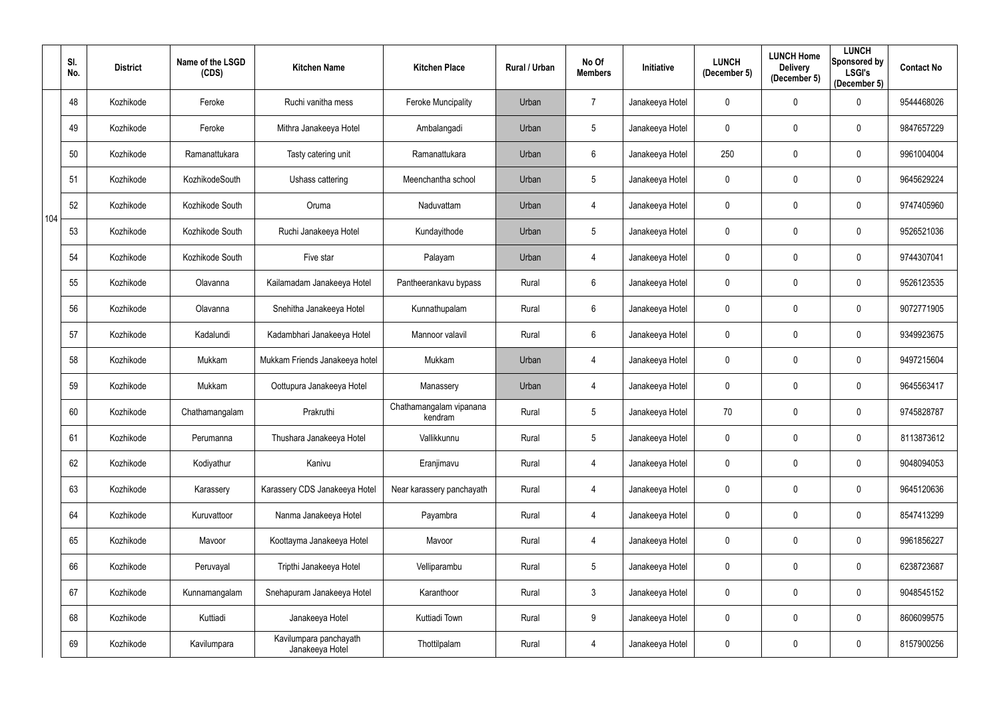|     | SI.<br>No. | <b>District</b> | Name of the LSGD<br>(CDS) | <b>Kitchen Name</b>                       | <b>Kitchen Place</b>               | <b>Rural / Urban</b> | No Of<br><b>Members</b> | Initiative      | <b>LUNCH</b><br>(December 5) | <b>LUNCH Home</b><br><b>Delivery</b><br>(December 5) | <b>LUNCH</b><br>Sponsored by<br><b>LSGI's</b><br>(December 5) | <b>Contact No</b> |
|-----|------------|-----------------|---------------------------|-------------------------------------------|------------------------------------|----------------------|-------------------------|-----------------|------------------------------|------------------------------------------------------|---------------------------------------------------------------|-------------------|
|     | 48         | Kozhikode       | Feroke                    | Ruchi vanitha mess                        | <b>Feroke Muncipality</b>          | Urban                | $\overline{7}$          | Janakeeya Hotel | $\mathbf 0$                  | $\pmb{0}$                                            | $\mathbf 0$                                                   | 9544468026        |
|     | 49         | Kozhikode       | Feroke                    | Mithra Janakeeya Hotel                    | Ambalangadi                        | Urban                | $5\phantom{.0}$         | Janakeeya Hotel | 0                            | $\mathbf 0$                                          | $\mathbf 0$                                                   | 9847657229        |
|     | 50         | Kozhikode       | Ramanattukara             | Tasty catering unit                       | Ramanattukara                      | Urban                | $6\phantom{.0}$         | Janakeeya Hotel | 250                          | $\mathbf 0$                                          | $\mathbf 0$                                                   | 9961004004        |
|     | 51         | Kozhikode       | KozhikodeSouth            | Ushass cattering                          | Meenchantha school                 | Urban                | $5\phantom{.0}$         | Janakeeya Hotel | 0                            | $\mathbf 0$                                          | $\mathbf 0$                                                   | 9645629224        |
| 104 | 52         | Kozhikode       | Kozhikode South           | Oruma                                     | Naduvattam                         | Urban                | 4                       | Janakeeya Hotel | 0                            | $\mathbf 0$                                          | $\mathbf 0$                                                   | 9747405960        |
|     | 53         | Kozhikode       | Kozhikode South           | Ruchi Janakeeya Hotel                     | Kundayithode                       | Urban                | 5 <sub>5</sub>          | Janakeeya Hotel | 0                            | $\mathbf 0$                                          | $\mathbf 0$                                                   | 9526521036        |
|     | 54         | Kozhikode       | Kozhikode South           | Five star                                 | Palayam                            | Urban                | 4                       | Janakeeya Hotel | 0                            | $\mathbf 0$                                          | $\mathbf 0$                                                   | 9744307041        |
|     | 55         | Kozhikode       | Olavanna                  | Kailamadam Janakeeya Hotel                | Pantheerankavu bypass              | Rural                | 6                       | Janakeeya Hotel | 0                            | $\mathbf 0$                                          | $\mathbf 0$                                                   | 9526123535        |
|     | 56         | Kozhikode       | Olavanna                  | Snehitha Janakeeya Hotel                  | Kunnathupalam                      | Rural                | $6\phantom{.0}$         | Janakeeya Hotel | 0                            | $\mathbf 0$                                          | $\mathbf 0$                                                   | 9072771905        |
|     | 57         | Kozhikode       | Kadalundi                 | Kadambhari Janakeeya Hotel                | Mannoor valavil                    | Rural                | 6                       | Janakeeya Hotel | $\mathbf 0$                  | $\mathbf 0$                                          | $\mathbf 0$                                                   | 9349923675        |
|     | 58         | Kozhikode       | Mukkam                    | Mukkam Friends Janakeeya hotel            | Mukkam                             | Urban                | 4                       | Janakeeya Hotel | 0                            | $\mathbf 0$                                          | $\mathbf 0$                                                   | 9497215604        |
|     | 59         | Kozhikode       | Mukkam                    | Oottupura Janakeeya Hotel                 | Manassery                          | Urban                | 4                       | Janakeeya Hotel | $\mathbf 0$                  | $\mathbf 0$                                          | $\overline{0}$                                                | 9645563417        |
|     | 60         | Kozhikode       | Chathamangalam            | Prakruthi                                 | Chathamangalam vipanana<br>kendram | Rural                | $5\phantom{.0}$         | Janakeeya Hotel | 70                           | $\mathbf 0$                                          | 0                                                             | 9745828787        |
|     | 61         | Kozhikode       | Perumanna                 | Thushara Janakeeya Hotel                  | Vallikkunnu                        | Rural                | 5                       | Janakeeya Hotel | $\mathbf 0$                  | $\mathbf 0$                                          | $\bf{0}$                                                      | 8113873612        |
|     | 62         | Kozhikode       | Kodiyathur                | Kanivu                                    | Eranjimavu                         | Rural                | 4                       | Janakeeya Hotel | 0                            | $\pmb{0}$                                            | $\bf{0}$                                                      | 9048094053        |
|     | 63         | Kozhikode       | Karassery                 | Karassery CDS Janakeeya Hotel             | Near karassery panchayath          | Rural                | 4                       | Janakeeya Hotel | $\mathbf 0$                  | $\boldsymbol{0}$                                     | $\overline{0}$                                                | 9645120636        |
|     | 64         | Kozhikode       | Kuruvattoor               | Nanma Janakeeya Hotel                     | Payambra                           | Rural                | 4                       | Janakeeya Hotel | $\mathbf 0$                  | $\pmb{0}$                                            | $\mathbf 0$                                                   | 8547413299        |
|     | 65         | Kozhikode       | Mavoor                    | Koottayma Janakeeya Hotel                 | Mavoor                             | Rural                | 4                       | Janakeeya Hotel | $\mathbf 0$                  | $\pmb{0}$                                            | $\overline{0}$                                                | 9961856227        |
|     | 66         | Kozhikode       | Peruvayal                 | Tripthi Janakeeya Hotel                   | Velliparambu                       | Rural                | 5                       | Janakeeya Hotel | 0                            | $\pmb{0}$                                            | $\bf{0}$                                                      | 6238723687        |
|     | 67         | Kozhikode       | Kunnamangalam             | Snehapuram Janakeeya Hotel                | Karanthoor                         | Rural                | $\mathfrak{Z}$          | Janakeeya Hotel | $\mathbf 0$                  | $\pmb{0}$                                            | $\mathbf 0$                                                   | 9048545152        |
|     | 68         | Kozhikode       | Kuttiadi                  | Janakeeya Hotel                           | Kuttiadi Town                      | Rural                | 9                       | Janakeeya Hotel | 0                            | $\pmb{0}$                                            | $\bf{0}$                                                      | 8606099575        |
|     | 69         | Kozhikode       | Kavilumpara               | Kavilumpara panchayath<br>Janakeeya Hotel | Thottilpalam                       | Rural                | 4                       | Janakeeya Hotel | 0                            | $\boldsymbol{0}$                                     | $\overline{0}$                                                | 8157900256        |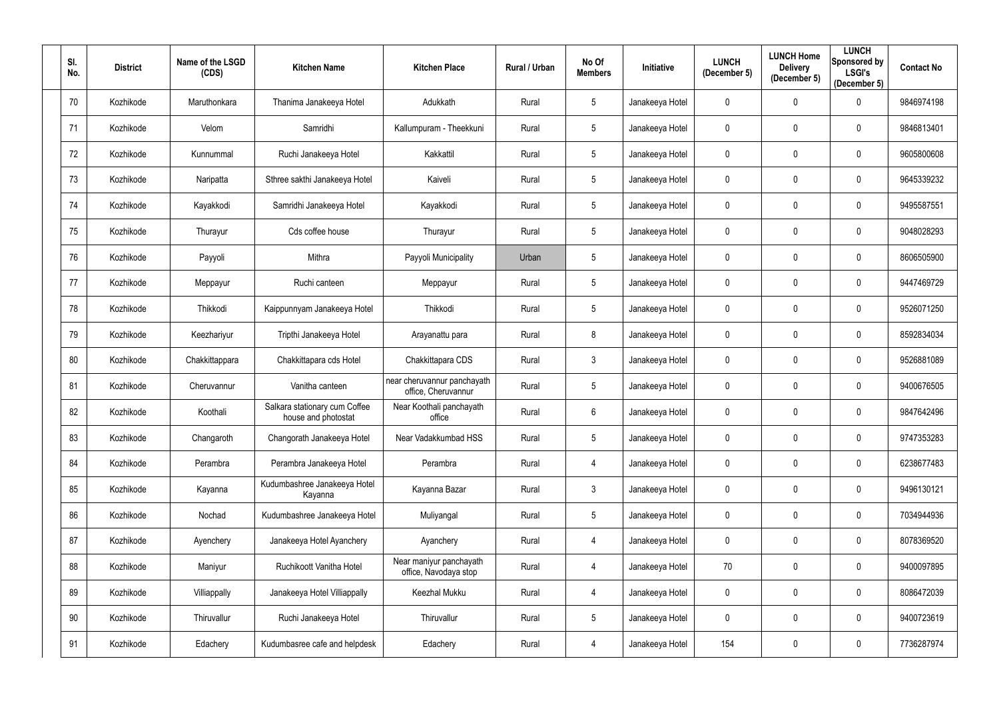| SI.<br>No.      | <b>District</b> | Name of the LSGD<br>(CDS) | <b>Kitchen Name</b>                                  | <b>Kitchen Place</b>                               | Rural / Urban | No Of<br><b>Members</b> | Initiative      | <b>LUNCH</b><br>(December 5) | <b>LUNCH Home</b><br><b>Delivery</b><br>(December 5) | <b>LUNCH</b><br><b>Sponsored by</b><br><b>LSGI's</b><br>(December 5) | <b>Contact No</b> |
|-----------------|-----------------|---------------------------|------------------------------------------------------|----------------------------------------------------|---------------|-------------------------|-----------------|------------------------------|------------------------------------------------------|----------------------------------------------------------------------|-------------------|
| 70              | Kozhikode       | Maruthonkara              | Thanima Janakeeya Hotel                              | Adukkath                                           | Rural         | 5                       | Janakeeya Hotel | 0                            | $\mathbf 0$                                          | 0                                                                    | 9846974198        |
| 71              | Kozhikode       | Velom                     | Samridhi                                             | Kallumpuram - Theekkuni                            | Rural         | 5                       | Janakeeya Hotel | 0                            | $\mathbf 0$                                          | 0                                                                    | 9846813401        |
| 72              | Kozhikode       | Kunnummal                 | Ruchi Janakeeya Hotel                                | Kakkattil                                          | Rural         | 5 <sup>5</sup>          | Janakeeya Hotel | 0                            | $\mathbf{0}$                                         | $\mathbf 0$                                                          | 9605800608        |
| 73              | Kozhikode       | Naripatta                 | Sthree sakthi Janakeeya Hotel                        | Kaiveli                                            | Rural         | 5                       | Janakeeya Hotel | 0                            | $\mathbf 0$                                          | $\mathbf 0$                                                          | 9645339232        |
| 74              | Kozhikode       | Kayakkodi                 | Samridhi Janakeeya Hotel                             | Kayakkodi                                          | Rural         | 5                       | Janakeeya Hotel | 0                            | $\mathbf 0$                                          | $\mathbf 0$                                                          | 9495587551        |
| 75              | Kozhikode       | Thurayur                  | Cds coffee house                                     | Thurayur                                           | Rural         | 5                       | Janakeeya Hotel | 0                            | $\mathbf 0$                                          | 0                                                                    | 9048028293        |
| 76              | Kozhikode       | Payyoli                   | Mithra                                               | Payyoli Municipality                               | Urban         | 5                       | Janakeeya Hotel | 0                            | $\mathbf 0$                                          | $\mathbf 0$                                                          | 8606505900        |
| 77              | Kozhikode       | Meppayur                  | Ruchi canteen                                        | Meppayur                                           | Rural         | 5                       | Janakeeya Hotel | 0                            | $\mathbf 0$                                          | $\mathbf 0$                                                          | 9447469729        |
| 78              | Kozhikode       | Thikkodi                  | Kaippunnyam Janakeeya Hotel                          | Thikkodi                                           | Rural         | 5                       | Janakeeya Hotel | 0                            | $\mathbf 0$                                          | $\mathbf 0$                                                          | 9526071250        |
| 79              | Kozhikode       | Keezhariyur               | Tripthi Janakeeya Hotel                              | Arayanattu para                                    | Rural         | 8                       | Janakeeya Hotel | 0                            | $\mathbf 0$                                          | $\mathbf 0$                                                          | 8592834034        |
| 80              | Kozhikode       | Chakkittappara            | Chakkittapara cds Hotel                              | Chakkittapara CDS                                  | Rural         | $\mathbf{3}$            | Janakeeya Hotel | 0                            | $\mathbf 0$                                          | 0                                                                    | 9526881089        |
| 81              | Kozhikode       | Cheruvannur               | Vanitha canteen                                      | near cheruvannur panchayath<br>office, Cheruvannur | Rural         | 5                       | Janakeeya Hotel | 0                            | $\mathbf 0$                                          | $\mathbf 0$                                                          | 9400676505        |
| 82              | Kozhikode       | Koothali                  | Salkara stationary cum Coffee<br>house and photostat | Near Koothali panchayath<br>office                 | Rural         | 6                       | Janakeeya Hotel | 0                            | $\mathbf 0$                                          | 0                                                                    | 9847642496        |
| 83              | Kozhikode       | Changaroth                | Changorath Janakeeya Hotel                           | Near Vadakkumbad HSS                               | Rural         | 5                       | Janakeeya Hotel | $\mathbf{0}$                 | 0                                                    | $\bf{0}$                                                             | 9747353283        |
| 84              | Kozhikode       | Perambra                  | Perambra Janakeeya Hotel                             | Perambra                                           | Rural         | 4                       | Janakeeya Hotel | $\mathbf 0$                  | $\mathbf 0$                                          | $\overline{0}$                                                       | 6238677483        |
| 85              | Kozhikode       | Kayanna                   | Kudumbashree Janakeeya Hotel<br>Kayanna              | Kayanna Bazar                                      | Rural         | $\mathfrak{Z}$          | Janakeeya Hotel | $\mathbf{0}$                 | $\pmb{0}$                                            | $\mathbf 0$                                                          | 9496130121        |
| 86              | Kozhikode       | Nochad                    | Kudumbashree Janakeeya Hotel                         | Muliyangal                                         | Rural         | 5                       | Janakeeya Hotel | 0                            | $\pmb{0}$                                            | $\bf{0}$                                                             | 7034944936        |
| 87              | Kozhikode       | Ayenchery                 | Janakeeya Hotel Ayanchery                            | Ayanchery                                          | Rural         | 4                       | Janakeeya Hotel | 0                            | $\boldsymbol{0}$                                     | $\bf{0}$                                                             | 8078369520        |
| 88              | Kozhikode       | Maniyur                   | Ruchikoott Vanitha Hotel                             | Near maniyur panchayath<br>office, Navodaya stop   | Rural         | 4                       | Janakeeya Hotel | 70                           | $\boldsymbol{0}$                                     | $\mathbf 0$                                                          | 9400097895        |
| 89              | Kozhikode       | Villiappally              | Janakeeya Hotel Villiappally                         | Keezhal Mukku                                      | Rural         | 4                       | Janakeeya Hotel | $\mathbf{0}$                 | $\pmb{0}$                                            | $\mathbf{0}$                                                         | 8086472039        |
| 90 <sup>°</sup> | Kozhikode       | Thiruvallur               | Ruchi Janakeeya Hotel                                | Thiruvallur                                        | Rural         | $5\phantom{.0}$         | Janakeeya Hotel | 0                            | $\boldsymbol{0}$                                     | $\bf{0}$                                                             | 9400723619        |
| 91              | Kozhikode       | Edachery                  | Kudumbasree cafe and helpdesk                        | Edachery                                           | Rural         | 4                       | Janakeeya Hotel | 154                          | $\boldsymbol{0}$                                     | $\mathbf 0$                                                          | 7736287974        |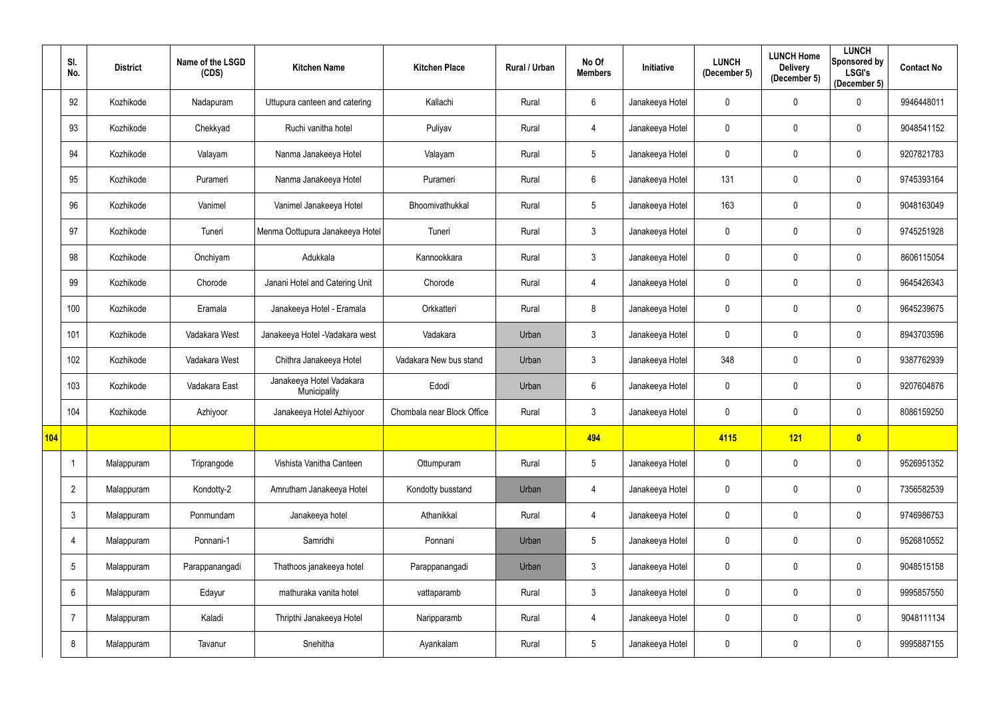|     | SI.<br>No.      | <b>District</b> | Name of the LSGD<br>(CDS) | <b>Kitchen Name</b>                      | <b>Kitchen Place</b>       | Rural / Urban | No Of<br><b>Members</b> | <b>Initiative</b> | <b>LUNCH</b><br>(December 5) | <b>LUNCH Home</b><br><b>Delivery</b><br>(December 5) | <b>LUNCH</b><br>Sponsored by<br><b>LSGI's</b><br>(December 5) | <b>Contact No</b> |
|-----|-----------------|-----------------|---------------------------|------------------------------------------|----------------------------|---------------|-------------------------|-------------------|------------------------------|------------------------------------------------------|---------------------------------------------------------------|-------------------|
|     | 92              | Kozhikode       | Nadapuram                 | Uttupura canteen and catering            | Kallachi                   | Rural         | $6\phantom{.}$          | Janakeeya Hotel   | $\mathbf 0$                  | $\mathbf 0$                                          | $\overline{0}$                                                | 9946448011        |
|     | 93              | Kozhikode       | Chekkyad                  | Ruchi vanitha hotel                      | Puliyav                    | Rural         | 4                       | Janakeeya Hotel   | 0                            | $\mathbf 0$                                          | $\mathbf 0$                                                   | 9048541152        |
|     | 94              | Kozhikode       | Valayam                   | Nanma Janakeeya Hotel                    | Valayam                    | Rural         | 5                       | Janakeeya Hotel   | 0                            | $\mathbf 0$                                          | $\overline{0}$                                                | 9207821783        |
|     | 95              | Kozhikode       | Purameri                  | Nanma Janakeeya Hotel                    | Purameri                   | Rural         | $6\phantom{.}$          | Janakeeya Hotel   | 131                          | $\mathbf 0$                                          | $\overline{0}$                                                | 9745393164        |
|     | 96              | Kozhikode       | Vanimel                   | Vanimel Janakeeya Hotel                  | Bhoomivathukkal            | Rural         | 5                       | Janakeeya Hotel   | 163                          | $\mathbf 0$                                          | $\mathbf 0$                                                   | 9048163049        |
|     | 97              | Kozhikode       | Tuneri                    | Menma Oottupura Janakeeya Hotel          | Tuneri                     | Rural         | $\mathfrak{Z}$          | Janakeeya Hotel   | 0                            | $\mathbf 0$                                          | $\mathbf 0$                                                   | 9745251928        |
|     | 98              | Kozhikode       | Onchiyam                  | Adukkala                                 | Kannookkara                | Rural         | $\mathfrak{Z}$          | Janakeeya Hotel   | 0                            | $\mathbf 0$                                          | $\mathbf 0$                                                   | 8606115054        |
|     | 99              | Kozhikode       | Chorode                   | Janani Hotel and Catering Unit           | Chorode                    | Rural         | 4                       | Janakeeya Hotel   | $\mathbf 0$                  | $\mathbf 0$                                          | $\overline{0}$                                                | 9645426343        |
|     | 100             | Kozhikode       | Eramala                   | Janakeeya Hotel - Eramala                | Orkkatteri                 | Rural         | 8                       | Janakeeya Hotel   | 0                            | $\mathbf 0$                                          | $\overline{0}$                                                | 9645239675        |
|     | 101             | Kozhikode       | Vadakara West             | Janakeeya Hotel - Vadakara west          | Vadakara                   | Urban         | $\mathfrak{Z}$          | Janakeeya Hotel   | 0                            | $\mathbf 0$                                          | $\overline{0}$                                                | 8943703596        |
|     | 102             | Kozhikode       | Vadakara West             | Chithra Janakeeya Hotel                  | Vadakara New bus stand     | Urban         | $\mathfrak{Z}$          | Janakeeya Hotel   | 348                          | $\mathbf 0$                                          | $\mathbf 0$                                                   | 9387762939        |
|     | 103             | Kozhikode       | Vadakara East             | Janakeeya Hotel Vadakara<br>Municipality | Edodi                      | Urban         | $6\phantom{.}$          | Janakeeya Hotel   | $\mathbf 0$                  | $\mathbf 0$                                          | $\overline{0}$                                                | 9207604876        |
|     | 104             | Kozhikode       | Azhiyoor                  | Janakeeya Hotel Azhiyoor                 | Chombala near Block Office | Rural         | $\mathbf{3}$            | Janakeeya Hotel   | 0                            | $\mathbf 0$                                          | $\mathbf 0$                                                   | 8086159250        |
| 104 |                 |                 |                           |                                          |                            |               | 494                     |                   | 4115                         | 121                                                  | $\bullet$                                                     |                   |
|     |                 | Malappuram      | Triprangode               | Vishista Vanitha Canteen                 | Ottumpuram                 | Rural         | $\sqrt{5}$              | Janakeeya Hotel   | $\mathbf 0$                  | $\mathbf 0$                                          | $\mathbf 0$                                                   | 9526951352        |
|     | $\overline{2}$  | Malappuram      | Kondotty-2                | Amrutham Janakeeya Hotel                 | Kondotty busstand          | Urban         | 4                       | Janakeeya Hotel   | $\mathbf 0$                  | $\mathbf 0$                                          | $\mathbf 0$                                                   | 7356582539        |
|     | $\mathfrak{Z}$  | Malappuram      | Ponmundam                 | Janakeeya hotel                          | Athanikkal                 | Rural         | 4                       | Janakeeya Hotel   | $\mathbf 0$                  | $\mathbf 0$                                          | $\mathbf 0$                                                   | 9746986753        |
|     | 4               | Malappuram      | Ponnani-1                 | Samridhi                                 | Ponnani                    | Urban         | $\sqrt{5}$              | Janakeeya Hotel   | $\mathbf 0$                  | $\mathbf 0$                                          | $\mathbf 0$                                                   | 9526810552        |
|     | $5\phantom{.0}$ | Malappuram      | Parappanangadi            | Thathoos janakeeya hotel                 | Parappanangadi             | Urban         | $\mathfrak{Z}$          | Janakeeya Hotel   | $\mathbf 0$                  | $\mathbf 0$                                          | $\overline{0}$                                                | 9048515158        |
|     | $6\phantom{.}$  | Malappuram      | Edayur                    | mathuraka vanita hotel                   | vattaparamb                | Rural         | 3 <sup>1</sup>          | Janakeeya Hotel   | $\mathbf 0$                  | $\mathbf 0$                                          | $\mathbf 0$                                                   | 9995857550        |
|     | $\overline{7}$  | Malappuram      | Kaladi                    | Thripthi Janakeeya Hotel                 | Naripparamb                | Rural         | 4                       | Janakeeya Hotel   | $\mathbf 0$                  | $\mathbf 0$                                          | $\mathbf 0$                                                   | 9048111134        |
|     | 8               | Malappuram      | Tavanur                   | Snehitha                                 | Ayankalam                  | Rural         | $\sqrt{5}$              | Janakeeya Hotel   | 0                            | $\mathbf 0$                                          | $\boldsymbol{0}$                                              | 9995887155        |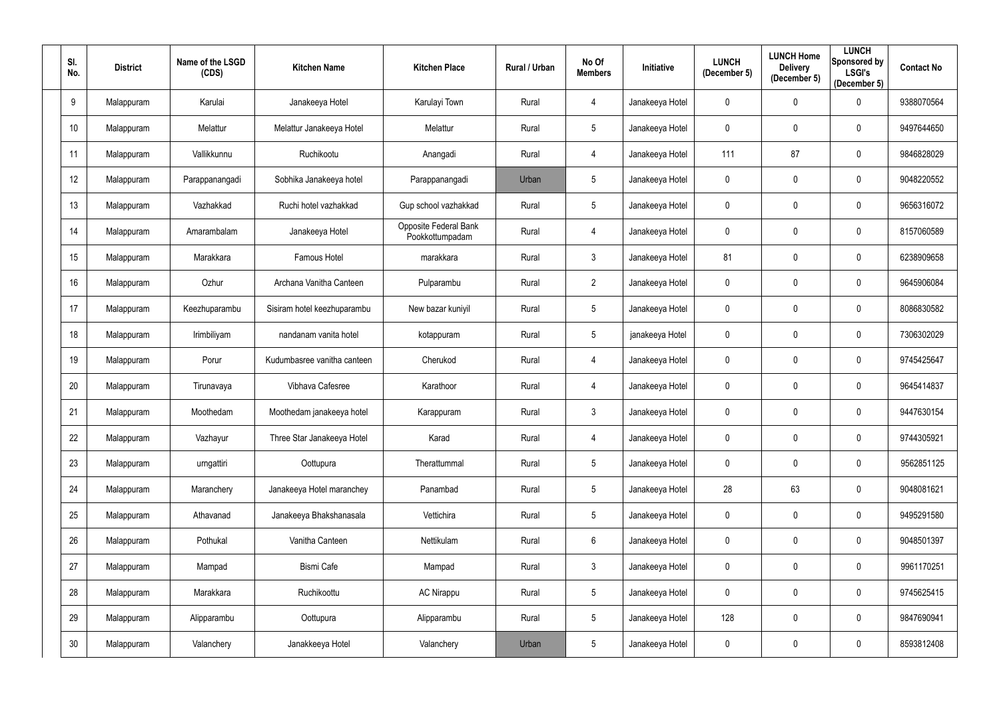| SI.<br>No. | <b>District</b> | Name of the LSGD<br>(CDS) | <b>Kitchen Name</b>         | <b>Kitchen Place</b>                     | Rural / Urban | No Of<br><b>Members</b> | Initiative      | <b>LUNCH</b><br>(December 5) | <b>LUNCH Home</b><br><b>Delivery</b><br>(December 5) | <b>LUNCH</b><br><b>Sponsored by</b><br><b>LSGI's</b><br>(December 5) | <b>Contact No</b> |
|------------|-----------------|---------------------------|-----------------------------|------------------------------------------|---------------|-------------------------|-----------------|------------------------------|------------------------------------------------------|----------------------------------------------------------------------|-------------------|
| 9          | Malappuram      | Karulai                   | Janakeeya Hotel             | Karulayi Town                            | Rural         | 4                       | Janakeeya Hotel | 0                            | $\mathbf 0$                                          | 0                                                                    | 9388070564        |
| 10         | Malappuram      | Melattur                  | Melattur Janakeeya Hotel    | Melattur                                 | Rural         | 5                       | Janakeeya Hotel | 0                            | $\mathbf 0$                                          | 0                                                                    | 9497644650        |
| 11         | Malappuram      | Vallikkunnu               | Ruchikootu                  | Anangadi                                 | Rural         | 4                       | Janakeeya Hotel | 111                          | 87                                                   | $\mathbf 0$                                                          | 9846828029        |
| 12         | Malappuram      | Parappanangadi            | Sobhika Janakeeya hotel     | Parappanangadi                           | Urban         | 5                       | Janakeeya Hotel | 0                            | $\mathbf 0$                                          | $\mathbf 0$                                                          | 9048220552        |
| 13         | Malappuram      | Vazhakkad                 | Ruchi hotel vazhakkad       | Gup school vazhakkad                     | Rural         | 5 <sup>5</sup>          | Janakeeya Hotel | 0                            | $\mathbf 0$                                          | $\boldsymbol{0}$                                                     | 9656316072        |
| 14         | Malappuram      | Amarambalam               | Janakeeya Hotel             | Opposite Federal Bank<br>Pookkottumpadam | Rural         | $\overline{4}$          | Janakeeya Hotel | 0                            | $\mathbf 0$                                          | $\mathbf 0$                                                          | 8157060589        |
| 15         | Malappuram      | Marakkara                 | Famous Hotel                | marakkara                                | Rural         | 3 <sup>1</sup>          | Janakeeya Hotel | 81                           | $\mathbf 0$                                          | $\mathbf 0$                                                          | 6238909658        |
| 16         | Malappuram      | Ozhur                     | Archana Vanitha Canteen     | Pulparambu                               | Rural         | $\overline{2}$          | Janakeeya Hotel | 0                            | $\mathbf 0$                                          | $\mathbf 0$                                                          | 9645906084        |
| 17         | Malappuram      | Keezhuparambu             | Sisiram hotel keezhuparambu | New bazar kuniyil                        | Rural         | 5                       | Janakeeya Hotel | 0                            | $\mathbf 0$                                          | 0                                                                    | 8086830582        |
| 18         | Malappuram      | Irimbiliyam               | nandanam vanita hotel       | kotappuram                               | Rural         | 5                       | janakeeya Hotel | 0                            | $\mathbf 0$                                          | $\mathbf 0$                                                          | 7306302029        |
| 19         | Malappuram      | Porur                     | Kudumbasree vanitha canteen | Cherukod                                 | Rural         | 4                       | Janakeeya Hotel | 0                            | $\mathbf 0$                                          | $\mathbf 0$                                                          | 9745425647        |
| 20         | Malappuram      | Tirunavaya                | Vibhava Cafesree            | Karathoor                                | Rural         | 4                       | Janakeeya Hotel | 0                            | $\mathbf 0$                                          | $\mathbf 0$                                                          | 9645414837        |
| 21         | Malappuram      | Moothedam                 | Moothedam janakeeya hotel   | Karappuram                               | Rural         | 3                       | Janakeeya Hotel | 0                            | $\mathbf 0$                                          | $\mathbf 0$                                                          | 9447630154        |
| 22         | Malappuram      | Vazhayur                  | Three Star Janakeeya Hotel  | Karad                                    | Rural         | $\overline{4}$          | Janakeeya Hotel | $\mathbf{0}$                 | $\mathbf 0$                                          | $\bf{0}$                                                             | 9744305921        |
| 23         | Malappuram      | urngattiri                | Oottupura                   | Therattummal                             | Rural         | $5\phantom{.0}$         | Janakeeya Hotel | 0                            | $\pmb{0}$                                            | $\bf{0}$                                                             | 9562851125        |
| 24         | Malappuram      | Maranchery                | Janakeeya Hotel maranchey   | Panambad                                 | Rural         | 5                       | Janakeeya Hotel | 28                           | 63                                                   | $\mathbf 0$                                                          | 9048081621        |
| 25         | Malappuram      | Athavanad                 | Janakeeya Bhakshanasala     | Vettichira                               | Rural         | $5\phantom{.0}$         | Janakeeya Hotel | $\mathbf 0$                  | $\pmb{0}$                                            | $\mathbf 0$                                                          | 9495291580        |
| 26         | Malappuram      | Pothukal                  | Vanitha Canteen             | Nettikulam                               | Rural         | $6\overline{6}$         | Janakeeya Hotel | 0                            | $\pmb{0}$                                            | $\mathbf 0$                                                          | 9048501397        |
| 27         | Malappuram      | Mampad                    | Bismi Cafe                  | Mampad                                   | Rural         | $\mathfrak{Z}$          | Janakeeya Hotel | 0                            | $\pmb{0}$                                            | $\bf{0}$                                                             | 9961170251        |
| 28         | Malappuram      | Marakkara                 | Ruchikoottu                 | <b>AC Nirappu</b>                        | Rural         | 5                       | Janakeeya Hotel | 0                            | $\pmb{0}$                                            | $\overline{0}$                                                       | 9745625415        |
| 29         | Malappuram      | Alipparambu               | Oottupura                   | Alipparambu                              | Rural         | $5\phantom{.0}$         | Janakeeya Hotel | 128                          | $\pmb{0}$                                            | $\mathbf 0$                                                          | 9847690941        |
| 30         | Malappuram      | Valanchery                | Janakkeeya Hotel            | Valanchery                               | Urban         | $5\phantom{.0}$         | Janakeeya Hotel | 0                            | $\pmb{0}$                                            | $\overline{0}$                                                       | 8593812408        |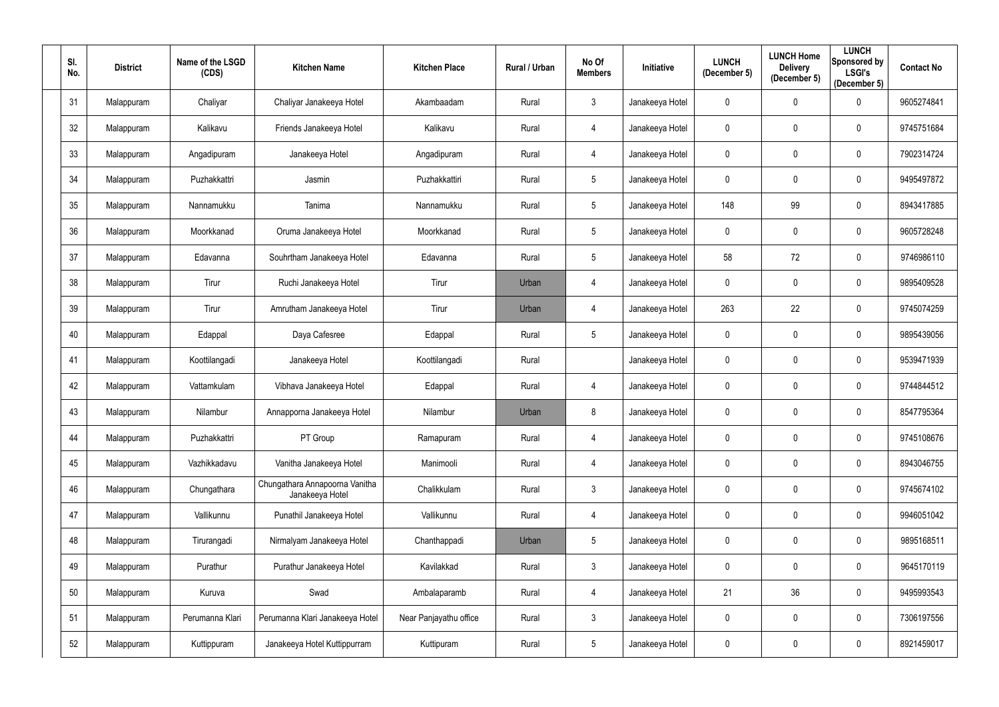| SI.<br>No. | <b>District</b> | Name of the LSGD<br>(CDS) | <b>Kitchen Name</b>                               | <b>Kitchen Place</b>   | <b>Rural / Urban</b> | No Of<br><b>Members</b> | Initiative      | <b>LUNCH</b><br>(December 5) | <b>LUNCH Home</b><br><b>Delivery</b><br>(December 5) | <b>LUNCH</b><br>Sponsored by<br><b>LSGI's</b><br>(December 5) | <b>Contact No</b> |
|------------|-----------------|---------------------------|---------------------------------------------------|------------------------|----------------------|-------------------------|-----------------|------------------------------|------------------------------------------------------|---------------------------------------------------------------|-------------------|
| 31         | Malappuram      | Chaliyar                  | Chaliyar Janakeeya Hotel                          | Akambaadam             | Rural                | $\mathfrak{Z}$          | Janakeeya Hotel | 0                            | $\mathbf 0$                                          | $\mathbf 0$                                                   | 9605274841        |
| 32         | Malappuram      | Kalikavu                  | Friends Janakeeya Hotel                           | Kalikavu               | Rural                | 4                       | Janakeeya Hotel | 0                            | $\mathbf 0$                                          | $\mathbf 0$                                                   | 9745751684        |
| 33         | Malappuram      | Angadipuram               | Janakeeya Hotel                                   | Angadipuram            | Rural                | 4                       | Janakeeya Hotel | $\mathbf 0$                  | $\mathbf 0$                                          | $\mathbf 0$                                                   | 7902314724        |
| 34         | Malappuram      | Puzhakkattri              | Jasmin                                            | Puzhakkattiri          | Rural                | 5                       | Janakeeya Hotel | 0                            | $\boldsymbol{0}$                                     | $\mathbf 0$                                                   | 9495497872        |
| 35         | Malappuram      | Nannamukku                | Tanima                                            | Nannamukku             | Rural                | 5                       | Janakeeya Hotel | 148                          | 99                                                   | $\mathbf 0$                                                   | 8943417885        |
| 36         | Malappuram      | Moorkkanad                | Oruma Janakeeya Hotel                             | Moorkkanad             | Rural                | 5                       | Janakeeya Hotel | 0                            | $\mathbf 0$                                          | $\mathbf 0$                                                   | 9605728248        |
| 37         | Malappuram      | Edavanna                  | Souhrtham Janakeeya Hotel                         | Edavanna               | Rural                | 5                       | Janakeeya Hotel | 58                           | 72                                                   | $\mathbf 0$                                                   | 9746986110        |
| 38         | Malappuram      | Tirur                     | Ruchi Janakeeya Hotel                             | Tirur                  | Urban                | 4                       | Janakeeya Hotel | $\mathbf 0$                  | $\boldsymbol{0}$                                     | $\mathbf 0$                                                   | 9895409528        |
| 39         | Malappuram      | Tirur                     | Amrutham Janakeeya Hotel                          | Tirur                  | Urban                | 4                       | Janakeeya Hotel | 263                          | 22                                                   | $\mathbf 0$                                                   | 9745074259        |
| 40         | Malappuram      | Edappal                   | Daya Cafesree                                     | Edappal                | Rural                | 5                       | Janakeeya Hotel | $\mathbf 0$                  | $\pmb{0}$                                            | $\mathbf 0$                                                   | 9895439056        |
| 41         | Malappuram      | Koottilangadi             | Janakeeya Hotel                                   | Koottilangadi          | Rural                |                         | Janakeeya Hotel | 0                            | $\mathbf 0$                                          | $\mathbf 0$                                                   | 9539471939        |
| 42         | Malappuram      | Vattamkulam               | Vibhava Janakeeya Hotel                           | Edappal                | Rural                | 4                       | Janakeeya Hotel | 0                            | $\boldsymbol{0}$                                     | $\mathbf 0$                                                   | 9744844512        |
| 43         | Malappuram      | Nilambur                  | Annapporna Janakeeya Hotel                        | Nilambur               | Urban                | 8                       | Janakeeya Hotel | 0                            | $\mathbf 0$                                          | $\mathbf 0$                                                   | 8547795364        |
| 44         | Malappuram      | Puzhakkattri              | PT Group                                          | Ramapuram              | Rural                | 4                       | Janakeeya Hotel | 0                            | $\mathbf 0$                                          | $\mathbf 0$                                                   | 9745108676        |
| 45         | Malappuram      | Vazhikkadavu              | Vanitha Janakeeya Hotel                           | Manimooli              | Rural                | 4                       | Janakeeya Hotel | $\mathbf 0$                  | $\pmb{0}$                                            | $\overline{0}$                                                | 8943046755        |
| 46         | Malappuram      | Chungathara               | Chungathara Annapoorna Vanitha<br>Janakeeya Hotel | Chalikkulam            | Rural                | $\mathfrak{Z}$          | Janakeeya Hotel | $\mathbf 0$                  | $\pmb{0}$                                            | $\mathbf 0$                                                   | 9745674102        |
| 47         | Malappuram      | Vallikunnu                | Punathil Janakeeya Hotel                          | Vallikunnu             | Rural                | 4                       | Janakeeya Hotel | 0                            | $\pmb{0}$                                            | $\mathbf 0$                                                   | 9946051042        |
| 48         | Malappuram      | Tirurangadi               | Nirmalyam Janakeeya Hotel                         | Chanthappadi           | Urban                | 5                       | Janakeeya Hotel | $\mathbf 0$                  | $\pmb{0}$                                            | $\mathbf 0$                                                   | 9895168511        |
| 49         | Malappuram      | Purathur                  | Purathur Janakeeya Hotel                          | Kavilakkad             | Rural                | $\mathbf{3}$            | Janakeeya Hotel | 0                            | $\mathbf 0$                                          | $\mathbf 0$                                                   | 9645170119        |
| 50         | Malappuram      | Kuruva                    | Swad                                              | Ambalaparamb           | Rural                | 4                       | Janakeeya Hotel | 21                           | 36                                                   | $\mathbf 0$                                                   | 9495993543        |
| 51         | Malappuram      | Perumanna Klari           | Perumanna Klari Janakeeya Hotel                   | Near Panjayathu office | Rural                | $\mathfrak{S}$          | Janakeeya Hotel | 0                            | $\pmb{0}$                                            | $\overline{0}$                                                | 7306197556        |
| 52         | Malappuram      | Kuttippuram               | Janakeeya Hotel Kuttippurram                      | Kuttipuram             | Rural                | $5\phantom{.0}$         | Janakeeya Hotel | 0                            | $\boldsymbol{0}$                                     | $\mathbf 0$                                                   | 8921459017        |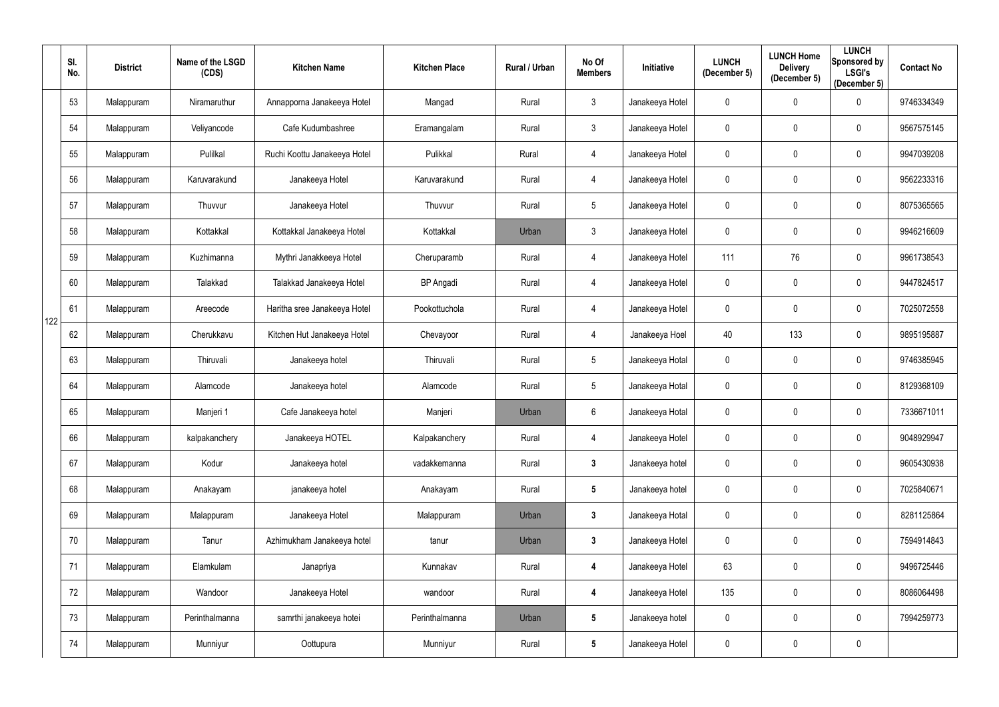|     | SI.<br>No. | <b>District</b> | Name of the LSGD<br>(CDS) | <b>Kitchen Name</b>          | <b>Kitchen Place</b> | Rural / Urban | No Of<br><b>Members</b> | Initiative      | <b>LUNCH</b><br>(December 5) | <b>LUNCH Home</b><br><b>Delivery</b><br>(December 5) | <b>LUNCH</b><br>Sponsored by<br><b>LSGI's</b><br>(December 5) | <b>Contact No</b> |
|-----|------------|-----------------|---------------------------|------------------------------|----------------------|---------------|-------------------------|-----------------|------------------------------|------------------------------------------------------|---------------------------------------------------------------|-------------------|
|     | 53         | Malappuram      | Niramaruthur              | Annapporna Janakeeya Hotel   | Mangad               | Rural         | $\mathfrak{Z}$          | Janakeeya Hotel | 0                            | $\overline{0}$                                       | $\mathbf 0$                                                   | 9746334349        |
|     | 54         | Malappuram      | Veliyancode               | Cafe Kudumbashree            | Eramangalam          | Rural         | $\mathfrak{Z}$          | Janakeeya Hotel | 0                            | $\mathbf 0$                                          | $\mathbf 0$                                                   | 9567575145        |
|     | 55         | Malappuram      | Pulilkal                  | Ruchi Koottu Janakeeya Hotel | Pulikkal             | Rural         | 4                       | Janakeeya Hotel | 0                            | $\pmb{0}$                                            | $\mathbf 0$                                                   | 9947039208        |
|     | 56         | Malappuram      | Karuvarakund              | Janakeeya Hotel              | Karuvarakund         | Rural         | 4                       | Janakeeya Hotel | 0                            | $\overline{0}$                                       | $\mathbf 0$                                                   | 9562233316        |
|     | 57         | Malappuram      | Thuvvur                   | Janakeeya Hotel              | Thuvvur              | Rural         | $5\phantom{.0}$         | Janakeeya Hotel | 0                            | $\mathbf 0$                                          | $\overline{0}$                                                | 8075365565        |
|     | 58         | Malappuram      | Kottakkal                 | Kottakkal Janakeeya Hotel    | Kottakkal            | Urban         | $\mathfrak{Z}$          | Janakeeya Hotel | 0                            | $\overline{0}$                                       | $\boldsymbol{0}$                                              | 9946216609        |
|     | 59         | Malappuram      | Kuzhimanna                | Mythri Janakkeeya Hotel      | Cheruparamb          | Rural         | 4                       | Janakeeya Hotel | 111                          | 76                                                   | $\mathbf 0$                                                   | 9961738543        |
|     | 60         | Malappuram      | Talakkad                  | Talakkad Janakeeya Hotel     | <b>BP</b> Angadi     | Rural         | 4                       | Janakeeya Hotel | 0                            | $\overline{0}$                                       | $\mathbf 0$                                                   | 9447824517        |
| 122 | 61         | Malappuram      | Areecode                  | Haritha sree Janakeeya Hotel | Pookottuchola        | Rural         | 4                       | Janakeeya Hotel | 0                            | $\mathbf 0$                                          | $\mathbf 0$                                                   | 7025072558        |
|     | 62         | Malappuram      | Cherukkavu                | Kitchen Hut Janakeeya Hotel  | Chevayoor            | Rural         | 4                       | Janakeeya Hoel  | 40                           | 133                                                  | $\mathbf 0$                                                   | 9895195887        |
|     | 63         | Malappuram      | Thiruvali                 | Janakeeya hotel              | Thiruvali            | Rural         | $5\phantom{.0}$         | Janakeeya Hotal | 0                            | $\pmb{0}$                                            | $\mathbf 0$                                                   | 9746385945        |
|     | 64         | Malappuram      | Alamcode                  | Janakeeya hotel              | Alamcode             | Rural         | $5\phantom{.0}$         | Janakeeya Hotal | 0                            | $\overline{0}$                                       | $\mathbf 0$                                                   | 8129368109        |
|     | 65         | Malappuram      | Manjeri 1                 | Cafe Janakeeya hotel         | Manjeri              | Urban         | $6\phantom{.}$          | Janakeeya Hotal | 0                            | 0                                                    | $\mathbf 0$                                                   | 7336671011        |
|     | 66         | Malappuram      | kalpakanchery             | Janakeeya HOTEL              | Kalpakanchery        | Rural         | 4                       | Janakeeya Hotel | 0                            | $\overline{0}$                                       | $\mathbf 0$                                                   | 9048929947        |
|     | 67         | Malappuram      | Kodur                     | Janakeeya hotel              | vadakkemanna         | Rural         | $\mathbf{3}$            | Janakeeya hotel | $\mathbf 0$                  | $\pmb{0}$                                            | $\overline{0}$                                                | 9605430938        |
|     | 68         | Malappuram      | Anakayam                  | janakeeya hotel              | Anakayam             | Rural         | $5\phantom{.0}$         | Janakeeya hotel | $\pmb{0}$                    | $\mathbf 0$                                          | $\mathbf 0$                                                   | 7025840671        |
|     | 69         | Malappuram      | Malappuram                | Janakeeya Hotel              | Malappuram           | Urban         | $\mathbf{3}$            | Janakeeya Hotal | $\pmb{0}$                    | $\mathbf 0$                                          | $\mathbf 0$                                                   | 8281125864        |
|     | 70         | Malappuram      | Tanur                     | Azhimukham Janakeeya hotel   | tanur                | Urban         | $\mathbf{3}$            | Janakeeya Hotel | $\mathbf 0$                  | $\mathbf 0$                                          | $\mathbf 0$                                                   | 7594914843        |
|     | 71         | Malappuram      | Elamkulam                 | Janapriya                    | Kunnakav             | Rural         | 4                       | Janakeeya Hotel | 63                           | $\mathbf 0$                                          | $\overline{0}$                                                | 9496725446        |
|     | 72         | Malappuram      | Wandoor                   | Janakeeya Hotel              | wandoor              | Rural         | 4                       | Janakeeya Hotel | 135                          | $\mathbf 0$                                          | $\mathbf 0$                                                   | 8086064498        |
|     | 73         | Malappuram      | Perinthalmanna            | samrthi janakeeya hotei      | Perinthalmanna       | Urban         | $5\phantom{.0}$         | Janakeeya hotel | $\pmb{0}$                    | $\mathbf 0$                                          | $\mathbf 0$                                                   | 7994259773        |
|     | 74         | Malappuram      | Munniyur                  | Oottupura                    | Munniyur             | Rural         | $5\phantom{.0}$         | Janakeeya Hotel | $\pmb{0}$                    | $\overline{0}$                                       | $\mathbf 0$                                                   |                   |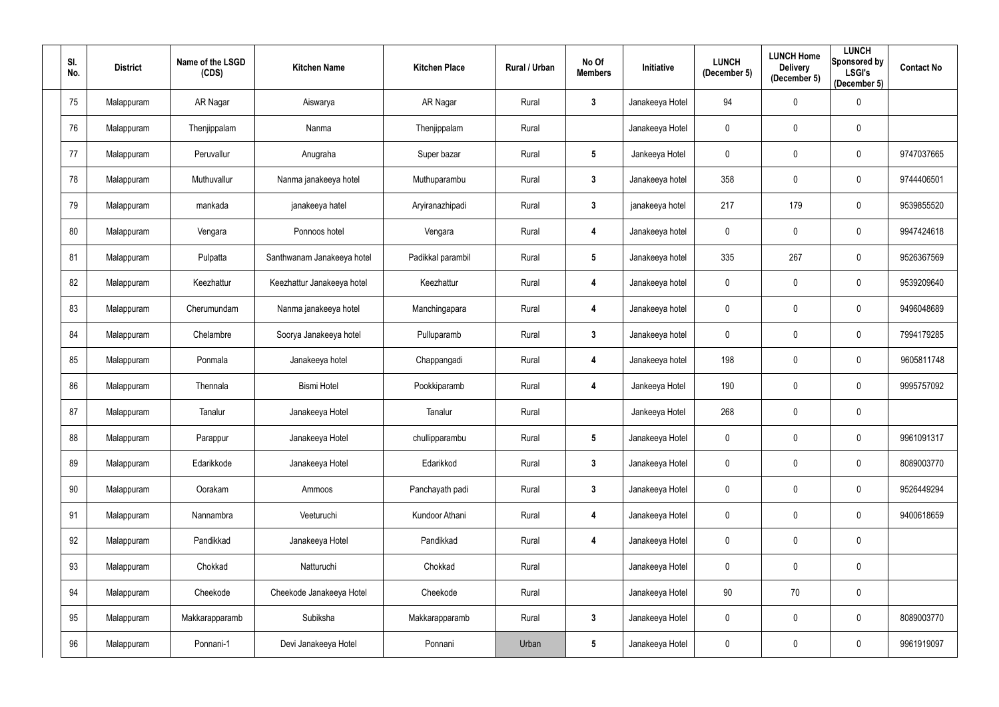| SI.<br>No.      | <b>District</b> | Name of the LSGD<br>(CDS) | <b>Kitchen Name</b>        | <b>Kitchen Place</b> | <b>Rural / Urban</b> | No Of<br><b>Members</b> | Initiative      | <b>LUNCH</b><br>(December 5) | <b>LUNCH Home</b><br><b>Delivery</b><br>(December 5) | <b>LUNCH</b><br>Sponsored by<br><b>LSGI's</b><br>(December 5) | <b>Contact No</b> |
|-----------------|-----------------|---------------------------|----------------------------|----------------------|----------------------|-------------------------|-----------------|------------------------------|------------------------------------------------------|---------------------------------------------------------------|-------------------|
| 75              | Malappuram      | AR Nagar                  | Aiswarya                   | AR Nagar             | Rural                | $\mathbf{3}$            | Janakeeya Hotel | 94                           | $\mathbf 0$                                          | $\overline{0}$                                                |                   |
| 76              | Malappuram      | Thenjippalam              | Nanma                      | Thenjippalam         | Rural                |                         | Janakeeya Hotel | 0                            | $\mathbf 0$                                          | $\overline{0}$                                                |                   |
| 77              | Malappuram      | Peruvallur                | Anugraha                   | Super bazar          | Rural                | $5\phantom{.0}$         | Jankeeya Hotel  | 0                            | $\mathbf 0$                                          | $\overline{0}$                                                | 9747037665        |
| 78              | Malappuram      | Muthuvallur               | Nanma janakeeya hotel      | Muthuparambu         | Rural                | $\mathbf{3}$            | Janakeeya hotel | 358                          | $\overline{0}$                                       | $\overline{0}$                                                | 9744406501        |
| 79              | Malappuram      | mankada                   | janakeeya hatel            | Aryiranazhipadi      | Rural                | $\mathbf{3}$            | janakeeya hotel | 217                          | 179                                                  | $\overline{0}$                                                | 9539855520        |
| 80              | Malappuram      | Vengara                   | Ponnoos hotel              | Vengara              | Rural                | 4                       | Janakeeya hotel | 0                            | $\overline{0}$                                       | $\overline{0}$                                                | 9947424618        |
| 81              | Malappuram      | Pulpatta                  | Santhwanam Janakeeya hotel | Padikkal parambil    | Rural                | $5\phantom{.0}$         | Janakeeya hotel | 335                          | 267                                                  | $\overline{0}$                                                | 9526367569        |
| 82              | Malappuram      | Keezhattur                | Keezhattur Janakeeya hotel | Keezhattur           | Rural                | 4                       | Janakeeya hotel | 0                            | $\overline{0}$                                       | $\overline{0}$                                                | 9539209640        |
| 83              | Malappuram      | Cherumundam               | Nanma janakeeya hotel      | Manchingapara        | Rural                | 4                       | Janakeeya hotel | 0                            | $\mathbf 0$                                          | $\overline{0}$                                                | 9496048689        |
| 84              | Malappuram      | Chelambre                 | Soorya Janakeeya hotel     | Pulluparamb          | Rural                | $\mathbf{3}$            | Janakeeya hotel | $\mathbf 0$                  | $\overline{0}$                                       | $\overline{0}$                                                | 7994179285        |
| 85              | Malappuram      | Ponmala                   | Janakeeya hotel            | Chappangadi          | Rural                | 4                       | Janakeeya hotel | 198                          | $\mathbf 0$                                          | $\overline{0}$                                                | 9605811748        |
| 86              | Malappuram      | Thennala                  | <b>Bismi Hotel</b>         | Pookkiparamb         | Rural                | 4                       | Jankeeya Hotel  | 190                          | $\overline{0}$                                       | $\mathbf 0$                                                   | 9995757092        |
| 87              | Malappuram      | Tanalur                   | Janakeeya Hotel            | Tanalur              | Rural                |                         | Jankeeya Hotel  | 268                          | $\mathbf 0$                                          | 0                                                             |                   |
| 88              | Malappuram      | Parappur                  | Janakeeya Hotel            | chullipparambu       | Rural                | $5\phantom{.0}$         | Janakeeya Hotel | $\mathbf 0$                  | $\mathbf 0$                                          | $\overline{0}$                                                | 9961091317        |
| 89              | Malappuram      | Edarikkode                | Janakeeya Hotel            | Edarikkod            | Rural                | 3 <sup>1</sup>          | Janakeeya Hotel | 0                            | $\mathbf 0$                                          | $\overline{0}$                                                | 8089003770        |
| 90 <sup>°</sup> | Malappuram      | Oorakam                   | Ammoos                     | Panchayath padi      | Rural                | 3 <sup>1</sup>          | Janakeeya Hotel | $\mathbf 0$                  | $\mathbf 0$                                          | $\mathbf 0$                                                   | 9526449294        |
| 91              | Malappuram      | Nannambra                 | Veeturuchi                 | Kundoor Athani       | Rural                | 4                       | Janakeeya Hotel | 0                            | $\mathbf 0$                                          | $\mathbf 0$                                                   | 9400618659        |
| 92              | Malappuram      | Pandikkad                 | Janakeeya Hotel            | Pandikkad            | Rural                | 4                       | Janakeeya Hotel | $\mathbf 0$                  | $\pmb{0}$                                            | $\mathbf 0$                                                   |                   |
| 93              | Malappuram      | Chokkad                   | Natturuchi                 | Chokkad              | Rural                |                         | Janakeeya Hotel | $\mathbf 0$                  | $\mathbf 0$                                          | $\overline{0}$                                                |                   |
| 94              | Malappuram      | Cheekode                  | Cheekode Janakeeya Hotel   | Cheekode             | Rural                |                         | Janakeeya Hotel | 90                           | 70                                                   | $\overline{0}$                                                |                   |
| 95              | Malappuram      | Makkarapparamb            | Subiksha                   | Makkarapparamb       | Rural                | $3\phantom{a}$          | Janakeeya Hotel | $\mathbf 0$                  | $\mathbf 0$                                          | $\mathbf 0$                                                   | 8089003770        |
| 96              | Malappuram      | Ponnani-1                 | Devi Janakeeya Hotel       | Ponnani              | Urban                | $5\phantom{.0}$         | Janakeeya Hotel | 0                            | $\overline{0}$                                       | $\bf{0}$                                                      | 9961919097        |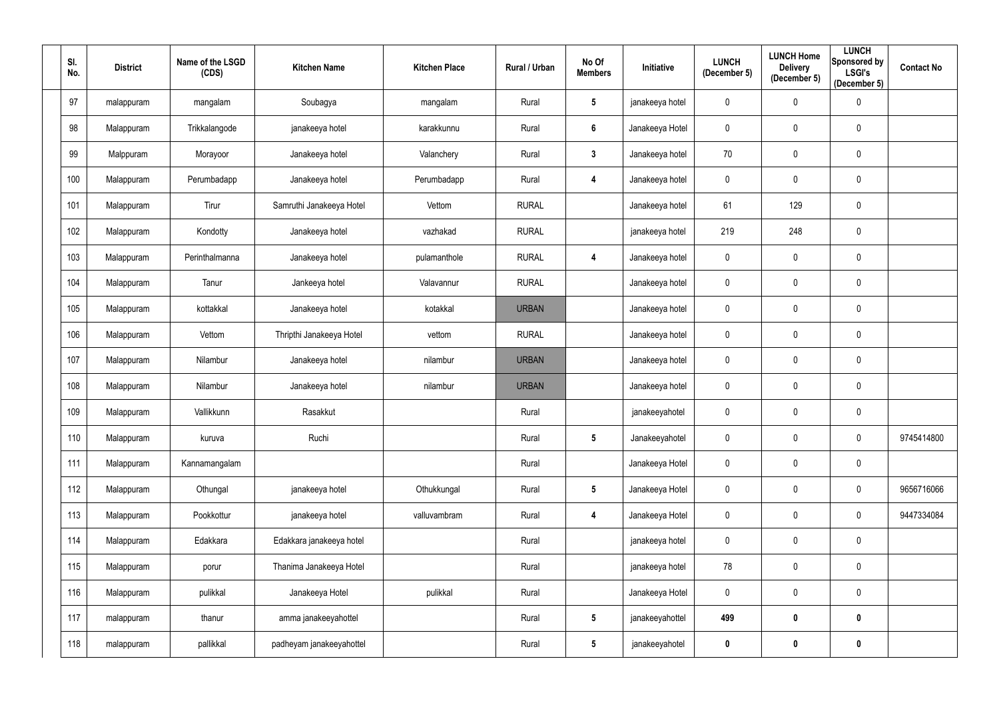| SI.<br>No. | <b>District</b> | Name of the LSGD<br>(CDS) | <b>Kitchen Name</b>      | <b>Kitchen Place</b> | Rural / Urban | No Of<br><b>Members</b> | Initiative      | <b>LUNCH</b><br>(December 5) | <b>LUNCH Home</b><br><b>Delivery</b><br>(December 5) | <b>LUNCH</b><br><b>Sponsored by</b><br><b>LSGI's</b><br>(December 5) | <b>Contact No</b> |
|------------|-----------------|---------------------------|--------------------------|----------------------|---------------|-------------------------|-----------------|------------------------------|------------------------------------------------------|----------------------------------------------------------------------|-------------------|
| 97         | malappuram      | mangalam                  | Soubagya                 | mangalam             | Rural         | $5\phantom{.0}$         | janakeeya hotel | 0                            | $\pmb{0}$                                            | $\mathbf 0$                                                          |                   |
| 98         | Malappuram      | Trikkalangode             | janakeeya hotel          | karakkunnu           | Rural         | 6                       | Janakeeya Hotel | 0                            | $\pmb{0}$                                            | $\mathbf 0$                                                          |                   |
| 99         | Malppuram       | Morayoor                  | Janakeeya hotel          | Valanchery           | Rural         | $3\phantom{a}$          | Janakeeya hotel | 70                           | $\pmb{0}$                                            | $\mathbf 0$                                                          |                   |
| 100        | Malappuram      | Perumbadapp               | Janakeeya hotel          | Perumbadapp          | Rural         | 4                       | Janakeeya hotel | 0                            | $\pmb{0}$                                            | $\mathbf 0$                                                          |                   |
| 101        | Malappuram      | Tirur                     | Samruthi Janakeeya Hotel | Vettom               | <b>RURAL</b>  |                         | Janakeeya hotel | 61                           | 129                                                  | $\mathbf 0$                                                          |                   |
| 102        | Malappuram      | Kondotty                  | Janakeeya hotel          | vazhakad             | <b>RURAL</b>  |                         | janakeeya hotel | 219                          | 248                                                  | $\mathbf 0$                                                          |                   |
| 103        | Malappuram      | Perinthalmanna            | Janakeeya hotel          | pulamanthole         | <b>RURAL</b>  | 4                       | Janakeeya hotel | 0                            | $\pmb{0}$                                            | $\mathbf 0$                                                          |                   |
| 104        | Malappuram      | Tanur                     | Jankeeya hotel           | Valavannur           | <b>RURAL</b>  |                         | Janakeeya hotel | 0                            | $\pmb{0}$                                            | $\mathbf 0$                                                          |                   |
| 105        | Malappuram      | kottakkal                 | Janakeeya hotel          | kotakkal             | <b>URBAN</b>  |                         | Janakeeya hotel | 0                            | $\pmb{0}$                                            | $\mathbf 0$                                                          |                   |
| 106        | Malappuram      | Vettom                    | Thripthi Janakeeya Hotel | vettom               | <b>RURAL</b>  |                         | Janakeeya hotel | 0                            | $\pmb{0}$                                            | $\mathbf 0$                                                          |                   |
| 107        | Malappuram      | Nilambur                  | Janakeeya hotel          | nilambur             | <b>URBAN</b>  |                         | Janakeeya hotel | 0                            | $\pmb{0}$                                            | $\mathbf 0$                                                          |                   |
| 108        | Malappuram      | Nilambur                  | Janakeeya hotel          | nilambur             | <b>URBAN</b>  |                         | Janakeeya hotel | 0                            | $\pmb{0}$                                            | $\mathbf 0$                                                          |                   |
| 109        | Malappuram      | Vallikkunn                | Rasakkut                 |                      | Rural         |                         | janakeeyahotel  | 0                            | $\pmb{0}$                                            | $\mathbf 0$                                                          |                   |
| 110        | Malappuram      | kuruva                    | Ruchi                    |                      | Rural         | $5\phantom{.0}$         | Janakeeyahotel  | 0                            | $\pmb{0}$                                            | $\mathbf 0$                                                          | 9745414800        |
| 111        | Malappuram      | Kannamangalam             |                          |                      | Rural         |                         | Janakeeya Hotel | 0                            | $\pmb{0}$                                            | $\mathbf 0$                                                          |                   |
| 112        | Malappuram      | Othungal                  | janakeeya hotel          | Othukkungal          | Rural         | $5\overline{)}$         | Janakeeya Hotel | $\mathbf{0}$                 | $\pmb{0}$                                            | $\mathbf 0$                                                          | 9656716066        |
| 113        | Malappuram      | Pookkottur                | janakeeya hotel          | valluvambram         | Rural         | $\overline{\mathbf{4}}$ | Janakeeya Hotel | 0                            | $\pmb{0}$                                            | $\mathbf 0$                                                          | 9447334084        |
| 114        | Malappuram      | Edakkara                  | Edakkara janakeeya hotel |                      | Rural         |                         | janakeeya hotel | 0                            | $\pmb{0}$                                            | $\overline{0}$                                                       |                   |
| 115        | Malappuram      | porur                     | Thanima Janakeeya Hotel  |                      | Rural         |                         | janakeeya hotel | 78                           | $\pmb{0}$                                            | $\mathbf 0$                                                          |                   |
| 116        | Malappuram      | pulikkal                  | Janakeeya Hotel          | pulikkal             | Rural         |                         | Janakeeya Hotel | 0                            | $\pmb{0}$                                            | $\mathbf 0$                                                          |                   |
| 117        | malappuram      | thanur                    | amma janakeeyahottel     |                      | Rural         | $5\phantom{.0}$         | janakeeyahottel | 499                          | $\boldsymbol{0}$                                     | $\mathbf 0$                                                          |                   |
| 118        | malappuram      | pallikkal                 | padheyam janakeeyahottel |                      | Rural         | $5\phantom{.0}$         | janakeeyahotel  | 0                            | $\pmb{0}$                                            | $\boldsymbol{0}$                                                     |                   |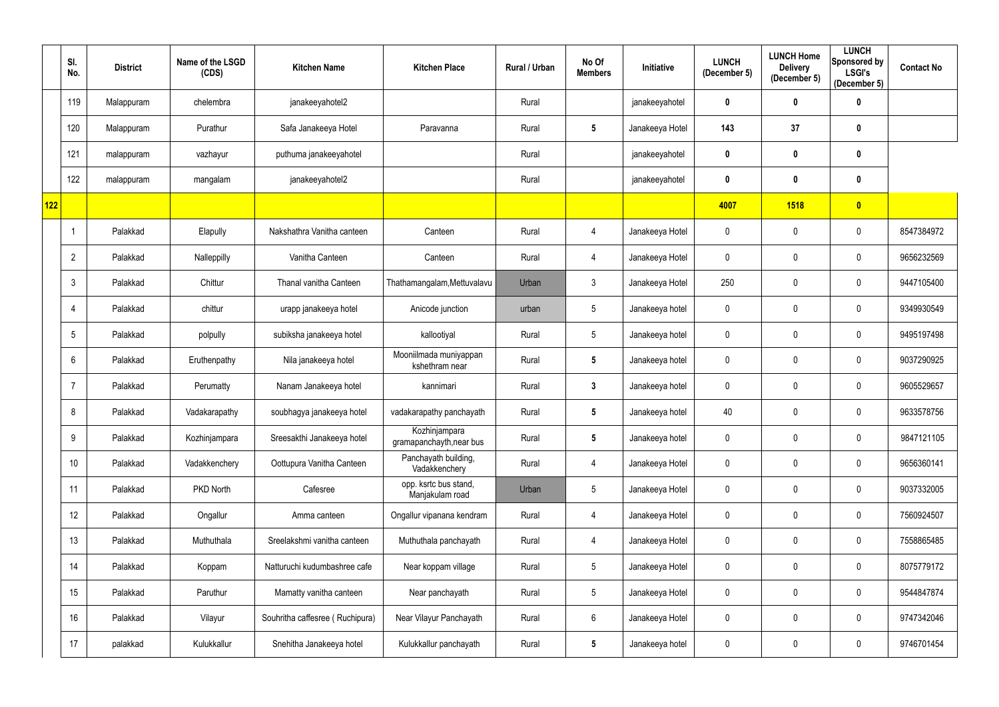|     | SI.<br>No.   | <b>District</b> | Name of the LSGD<br>(CDS) | <b>Kitchen Name</b>             | <b>Kitchen Place</b>                      | Rural / Urban | No Of<br><b>Members</b> | Initiative      | <b>LUNCH</b><br>(December 5) | <b>LUNCH Home</b><br><b>Delivery</b><br>(December 5) | <b>LUNCH</b><br><b>Sponsored by</b><br><b>LSGI's</b><br>(December 5) | <b>Contact No</b> |
|-----|--------------|-----------------|---------------------------|---------------------------------|-------------------------------------------|---------------|-------------------------|-----------------|------------------------------|------------------------------------------------------|----------------------------------------------------------------------|-------------------|
|     | 119          | Malappuram      | chelembra                 | janakeeyahotel2                 |                                           | Rural         |                         | janakeeyahotel  | 0                            | $\pmb{0}$                                            | 0                                                                    |                   |
|     | 120          | Malappuram      | Purathur                  | Safa Janakeeya Hotel            | Paravanna                                 | Rural         | $5\phantom{.0}$         | Janakeeya Hotel | 143                          | 37                                                   | 0                                                                    |                   |
|     | 121          | malappuram      | vazhayur                  | puthuma janakeeyahotel          |                                           | Rural         |                         | janakeeyahotel  | 0                            | $\boldsymbol{0}$                                     | 0                                                                    |                   |
|     | 122          | malappuram      | mangalam                  | janakeeyahotel2                 |                                           | Rural         |                         | janakeeyahotel  | 0                            | $\boldsymbol{0}$                                     | 0                                                                    |                   |
| 122 |              |                 |                           |                                 |                                           |               |                         |                 | 4007                         | <b>1518</b>                                          | $\bullet$                                                            |                   |
|     |              | Palakkad        | Elapully                  | Nakshathra Vanitha canteen      | Canteen                                   | Rural         | 4                       | Janakeeya Hotel | 0                            | $\boldsymbol{0}$                                     | $\mathbf 0$                                                          | 8547384972        |
|     | $\mathbf{2}$ | Palakkad        | Nalleppilly               | Vanitha Canteen                 | Canteen                                   | Rural         | 4                       | Janakeeya Hotel | 0                            | $\mathbf 0$                                          | $\mathbf 0$                                                          | 9656232569        |
|     | 3            | Palakkad        | Chittur                   | Thanal vanitha Canteen          | Thathamangalam, Mettuvalavu               | Urban         | $\mathfrak{Z}$          | Janakeeya Hotel | 250                          | $\boldsymbol{0}$                                     | $\mathbf 0$                                                          | 9447105400        |
|     | 4            | Palakkad        | chittur                   | urapp janakeeya hotel           | Anicode junction                          | urban         | 5                       | Janakeeya hotel | 0                            | $\mathbf 0$                                          | $\mathbf 0$                                                          | 9349930549        |
|     | 5            | Palakkad        | polpully                  | subiksha janakeeya hotel        | kallootiyal                               | Rural         | 5                       | Janakeeya hotel | $\mathbf 0$                  | $\boldsymbol{0}$                                     | $\mathbf 0$                                                          | 9495197498        |
|     | 6            | Palakkad        | Eruthenpathy              | Nila janakeeya hotel            | Mooniilmada muniyappan<br>kshethram near  | Rural         | $5\phantom{.0}$         | Janakeeya hotel | 0                            | $\mathbf 0$                                          | $\mathbf 0$                                                          | 9037290925        |
|     |              | Palakkad        | Perumatty                 | Nanam Janakeeya hotel           | kannimari                                 | Rural         | $\mathbf{3}$            | Janakeeya hotel | 0                            | $\boldsymbol{0}$                                     | $\mathbf 0$                                                          | 9605529657        |
|     | 8            | Palakkad        | Vadakarapathy             | soubhagya janakeeya hotel       | vadakarapathy panchayath                  | Rural         | $5\phantom{.0}$         | Janakeeya hotel | 40                           | $\mathbf 0$                                          | $\mathbf 0$                                                          | 9633578756        |
|     | 9            | Palakkad        | Kozhinjampara             | Sreesakthi Janakeeya hotel      | Kozhinjampara<br>gramapanchayth, near bus | Rural         | $5\phantom{.0}$         | Janakeeya hotel | 0                            | $\mathbf 0$                                          | $\mathbf 0$                                                          | 9847121105        |
|     | 10           | Palakkad        | Vadakkenchery             | Oottupura Vanitha Canteen       | Panchayath building,<br>Vadakkenchery     | Rural         | 4                       | Janakeeya Hotel | 0                            | $\mathbf 0$                                          | $\mathbf 0$                                                          | 9656360141        |
|     | 11           | Palakkad        | PKD North                 | Cafesree                        | opp. ksrtc bus stand,<br>Manjakulam road  | Urban         | $5\phantom{.0}$         | Janakeeya Hotel | $\mathbf 0$                  | $\boldsymbol{0}$                                     | $\mathbf 0$                                                          | 9037332005        |
|     | 12           | Palakkad        | Ongallur                  | Amma canteen                    | Ongallur vipanana kendram                 | Rural         | 4                       | Janakeeya Hotel | 0                            | $\mathbf 0$                                          | $\mathbf 0$                                                          | 7560924507        |
|     | 13           | Palakkad        | Muthuthala                | Sreelakshmi vanitha canteen     | Muthuthala panchayath                     | Rural         | 4                       | Janakeeya Hotel | 0                            | $\pmb{0}$                                            | $\mathbf 0$                                                          | 7558865485        |
|     | 14           | Palakkad        | Koppam                    | Natturuchi kudumbashree cafe    | Near koppam village                       | Rural         | 5                       | Janakeeya Hotel | 0                            | $\boldsymbol{0}$                                     | $\mathbf 0$                                                          | 8075779172        |
|     | 15           | Palakkad        | Paruthur                  | Mamatty vanitha canteen         | Near panchayath                           | Rural         | $5\phantom{.0}$         | Janakeeya Hotel | $\mathbf 0$                  | $\boldsymbol{0}$                                     | $\mathbf 0$                                                          | 9544847874        |
|     | 16           | Palakkad        | Vilayur                   | Souhritha caffesree (Ruchipura) | Near Vilayur Panchayath                   | Rural         | $6\phantom{.}$          | Janakeeya Hotel | 0                            | $\pmb{0}$                                            | $\mathbf 0$                                                          | 9747342046        |
|     | 17           | palakkad        | Kulukkallur               | Snehitha Janakeeya hotel        | Kulukkallur panchayath                    | Rural         | $5\phantom{.0}$         | Janakeeya hotel | 0                            | $\boldsymbol{0}$                                     | $\pmb{0}$                                                            | 9746701454        |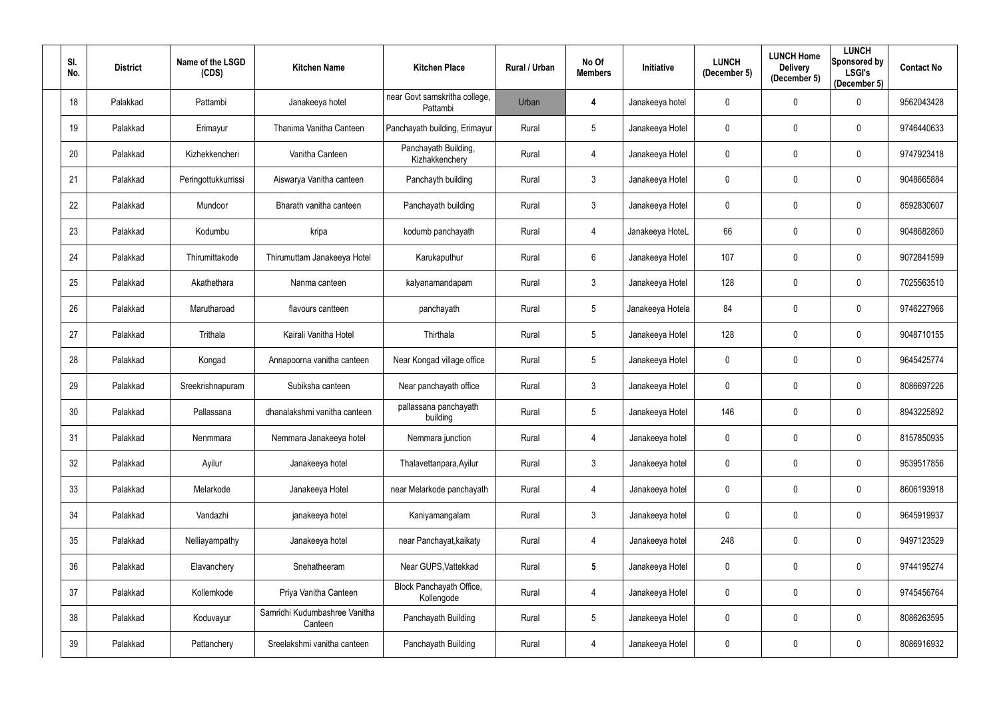| SI.<br>No. | <b>District</b> | Name of the LSGD<br>(CDS) | <b>Kitchen Name</b>                      | <b>Kitchen Place</b>                      | <b>Rural / Urban</b> | No Of<br><b>Members</b> | Initiative       | <b>LUNCH</b><br>(December 5) | <b>LUNCH Home</b><br><b>Delivery</b><br>(December 5) | <b>LUNCH</b><br>Sponsored by<br><b>LSGI's</b><br>(December 5) | <b>Contact No</b> |
|------------|-----------------|---------------------------|------------------------------------------|-------------------------------------------|----------------------|-------------------------|------------------|------------------------------|------------------------------------------------------|---------------------------------------------------------------|-------------------|
| 18         | Palakkad        | Pattambi                  | Janakeeya hotel                          | near Govt samskritha college,<br>Pattambi | Urban                | 4                       | Janakeeya hotel  | 0                            | $\mathbf 0$                                          | $\mathbf 0$                                                   | 9562043428        |
| 19         | Palakkad        | Erimayur                  | Thanima Vanitha Canteen                  | Panchayath building, Erimayur             | Rural                | $5\overline{)}$         | Janakeeya Hotel  | 0                            | $\mathbf 0$                                          | $\mathbf 0$                                                   | 9746440633        |
| 20         | Palakkad        | Kizhekkencheri            | Vanitha Canteen                          | Panchayath Building,<br>Kizhakkenchery    | Rural                | 4                       | Janakeeya Hotel  | $\mathbf 0$                  | $\mathbf 0$                                          | $\mathbf 0$                                                   | 9747923418        |
| 21         | Palakkad        | Peringottukkurrissi       | Aiswarya Vanitha canteen                 | Panchayth building                        | Rural                | $\mathfrak{Z}$          | Janakeeya Hotel  | 0                            | $\mathbf 0$                                          | $\mathbf 0$                                                   | 9048665884        |
| 22         | Palakkad        | Mundoor                   | Bharath vanitha canteen                  | Panchayath building                       | Rural                | $\mathfrak{Z}$          | Janakeeya Hotel  | 0                            | $\mathbf 0$                                          | $\mathbf 0$                                                   | 8592830607        |
| 23         | Palakkad        | Kodumbu                   | kripa                                    | kodumb panchayath                         | Rural                | 4                       | Janakeeya Hotel  | 66                           | $\mathbf 0$                                          | $\mathbf 0$                                                   | 9048682860        |
| 24         | Palakkad        | Thirumittakode            | Thirumuttam Janakeeya Hotel              | Karukaputhur                              | Rural                | 6                       | Janakeeya Hotel  | 107                          | $\mathbf 0$                                          | $\mathbf 0$                                                   | 9072841599        |
| 25         | Palakkad        | Akathethara               | Nanma canteen                            | kalyanamandapam                           | Rural                | $\mathfrak{Z}$          | Janakeeya Hotel  | 128                          | $\mathbf 0$                                          | $\mathbf 0$                                                   | 7025563510        |
| 26         | Palakkad        | Marutharoad               | flavours cantteen                        | panchayath                                | Rural                | $5\phantom{.0}$         | Janakeeya Hotela | 84                           | $\mathbf 0$                                          | $\mathbf 0$                                                   | 9746227966        |
| 27         | Palakkad        | Trithala                  | Kairali Vanitha Hotel                    | Thirthala                                 | Rural                | 5 <sub>5</sub>          | Janakeeya Hotel  | 128                          | $\pmb{0}$                                            | $\mathbf 0$                                                   | 9048710155        |
| 28         | Palakkad        | Kongad                    | Annapoorna vanitha canteen               | Near Kongad village office                | Rural                | $5\phantom{.0}$         | Janakeeya Hotel  | 0                            | $\mathbf 0$                                          | $\mathbf 0$                                                   | 9645425774        |
| 29         | Palakkad        | Sreekrishnapuram          | Subiksha canteen                         | Near panchayath office                    | Rural                | $\mathfrak{Z}$          | Janakeeya Hotel  | 0                            | $\mathbf 0$                                          | $\mathbf 0$                                                   | 8086697226        |
| 30         | Palakkad        | Pallassana                | dhanalakshmi vanitha canteen             | pallassana panchayath<br>building         | Rural                | $5\phantom{.0}$         | Janakeeya Hotel  | 146                          | $\mathbf 0$                                          | $\mathbf 0$                                                   | 8943225892        |
| 31         | Palakkad        | Nenmmara                  | Nemmara Janakeeya hotel                  | Nemmara junction                          | Rural                | 4                       | Janakeeya hotel  | 0                            | $\mathbf 0$                                          | $\bf{0}$                                                      | 8157850935        |
| 32         | Palakkad        | Ayilur                    | Janakeeya hotel                          | Thalavettanpara, Ayilur                   | Rural                | 3 <sup>1</sup>          | Janakeeya hotel  | $\mathbf 0$                  | $\pmb{0}$                                            | $\overline{0}$                                                | 9539517856        |
| 33         | Palakkad        | Melarkode                 | Janakeeya Hotel                          | near Melarkode panchayath                 | Rural                | 4                       | Janakeeya hotel  | $\mathbf 0$                  | $\pmb{0}$                                            | $\mathbf 0$                                                   | 8606193918        |
| 34         | Palakkad        | Vandazhi                  | janakeeya hotel                          | Kaniyamangalam                            | Rural                | $\mathfrak{Z}$          | Janakeeya hotel  | 0                            | $\pmb{0}$                                            | $\overline{0}$                                                | 9645919937        |
| 35         | Palakkad        | Nelliayampathy            | Janakeeya hotel                          | near Panchayat, kaikaty                   | Rural                | 4                       | Janakeeya hotel  | 248                          | $\pmb{0}$                                            | $\bf{0}$                                                      | 9497123529        |
| 36         | Palakkad        | Elavanchery               | Snehatheeram                             | Near GUPS, Vattekkad                      | Rural                | $5\phantom{.0}$         | Janakeeya Hotel  | 0                            | $\boldsymbol{0}$                                     | $\overline{0}$                                                | 9744195274        |
| 37         | Palakkad        | Kollemkode                | Priya Vanitha Canteen                    | Block Panchayath Office,<br>Kollengode    | Rural                | 4                       | Janakeeya Hotel  | $\mathbf 0$                  | $\pmb{0}$                                            | $\mathbf 0$                                                   | 9745456764        |
| 38         | Palakkad        | Koduvayur                 | Samridhi Kudumbashree Vanitha<br>Canteen | Panchayath Building                       | Rural                | $5\phantom{.0}$         | Janakeeya Hotel  | 0                            | $\pmb{0}$                                            | $\overline{0}$                                                | 8086263595        |
| 39         | Palakkad        | Pattanchery               | Sreelakshmi vanitha canteen              | Panchayath Building                       | Rural                | 4                       | Janakeeya Hotel  | 0                            | $\boldsymbol{0}$                                     | $\overline{0}$                                                | 8086916932        |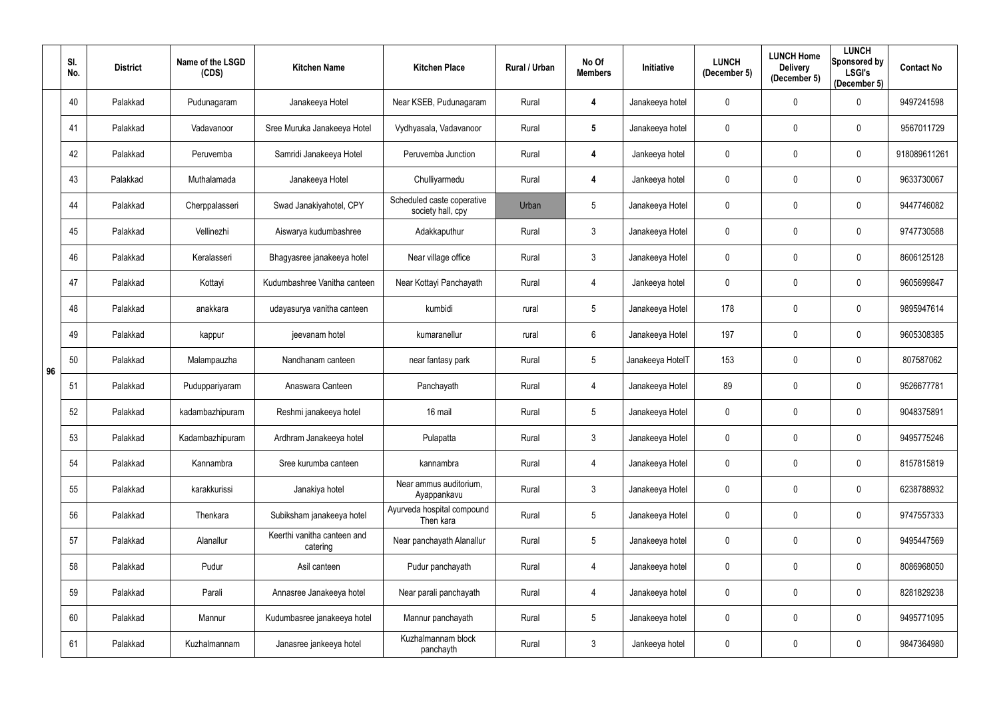|    | SI.<br>No. | <b>District</b> | Name of the LSGD<br>(CDS) | <b>Kitchen Name</b>                     | <b>Kitchen Place</b>                            | Rural / Urban | No Of<br><b>Members</b> | Initiative       | <b>LUNCH</b><br>(December 5) | <b>LUNCH Home</b><br><b>Delivery</b><br>(December 5) | <b>LUNCH</b><br>Sponsored by<br><b>LSGI's</b><br>(December 5) | <b>Contact No</b> |
|----|------------|-----------------|---------------------------|-----------------------------------------|-------------------------------------------------|---------------|-------------------------|------------------|------------------------------|------------------------------------------------------|---------------------------------------------------------------|-------------------|
|    | 40         | Palakkad        | Pudunagaram               | Janakeeya Hotel                         | Near KSEB, Pudunagaram                          | Rural         | 4                       | Janakeeya hotel  | 0                            | $\mathbf 0$                                          | $\mathbf 0$                                                   | 9497241598        |
|    | 41         | Palakkad        | Vadavanoor                | Sree Muruka Janakeeya Hotel             | Vydhyasala, Vadavanoor                          | Rural         | $5\phantom{.0}$         | Janakeeya hotel  | 0                            | $\mathbf 0$                                          | 0                                                             | 9567011729        |
|    | 42         | Palakkad        | Peruvemba                 | Samridi Janakeeya Hotel                 | Peruvemba Junction                              | Rural         | 4                       | Jankeeya hotel   | 0                            | $\pmb{0}$                                            | $\mathbf 0$                                                   | 918089611261      |
|    | 43         | Palakkad        | Muthalamada               | Janakeeya Hotel                         | Chulliyarmedu                                   | Rural         | 4                       | Jankeeya hotel   | 0                            | $\mathbf 0$                                          | $\mathbf 0$                                                   | 9633730067        |
|    | 44         | Palakkad        | Cherppalasseri            | Swad Janakiyahotel, CPY                 | Scheduled caste coperative<br>society hall, cpy | Urban         | 5                       | Janakeeya Hotel  | 0                            | $\mathbf 0$                                          | $\boldsymbol{0}$                                              | 9447746082        |
|    | 45         | Palakkad        | Vellinezhi                | Aiswarya kudumbashree                   | Adakkaputhur                                    | Rural         | $\mathfrak{Z}$          | Janakeeya Hotel  | 0                            | $\mathbf 0$                                          | $\boldsymbol{0}$                                              | 9747730588        |
|    | 46         | Palakkad        | Keralasseri               | Bhagyasree janakeeya hotel              | Near village office                             | Rural         | $\mathfrak{Z}$          | Janakeeya Hotel  | 0                            | $\mathbf{0}$                                         | $\mathbf 0$                                                   | 8606125128        |
|    | 47         | Palakkad        | Kottayi                   | Kudumbashree Vanitha canteen            | Near Kottayi Panchayath                         | Rural         | 4                       | Jankeeya hotel   | 0                            | $\mathbf 0$                                          | $\mathbf 0$                                                   | 9605699847        |
|    | 48         | Palakkad        | anakkara                  | udayasurya vanitha canteen              | kumbidi                                         | rural         | $5\phantom{.0}$         | Janakeeya Hotel  | 178                          | $\mathbf 0$                                          | $\mathbf 0$                                                   | 9895947614        |
|    | 49         | Palakkad        | kappur                    | jeevanam hotel                          | kumaranellur                                    | rural         | $6\phantom{.0}$         | Janakeeya Hotel  | 197                          | $\mathbf 0$                                          | $\boldsymbol{0}$                                              | 9605308385        |
| 96 | 50         | Palakkad        | Malampauzha               | Nandhanam canteen                       | near fantasy park                               | Rural         | $5\phantom{.0}$         | Janakeeya HotelT | 153                          | $\mathbf 0$                                          | $\mathbf 0$                                                   | 807587062         |
|    | 51         | Palakkad        | Puduppariyaram            | Anaswara Canteen                        | Panchayath                                      | Rural         | 4                       | Janakeeya Hotel  | 89                           | $\mathbf 0$                                          | $\mathbf 0$                                                   | 9526677781        |
|    | 52         | Palakkad        | kadambazhipuram           | Reshmi janakeeya hotel                  | 16 mail                                         | Rural         | 5 <sub>5</sub>          | Janakeeya Hotel  | 0                            | $\mathbf 0$                                          | $\mathbf 0$                                                   | 9048375891        |
|    | 53         | Palakkad        | Kadambazhipuram           | Ardhram Janakeeya hotel                 | Pulapatta                                       | Rural         | $\mathfrak{Z}$          | Janakeeya Hotel  | 0                            | $\mathbf 0$                                          | $\mathbf 0$                                                   | 9495775246        |
|    | 54         | Palakkad        | Kannambra                 | Sree kurumba canteen                    | kannambra                                       | Rural         | 4                       | Janakeeya Hotel  | 0                            | $\pmb{0}$                                            | $\overline{0}$                                                | 8157815819        |
|    | 55         | Palakkad        | karakkurissi              | Janakiya hotel                          | Near ammus auditorium,<br>Ayappankavu           | Rural         | $\mathfrak{Z}$          | Janakeeya Hotel  | 0                            | $\mathbf 0$                                          | $\mathbf 0$                                                   | 6238788932        |
|    | 56         | Palakkad        | Thenkara                  | Subiksham janakeeya hotel               | Ayurveda hospital compound<br>Then kara         | Rural         | 5                       | Janakeeya Hotel  | 0                            | $\pmb{0}$                                            | $\overline{0}$                                                | 9747557333        |
|    | 57         | Palakkad        | Alanallur                 | Keerthi vanitha canteen and<br>catering | Near panchayath Alanallur                       | Rural         | 5                       | Janakeeya hotel  | 0                            | $\pmb{0}$                                            | $\overline{0}$                                                | 9495447569        |
|    | 58         | Palakkad        | Pudur                     | Asil canteen                            | Pudur panchayath                                | Rural         | 4                       | Janakeeya hotel  | $\mathbf 0$                  | $\pmb{0}$                                            | $\overline{0}$                                                | 8086968050        |
|    | 59         | Palakkad        | Parali                    | Annasree Janakeeya hotel                | Near parali panchayath                          | Rural         | 4                       | Janakeeya hotel  | 0                            | $\pmb{0}$                                            | $\overline{0}$                                                | 8281829238        |
|    | 60         | Palakkad        | Mannur                    | Kudumbasree janakeeya hotel             | Mannur panchayath                               | Rural         | 5                       | Janakeeya hotel  | 0                            | $\pmb{0}$                                            | $\overline{0}$                                                | 9495771095        |
|    | 61         | Palakkad        | Kuzhalmannam              | Janasree jankeeya hotel                 | Kuzhalmannam block<br>panchayth                 | Rural         | $\mathfrak{Z}$          | Jankeeya hotel   | 0                            | $\boldsymbol{0}$                                     | $\overline{0}$                                                | 9847364980        |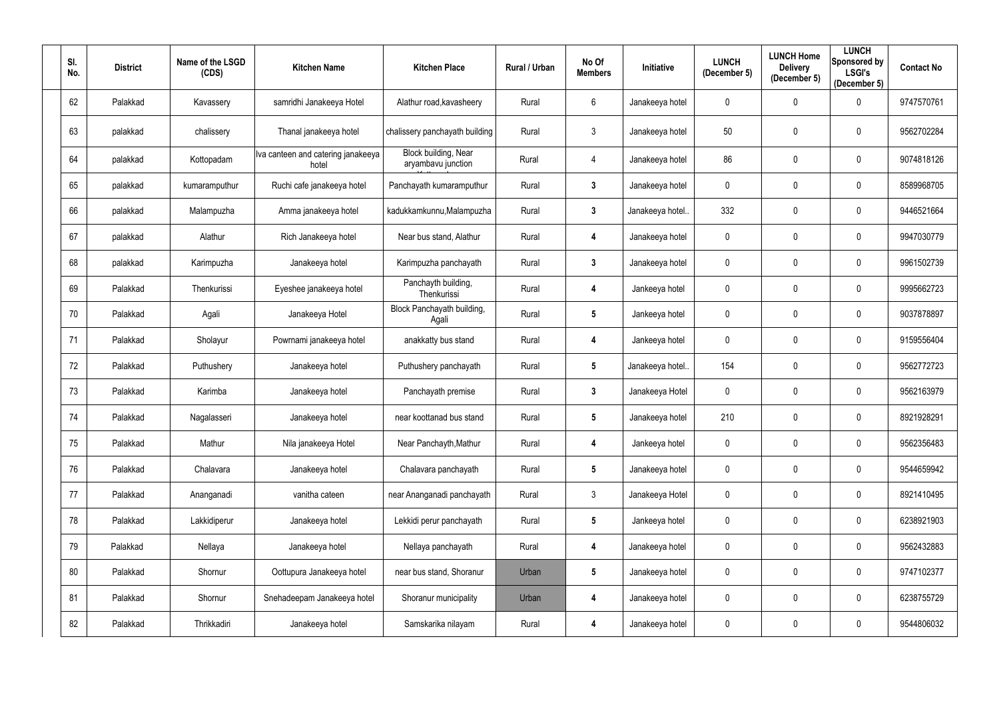| SI.<br>No. | <b>District</b> | Name of the LSGD<br>(CDS) | <b>Kitchen Name</b>                         | <b>Kitchen Place</b>                              | Rural / Urban | No Of<br><b>Members</b> | Initiative       | <b>LUNCH</b><br>(December 5) | <b>LUNCH Home</b><br><b>Delivery</b><br>(December 5) | <b>LUNCH</b><br>Sponsored by<br><b>LSGI's</b><br>(December 5) | <b>Contact No</b> |
|------------|-----------------|---------------------------|---------------------------------------------|---------------------------------------------------|---------------|-------------------------|------------------|------------------------------|------------------------------------------------------|---------------------------------------------------------------|-------------------|
| 62         | Palakkad        | Kavassery                 | samridhi Janakeeya Hotel                    | Alathur road, kavasheery                          | Rural         | 6                       | Janakeeya hotel  | 0                            | $\mathbf 0$                                          | $\mathbf 0$                                                   | 9747570761        |
| 63         | palakkad        | chalissery                | Thanal janakeeya hotel                      | chalissery panchayath building                    | Rural         | $\mathbf{3}$            | Janakeeya hotel  | 50                           | $\mathbf 0$                                          | $\mathbf 0$                                                   | 9562702284        |
| 64         | palakkad        | Kottopadam                | Iva canteen and catering janakeeya<br>hotel | <b>Block building, Near</b><br>aryambavu junction | Rural         | 4                       | Janakeeya hotel  | 86                           | $\mathbf 0$                                          | $\mathbf 0$                                                   | 9074818126        |
| 65         | palakkad        | kumaramputhur             | Ruchi cafe janakeeya hotel                  | Panchayath kumaramputhur                          | Rural         | $\mathbf{3}$            | Janakeeya hotel  | 0                            | $\mathbf 0$                                          | $\mathbf 0$                                                   | 8589968705        |
| 66         | palakkad        | Malampuzha                | Amma janakeeya hotel                        | kadukkamkunnu, Malampuzha                         | Rural         | $\mathbf{3}$            | Janakeeya hotel  | 332                          | $\mathbf 0$                                          | $\mathbf 0$                                                   | 9446521664        |
| 67         | palakkad        | Alathur                   | Rich Janakeeya hotel                        | Near bus stand, Alathur                           | Rural         | $\overline{4}$          | Janakeeya hotel  | 0                            | $\mathbf 0$                                          | $\mathbf 0$                                                   | 9947030779        |
| 68         | palakkad        | Karimpuzha                | Janakeeya hotel                             | Karimpuzha panchayath                             | Rural         | $\mathbf{3}$            | Janakeeya hotel  | $\mathbf 0$                  | $\mathbf 0$                                          | $\mathbf 0$                                                   | 9961502739        |
| 69         | Palakkad        | Thenkurissi               | Eyeshee janakeeya hotel                     | Panchayth building,<br>Thenkurissi                | Rural         | $\overline{4}$          | Jankeeya hotel   | 0                            | $\mathbf 0$                                          | $\mathbf 0$                                                   | 9995662723        |
| 70         | Palakkad        | Agali                     | Janakeeya Hotel                             | Block Panchayath building,<br>Agali               | Rural         | $5\phantom{.0}$         | Jankeeya hotel   | 0                            | $\mathbf 0$                                          | $\mathbf 0$                                                   | 9037878897        |
| 71         | Palakkad        | Sholayur                  | Powrnami janakeeya hotel                    | anakkatty bus stand                               | Rural         | 4                       | Jankeeya hotel   | 0                            | $\boldsymbol{0}$                                     | $\mathbf 0$                                                   | 9159556404        |
| 72         | Palakkad        | Puthushery                | Janakeeya hotel                             | Puthushery panchayath                             | Rural         | $5\phantom{.0}$         | Janakeeya hotel. | 154                          | $\mathbf 0$                                          | $\mathbf 0$                                                   | 9562772723        |
| 73         | Palakkad        | Karimba                   | Janakeeya hotel                             | Panchayath premise                                | Rural         | $\mathbf{3}$            | Janakeeya Hotel  | 0                            | $\mathbf 0$                                          | $\mathbf 0$                                                   | 9562163979        |
| 74<br>1 T  | Palakkad        | Nagalasseri               | Janakeeya hotel                             | near koottanad bus stand                          | Rural         | 5                       | Janakeeya hotel  | 210                          | $\Omega$                                             | 0                                                             | 8921928291        |
| 75         | Palakkad        | Mathur                    | Nila janakeeya Hotel                        | Near Panchayth, Mathur                            | Rural         | 4                       | Jankeeya hotel   | 0                            | $\mathbf 0$                                          | $\mathbf 0$                                                   | 9562356483        |
| 76         | Palakkad        | Chalavara                 | Janakeeya hotel                             | Chalavara panchayath                              | Rural         | $5\phantom{.0}$         | Janakeeya hotel  | 0                            | $\mathbf 0$                                          | $\mathbf 0$                                                   | 9544659942        |
| 77         | Palakkad        | Ananganadi                | vanitha cateen                              | near Ananganadi panchayath                        | Rural         | $\mathfrak{Z}$          | Janakeeya Hotel  | 0                            | $\mathbf 0$                                          | $\mathbf 0$                                                   | 8921410495        |
| 78         | Palakkad        | Lakkidiperur              | Janakeeya hotel                             | Lekkidi perur panchayath                          | Rural         | $5\phantom{.0}$         | Jankeeya hotel   | 0                            | $\mathbf 0$                                          | $\mathbf 0$                                                   | 6238921903        |
| 79         | Palakkad        | Nellaya                   | Janakeeya hotel                             | Nellaya panchayath                                | Rural         | $\overline{\mathbf{4}}$ | Janakeeya hotel  | 0                            | $\mathbf 0$                                          | $\mathbf 0$                                                   | 9562432883        |
| 80         | Palakkad        | Shornur                   | Oottupura Janakeeya hotel                   | near bus stand, Shoranur                          | Urban         | $5\phantom{.0}$         | Janakeeya hotel  | 0                            | $\mathbf 0$                                          | $\mathbf 0$                                                   | 9747102377        |
| 81         | Palakkad        | Shornur                   | Snehadeepam Janakeeya hotel                 | Shoranur municipality                             | Urban         | 4                       | Janakeeya hotel  | 0                            | $\boldsymbol{0}$                                     | $\mathbf 0$                                                   | 6238755729        |
| 82         | Palakkad        | Thrikkadiri               | Janakeeya hotel                             | Samskarika nilayam                                | Rural         | 4                       | Janakeeya hotel  | 0                            | $\mathbf 0$                                          | $\mathbf 0$                                                   | 9544806032        |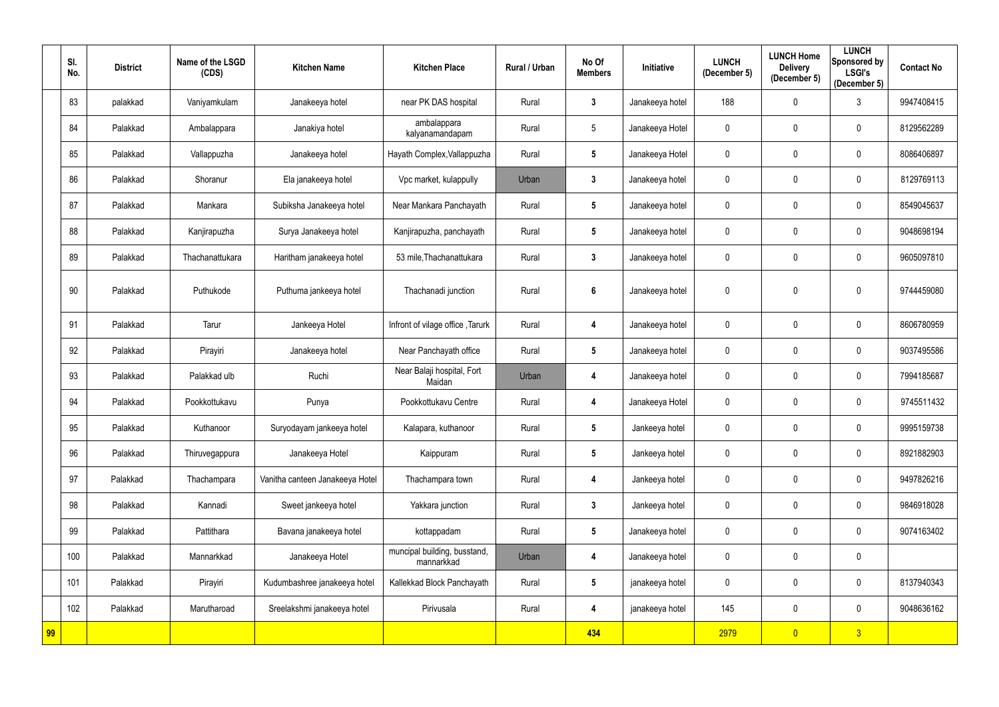|    | SI.<br>No. | <b>District</b> | Name of the LSGD<br>(CDS) | <b>Kitchen Name</b>             | <b>Kitchen Place</b>                       | Rural / Urban | No Of<br><b>Members</b> | Initiative      | <b>LUNCH</b><br>(December 5) | <b>LUNCH Home</b><br><b>Delivery</b><br>(December 5) | <b>LUNCH</b><br>Sponsored by<br><b>LSGI's</b><br>(December 5) | <b>Contact No</b> |
|----|------------|-----------------|---------------------------|---------------------------------|--------------------------------------------|---------------|-------------------------|-----------------|------------------------------|------------------------------------------------------|---------------------------------------------------------------|-------------------|
|    | 83         | palakkad        | Vaniyamkulam              | Janakeeya hotel                 | near PK DAS hospital                       | Rural         | $\mathbf{3}$            | Janakeeya hotel | 188                          | $\mathbf 0$                                          | $\mathfrak{Z}$                                                | 9947408415        |
|    | 84         | Palakkad        | Ambalappara               | Janakiya hotel                  | ambalappara<br>kalyanamandapam             | Rural         | $5\phantom{.0}$         | Janakeeya Hotel | 0                            | $\mathbf 0$                                          | $\mathbf 0$                                                   | 8129562289        |
|    | 85         | Palakkad        | Vallappuzha               | Janakeeya hotel                 | Hayath Complex, Vallappuzha                | Rural         | $\sqrt{5}$              | Janakeeya Hotel | $\mathbf 0$                  | $\mathbf 0$                                          | $\mathbf 0$                                                   | 8086406897        |
|    | 86         | Palakkad        | Shoranur                  | Ela janakeeya hotel             | Vpc market, kulappully                     | Urban         | $\mathbf{3}$            | Janakeeya hotel | 0                            | $\mathbf 0$                                          | $\mathbf 0$                                                   | 8129769113        |
|    | 87         | Palakkad        | Mankara                   | Subiksha Janakeeya hotel        | Near Mankara Panchayath                    | Rural         | $5\phantom{.0}$         | Janakeeya hotel | $\mathbf 0$                  | $\mathbf 0$                                          | $\mathbf 0$                                                   | 8549045637        |
|    | 88         | Palakkad        | Kanjirapuzha              | Surya Janakeeya hotel           | Kanjirapuzha, panchayath                   | Rural         | $5\phantom{.0}$         | Janakeeya hotel | 0                            | $\mathbf 0$                                          | $\mathbf 0$                                                   | 9048698194        |
|    | 89         | Palakkad        | Thachanattukara           | Haritham janakeeya hotel        | 53 mile, Thachanattukara                   | Rural         | $\mathbf{3}$            | Janakeeya hotel | $\mathbf 0$                  | $\mathbf 0$                                          | $\mathbf 0$                                                   | 9605097810        |
|    | 90         | Palakkad        | Puthukode                 | Puthuma jankeeya hotel          | Thachanadi junction                        | Rural         | 6                       | Janakeeya hotel | 0                            | $\Omega$                                             | $\mathbf{0}$                                                  | 9744459080        |
|    | 91         | Palakkad        | Tarur                     | Jankeeya Hotel                  | Infront of vilage office, Tarurk           | Rural         | 4                       | Janakeeya hotel | $\mathbf 0$                  | $\mathbf 0$                                          | $\mathbf 0$                                                   | 8606780959        |
|    | 92         | Palakkad        | Pirayiri                  | Janakeeya hotel                 | Near Panchayath office                     | Rural         | $5\phantom{.0}$         | Janakeeya hotel | $\mathbf 0$                  | $\mathbf 0$                                          | $\mathbf 0$                                                   | 9037495586        |
|    | 93         | Palakkad        | Palakkad ulb              | Ruchi                           | Near Balaji hospital, Fort<br>Maidan       | Urban         | 4                       | Janakeeya hotel | 0                            | $\mathbf 0$                                          | $\mathbf 0$                                                   | 7994185687        |
|    | 94         | Palakkad        | Pookkottukavu             | Punya                           | Pookkottukavu Centre                       | Rural         | 4                       | Janakeeya Hotel | 0                            | $\mathbf 0$                                          | $\mathbf 0$                                                   | 9745511432        |
|    | 95         | Palakkad        | Kuthanoor                 | Suryodayam jankeeya hotel       | Kalapara, kuthanoor                        | Rural         | $5\phantom{.0}$         | Jankeeya hotel  | $\boldsymbol{0}$             | $\mathbf 0$                                          | $\mathbf 0$                                                   | 9995159738        |
|    | 96         | Palakkad        | Thiruvegappura            | Janakeeya Hotel                 | Kaippuram                                  | Rural         | $5\phantom{.0}$         | Jankeeya hotel  | 0                            | $\mathbf 0$                                          | $\mathbf 0$                                                   | 8921882903        |
|    | 97         | Palakkad        | Thachampara               | Vanitha canteen Janakeeya Hotel | Thachampara town                           | Rural         | $\overline{\mathbf{4}}$ | Jankeeya hotel  | 0                            | $\pmb{0}$                                            | $\mathbf 0$                                                   | 9497826216        |
|    | 98         | Palakkad        | Kannadi                   | Sweet jankeeya hotel            | Yakkara junction                           | Rural         | $\mathbf{3}$            | Jankeeya hotel  | $\mathbf 0$                  | $\mathbf 0$                                          | $\mathbf 0$                                                   | 9846918028        |
|    | 99         | Palakkad        | Pattithara                | Bavana janakeeya hotel          | kottappadam                                | Rural         | $5\phantom{.0}$         | Janakeeya hotel | 0                            | $\mathbf 0$                                          | $\mathbf 0$                                                   | 9074163402        |
|    | 100        | Palakkad        | Mannarkkad                | Janakeeya Hotel                 | muncipal building, busstand,<br>mannarkkad | Urban         | 4                       | Janakeeya hotel | 0                            | $\mathbf 0$                                          | $\mathbf 0$                                                   |                   |
|    | 101        | Palakkad        | Pirayiri                  | Kudumbashree janakeeya hotel    | Kallekkad Block Panchayath                 | Rural         | $5\phantom{.0}$         | janakeeya hotel | 0                            | $\mathbf 0$                                          | $\mathbf 0$                                                   | 8137940343        |
|    | 102        | Palakkad        | Marutharoad               | Sreelakshmi janakeeya hotel     | Pirivusala                                 | Rural         | 4                       | janakeeya hotel | 145                          | $\mathbf 0$                                          | $\mathbf 0$                                                   | 9048636162        |
| 99 |            |                 |                           |                                 |                                            |               | 434                     |                 | 2979                         | $\overline{\mathbf{0}}$                              | 3 <sup>2</sup>                                                |                   |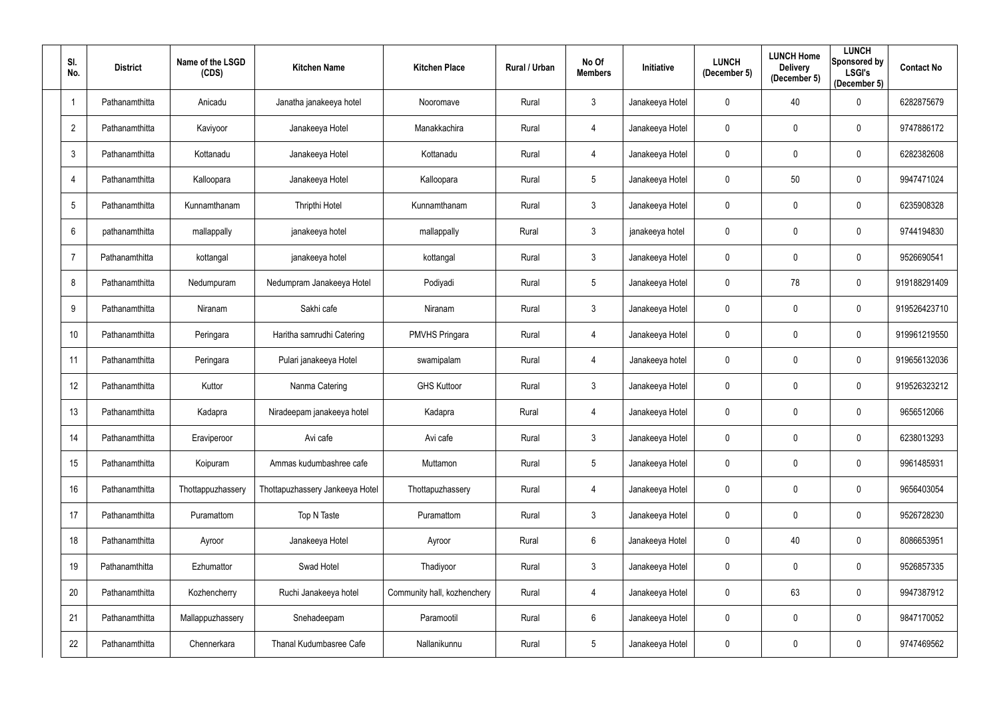| SI.<br>No.     | <b>District</b> | Name of the LSGD<br>(CDS) | <b>Kitchen Name</b>             | <b>Kitchen Place</b>        | Rural / Urban | No Of<br><b>Members</b> | Initiative      | <b>LUNCH</b><br>(December 5) | <b>LUNCH Home</b><br><b>Delivery</b><br>(December 5) | <b>LUNCH</b><br><b>Sponsored by</b><br><b>LSGI's</b><br>(December 5) | <b>Contact No</b> |
|----------------|-----------------|---------------------------|---------------------------------|-----------------------------|---------------|-------------------------|-----------------|------------------------------|------------------------------------------------------|----------------------------------------------------------------------|-------------------|
| $\overline{1}$ | Pathanamthitta  | Anicadu                   | Janatha janakeeya hotel         | Nooromave                   | Rural         | $\mathbf{3}$            | Janakeeya Hotel | $\mathbf 0$                  | 40                                                   | $\mathbf 0$                                                          | 6282875679        |
| $\overline{2}$ | Pathanamthitta  | Kaviyoor                  | Janakeeya Hotel                 | Manakkachira                | Rural         | 4                       | Janakeeya Hotel | 0                            | $\mathbf 0$                                          | $\mathbf 0$                                                          | 9747886172        |
| 3              | Pathanamthitta  | Kottanadu                 | Janakeeya Hotel                 | Kottanadu                   | Rural         | 4                       | Janakeeya Hotel | $\mathbf 0$                  | $\mathbf 0$                                          | $\mathbf 0$                                                          | 6282382608        |
| 4              | Pathanamthitta  | Kalloopara                | Janakeeya Hotel                 | Kalloopara                  | Rural         | 5 <sup>5</sup>          | Janakeeya Hotel | 0                            | 50                                                   | $\mathbf 0$                                                          | 9947471024        |
| 5              | Pathanamthitta  | Kunnamthanam              | Thripthi Hotel                  | Kunnamthanam                | Rural         | $\mathbf{3}$            | Janakeeya Hotel | 0                            | $\mathbf 0$                                          | $\mathbf 0$                                                          | 6235908328        |
| 6              | pathanamthitta  | mallappally               | janakeeya hotel                 | mallappally                 | Rural         | $\mathfrak{Z}$          | janakeeya hotel | 0                            | $\mathbf 0$                                          | $\mathbf 0$                                                          | 9744194830        |
| $\overline{7}$ | Pathanamthitta  | kottangal                 | janakeeya hotel                 | kottangal                   | Rural         | 3 <sup>1</sup>          | Janakeeya Hotel | 0                            | $\mathbf 0$                                          | $\mathbf 0$                                                          | 9526690541        |
| 8              | Pathanamthitta  | Nedumpuram                | Nedumpram Janakeeya Hotel       | Podiyadi                    | Rural         | 5                       | Janakeeya Hotel | $\mathbf 0$                  | 78                                                   | $\mathbf 0$                                                          | 919188291409      |
| 9              | Pathanamthitta  | Niranam                   | Sakhi cafe                      | Niranam                     | Rural         | 3 <sup>1</sup>          | Janakeeya Hotel | 0                            | $\mathbf 0$                                          | $\mathbf 0$                                                          | 919526423710      |
| 10             | Pathanamthitta  | Peringara                 | Haritha samrudhi Catering       | <b>PMVHS Pringara</b>       | Rural         | 4                       | Janakeeya Hotel | $\mathbf 0$                  | $\mathbf 0$                                          | $\mathbf 0$                                                          | 919961219550      |
| 11             | Pathanamthitta  | Peringara                 | Pulari janakeeya Hotel          | swamipalam                  | Rural         | 4                       | Janakeeya hotel | 0                            | $\mathbf 0$                                          | $\mathbf 0$                                                          | 919656132036      |
| 12             | Pathanamthitta  | Kuttor                    | Nanma Catering                  | <b>GHS Kuttoor</b>          | Rural         | $\mathfrak{Z}$          | Janakeeya Hotel | 0                            | $\mathbf 0$                                          | $\mathbf 0$                                                          | 919526323212      |
| 13             | Pathanamthitta  | Kadapra                   | Niradeepam janakeeya hotel      | Kadapra                     | Rural         | 4                       | Janakeeya Hotel | 0                            | $\mathbf 0$                                          | 0                                                                    | 9656512066        |
| 14             | Pathanamthitta  | Eraviperoor               | Avi cafe                        | Avi cafe                    | Rural         | $\mathfrak{Z}$          | Janakeeya Hotel | $\mathbf 0$                  | $\mathbf 0$                                          | $\mathbf 0$                                                          | 6238013293        |
| 15             | Pathanamthitta  | Koipuram                  | Ammas kudumbashree cafe         | Muttamon                    | Rural         | 5 <sup>5</sup>          | Janakeeya Hotel | $\mathbf 0$                  | $\mathbf 0$                                          | $\overline{0}$                                                       | 9961485931        |
| 16             | Pathanamthitta  | Thottappuzhassery         | Thottapuzhassery Jankeeya Hotel | Thottapuzhassery            | Rural         | 4                       | Janakeeya Hotel | $\mathbf{0}$                 | $\pmb{0}$                                            | $\bf{0}$                                                             | 9656403054        |
| 17             | Pathanamthitta  | Puramattom                | Top N Taste                     | Puramattom                  | Rural         | $\mathfrak{Z}$          | Janakeeya Hotel | 0                            | $\pmb{0}$                                            | $\mathbf 0$                                                          | 9526728230        |
| 18             | Pathanamthitta  | Ayroor                    | Janakeeya Hotel                 | Ayroor                      | Rural         | $6\overline{6}$         | Janakeeya Hotel | 0                            | 40                                                   | $\bf{0}$                                                             | 8086653951        |
| 19             | Pathanamthitta  | Ezhumattor                | Swad Hotel                      | Thadiyoor                   | Rural         | $\mathbf{3}$            | Janakeeya Hotel | 0                            | $\pmb{0}$                                            | $\mathbf 0$                                                          | 9526857335        |
| 20             | Pathanamthitta  | Kozhencherry              | Ruchi Janakeeya hotel           | Community hall, kozhenchery | Rural         | 4                       | Janakeeya Hotel | $\mathbf 0$                  | 63                                                   | $\overline{0}$                                                       | 9947387912        |
| 21             | Pathanamthitta  | Mallappuzhassery          | Snehadeepam                     | Paramootil                  | Rural         | $6\overline{6}$         | Janakeeya Hotel | 0                            | $\pmb{0}$                                            | $\bf{0}$                                                             | 9847170052        |
| 22             | Pathanamthitta  | Chennerkara               | Thanal Kudumbasree Cafe         | Nallanikunnu                | Rural         | $5\phantom{.0}$         | Janakeeya Hotel | 0                            | $\boldsymbol{0}$                                     | $\mathbf 0$                                                          | 9747469562        |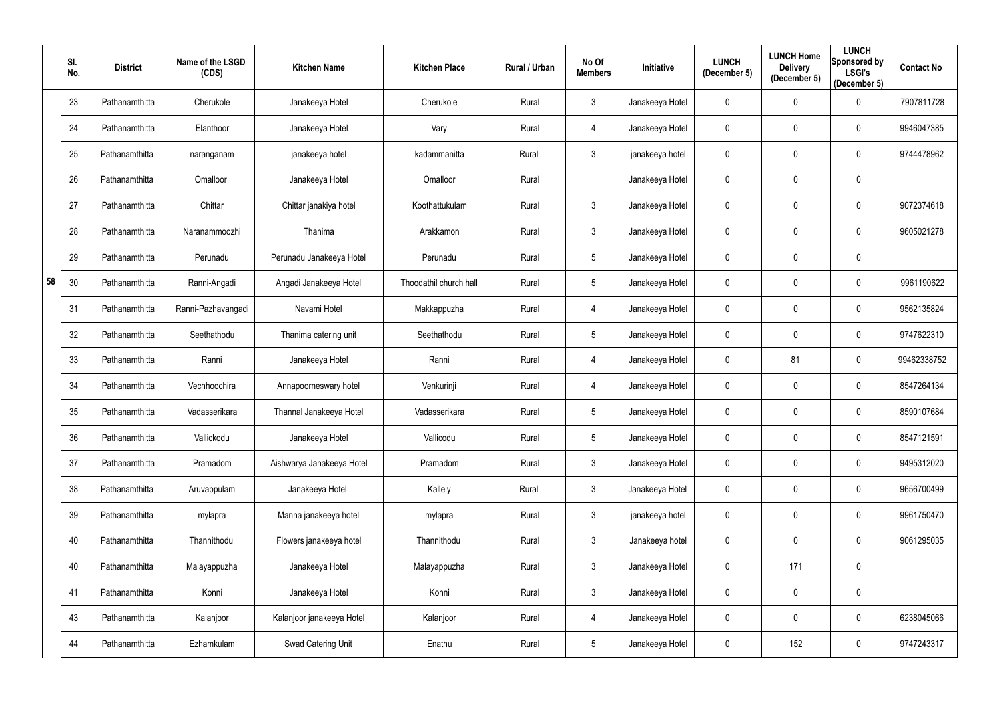|    | SI.<br>No. | <b>District</b> | Name of the LSGD<br>(CDS) | <b>Kitchen Name</b>       | <b>Kitchen Place</b>   | Rural / Urban | No Of<br><b>Members</b> | Initiative      | <b>LUNCH</b><br>(December 5) | <b>LUNCH Home</b><br><b>Delivery</b><br>(December 5) | <b>LUNCH</b><br>Sponsored by<br><b>LSGI's</b><br>(December 5) | <b>Contact No</b> |
|----|------------|-----------------|---------------------------|---------------------------|------------------------|---------------|-------------------------|-----------------|------------------------------|------------------------------------------------------|---------------------------------------------------------------|-------------------|
|    | 23         | Pathanamthitta  | Cherukole                 | Janakeeya Hotel           | Cherukole              | Rural         | $\mathfrak{Z}$          | Janakeeya Hotel | 0                            | $\mathbf 0$                                          | $\mathbf 0$                                                   | 7907811728        |
|    | 24         | Pathanamthitta  | Elanthoor                 | Janakeeya Hotel           | Vary                   | Rural         | 4                       | Janakeeya Hotel | 0                            | $\mathbf 0$                                          | $\mathbf 0$                                                   | 9946047385        |
|    | 25         | Pathanamthitta  | naranganam                | janakeeya hotel           | kadammanitta           | Rural         | $\mathbf{3}$            | janakeeya hotel | $\mathbf 0$                  | $\mathbf 0$                                          | $\overline{0}$                                                | 9744478962        |
|    | 26         | Pathanamthitta  | Omalloor                  | Janakeeya Hotel           | Omalloor               | Rural         |                         | Janakeeya Hotel | 0                            | $\mathbf 0$                                          | $\overline{0}$                                                |                   |
|    | 27         | Pathanamthitta  | Chittar                   | Chittar janakiya hotel    | Koothattukulam         | Rural         | $\mathfrak{Z}$          | Janakeeya Hotel | 0                            | $\mathbf 0$                                          | $\overline{0}$                                                | 9072374618        |
|    | 28         | Pathanamthitta  | Naranammoozhi             | Thanima                   | Arakkamon              | Rural         | $\mathfrak{Z}$          | Janakeeya Hotel | 0                            | $\mathbf 0$                                          | $\mathbf 0$                                                   | 9605021278        |
|    | 29         | Pathanamthitta  | Perunadu                  | Perunadu Janakeeya Hotel  | Perunadu               | Rural         | 5                       | Janakeeya Hotel | 0                            | $\mathbf 0$                                          | $\overline{0}$                                                |                   |
| 58 | 30         | Pathanamthitta  | Ranni-Angadi              | Angadi Janakeeya Hotel    | Thoodathil church hall | Rural         | 5                       | Janakeeya Hotel | 0                            | $\mathbf 0$                                          | $\overline{0}$                                                | 9961190622        |
|    | 31         | Pathanamthitta  | Ranni-Pazhavangadi        | Navami Hotel              | Makkappuzha            | Rural         | 4                       | Janakeeya Hotel | 0                            | $\mathbf 0$                                          | $\mathbf 0$                                                   | 9562135824        |
|    | 32         | Pathanamthitta  | Seethathodu               | Thanima catering unit     | Seethathodu            | Rural         | $5\overline{)}$         | Janakeeya Hotel | $\mathbf 0$                  | $\mathbf 0$                                          | $\overline{0}$                                                | 9747622310        |
|    | 33         | Pathanamthitta  | Ranni                     | Janakeeya Hotel           | Ranni                  | Rural         | 4                       | Janakeeya Hotel | 0                            | 81                                                   | $\overline{0}$                                                | 99462338752       |
|    | 34         | Pathanamthitta  | Vechhoochira              | Annapoorneswary hotel     | Venkurinji             | Rural         | 4                       | Janakeeya Hotel | 0                            | $\mathbf 0$                                          | $\overline{0}$                                                | 8547264134        |
|    | 35         | Pathanamthitta  | Vadasserikara             | Thannal Janakeeya Hotel   | Vadasserikara          | Rural         | 5                       | Janakeeya Hotel | 0                            | $\mathbf 0$                                          | $\mathbf 0$                                                   | 8590107684        |
|    | 36         | Pathanamthitta  | Vallickodu                | Janakeeya Hotel           | Vallicodu              | Rural         | $5\phantom{.0}$         | Janakeeya Hotel | $\pmb{0}$                    | $\mathbf 0$                                          | $\overline{0}$                                                | 8547121591        |
|    | 37         | Pathanamthitta  | Pramadom                  | Aishwarya Janakeeya Hotel | Pramadom               | Rural         | $\mathbf{3}$            | Janakeeya Hotel | $\mathbf 0$                  | $\mathbf 0$                                          | $\mathbf 0$                                                   | 9495312020        |
|    | 38         | Pathanamthitta  | Aruvappulam               | Janakeeya Hotel           | Kallely                | Rural         | $\mathfrak{Z}$          | Janakeeya Hotel | $\mathbf 0$                  | $\mathbf 0$                                          | $\mathbf 0$                                                   | 9656700499        |
|    | 39         | Pathanamthitta  | mylapra                   | Manna janakeeya hotel     | mylapra                | Rural         | $\mathfrak{Z}$          | janakeeya hotel | 0                            | $\pmb{0}$                                            | $\mathbf 0$                                                   | 9961750470        |
|    | 40         | Pathanamthitta  | Thannithodu               | Flowers janakeeya hotel   | Thannithodu            | Rural         | $\mathfrak{Z}$          | Janakeeya hotel | $\pmb{0}$                    | $\pmb{0}$                                            | $\mathbf 0$                                                   | 9061295035        |
|    | 40         | Pathanamthitta  | Malayappuzha              | Janakeeya Hotel           | Malayappuzha           | Rural         | $\mathbf{3}$            | Janakeeya Hotel | $\mathbf 0$                  | 171                                                  | $\overline{0}$                                                |                   |
|    | 41         | Pathanamthitta  | Konni                     | Janakeeya Hotel           | Konni                  | Rural         | $\mathfrak{Z}$          | Janakeeya Hotel | $\mathbf 0$                  | $\mathbf 0$                                          | $\mathbf 0$                                                   |                   |
|    | 43         | Pathanamthitta  | Kalanjoor                 | Kalanjoor janakeeya Hotel | Kalanjoor              | Rural         | 4                       | Janakeeya Hotel | $\pmb{0}$                    | $\overline{0}$                                       | $\mathbf 0$                                                   | 6238045066        |
|    | 44         | Pathanamthitta  | Ezhamkulam                | Swad Catering Unit        | Enathu                 | Rural         | $5\phantom{.0}$         | Janakeeya Hotel | 0                            | 152                                                  | $\mathbf 0$                                                   | 9747243317        |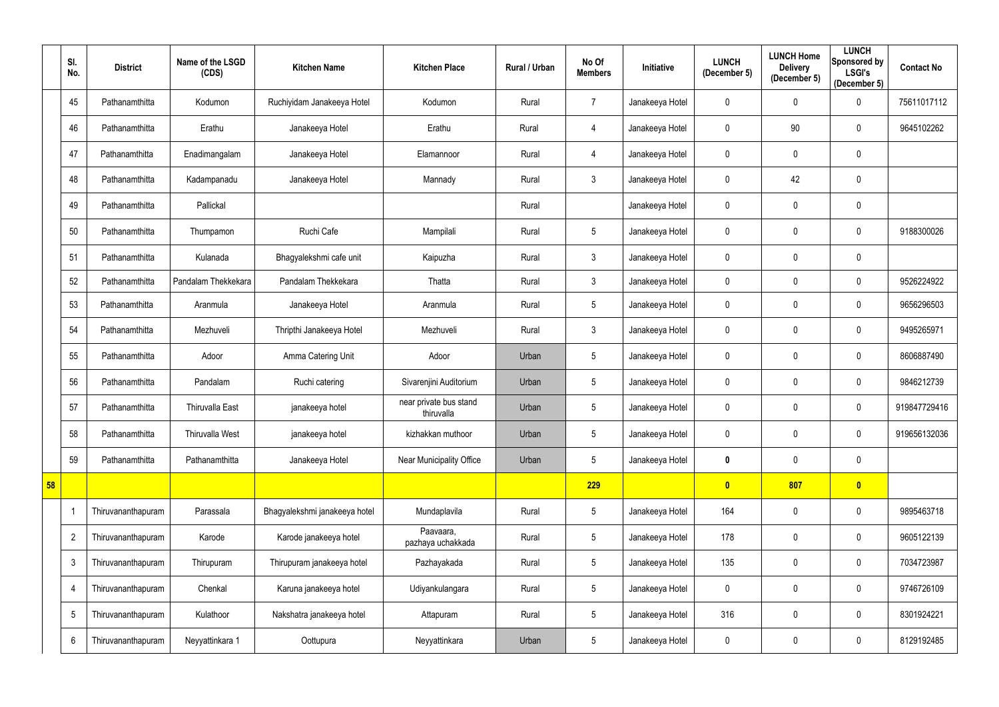|    | SI.<br>No.      | <b>District</b>    | Name of the LSGD<br>(CDS) | <b>Kitchen Name</b>           | <b>Kitchen Place</b>                 | Rural / Urban | No Of<br><b>Members</b> | <b>Initiative</b> | <b>LUNCH</b><br>(December 5) | <b>LUNCH Home</b><br><b>Delivery</b><br>(December 5) | <b>LUNCH</b><br>Sponsored by<br><b>LSGI's</b><br>(December 5) | <b>Contact No</b> |
|----|-----------------|--------------------|---------------------------|-------------------------------|--------------------------------------|---------------|-------------------------|-------------------|------------------------------|------------------------------------------------------|---------------------------------------------------------------|-------------------|
|    | 45              | Pathanamthitta     | Kodumon                   | Ruchiyidam Janakeeya Hotel    | Kodumon                              | Rural         | $\overline{7}$          | Janakeeya Hotel   | $\mathbf 0$                  | $\mathbf 0$                                          | $\mathbf 0$                                                   | 75611017112       |
|    | 46              | Pathanamthitta     | Erathu                    | Janakeeya Hotel               | Erathu                               | Rural         | 4                       | Janakeeya Hotel   | 0                            | 90                                                   | $\mathbf 0$                                                   | 9645102262        |
|    | 47              | Pathanamthitta     | Enadimangalam             | Janakeeya Hotel               | Elamannoor                           | Rural         | 4                       | Janakeeya Hotel   | $\mathbf 0$                  | $\mathbf 0$                                          | $\mathbf 0$                                                   |                   |
|    | 48              | Pathanamthitta     | Kadampanadu               | Janakeeya Hotel               | Mannady                              | Rural         | $\mathfrak{Z}$          | Janakeeya Hotel   | 0                            | 42                                                   | $\mathbf 0$                                                   |                   |
|    | 49              | Pathanamthitta     | Pallickal                 |                               |                                      | Rural         |                         | Janakeeya Hotel   | 0                            | $\mathbf 0$                                          | $\mathbf 0$                                                   |                   |
|    | 50              | Pathanamthitta     | Thumpamon                 | Ruchi Cafe                    | Mampilali                            | Rural         | $5\phantom{.0}$         | Janakeeya Hotel   | $\mathbf 0$                  | $\mathbf 0$                                          | $\mathbf 0$                                                   | 9188300026        |
|    | 51              | Pathanamthitta     | Kulanada                  | Bhagyalekshmi cafe unit       | Kaipuzha                             | Rural         | $\mathfrak{Z}$          | Janakeeya Hotel   | 0                            | $\mathbf{0}$                                         | $\mathbf 0$                                                   |                   |
|    | 52              | Pathanamthitta     | Pandalam Thekkekara       | Pandalam Thekkekara           | Thatta                               | Rural         | $\mathfrak{Z}$          | Janakeeya Hotel   | $\mathbf 0$                  | $\mathbf 0$                                          | $\mathbf 0$                                                   | 9526224922        |
|    | 53              | Pathanamthitta     | Aranmula                  | Janakeeya Hotel               | Aranmula                             | Rural         | $5\phantom{.0}$         | Janakeeya Hotel   | $\mathbf 0$                  | $\mathbf{0}$                                         | $\mathbf 0$                                                   | 9656296503        |
|    | 54              | Pathanamthitta     | Mezhuveli                 | Thripthi Janakeeya Hotel      | Mezhuveli                            | Rural         | $\mathfrak{Z}$          | Janakeeya Hotel   | 0                            | $\mathbf 0$                                          | $\mathbf 0$                                                   | 9495265971        |
|    | 55              | Pathanamthitta     | Adoor                     | Amma Catering Unit            | Adoor                                | Urban         | $5\phantom{.0}$         | Janakeeya Hotel   | 0                            | $\mathbf{0}$                                         | $\overline{0}$                                                | 8606887490        |
|    | 56              | Pathanamthitta     | Pandalam                  | Ruchi catering                | Sivarenjini Auditorium               | Urban         | $5\phantom{.0}$         | Janakeeya Hotel   | 0                            | $\mathbf 0$                                          | $\mathbf 0$                                                   | 9846212739        |
|    | 57              | Pathanamthitta     | Thiruvalla East           | janakeeya hotel               | near private bus stand<br>thiruvalla | Urban         | $5\phantom{.0}$         | Janakeeya Hotel   | 0                            | $\mathbf 0$                                          | $\mathbf 0$                                                   | 919847729416      |
|    | 58              | Pathanamthitta     | Thiruvalla West           | janakeeya hotel               | kizhakkan muthoor                    | Urban         | 5                       | Janakeeya Hotel   | $\mathbf 0$                  | $\overline{0}$                                       | $\overline{0}$                                                | 919656132036      |
|    | 59              | Pathanamthitta     | Pathanamthitta            | Janakeeya Hotel               | Near Municipality Office             | Urban         | $5\phantom{.0}$         | Janakeeya Hotel   | 0                            | $\mathbf 0$                                          | $\overline{0}$                                                |                   |
| 58 |                 |                    |                           |                               |                                      |               | 229                     |                   | $\mathbf{0}$                 | 807                                                  | $\bullet$                                                     |                   |
|    | -1              | Thiruvananthapuram | Parassala                 | Bhagyalekshmi janakeeya hotel | Mundaplavila                         | Rural         | $5\phantom{.0}$         | Janakeeya Hotel   | 164                          | $\mathbf 0$                                          | $\overline{0}$                                                | 9895463718        |
|    | $\overline{2}$  | Thiruvananthapuram | Karode                    | Karode janakeeya hotel        | Paavaara,<br>pazhaya uchakkada       | Rural         | $5\phantom{.0}$         | Janakeeya Hotel   | 178                          | $\overline{0}$                                       | $\overline{0}$                                                | 9605122139        |
|    | $\mathfrak{Z}$  | Thiruvananthapuram | Thirupuram                | Thirupuram janakeeya hotel    | Pazhayakada                          | Rural         | $5\phantom{.0}$         | Janakeeya Hotel   | 135                          | $\mathbf 0$                                          | $\overline{0}$                                                | 7034723987        |
|    | $\overline{4}$  | Thiruvananthapuram | Chenkal                   | Karuna janakeeya hotel        | Udiyankulangara                      | Rural         | $\sqrt{5}$              | Janakeeya Hotel   | 0                            | $\mathbf 0$                                          | $\overline{0}$                                                | 9746726109        |
|    | $5\phantom{.0}$ | Thiruvananthapuram | Kulathoor                 | Nakshatra janakeeya hotel     | Attapuram                            | Rural         | $5\phantom{.0}$         | Janakeeya Hotel   | 316                          | $\mathbf 0$                                          | $\overline{0}$                                                | 8301924221        |
|    | 6               | Thiruvananthapuram | Neyyattinkara 1           | Oottupura                     | Neyyattinkara                        | Urban         | $5\,$                   | Janakeeya Hotel   | 0                            | $\pmb{0}$                                            | $\mathbf 0$                                                   | 8129192485        |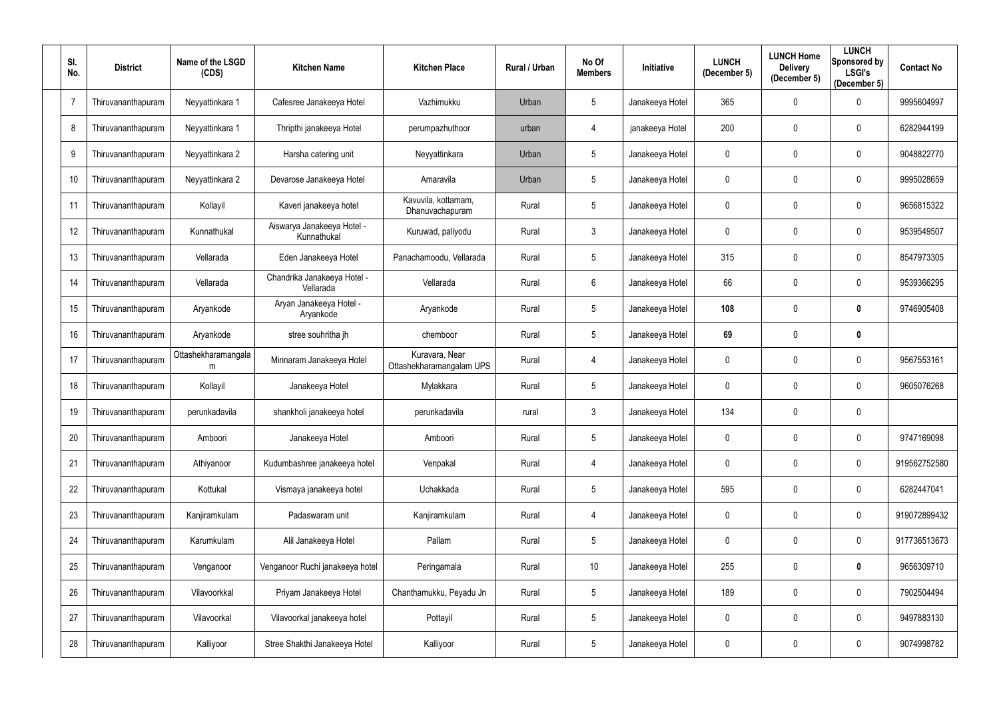| SI.<br>No.      | <b>District</b>    | Name of the LSGD<br>(CDS) | <b>Kitchen Name</b>                       | <b>Kitchen Place</b>                       | Rural / Urban | No Of<br><b>Members</b> | Initiative      | <b>LUNCH</b><br>(December 5) | <b>LUNCH Home</b><br><b>Delivery</b><br>(December 5) | <b>LUNCH</b><br><b>Sponsored by</b><br><b>LSGI's</b><br>(December 5) | <b>Contact No</b> |
|-----------------|--------------------|---------------------------|-------------------------------------------|--------------------------------------------|---------------|-------------------------|-----------------|------------------------------|------------------------------------------------------|----------------------------------------------------------------------|-------------------|
| $\overline{7}$  | Thiruvananthapuram | Neyyattinkara 1           | Cafesree Janakeeya Hotel                  | Vazhimukku                                 | Urban         | $5\phantom{.0}$         | Janakeeya Hotel | 365                          | 0                                                    | 0                                                                    | 9995604997        |
| 8               | Thiruvananthapuram | Neyyattinkara 1           | Thripthi janakeeya Hotel                  | perumpazhuthoor                            | urban         | 4                       | janakeeya Hotel | 200                          | 0                                                    | 0                                                                    | 6282944199        |
| 9               | Thiruvananthapuram | Neyyattinkara 2           | Harsha catering unit                      | Neyyattinkara                              | Urban         | $5\phantom{.0}$         | Janakeeya Hotel | 0                            | 0                                                    | $\mathbf 0$                                                          | 9048822770        |
| 10 <sup>°</sup> | Thiruvananthapuram | Neyyattinkara 2           | Devarose Janakeeya Hotel                  | Amaravila                                  | Urban         | $5\phantom{.0}$         | Janakeeya Hotel | 0                            | 0                                                    | $\mathbf 0$                                                          | 9995028659        |
| 11              | Thiruvananthapuram | Kollayil                  | Kaveri janakeeya hotel                    | Kavuvila, kottamam,<br>Dhanuvachapuram     | Rural         | $5\phantom{.0}$         | Janakeeya Hotel | 0                            | 0                                                    | $\mathbf 0$                                                          | 9656815322        |
| 12              | Thiruvananthapuram | Kunnathukal               | Aiswarya Janakeeya Hotel -<br>Kunnathukal | Kuruwad, paliyodu                          | Rural         | $\mathfrak{Z}$          | Janakeeya Hotel | $\mathbf{0}$                 | 0                                                    | 0                                                                    | 9539549507        |
| 13              | Thiruvananthapuram | Vellarada                 | Eden Janakeeya Hotel                      | Panachamoodu, Vellarada                    | Rural         | $5\phantom{.0}$         | Janakeeya Hotel | 315                          | 0                                                    | $\mathbf 0$                                                          | 8547973305        |
| 14              | Thiruvananthapuram | Vellarada                 | Chandrika Janakeeya Hotel -<br>Vellarada  | Vellarada                                  | Rural         | $6\phantom{.}$          | Janakeeya Hotel | 66                           | $\mathbf 0$                                          | 0                                                                    | 9539366295        |
| 15              | Thiruvananthapuram | Aryankode                 | Aryan Janakeeya Hotel -<br>Aryankode      | Aryankode                                  | Rural         | $5\phantom{.0}$         | Janakeeya Hotel | 108                          | 0                                                    | 0                                                                    | 9746905408        |
| 16              | Thiruvananthapuram | Aryankode                 | stree souhritha jh                        | chemboor                                   | Rural         | $5\phantom{.0}$         | Janakeeya Hotel | 69                           | 0                                                    | 0                                                                    |                   |
| 17              | Thiruvananthapuram | Ottashekharamangala<br>m  | Minnaram Janakeeya Hotel                  | Kuravara, Near<br>Ottashekharamangalam UPS | Rural         | 4                       | Janakeeya Hotel | 0                            | 0                                                    | $\mathbf 0$                                                          | 9567553161        |
| 18              | Thiruvananthapuram | Kollayil                  | Janakeeya Hotel                           | Mylakkara                                  | Rural         | $5\phantom{.0}$         | Janakeeya Hotel | 0                            | 0                                                    | $\mathbf 0$                                                          | 9605076268        |
| 19              | Thiruvananthapuram | perunkadavila             | shankholi janakeeya hotel                 | perunkadavila                              | rural         | 3                       | Janakeeya Hotel | 134                          | 0                                                    | $\mathbf 0$                                                          |                   |
| 20              | Thiruvananthapuram | Amboori                   | Janakeeya Hotel                           | Amboori                                    | Rural         | $5\phantom{.0}$         | Janakeeya Hotel | 0                            | 0                                                    | $\bf{0}$                                                             | 9747169098        |
| 21              | Thiruvananthapuram | Athiyanoor                | Kudumbashree janakeeya hotel              | Venpakal                                   | Rural         | 4                       | Janakeeya Hotel | 0                            | 0                                                    | $\overline{0}$                                                       | 919562752580      |
| 22              | Thiruvananthapuram | Kottukal                  | Vismaya janakeeya hotel                   | Uchakkada                                  | Rural         | $5\phantom{.0}$         | Janakeeya Hotel | 595                          | $\pmb{0}$                                            | $\bf{0}$                                                             | 6282447041        |
| 23              | Thiruvananthapuram | Kanjiramkulam             | Padaswaram unit                           | Kanjiramkulam                              | Rural         | 4                       | Janakeeya Hotel | 0                            | $\pmb{0}$                                            | $\mathbf 0$                                                          | 919072899432      |
| 24              | Thiruvananthapuram | Karumkulam                | Alil Janakeeya Hotel                      | Pallam                                     | Rural         | $5\phantom{.0}$         | Janakeeya Hotel | 0                            | 0                                                    | $\overline{0}$                                                       | 917736513673      |
| 25              | Thiruvananthapuram | Venganoor                 | Venganoor Ruchi janakeeya hotel           | Peringamala                                | Rural         | 10                      | Janakeeya Hotel | 255                          | 0                                                    | $\mathbf 0$                                                          | 9656309710        |
| 26              | Thiruvananthapuram | Vilavoorkkal              | Priyam Janakeeya Hotel                    | Chanthamukku, Peyadu Jn                    | Rural         | $5\phantom{.0}$         | Janakeeya Hotel | 189                          | 0                                                    | $\overline{0}$                                                       | 7902504494        |
| 27              | Thiruvananthapuram | Vilavoorkal               | Vilavoorkal janakeeya hotel               | Pottayil                                   | Rural         | $5\phantom{.0}$         | Janakeeya Hotel | 0                            | 0                                                    | $\bf{0}$                                                             | 9497883130        |
| 28              | Thiruvananthapuram | Kalliyoor                 | Stree Shakthi Janakeeya Hotel             | Kalliyoor                                  | Rural         | 5 <sub>5</sub>          | Janakeeya Hotel | 0                            | 0                                                    | $\overline{0}$                                                       | 9074998782        |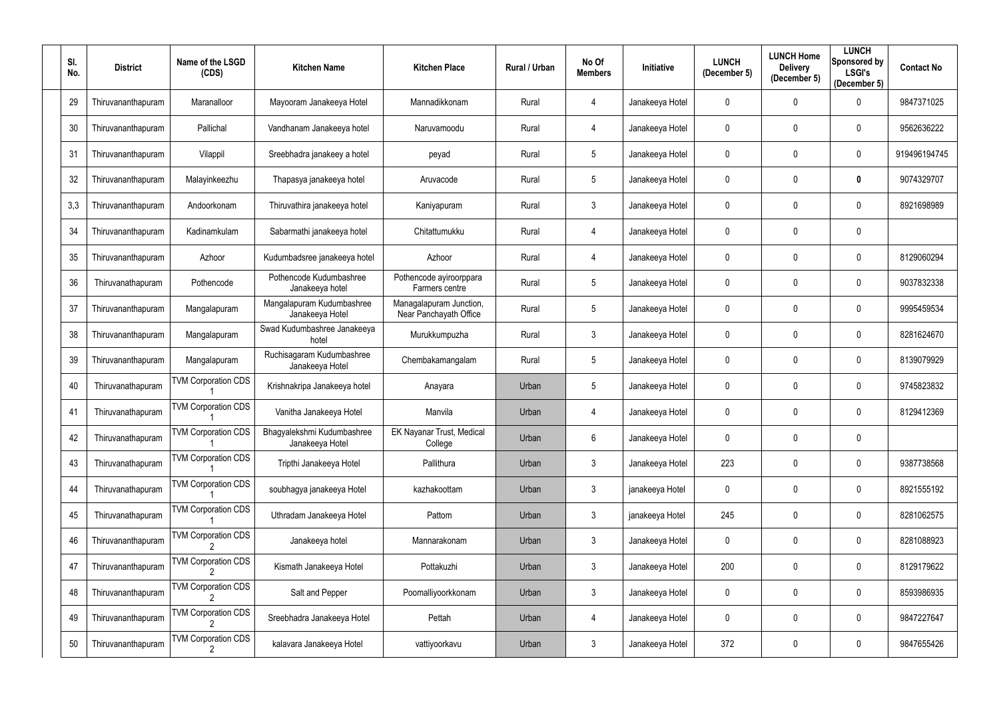| SI.<br>No. | <b>District</b>    | Name of the LSGD<br>(CDS)  | <b>Kitchen Name</b>                           | <b>Kitchen Place</b>                              | Rural / Urban | No Of<br><b>Members</b> | Initiative      | <b>LUNCH</b><br>(December 5) | <b>LUNCH Home</b><br><b>Delivery</b><br>(December 5) | <b>LUNCH</b><br>Sponsored by<br><b>LSGI's</b><br>(December 5) | <b>Contact No</b> |
|------------|--------------------|----------------------------|-----------------------------------------------|---------------------------------------------------|---------------|-------------------------|-----------------|------------------------------|------------------------------------------------------|---------------------------------------------------------------|-------------------|
| 29         | Thiruvananthapuram | Maranalloor                | Mayooram Janakeeya Hotel                      | Mannadikkonam                                     | Rural         | 4                       | Janakeeya Hotel | $\mathbf 0$                  | 0                                                    | 0                                                             | 9847371025        |
| 30         | Thiruvananthapuram | Pallichal                  | Vandhanam Janakeeya hotel                     | Naruvamoodu                                       | Rural         | 4                       | Janakeeya Hotel | 0                            | 0                                                    | 0                                                             | 9562636222        |
| 31         | Thiruvananthapuram | Vilappil                   | Sreebhadra janakeey a hotel                   | peyad                                             | Rural         | $5\phantom{.0}$         | Janakeeya Hotel | 0                            | 0                                                    | $\mathbf 0$                                                   | 919496194745      |
| 32         | Thiruvananthapuram | Malayinkeezhu              | Thapasya janakeeya hotel                      | Aruvacode                                         | Rural         | $5\phantom{.0}$         | Janakeeya Hotel | 0                            | 0                                                    | 0                                                             | 9074329707        |
| 3,3        | Thiruvananthapuram | Andoorkonam                | Thiruvathira janakeeya hotel                  | Kaniyapuram                                       | Rural         | $\mathfrak{Z}$          | Janakeeya Hotel | 0                            | 0                                                    | $\mathbf 0$                                                   | 8921698989        |
| 34         | Thiruvananthapuram | Kadinamkulam               | Sabarmathi janakeeya hotel                    | Chitattumukku                                     | Rural         | 4                       | Janakeeya Hotel | 0                            | 0                                                    | 0                                                             |                   |
| 35         | Thiruvananthapuram | Azhoor                     | Kudumbadsree janakeeya hotel                  | Azhoor                                            | Rural         | 4                       | Janakeeya Hotel | 0                            | 0                                                    | 0                                                             | 8129060294        |
| 36         | Thiruvanathapuram  | Pothencode                 | Pothencode Kudumbashree<br>Janakeeya hotel    | Pothencode ayiroorppara<br>Farmers centre         | Rural         | $5\phantom{.0}$         | Janakeeya Hotel | $\mathbf{0}$                 | 0                                                    | $\mathbf 0$                                                   | 9037832338        |
| 37         | Thiruvananthapuram | Mangalapuram               | Mangalapuram Kudumbashree<br>Janakeeya Hotel  | Managalapuram Junction,<br>Near Panchayath Office | Rural         | $5\phantom{.0}$         | Janakeeya Hotel | 0                            | 0                                                    | $\mathbf 0$                                                   | 9995459534        |
| 38         | Thiruvananthapuram | Mangalapuram               | Swad Kudumbashree Janakeeya<br>hotel          | Murukkumpuzha                                     | Rural         | 3                       | Janakeeya Hotel | 0                            | 0                                                    | 0                                                             | 8281624670        |
| 39         | Thiruvananthapuram | Mangalapuram               | Ruchisagaram Kudumbashree<br>Janakeeya Hotel  | Chembakamangalam                                  | Rural         | $5\phantom{.0}$         | Janakeeya Hotel | 0                            | 0                                                    | 0                                                             | 8139079929        |
| 40         | Thiruvanathapuram  | <b>TVM Corporation CDS</b> | Krishnakripa Janakeeya hotel                  | Anayara                                           | Urban         | 5                       | Janakeeya Hotel | 0                            | 0                                                    | 0                                                             | 9745823832        |
| 41         | Thiruvanathapuram  | <b>TVM Corporation CDS</b> | Vanitha Janakeeya Hotel                       | Manvila                                           | Urban         | 4                       | Janakeeya Hotel | 0                            | 0                                                    | 0                                                             | 8129412369        |
| 42         | Thiruvanathapuram  | <b>TVM Corporation CDS</b> | Bhagyalekshmi Kudumbashree<br>Janakeeya Hotel | EK Nayanar Trust, Medical<br>College              | Urban         | $6\phantom{.}$          | Janakeeya Hotel | 0                            | 0                                                    | $\pmb{0}$                                                     |                   |
| 43         | Thiruvanathapuram  | <b>TVM Corporation CDS</b> | Tripthi Janakeeya Hotel                       | Pallithura                                        | Urban         | 3 <sup>2</sup>          | Janakeeya Hotel | 223                          | 0                                                    | $\overline{0}$                                                | 9387738568        |
| 44         | Thiruvanathapuram  | <b>TVM Corporation CDS</b> | soubhagya janakeeya Hotel                     | kazhakoottam                                      | Urban         | 3 <sup>2</sup>          | janakeeya Hotel | 0                            | 0                                                    | $\bf{0}$                                                      | 8921555192        |
| 45         | Thiruvanathapuram  | <b>TVM Corporation CDS</b> | Uthradam Janakeeya Hotel                      | Pattom                                            | Urban         | $\mathfrak{Z}$          | janakeeya Hotel | 245                          | 0                                                    | $\bf{0}$                                                      | 8281062575        |
| 46         | Thiruvananthapuram | <b>TVM Corporation CDS</b> | Janakeeya hotel                               | Mannarakonam                                      | Urban         | $\mathfrak{Z}$          | Janakeeya Hotel | 0                            | 0                                                    | $\bf{0}$                                                      | 8281088923        |
| 47         | Thiruvananthapuram | <b>TVM Corporation CDS</b> | Kismath Janakeeya Hotel                       | Pottakuzhi                                        | Urban         | 3 <sup>2</sup>          | Janakeeya Hotel | 200                          | 0                                                    | $\bf{0}$                                                      | 8129179622        |
| 48         | Thiruvananthapuram | <b>TVM Corporation CDS</b> | Salt and Pepper                               | Poomalliyoorkkonam                                | Urban         | 3 <sup>2</sup>          | Janakeeya Hotel | 0                            | $\pmb{0}$                                            | $\overline{0}$                                                | 8593986935        |
| 49         | Thiruvananthapuram | <b>TVM Corporation CDS</b> | Sreebhadra Janakeeya Hotel                    | Pettah                                            | Urban         | 4                       | Janakeeya Hotel | 0                            | 0                                                    | $\bf{0}$                                                      | 9847227647        |
| $50\,$     | Thiruvananthapuram | <b>TVM Corporation CDS</b> | kalavara Janakeeya Hotel                      | vattiyoorkavu                                     | Urban         | $\mathfrak{Z}$          | Janakeeya Hotel | 372                          | 0                                                    | $\mathbf 0$                                                   | 9847655426        |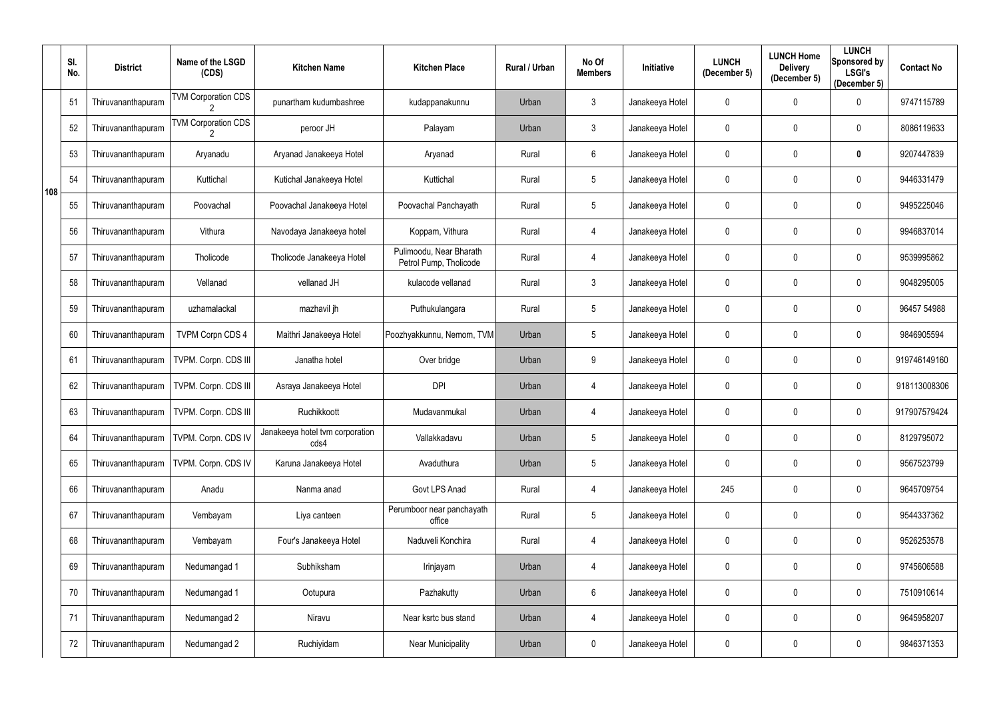|     | SI.<br>No. | <b>District</b>    | Name of the LSGD<br>(CDS)  | <b>Kitchen Name</b>                     | <b>Kitchen Place</b>                              | Rural / Urban | No Of<br><b>Members</b> | Initiative      | <b>LUNCH</b><br>(December 5) | <b>LUNCH Home</b><br><b>Delivery</b><br>(December 5) | <b>LUNCH</b><br><b>Sponsored by</b><br><b>LSGI's</b><br>(December 5) | <b>Contact No</b> |
|-----|------------|--------------------|----------------------------|-----------------------------------------|---------------------------------------------------|---------------|-------------------------|-----------------|------------------------------|------------------------------------------------------|----------------------------------------------------------------------|-------------------|
|     | 51         | Thiruvananthapuram | <b>TVM Corporation CDS</b> | punartham kudumbashree                  | kudappanakunnu                                    | Urban         | 3                       | Janakeeya Hotel | 0                            | $\mathbf 0$                                          | $\mathbf 0$                                                          | 9747115789        |
|     | 52         | Thiruvananthapuram | <b>TVM Corporation CDS</b> | peroor JH                               | Palayam                                           | Urban         | 3                       | Janakeeya Hotel | 0                            | $\mathbf 0$                                          | $\mathbf 0$                                                          | 8086119633        |
|     | 53         | Thiruvananthapuram | Aryanadu                   | Aryanad Janakeeya Hotel                 | Aryanad                                           | Rural         | $6\phantom{.}$          | Janakeeya Hotel | 0                            | $\mathbf 0$                                          | $\boldsymbol{0}$                                                     | 9207447839        |
| 108 | 54         | Thiruvananthapuram | Kuttichal                  | Kutichal Janakeeya Hotel                | Kuttichal                                         | Rural         | $5\phantom{.0}$         | Janakeeya Hotel | 0                            | $\mathbf 0$                                          | $\mathbf 0$                                                          | 9446331479        |
|     | 55         | Thiruvananthapuram | Poovachal                  | Poovachal Janakeeya Hotel               | Poovachal Panchayath                              | Rural         | $5\phantom{.0}$         | Janakeeya Hotel | 0                            | $\mathbf 0$                                          | $\mathbf 0$                                                          | 9495225046        |
|     | 56         | Thiruvananthapuram | Vithura                    | Navodaya Janakeeya hotel                | Koppam, Vithura                                   | Rural         | 4                       | Janakeeya Hotel | 0                            | $\mathbf 0$                                          | $\boldsymbol{0}$                                                     | 9946837014        |
|     | 57         | Thiruvananthapuram | Tholicode                  | Tholicode Janakeeya Hotel               | Pulimoodu, Near Bharath<br>Petrol Pump, Tholicode | Rural         | 4                       | Janakeeya Hotel | 0                            | $\mathbf 0$                                          | $\mathbf 0$                                                          | 9539995862        |
|     | 58         | Thiruvananthapuram | Vellanad                   | vellanad JH                             | kulacode vellanad                                 | Rural         | $\mathfrak{Z}$          | Janakeeya Hotel | 0                            | $\mathbf 0$                                          | $\mathbf 0$                                                          | 9048295005        |
|     | 59         | Thiruvananthapuram | uzhamalackal               | mazhavil jh                             | Puthukulangara                                    | Rural         | $5\phantom{.0}$         | Janakeeya Hotel | 0                            | $\mathbf 0$                                          | $\mathbf 0$                                                          | 96457 54988       |
|     | 60         | Thiruvananthapuram | <b>TVPM Corpn CDS 4</b>    | Maithri Janakeeya Hotel                 | Poozhyakkunnu, Nemom, TVM                         | Urban         | 5                       | Janakeeya Hotel | 0                            | $\mathbf 0$                                          | $\mathbf 0$                                                          | 9846905594        |
|     | 61         | Thiruvananthapuram | TVPM. Corpn. CDS III       | Janatha hotel                           | Over bridge                                       | Urban         | 9                       | Janakeeya Hotel | 0                            | $\mathbf 0$                                          | $\mathbf 0$                                                          | 919746149160      |
|     | 62         | Thiruvananthapuram | TVPM. Corpn. CDS III       | Asraya Janakeeya Hotel                  | <b>DPI</b>                                        | Urban         | 4                       | Janakeeya Hotel | 0                            | $\mathbf 0$                                          | $\overline{0}$                                                       | 918113008306      |
|     | 63         | Thiruvananthapuram | TVPM. Corpn. CDS III       | Ruchikkoott                             | Mudavanmukal                                      | Urban         | 4                       | Janakeeya Hotel | 0                            | $\mathbf 0$                                          | $\mathbf 0$                                                          | 917907579424      |
|     | 64         | Thiruvananthapuram | TVPM. Corpn. CDS IV        | Janakeeya hotel tvm corporation<br>cds4 | Vallakkadavu                                      | Urban         | $5\phantom{.0}$         | Janakeeya Hotel | 0                            | $\mathbf 0$                                          | $\mathbf 0$                                                          | 8129795072        |
|     | 65         | Thiruvananthapuram | TVPM. Corpn. CDS IV        | Karuna Janakeeya Hotel                  | Avaduthura                                        | Urban         | $5\phantom{.0}$         | Janakeeya Hotel | 0                            | $\mathbf 0$                                          | $\overline{0}$                                                       | 9567523799        |
|     | 66         | Thiruvananthapuram | Anadu                      | Nanma anad                              | Govt LPS Anad                                     | Rural         | 4                       | Janakeeya Hotel | 245                          | $\overline{0}$                                       | $\overline{0}$                                                       | 9645709754        |
|     | 67         | Thiruvananthapuram | Vembayam                   | Liya canteen                            | Perumboor near panchayath<br>office               | Rural         | $5\phantom{.0}$         | Janakeeya Hotel | 0                            | $\mathbf 0$                                          | $\overline{0}$                                                       | 9544337362        |
|     | 68         | Thiruvananthapuram | Vembayam                   | Four's Janakeeya Hotel                  | Naduveli Konchira                                 | Rural         | 4                       | Janakeeya Hotel | $\mathbf 0$                  | $\mathbf 0$                                          | $\overline{0}$                                                       | 9526253578        |
|     | 69         | Thiruvananthapuram | Nedumangad 1               | Subhiksham                              | Irinjayam                                         | Urban         | 4                       | Janakeeya Hotel | 0                            | $\mathbf 0$                                          | $\overline{0}$                                                       | 9745606588        |
|     | 70         | Thiruvananthapuram | Nedumangad 1               | Ootupura                                | Pazhakutty                                        | Urban         | $6\phantom{.0}$         | Janakeeya Hotel | 0                            | $\mathbf 0$                                          | $\overline{0}$                                                       | 7510910614        |
|     | 71         | Thiruvananthapuram | Nedumangad 2               | Niravu                                  | Near ksrtc bus stand                              | Urban         | 4                       | Janakeeya Hotel | 0                            | $\mathbf 0$                                          | $\overline{0}$                                                       | 9645958207        |
|     | 72         | Thiruvananthapuram | Nedumangad 2               | Ruchiyidam                              | <b>Near Municipality</b>                          | Urban         | 0                       | Janakeeya Hotel | 0                            | $\boldsymbol{0}$                                     | $\overline{0}$                                                       | 9846371353        |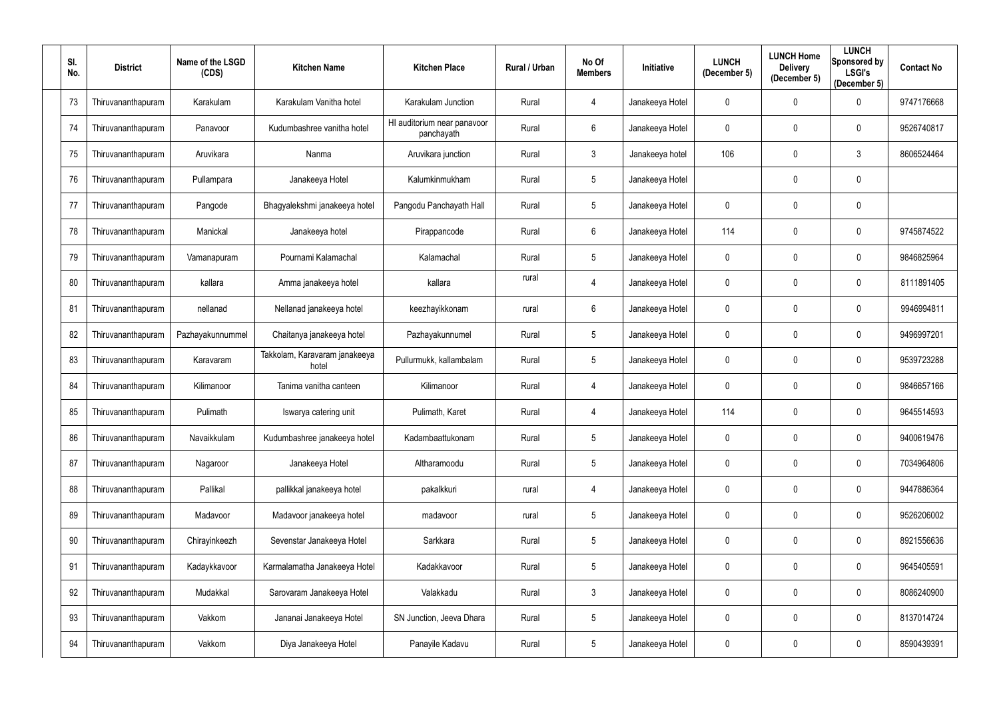| SI.<br>No. | <b>District</b>    | Name of the LSGD<br>(CDS) | <b>Kitchen Name</b>                    | <b>Kitchen Place</b>                      | Rural / Urban | No Of<br><b>Members</b> | Initiative      | <b>LUNCH</b><br>(December 5) | <b>LUNCH Home</b><br><b>Delivery</b><br>(December 5) | <b>LUNCH</b><br>Sponsored by<br><b>LSGI's</b><br>(December 5) | <b>Contact No</b> |
|------------|--------------------|---------------------------|----------------------------------------|-------------------------------------------|---------------|-------------------------|-----------------|------------------------------|------------------------------------------------------|---------------------------------------------------------------|-------------------|
| 73         | Thiruvananthapuram | Karakulam                 | Karakulam Vanitha hotel                | Karakulam Junction                        | Rural         | 4                       | Janakeeya Hotel | $\mathbf 0$                  | 0                                                    | 0                                                             | 9747176668        |
| 74         | Thiruvananthapuram | Panavoor                  | Kudumbashree vanitha hotel             | HI auditorium near panavoor<br>panchayath | Rural         | 6                       | Janakeeya Hotel | 0                            | 0                                                    | 0                                                             | 9526740817        |
| 75         | Thiruvananthapuram | Aruvikara                 | Nanma                                  | Aruvikara junction                        | Rural         | $\mathfrak{Z}$          | Janakeeya hotel | 106                          | 0                                                    | $\mathbf{3}$                                                  | 8606524464        |
| 76         | Thiruvananthapuram | Pullampara                | Janakeeya Hotel                        | Kalumkinmukham                            | Rural         | $5\phantom{.0}$         | Janakeeya Hotel |                              | 0                                                    | $\mathbf 0$                                                   |                   |
| 77         | Thiruvananthapuram | Pangode                   | Bhagyalekshmi janakeeya hotel          | Pangodu Panchayath Hall                   | Rural         | $5\phantom{.0}$         | Janakeeya Hotel | $\mathbf 0$                  | 0                                                    | $\mathbf 0$                                                   |                   |
| 78         | Thiruvananthapuram | Manickal                  | Janakeeya hotel                        | Pirappancode                              | Rural         | 6                       | Janakeeya Hotel | 114                          | 0                                                    | 0                                                             | 9745874522        |
| 79         | Thiruvananthapuram | Vamanapuram               | Pournami Kalamachal                    | Kalamachal                                | Rural         | $5\phantom{.0}$         | Janakeeya Hotel | 0                            | 0                                                    | 0                                                             | 9846825964        |
| 80         | Thiruvananthapuram | kallara                   | Amma janakeeya hotel                   | kallara                                   | rural         | 4                       | Janakeeya Hotel | $\mathbf 0$                  | 0                                                    | $\mathbf 0$                                                   | 8111891405        |
| 81         | Thiruvananthapuram | nellanad                  | Nellanad janakeeya hotel               | keezhayikkonam                            | rural         | $6\phantom{.}$          | Janakeeya Hotel | $\mathbf{0}$                 | 0                                                    | $\mathbf 0$                                                   | 9946994811        |
| 82         | Thiruvananthapuram | Pazhayakunnummel          | Chaitanya janakeeya hotel              | Pazhayakunnumel                           | Rural         | $5\phantom{.0}$         | Janakeeya Hotel | 0                            | 0                                                    | $\mathbf 0$                                                   | 9496997201        |
| 83         | Thiruvananthapuram | Karavaram                 | Takkolam, Karavaram janakeeya<br>hotel | Pullurmukk, kallambalam                   | Rural         | $5\phantom{.0}$         | Janakeeya Hotel | 0                            | 0                                                    | 0                                                             | 9539723288        |
| 84         | Thiruvananthapuram | Kilimanoor                | Tanima vanitha canteen                 | Kilimanoor                                | Rural         | 4                       | Janakeeya Hotel | 0                            | 0                                                    | $\mathbf 0$                                                   | 9846657166        |
| 85         | Thiruvananthapuram | Pulimath                  | Iswarya catering unit                  | Pulimath, Karet                           | Rural         | 4                       | Janakeeya Hotel | 114                          | 0                                                    | 0                                                             | 9645514593        |
| 86         | Thiruvananthapuram | Navaikkulam               | Kudumbashree janakeeya hotel           | Kadambaattukonam                          | Rural         | $5\phantom{.0}$         | Janakeeya Hotel | 0                            | 0                                                    | $\mathbf 0$                                                   | 9400619476        |
| 87         | Thiruvananthapuram | Nagaroor                  | Janakeeya Hotel                        | Altharamoodu                              | Rural         | 5 <sup>5</sup>          | Janakeeya Hotel | 0                            | 0                                                    | $\overline{0}$                                                | 7034964806        |
| 88         | Thiruvananthapuram | Pallikal                  | pallikkal janakeeya hotel              | pakalkkuri                                | rural         | 4                       | Janakeeya Hotel | 0                            | $\pmb{0}$                                            | $\bf{0}$                                                      | 9447886364        |
| 89         | Thiruvananthapuram | Madavoor                  | Madavoor janakeeya hotel               | madavoor                                  | rural         | $5\phantom{.0}$         | Janakeeya Hotel | 0                            | $\pmb{0}$                                            | $\mathbf 0$                                                   | 9526206002        |
| 90         | Thiruvananthapuram | Chirayinkeezh             | Sevenstar Janakeeya Hotel              | Sarkkara                                  | Rural         | $5\phantom{.0}$         | Janakeeya Hotel | 0                            | $\pmb{0}$                                            | $\bf{0}$                                                      | 8921556636        |
| 91         | Thiruvananthapuram | Kadaykkavoor              | Karmalamatha Janakeeya Hotel           | Kadakkavoor                               | Rural         | $5\phantom{.0}$         | Janakeeya Hotel | $\mathbf 0$                  | 0                                                    | $\mathbf 0$                                                   | 9645405591        |
| 92         | Thiruvananthapuram | Mudakkal                  | Sarovaram Janakeeya Hotel              | Valakkadu                                 | Rural         | $\mathfrak{Z}$          | Janakeeya Hotel | 0                            | $\mathbf 0$                                          | $\overline{0}$                                                | 8086240900        |
| 93         | Thiruvananthapuram | Vakkom                    | Jananai Janakeeya Hotel                | SN Junction, Jeeva Dhara                  | Rural         | 5 <sup>5</sup>          | Janakeeya Hotel | 0                            | $\pmb{0}$                                            | $\bf{0}$                                                      | 8137014724        |
| 94         | Thiruvananthapuram | Vakkom                    | Diya Janakeeya Hotel                   | Panayile Kadavu                           | Rural         | $5\phantom{.0}$         | Janakeeya Hotel | 0                            | 0                                                    | $\boldsymbol{0}$                                              | 8590439391        |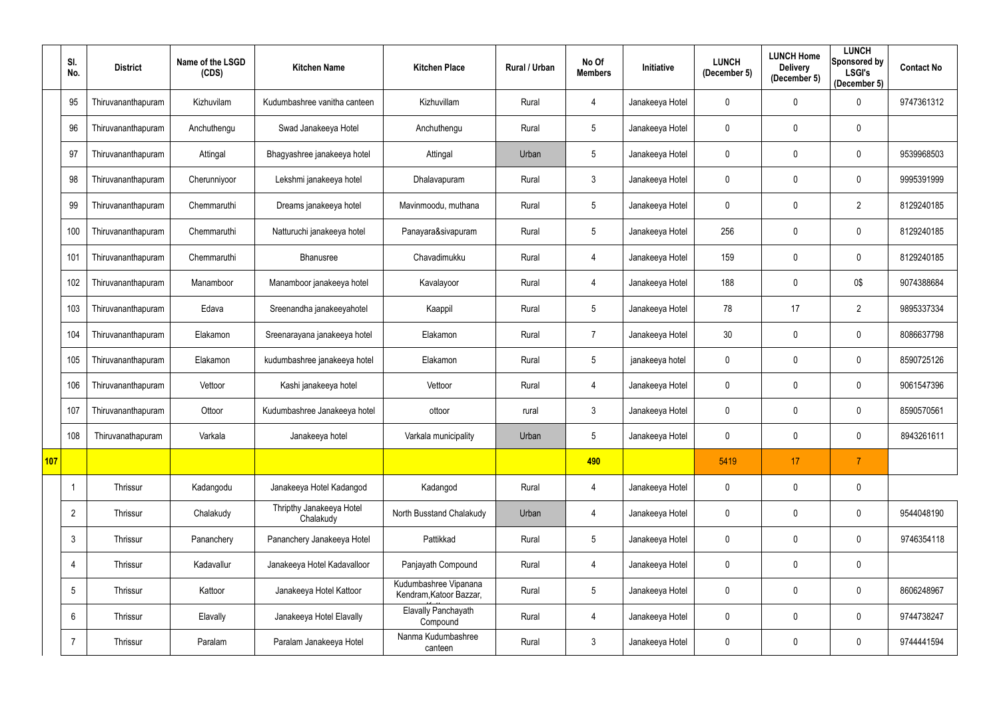|     | SI.<br>No.      | <b>District</b>    | Name of the LSGD<br>(CDS) | <b>Kitchen Name</b>                   | <b>Kitchen Place</b>                             | Rural / Urban | No Of<br><b>Members</b> | <b>Initiative</b> | <b>LUNCH</b><br>(December 5) | <b>LUNCH Home</b><br><b>Delivery</b><br>(December 5) | <b>LUNCH</b><br><b>Sponsored by</b><br><b>LSGI's</b><br>(December 5) | <b>Contact No</b> |
|-----|-----------------|--------------------|---------------------------|---------------------------------------|--------------------------------------------------|---------------|-------------------------|-------------------|------------------------------|------------------------------------------------------|----------------------------------------------------------------------|-------------------|
|     | 95              | Thiruvananthapuram | Kizhuvilam                | Kudumbashree vanitha canteen          | Kizhuvillam                                      | Rural         | 4                       | Janakeeya Hotel   | 0                            | $\mathbf 0$                                          | $\mathbf 0$                                                          | 9747361312        |
|     | 96              | Thiruvananthapuram | Anchuthengu               | Swad Janakeeya Hotel                  | Anchuthengu                                      | Rural         | $5\phantom{.0}$         | Janakeeya Hotel   | 0                            | $\mathbf 0$                                          | $\mathbf 0$                                                          |                   |
|     | 97              | Thiruvananthapuram | Attingal                  | Bhagyashree janakeeya hotel           | Attingal                                         | Urban         | $5\phantom{.0}$         | Janakeeya Hotel   | 0                            | $\mathbf 0$                                          | $\mathbf 0$                                                          | 9539968503        |
|     | 98              | Thiruvananthapuram | Cherunniyoor              | Lekshmi janakeeya hotel               | Dhalavapuram                                     | Rural         | $\mathfrak{Z}$          | Janakeeya Hotel   | 0                            | $\mathbf 0$                                          | $\mathbf 0$                                                          | 9995391999        |
|     | 99              | Thiruvananthapuram | Chemmaruthi               | Dreams janakeeya hotel                | Mavinmoodu, muthana                              | Rural         | $5\phantom{.0}$         | Janakeeya Hotel   | 0                            | $\mathbf 0$                                          | $\overline{2}$                                                       | 8129240185        |
|     | 100             | Thiruvananthapuram | Chemmaruthi               | Natturuchi janakeeya hotel            | Panayara&sivapuram                               | Rural         | $5\phantom{.0}$         | Janakeeya Hotel   | 256                          | $\mathbf 0$                                          | $\mathbf 0$                                                          | 8129240185        |
|     | 101             | Thiruvananthapuram | Chemmaruthi               | <b>Bhanusree</b>                      | Chavadimukku                                     | Rural         | 4                       | Janakeeya Hotel   | 159                          | $\mathbf 0$                                          | $\mathbf 0$                                                          | 8129240185        |
|     | 102             | Thiruvananthapuram | Manamboor                 | Manamboor janakeeya hotel             | Kavalayoor                                       | Rural         | 4                       | Janakeeya Hotel   | 188                          | $\mathbf 0$                                          | 0\$                                                                  | 9074388684        |
|     | 103             | Thiruvananthapuram | Edava                     | Sreenandha janakeeyahotel             | Kaappil                                          | Rural         | $5\phantom{.0}$         | Janakeeya Hotel   | 78                           | 17                                                   | $\overline{2}$                                                       | 9895337334        |
|     | 104             | Thiruvananthapuram | Elakamon                  | Sreenarayana janakeeya hotel          | Elakamon                                         | Rural         | $\overline{7}$          | Janakeeya Hotel   | 30                           | $\mathbf 0$                                          | $\mathbf 0$                                                          | 8086637798        |
|     | 105             | Thiruvananthapuram | Elakamon                  | kudumbashree janakeeya hotel          | Elakamon                                         | Rural         | $5\phantom{.0}$         | janakeeya hotel   | 0                            | $\mathbf 0$                                          | $\mathbf 0$                                                          | 8590725126        |
|     | 106             | Thiruvananthapuram | Vettoor                   | Kashi janakeeya hotel                 | Vettoor                                          | Rural         | 4                       | Janakeeya Hotel   | 0                            | $\mathbf 0$                                          | $\mathbf 0$                                                          | 9061547396        |
|     | 107             | Thiruvananthapuram | Ottoor                    | Kudumbashree Janakeeya hotel          | ottoor                                           | rural         | 3                       | Janakeeya Hotel   | 0                            | $\mathbf 0$                                          | $\mathbf{0}$                                                         | 8590570561        |
|     | 108             | Thiruvanathapuram  | Varkala                   | Janakeeya hotel                       | Varkala municipality                             | Urban         | $5\phantom{.0}$         | Janakeeya Hotel   | 0                            | $\mathbf 0$                                          | $\mathbf 0$                                                          | 8943261611        |
| 107 |                 |                    |                           |                                       |                                                  |               | 490                     |                   | 5419                         | 17                                                   | $\overline{7}$                                                       |                   |
|     | -1              | Thrissur           | Kadangodu                 | Janakeeya Hotel Kadangod              | Kadangod                                         | Rural         | 4                       | Janakeeya Hotel   | 0                            | $\mathbf 0$                                          | $\mathbf 0$                                                          |                   |
|     | $\overline{2}$  | Thrissur           | Chalakudy                 | Thripthy Janakeeya Hotel<br>Chalakudy | North Busstand Chalakudy                         | Urban         | $\overline{4}$          | Janakeeya Hotel   | $\mathbf 0$                  | $\mathbf 0$                                          | $\overline{0}$                                                       | 9544048190        |
|     | 3               | Thrissur           | Pananchery                | Pananchery Janakeeya Hotel            | Pattikkad                                        | Rural         | $5\phantom{.0}$         | Janakeeya Hotel   | $\mathbf 0$                  | $\mathbf 0$                                          | $\overline{0}$                                                       | 9746354118        |
|     | 4               | Thrissur           | Kadavallur                | Janakeeya Hotel Kadavalloor           | Panjayath Compound                               | Rural         | 4                       | Janakeeya Hotel   | $\mathbf 0$                  | $\mathbf 0$                                          | $\overline{0}$                                                       |                   |
|     | $5\phantom{.0}$ | Thrissur           | Kattoor                   | Janakeeya Hotel Kattoor               | Kudumbashree Vipanana<br>Kendram, Katoor Bazzar, | Rural         | $5\phantom{.0}$         | Janakeeya Hotel   | $\mathbf 0$                  | $\mathbf 0$                                          | $\mathbf 0$                                                          | 8606248967        |
|     | $6\phantom{.}$  | Thrissur           | Elavally                  | Janakeeya Hotel Elavally              | Elavally Panchayath<br>Compound                  | Rural         | 4                       | Janakeeya Hotel   | $\mathbf 0$                  | $\mathbf 0$                                          | $\mathbf 0$                                                          | 9744738247        |
|     |                 | Thrissur           | Paralam                   | Paralam Janakeeya Hotel               | Nanma Kudumbashree<br>canteen                    | Rural         | $\mathfrak{Z}$          | Janakeeya Hotel   | 0                            | $\pmb{0}$                                            | $\mathbf 0$                                                          | 9744441594        |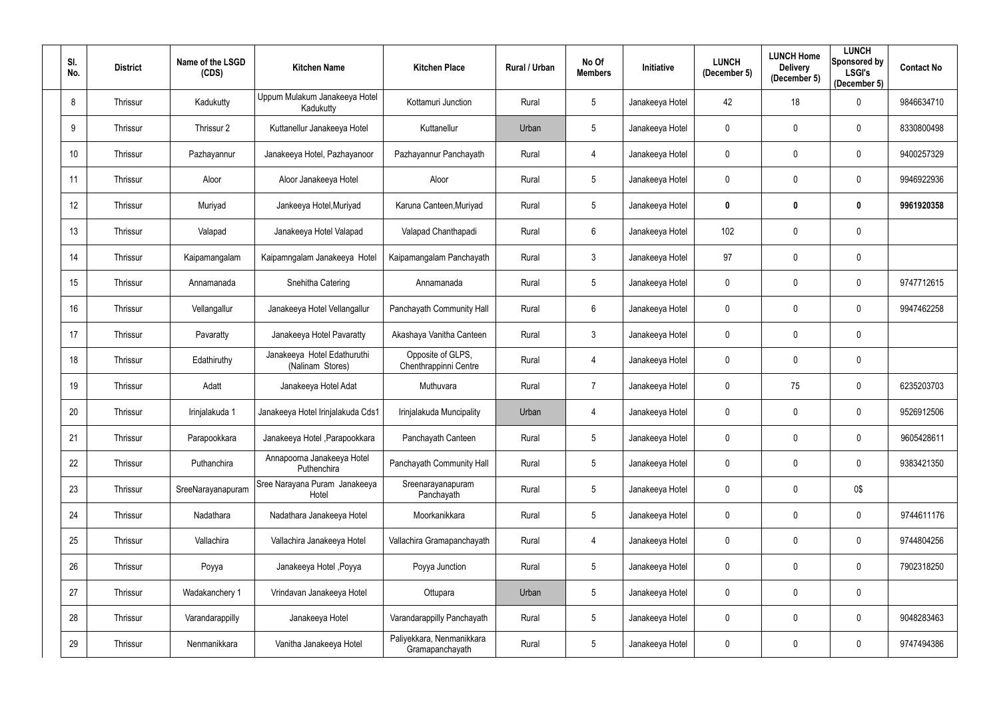| SI.<br>No. | <b>District</b> | Name of the LSGD<br>(CDS) | <b>Kitchen Name</b>                             | <b>Kitchen Place</b>                         | <b>Rural / Urban</b> | No Of<br><b>Members</b> | Initiative      | <b>LUNCH</b><br>(December 5) | <b>LUNCH Home</b><br><b>Delivery</b><br>(December 5) | <b>LUNCH</b><br>Sponsored by<br><b>LSGI's</b><br>(December 5) | <b>Contact No</b> |
|------------|-----------------|---------------------------|-------------------------------------------------|----------------------------------------------|----------------------|-------------------------|-----------------|------------------------------|------------------------------------------------------|---------------------------------------------------------------|-------------------|
| 8          | Thrissur        | Kadukutty                 | Uppum Mulakum Janakeeya Hotel<br>Kadukutty      | Kottamuri Junction                           | Rural                | $5\phantom{.0}$         | Janakeeya Hotel | 42                           | 18                                                   | $\mathbf 0$                                                   | 9846634710        |
| 9          | Thrissur        | Thrissur 2                | Kuttanellur Janakeeya Hotel                     | Kuttanellur                                  | Urban                | 5 <sub>5</sub>          | Janakeeya Hotel | 0                            | $\mathbf 0$                                          | 0                                                             | 8330800498        |
| 10         | Thrissur        | Pazhayannur               | Janakeeya Hotel, Pazhayanoor                    | Pazhayannur Panchayath                       | Rural                | 4                       | Janakeeya Hotel | $\mathbf 0$                  | $\mathbf 0$                                          | $\mathbf 0$                                                   | 9400257329        |
| 11         | Thrissur        | Aloor                     | Aloor Janakeeya Hotel                           | Aloor                                        | Rural                | 5 <sub>5</sub>          | Janakeeya Hotel | 0                            | $\mathbf 0$                                          | $\mathbf 0$                                                   | 9946922936        |
| 12         | Thrissur        | Muriyad                   | Jankeeya Hotel, Muriyad                         | Karuna Canteen, Muriyad                      | Rural                | $5\phantom{.0}$         | Janakeeya Hotel | 0                            | 0                                                    | $\boldsymbol{0}$                                              | 9961920358        |
| 13         | Thrissur        | Valapad                   | Janakeeya Hotel Valapad                         | Valapad Chanthapadi                          | Rural                | 6                       | Janakeeya Hotel | 102                          | $\mathbf 0$                                          | $\mathbf 0$                                                   |                   |
| 14         | Thrissur        | Kaipamangalam             | Kaipamngalam Janakeeya Hotel                    | Kaipamangalam Panchayath                     | Rural                | $\mathfrak{Z}$          | Janakeeya Hotel | 97                           | $\mathbf 0$                                          | $\mathbf 0$                                                   |                   |
| 15         | Thrissur        | Annamanada                | Snehitha Catering                               | Annamanada                                   | Rural                | 5                       | Janakeeya Hotel | $\mathbf 0$                  | $\mathbf 0$                                          | $\mathbf 0$                                                   | 9747712615        |
| 16         | Thrissur        | Vellangallur              | Janakeeya Hotel Vellangallur                    | Panchayath Community Hall                    | Rural                | $6\phantom{.0}$         | Janakeeya Hotel | 0                            | $\mathbf 0$                                          | $\mathbf 0$                                                   | 9947462258        |
| 17         | Thrissur        | Pavaratty                 | Janakeeya Hotel Pavaratty                       | Akashaya Vanitha Canteen                     | Rural                | $\mathfrak{Z}$          | Janakeeya Hotel | 0                            | $\pmb{0}$                                            | $\mathbf 0$                                                   |                   |
| 18         | Thrissur        | Edathiruthy               | Janakeeya Hotel Edathuruthi<br>(Nalinam Stores) | Opposite of GLPS,<br>Chenthrappinni Centre   | Rural                | 4                       | Janakeeya Hotel | 0                            | $\mathbf 0$                                          | $\mathbf 0$                                                   |                   |
| 19         | Thrissur        | Adatt                     | Janakeeya Hotel Adat                            | Muthuvara                                    | Rural                | $\overline{7}$          | Janakeeya Hotel | 0                            | 75                                                   | $\mathbf 0$                                                   | 6235203703        |
| 20         | Thrissur        | Irinjalakuda 1            | Janakeeya Hotel Irinjalakuda Cds1               | Irinjalakuda Muncipality                     | Urban                | 4                       | Janakeeya Hotel | 0                            | $\mathbf 0$                                          | 0                                                             | 9526912506        |
| 21         | Thrissur        | Parapookkara              | Janakeeya Hotel , Parapookkara                  | Panchayath Canteen                           | Rural                | 5                       | Janakeeya Hotel | $\mathbf 0$                  | $\mathbf 0$                                          | $\mathbf 0$                                                   | 9605428611        |
| 22         | Thrissur        | Puthanchira               | Annapoorna Janakeeya Hotel<br>Puthenchira       | Panchayath Community Hall                    | Rural                | 5                       | Janakeeya Hotel | $\mathbf 0$                  | $\pmb{0}$                                            | $\overline{0}$                                                | 9383421350        |
| 23         | Thrissur        | SreeNarayanapuram         | Sree Narayana Puram Janakeeya<br>Hotel          | Sreenarayanapuram<br>Panchayath              | Rural                | 5                       | Janakeeya Hotel | $\mathbf 0$                  | $\pmb{0}$                                            | 0\$                                                           |                   |
| 24         | Thrissur        | Nadathara                 | Nadathara Janakeeya Hotel                       | Moorkanikkara                                | Rural                | 5                       | Janakeeya Hotel | 0                            | $\pmb{0}$                                            | $\overline{0}$                                                | 9744611176        |
| 25         | Thrissur        | Vallachira                | Vallachira Janakeeya Hotel                      | Vallachira Gramapanchayath                   | Rural                | 4                       | Janakeeya Hotel | 0                            | $\pmb{0}$                                            | $\bf{0}$                                                      | 9744804256        |
| 26         | Thrissur        | Poyya                     | Janakeeya Hotel , Poyya                         | Poyya Junction                               | Rural                | 5                       | Janakeeya Hotel | $\mathbf 0$                  | $\mathbf 0$                                          | $\overline{0}$                                                | 7902318250        |
| 27         | Thrissur        | Wadakanchery 1            | Vrindavan Janakeeya Hotel                       | Ottupara                                     | Urban                | 5                       | Janakeeya Hotel | $\mathbf 0$                  | $\pmb{0}$                                            | $\overline{0}$                                                |                   |
| 28         | Thrissur        | Varandarappilly           | Janakeeya Hotel                                 | Varandarappilly Panchayath                   | Rural                | 5                       | Janakeeya Hotel | $\mathbf 0$                  | $\pmb{0}$                                            | $\overline{0}$                                                | 9048283463        |
| 29         | Thrissur        | Nenmanikkara              | Vanitha Janakeeya Hotel                         | Paliyekkara, Nenmanikkara<br>Gramapanchayath | Rural                | 5                       | Janakeeya Hotel | 0                            | $\boldsymbol{0}$                                     | $\mathbf 0$                                                   | 9747494386        |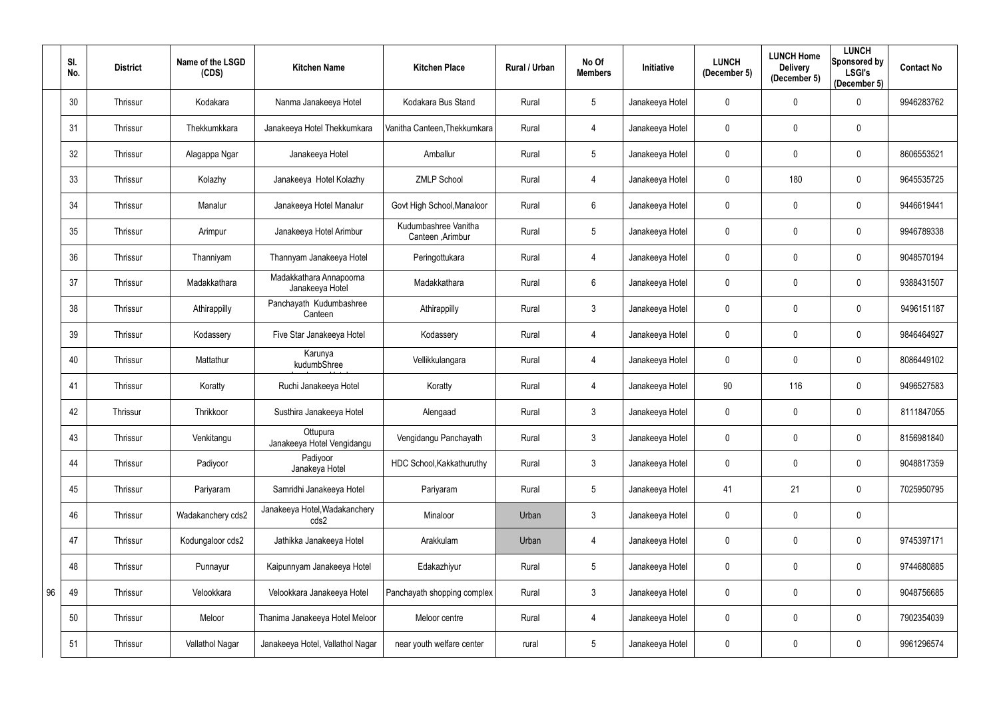|    | SI.<br>No. | <b>District</b> | Name of the LSGD<br>(CDS) | <b>Kitchen Name</b>                        | <b>Kitchen Place</b>                      | Rural / Urban | No Of<br><b>Members</b> | <b>Initiative</b> | <b>LUNCH</b><br>(December 5) | <b>LUNCH Home</b><br><b>Delivery</b><br>(December 5) | <b>LUNCH</b><br>Sponsored by<br><b>LSGI's</b><br>(December 5) | <b>Contact No</b> |
|----|------------|-----------------|---------------------------|--------------------------------------------|-------------------------------------------|---------------|-------------------------|-------------------|------------------------------|------------------------------------------------------|---------------------------------------------------------------|-------------------|
|    | 30         | Thrissur        | Kodakara                  | Nanma Janakeeya Hotel                      | Kodakara Bus Stand                        | Rural         | $5\phantom{.0}$         | Janakeeya Hotel   | 0                            | $\mathbf 0$                                          | $\mathbf 0$                                                   | 9946283762        |
|    | 31         | Thrissur        | Thekkumkkara              | Janakeeya Hotel Thekkumkara                | Vanitha Canteen, Thekkumkara              | Rural         | 4                       | Janakeeya Hotel   | 0                            | $\mathbf{0}$                                         | $\mathbf 0$                                                   |                   |
|    | 32         | Thrissur        | Alagappa Ngar             | Janakeeya Hotel                            | Amballur                                  | Rural         | $5\phantom{.0}$         | Janakeeya Hotel   | 0                            | $\mathbf{0}$                                         | $\mathbf 0$                                                   | 8606553521        |
|    | 33         | Thrissur        | Kolazhy                   | Janakeeya Hotel Kolazhy                    | <b>ZMLP School</b>                        | Rural         | 4                       | Janakeeya Hotel   | 0                            | 180                                                  | $\mathbf 0$                                                   | 9645535725        |
|    | 34         | Thrissur        | Manalur                   | Janakeeya Hotel Manalur                    | Govt High School, Manaloor                | Rural         | $6\phantom{.}$          | Janakeeya Hotel   | 0                            | $\mathbf 0$                                          | $\mathbf 0$                                                   | 9446619441        |
|    | 35         | Thrissur        | Arimpur                   | Janakeeya Hotel Arimbur                    | Kudumbashree Vanitha<br>Canteen , Arimbur | Rural         | $5\phantom{.0}$         | Janakeeya Hotel   | 0                            | $\mathbf 0$                                          | $\mathbf 0$                                                   | 9946789338        |
|    | 36         | Thrissur        | Thanniyam                 | Thannyam Janakeeya Hotel                   | Peringottukara                            | Rural         | 4                       | Janakeeya Hotel   | 0                            | $\mathbf 0$                                          | $\mathbf 0$                                                   | 9048570194        |
|    | 37         | Thrissur        | Madakkathara              | Madakkathara Annapoorna<br>Janakeeya Hotel | Madakkathara                              | Rural         | 6                       | Janakeeya Hotel   | 0                            | $\mathbf 0$                                          | $\mathbf 0$                                                   | 9388431507        |
|    | 38         | Thrissur        | Athirappilly              | Panchayath Kudumbashree<br>Canteen         | Athirappilly                              | Rural         | $\mathfrak{Z}$          | Janakeeya Hotel   | 0                            | $\mathbf 0$                                          | $\mathbf 0$                                                   | 9496151187        |
|    | 39         | Thrissur        | Kodassery                 | Five Star Janakeeya Hotel                  | Kodassery                                 | Rural         | 4                       | Janakeeya Hotel   | $\mathbf 0$                  | $\mathbf 0$                                          | $\mathbf 0$                                                   | 9846464927        |
|    | 40         | Thrissur        | Mattathur                 | Karunya<br>kudumbShree                     | Vellikkulangara                           | Rural         | 4                       | Janakeeya Hotel   | 0                            | $\mathbf 0$                                          | $\mathbf 0$                                                   | 8086449102        |
|    | 41         | Thrissur        | Koratty                   | Ruchi Janakeeya Hotel                      | Koratty                                   | Rural         | 4                       | Janakeeya Hotel   | 90                           | 116                                                  | $\mathbf 0$                                                   | 9496527583        |
|    | 42         | Thrissur        | Thrikkoor                 | Susthira Janakeeya Hotel                   | Alengaad                                  | Rural         | $\mathfrak{Z}$          | Janakeeya Hotel   | 0                            | $\mathbf 0$                                          | $\mathbf 0$                                                   | 8111847055        |
|    | 43         | Thrissur        | Venkitangu                | Ottupura<br>Janakeeya Hotel Vengidangu     | Vengidangu Panchayath                     | Rural         | $\mathfrak{Z}$          | Janakeeya Hotel   | $\mathbf 0$                  | $\mathbf 0$                                          | $\mathbf 0$                                                   | 8156981840        |
|    | 44         | Thrissur        | Padiyoor                  | Padiyoor<br>Janakeya Hotel                 | HDC School, Kakkathuruthy                 | Rural         | $\mathfrak{Z}$          | Janakeeya Hotel   | $\mathbf 0$                  | $\mathbf 0$                                          | $\overline{0}$                                                | 9048817359        |
|    | 45         | Thrissur        | Pariyaram                 | Samridhi Janakeeya Hotel                   | Pariyaram                                 | Rural         | $5\,$                   | Janakeeya Hotel   | 41                           | 21                                                   | $\mathbf 0$                                                   | 7025950795        |
|    | 46         | Thrissur        | Wadakanchery cds2         | Janakeeya Hotel, Wadakanchery<br>cds2      | Minaloor                                  | Urban         | $\mathfrak{Z}$          | Janakeeya Hotel   | 0                            | $\mathbf 0$                                          | $\overline{0}$                                                |                   |
|    | 47         | Thrissur        | Kodungaloor cds2          | Jathikka Janakeeya Hotel                   | Arakkulam                                 | Urban         | 4                       | Janakeeya Hotel   | $\mathbf 0$                  | $\mathbf 0$                                          | $\overline{0}$                                                | 9745397171        |
|    | 48         | Thrissur        | Punnayur                  | Kaipunnyam Janakeeya Hotel                 | Edakazhiyur                               | Rural         | $5\phantom{.0}$         | Janakeeya Hotel   | 0                            | $\mathbf 0$                                          | $\overline{0}$                                                | 9744680885        |
| 96 | 49         | Thrissur        | Velookkara                | Velookkara Janakeeya Hotel                 | Panchayath shopping complex               | Rural         | $\mathfrak{Z}$          | Janakeeya Hotel   | 0                            | $\mathbf 0$                                          | $\overline{0}$                                                | 9048756685        |
|    | 50         | Thrissur        | Meloor                    | Thanima Janakeeya Hotel Meloor             | Meloor centre                             | Rural         | 4                       | Janakeeya Hotel   | $\pmb{0}$                    | $\pmb{0}$                                            | $\mathbf 0$                                                   | 7902354039        |
|    | 51         | Thrissur        | Vallathol Nagar           | Janakeeya Hotel, Vallathol Nagar           | near youth welfare center                 | rural         | $5\phantom{.0}$         | Janakeeya Hotel   | 0                            | $\mathbf 0$                                          | $\overline{0}$                                                | 9961296574        |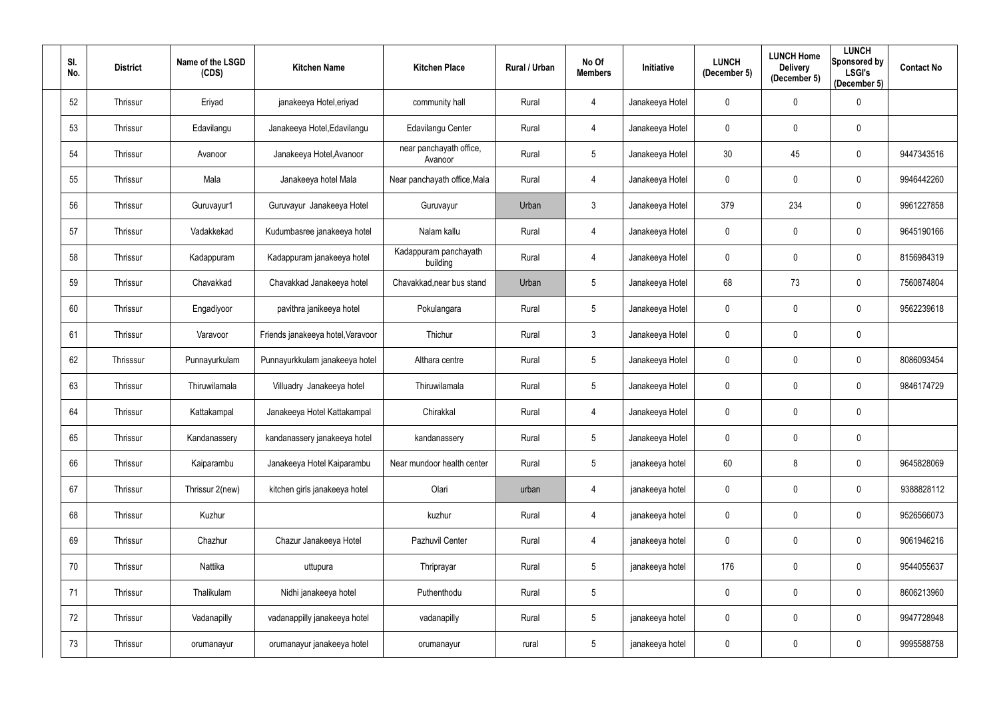| SI.<br>No. | <b>District</b> | Name of the LSGD<br>(CDS) | <b>Kitchen Name</b>               | <b>Kitchen Place</b>               | Rural / Urban | No Of<br><b>Members</b> | Initiative      | <b>LUNCH</b><br>(December 5) | <b>LUNCH Home</b><br><b>Delivery</b><br>(December 5) | <b>LUNCH</b><br>Sponsored by<br><b>LSGI's</b><br>(December 5) | <b>Contact No</b> |
|------------|-----------------|---------------------------|-----------------------------------|------------------------------------|---------------|-------------------------|-----------------|------------------------------|------------------------------------------------------|---------------------------------------------------------------|-------------------|
| 52         | Thrissur        | Eriyad                    | janakeeya Hotel, eriyad           | community hall                     | Rural         | 4                       | Janakeeya Hotel | 0                            | $\overline{0}$                                       | $\mathbf 0$                                                   |                   |
| 53         | Thrissur        | Edavilangu                | Janakeeya Hotel, Edavilangu       | Edavilangu Center                  | Rural         | 4                       | Janakeeya Hotel | 0                            | $\pmb{0}$                                            | $\boldsymbol{0}$                                              |                   |
| 54         | Thrissur        | Avanoor                   | Janakeeya Hotel, Avanoor          | near panchayath office,<br>Avanoor | Rural         | 5                       | Janakeeya Hotel | 30 <sup>°</sup>              | 45                                                   | $\mathbf 0$                                                   | 9447343516        |
| 55         | Thrissur        | Mala                      | Janakeeya hotel Mala              | Near panchayath office, Mala       | Rural         | 4                       | Janakeeya Hotel | 0                            | $\mathbf 0$                                          | $\mathbf 0$                                                   | 9946442260        |
| 56         | Thrissur        | Guruvayur1                | Guruvayur Janakeeya Hotel         | Guruvayur                          | Urban         | $\mathfrak{Z}$          | Janakeeya Hotel | 379                          | 234                                                  | $\overline{0}$                                                | 9961227858        |
| 57         | Thrissur        | Vadakkekad                | Kudumbasree janakeeya hotel       | Nalam kallu                        | Rural         | $\overline{4}$          | Janakeeya Hotel | 0                            | $\mathbf 0$                                          | $\boldsymbol{0}$                                              | 9645190166        |
| 58         | Thrissur        | Kadappuram                | Kadappuram janakeeya hotel        | Kadappuram panchayath<br>building  | Rural         | 4                       | Janakeeya Hotel | 0                            | $\mathbf 0$                                          | $\mathbf 0$                                                   | 8156984319        |
| 59         | Thrissur        | Chavakkad                 | Chavakkad Janakeeya hotel         | Chavakkad, near bus stand          | Urban         | 5                       | Janakeeya Hotel | 68                           | 73                                                   | $\mathbf 0$                                                   | 7560874804        |
| 60         | Thrissur        | Engadiyoor                | pavithra janikeeya hotel          | Pokulangara                        | Rural         | 5                       | Janakeeya Hotel | 0                            | $\mathbf 0$                                          | $\mathbf 0$                                                   | 9562239618        |
| 61         | Thrissur        | Varavoor                  | Friends janakeeya hotel, Varavoor | Thichur                            | Rural         | $\mathfrak{Z}$          | Janakeeya Hotel | $\mathbf 0$                  | $\mathbf 0$                                          | $\boldsymbol{0}$                                              |                   |
| 62         | Thrisssur       | Punnayurkulam             | Punnayurkkulam janakeeya hotel    | Althara centre                     | Rural         | $5\phantom{.0}$         | Janakeeya Hotel | 0                            | $\pmb{0}$                                            | $\mathbf 0$                                                   | 8086093454        |
| 63         | Thrissur        | Thiruwilamala             | Villuadry Janakeeya hotel         | Thiruwilamala                      | Rural         | 5                       | Janakeeya Hotel | 0                            | $\mathbf 0$                                          | $\mathbf 0$                                                   | 9846174729        |
| 64         | Thrissur        | Kattakampal               | Janakeeya Hotel Kattakampal       | Chirakkal                          | Rural         | 4                       | Janakeeya Hotel | 0                            | $\mathbf 0$                                          | $\boldsymbol{0}$                                              |                   |
| 65         | Thrissur        | Kandanassery              | kandanassery janakeeya hotel      | kandanassery                       | Rural         | $5\phantom{.0}$         | Janakeeya Hotel | 0                            | $\mathbf 0$                                          | $\mathbf 0$                                                   |                   |
| 66         | Thrissur        | Kaiparambu                | Janakeeya Hotel Kaiparambu        | Near mundoor health center         | Rural         | $5\phantom{.0}$         | janakeeya hotel | 60                           | 8                                                    | $\overline{0}$                                                | 9645828069        |
| 67         | Thrissur        | Thrissur 2(new)           | kitchen girls janakeeya hotel     | Olari                              | urban         | 4                       | janakeeya hotel | $\mathbf 0$                  | $\mathbf 0$                                          | $\mathbf 0$                                                   | 9388828112        |
| 68         | Thrissur        | Kuzhur                    |                                   | kuzhur                             | Rural         | 4                       | janakeeya hotel | 0                            | $\pmb{0}$                                            | $\mathbf 0$                                                   | 9526566073        |
| 69         | Thrissur        | Chazhur                   | Chazur Janakeeya Hotel            | Pazhuvil Center                    | Rural         | 4                       | janakeeya hotel | $\mathbf 0$                  | $\mathbf 0$                                          | $\mathbf 0$                                                   | 9061946216        |
| 70         | Thrissur        | Nattika                   | uttupura                          | Thriprayar                         | Rural         | $5\phantom{.0}$         | janakeeya hotel | 176                          | $\pmb{0}$                                            | $\overline{0}$                                                | 9544055637        |
| 71         | Thrissur        | Thalikulam                | Nidhi janakeeya hotel             | Puthenthodu                        | Rural         | $\sqrt{5}$              |                 | 0                            | $\mathbf 0$                                          | $\mathbf 0$                                                   | 8606213960        |
| 72         | Thrissur        | Vadanapilly               | vadanappilly janakeeya hotel      | vadanapilly                        | Rural         | $5\phantom{.0}$         | janakeeya hotel | 0                            | $\mathbf 0$                                          | $\overline{0}$                                                | 9947728948        |
| 73         | Thrissur        | orumanayur                | orumanayur janakeeya hotel        | orumanayur                         | rural         | $5\phantom{.0}$         | janakeeya hotel | 0                            | $\pmb{0}$                                            | $\overline{0}$                                                | 9995588758        |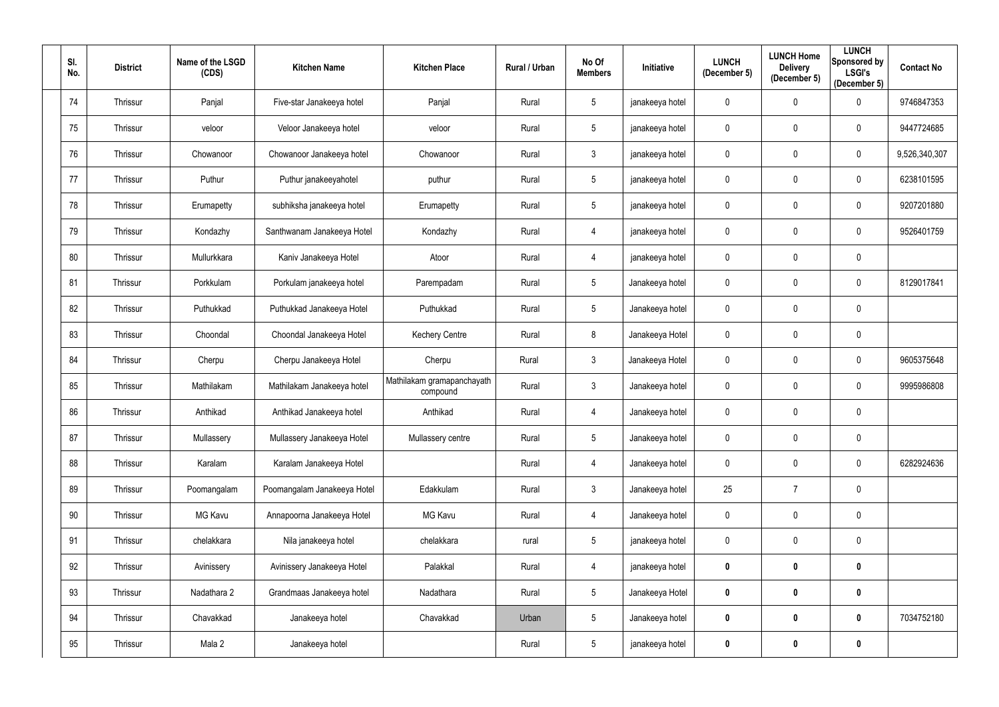| SI.<br>No. | <b>District</b> | Name of the LSGD<br>(CDS) | <b>Kitchen Name</b>         | <b>Kitchen Place</b>                   | Rural / Urban | No Of<br><b>Members</b> | Initiative      | <b>LUNCH</b><br>(December 5) | <b>LUNCH Home</b><br><b>Delivery</b><br>(December 5) | <b>LUNCH</b><br>Sponsored by<br><b>LSGI's</b><br>(December 5) | <b>Contact No</b> |
|------------|-----------------|---------------------------|-----------------------------|----------------------------------------|---------------|-------------------------|-----------------|------------------------------|------------------------------------------------------|---------------------------------------------------------------|-------------------|
| 74         | Thrissur        | Panjal                    | Five-star Janakeeya hotel   | Panjal                                 | Rural         | 5                       | janakeeya hotel | $\mathbf 0$                  | $\mathbf 0$                                          | $\overline{0}$                                                | 9746847353        |
| 75         | Thrissur        | veloor                    | Veloor Janakeeya hotel      | veloor                                 | Rural         | $5\phantom{.0}$         | janakeeya hotel | 0                            | $\mathbf 0$                                          | $\mathbf 0$                                                   | 9447724685        |
| 76         | Thrissur        | Chowanoor                 | Chowanoor Janakeeya hotel   | Chowanoor                              | Rural         | $\mathbf{3}$            | janakeeya hotel | 0                            | $\mathbf 0$                                          | $\overline{0}$                                                | 9,526,340,307     |
| 77         | Thrissur        | Puthur                    | Puthur janakeeyahotel       | puthur                                 | Rural         | 5                       | janakeeya hotel | $\mathbf 0$                  | $\mathbf 0$                                          | $\overline{0}$                                                | 6238101595        |
| 78         | Thrissur        | Erumapetty                | subhiksha janakeeya hotel   | Erumapetty                             | Rural         | $5\phantom{.0}$         | janakeeya hotel | 0                            | $\mathbf 0$                                          | $\overline{0}$                                                | 9207201880        |
| 79         | Thrissur        | Kondazhy                  | Santhwanam Janakeeya Hotel  | Kondazhy                               | Rural         | 4                       | janakeeya hotel | $\mathbf 0$                  | $\overline{0}$                                       | $\overline{0}$                                                | 9526401759        |
| 80         | Thrissur        | Mullurkkara               | Kaniv Janakeeya Hotel       | Atoor                                  | Rural         | 4                       | janakeeya hotel | 0                            | $\mathbf 0$                                          | $\overline{0}$                                                |                   |
| 81         | Thrissur        | Porkkulam                 | Porkulam janakeeya hotel    | Parempadam                             | Rural         | $5\phantom{.0}$         | Janakeeya hotel | $\pmb{0}$                    | $\overline{0}$                                       | $\overline{0}$                                                | 8129017841        |
| 82         | Thrissur        | Puthukkad                 | Puthukkad Janakeeya Hotel   | Puthukkad                              | Rural         | 5                       | Janakeeya hotel | 0                            | $\mathbf 0$                                          | $\overline{0}$                                                |                   |
| 83         | Thrissur        | Choondal                  | Choondal Janakeeya Hotel    | <b>Kechery Centre</b>                  | Rural         | 8                       | Janakeeya Hotel | $\mathbf 0$                  | $\overline{0}$                                       | $\overline{0}$                                                |                   |
| 84         | Thrissur        | Cherpu                    | Cherpu Janakeeya Hotel      | Cherpu                                 | Rural         | $\mathbf{3}$            | Janakeeya Hotel | 0                            | $\mathbf 0$                                          | $\overline{0}$                                                | 9605375648        |
| 85         | Thrissur        | Mathilakam                | Mathilakam Janakeeya hotel  | Mathilakam gramapanchayath<br>compound | Rural         | $\mathfrak{Z}$          | Janakeeya hotel | $\mathbf 0$                  | $\overline{0}$                                       | $\mathbf 0$                                                   | 9995986808        |
| 86         | Thrissur        | Anthikad                  | Anthikad Janakeeya hotel    | Anthikad                               | Rural         | 4                       | Janakeeya hotel | 0                            | $\mathbf 0$                                          | $\mathbf 0$                                                   |                   |
| 87         | Thrissur        | Mullassery                | Mullassery Janakeeya Hotel  | Mullassery centre                      | Rural         | $5\phantom{.0}$         | Janakeeya hotel | $\mathbf 0$                  | $\mathbf 0$                                          | $\mathbf 0$                                                   |                   |
| 88         | Thrissur        | Karalam                   | Karalam Janakeeya Hotel     |                                        | Rural         | 4                       | Janakeeya hotel | 0                            | $\mathbf 0$                                          | $\mathbf 0$                                                   | 6282924636        |
| 89         | Thrissur        | Poomangalam               | Poomangalam Janakeeya Hotel | Edakkulam                              | Rural         | $\mathfrak{Z}$          | Janakeeya hotel | 25                           | $\overline{7}$                                       | $\mathbf 0$                                                   |                   |
| 90         | Thrissur        | MG Kavu                   | Annapoorna Janakeeya Hotel  | <b>MG Kavu</b>                         | Rural         | 4                       | Janakeeya hotel | $\mathbf 0$                  | $\mathbf 0$                                          | $\mathbf 0$                                                   |                   |
| 91         | Thrissur        | chelakkara                | Nila janakeeya hotel        | chelakkara                             | rural         | $5\phantom{.0}$         | janakeeya hotel | $\mathbf 0$                  | $\mathbf 0$                                          | $\mathbf 0$                                                   |                   |
| 92         | Thrissur        | Avinissery                | Avinissery Janakeeya Hotel  | Palakkal                               | Rural         | 4                       | janakeeya hotel | 0                            | $\bm{0}$                                             | $\bm{0}$                                                      |                   |
| 93         | Thrissur        | Nadathara 2               | Grandmaas Janakeeya hotel   | Nadathara                              | Rural         | $\sqrt{5}$              | Janakeeya Hotel | $\pmb{0}$                    | $\boldsymbol{0}$                                     | $\boldsymbol{0}$                                              |                   |
| 94         | Thrissur        | Chavakkad                 | Janakeeya hotel             | Chavakkad                              | Urban         | $\sqrt{5}$              | Janakeeya hotel | $\pmb{0}$                    | $\boldsymbol{0}$                                     | $\mathbf 0$                                                   | 7034752180        |
| 95         | Thrissur        | Mala 2                    | Janakeeya hotel             |                                        | Rural         | $5\phantom{.0}$         | janakeeya hotel | 0                            | $\bm{0}$                                             | $\bm{0}$                                                      |                   |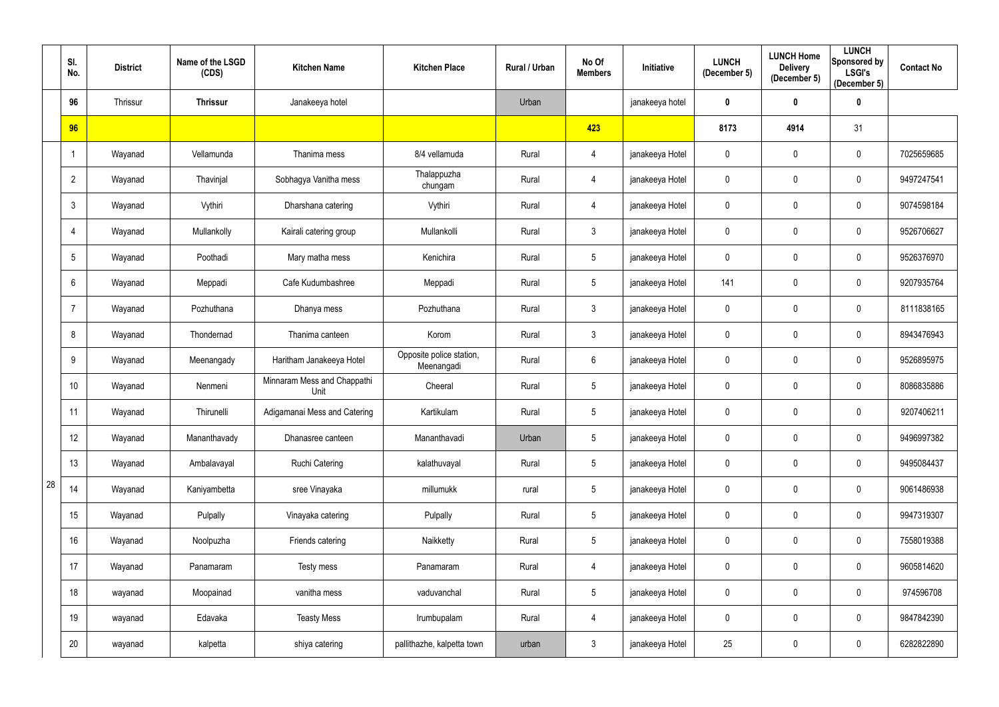|    | SI.<br>No.      | <b>District</b> | Name of the LSGD<br>(CDS) | <b>Kitchen Name</b>                 | <b>Kitchen Place</b>                   | Rural / Urban | No Of<br><b>Members</b> | <b>Initiative</b> | <b>LUNCH</b><br>(December 5) | <b>LUNCH Home</b><br><b>Delivery</b><br>(December 5) | <b>LUNCH</b><br>Sponsored by<br><b>LSGI's</b><br>(December 5) | <b>Contact No</b> |
|----|-----------------|-----------------|---------------------------|-------------------------------------|----------------------------------------|---------------|-------------------------|-------------------|------------------------------|------------------------------------------------------|---------------------------------------------------------------|-------------------|
|    | 96              | Thrissur        | <b>Thrissur</b>           | Janakeeya hotel                     |                                        | Urban         |                         | janakeeya hotel   | 0                            | $\mathbf 0$                                          | $\mathbf 0$                                                   |                   |
|    | 96              |                 |                           |                                     |                                        |               | 423                     |                   | 8173                         | 4914                                                 | 31                                                            |                   |
|    |                 | Wayanad         | Vellamunda                | Thanima mess                        | 8/4 vellamuda                          | Rural         | 4                       | janakeeya Hotel   | 0                            | $\mathbf 0$                                          | $\overline{0}$                                                | 7025659685        |
|    | $\overline{2}$  | Wayanad         | Thavinjal                 | Sobhagya Vanitha mess               | Thalappuzha<br>chungam                 | Rural         | 4                       | janakeeya Hotel   | $\mathbf 0$                  | $\mathbf 0$                                          | $\overline{0}$                                                | 9497247541        |
|    | 3               | Wayanad         | Vythiri                   | Dharshana catering                  | Vythiri                                | Rural         | 4                       | janakeeya Hotel   | $\mathbf 0$                  | $\mathbf 0$                                          | $\overline{0}$                                                | 9074598184        |
|    | 4               | Wayanad         | Mullankolly               | Kairali catering group              | Mullankolli                            | Rural         | $\mathfrak{Z}$          | janakeeya Hotel   | $\mathbf 0$                  | $\mathbf 0$                                          | 0                                                             | 9526706627        |
|    | 5               | Wayanad         | Poothadi                  | Mary matha mess                     | Kenichira                              | Rural         | 5                       | janakeeya Hotel   | 0                            | $\mathbf 0$                                          | $\overline{0}$                                                | 9526376970        |
|    | 6               | Wayanad         | Meppadi                   | Cafe Kudumbashree                   | Meppadi                                | Rural         | $5\phantom{.0}$         | janakeeya Hotel   | 141                          | $\mathbf 0$                                          | $\overline{0}$                                                | 9207935764        |
|    | $\overline{7}$  | Wayanad         | Pozhuthana                | Dhanya mess                         | Pozhuthana                             | Rural         | $\mathfrak{Z}$          | janakeeya Hotel   | 0                            | $\mathbf 0$                                          | $\overline{0}$                                                | 8111838165        |
|    | 8               | Wayanad         | Thondernad                | Thanima canteen                     | Korom                                  | Rural         | $\mathfrak{Z}$          | janakeeya Hotel   | $\mathbf 0$                  | $\mathbf 0$                                          | $\overline{0}$                                                | 8943476943        |
|    | 9               | Wayanad         | Meenangady                | Haritham Janakeeya Hotel            | Opposite police station,<br>Meenangadi | Rural         | $6\phantom{.}6$         | janakeeya Hotel   | 0                            | $\mathbf 0$                                          | $\mathbf 0$                                                   | 9526895975        |
|    | 10 <sup>°</sup> | Wayanad         | Nenmeni                   | Minnaram Mess and Chappathi<br>Unit | Cheeral                                | Rural         | 5                       | janakeeya Hotel   | $\mathbf 0$                  | $\mathbf 0$                                          | $\overline{0}$                                                | 8086835886        |
|    | 11              | Wayanad         | Thirunelli                | Adigamanai Mess and Catering        | Kartikulam                             | Rural         | $5\phantom{.0}$         | janakeeya Hotel   | 0                            | $\mathbf 0$                                          | $\mathbf 0$                                                   | 9207406211        |
|    | 12              | Wayanad         | Mananthavady              | Dhanasree canteen                   | Mananthavadi                           | Urban         | $5\phantom{.0}$         | janakeeya Hotel   | $\mathbf 0$                  | $\mathbf 0$                                          | $\overline{0}$                                                | 9496997382        |
|    | 13              | Wayanad         | Ambalavayal               | <b>Ruchi Catering</b>               | kalathuvayal                           | Rural         | $5\phantom{.0}$         | janakeeya Hotel   | $\mathbf 0$                  | $\mathbf 0$                                          | $\overline{0}$                                                | 9495084437        |
| 28 | 14              | Wayanad         | Kaniyambetta              | sree Vinayaka                       | millumukk                              | rural         | $\sqrt{5}$              | janakeeya Hotel   | $\mathbf 0$                  | $\mathbf 0$                                          | $\overline{0}$                                                | 9061486938        |
|    | 15              | Wayanad         | Pulpally                  | Vinayaka catering                   | Pulpally                               | Rural         | $\sqrt{5}$              | janakeeya Hotel   | $\mathbf 0$                  | $\mathbf 0$                                          | $\mathbf 0$                                                   | 9947319307        |
|    | 16              | Wayanad         | Noolpuzha                 | Friends catering                    | Naikketty                              | Rural         | $\sqrt{5}$              | janakeeya Hotel   | $\mathbf 0$                  | $\mathbf 0$                                          | $\mathbf 0$                                                   | 7558019388        |
|    | 17              | Wayanad         | Panamaram                 | Testy mess                          | Panamaram                              | Rural         | 4                       | janakeeya Hotel   | $\mathbf 0$                  | $\pmb{0}$                                            | $\overline{0}$                                                | 9605814620        |
|    | 18              | wayanad         | Moopainad                 | vanitha mess                        | vaduvanchal                            | Rural         | $5\phantom{.0}$         | janakeeya Hotel   | $\mathbf 0$                  | $\mathbf 0$                                          | $\mathbf 0$                                                   | 974596708         |
|    | 19              | wayanad         | Edavaka                   | <b>Teasty Mess</b>                  | Irumbupalam                            | Rural         | 4                       | janakeeya Hotel   | $\mathbf 0$                  | $\pmb{0}$                                            | $\mathbf 0$                                                   | 9847842390        |
|    | 20              | wayanad         | kalpetta                  | shiya catering                      | pallithazhe, kalpetta town             | urban         | $\mathfrak{Z}$          | janakeeya Hotel   | 25                           | $\boldsymbol{0}$                                     | $\overline{0}$                                                | 6282822890        |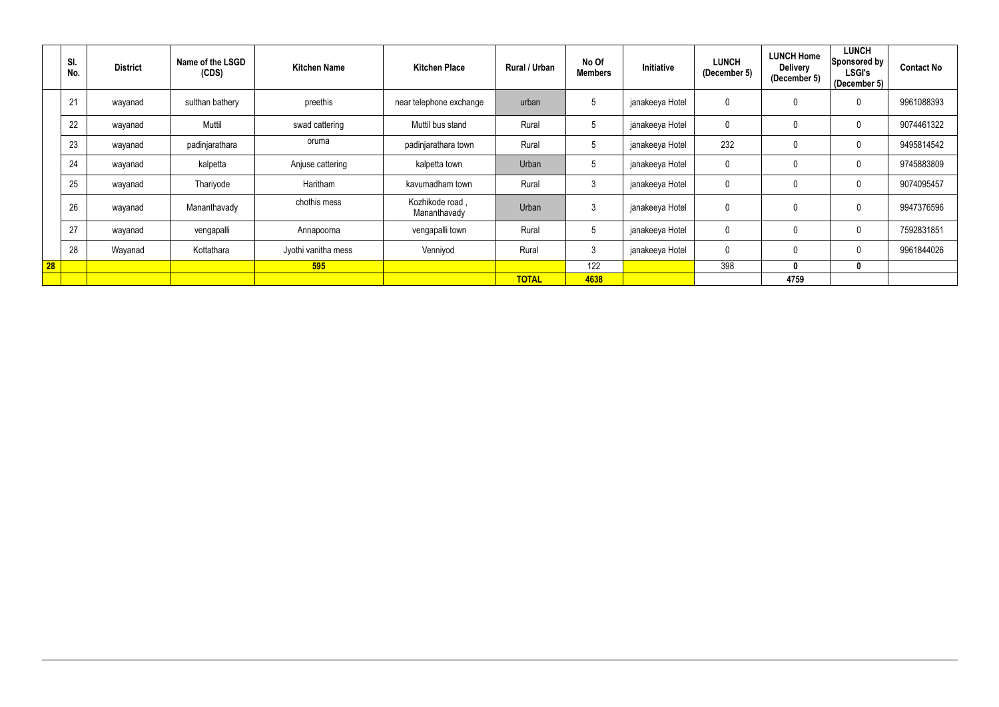|    | SI.<br>No. | <b>District</b> | Name of the LSGD<br>(CDS) | <b>Kitchen Name</b> | <b>Kitchen Place</b>            | Rural / Urban | No Of<br><b>Members</b> | <b>Initiative</b> | <b>LUNCH</b><br>(December 5) | <b>LUNCH Home</b><br><b>Delivery</b><br>(December 5) | <b>LUNCH</b><br>Sponsored by<br><b>LSGI's</b><br>(December 5) | <b>Contact No</b> |
|----|------------|-----------------|---------------------------|---------------------|---------------------------------|---------------|-------------------------|-------------------|------------------------------|------------------------------------------------------|---------------------------------------------------------------|-------------------|
|    | 21         | wayanad         | sulthan bathery           | preethis            | near telephone exchange         | urban         |                         | janakeeya Hotel   | 0                            | $\mathbf 0$                                          | $\mathbf 0$                                                   | 9961088393        |
|    | 22         | wayanad         | Muttil                    | swad cattering      | Muttil bus stand                | Rural         |                         | janakeeya Hotel   | 0                            | 0                                                    | $\mathbf 0$                                                   | 9074461322        |
|    | 23         | wayanad         | padinjarathara            | oruma               | padinjarathara town             | Rural         | 5                       | janakeeya Hotel   | 232                          | $\mathbf 0$                                          | $\mathbf 0$                                                   | 9495814542        |
|    | 24         | wayanad         | kalpetta                  | Anjuse cattering    | kalpetta town                   | Urban         |                         | janakeeya Hotel   | 0                            |                                                      | 0                                                             | 9745883809        |
|    | 25         | wayanad         | Thariyode                 | Haritham            | kavumadham town                 | Rural         | $\mathbf{3}$            | janakeeya Hotel   | 0                            | 0                                                    | $\mathbf 0$                                                   | 9074095457        |
|    | 26         | wayanad         | Mananthavady              | chothis mess        | Kozhikode road,<br>Mananthavady | Urban         | $\Omega$                | janakeeya Hotel   | 0                            | $\mathbf{0}$                                         | $\mathbf 0$                                                   | 9947376596        |
|    | 27         | wayanad         | vengapalli                | Annapoorna          | vengapalli town                 | Rural         |                         | janakeeya Hotel   | 0                            | $\mathbf 0$                                          | $\mathbf 0$                                                   | 7592831851        |
|    | 28         | Wayanad         | Kottathara                | Jyothi vanitha mess | Venniyod                        | Rural         | $\Omega$                | janakeeya Hotel   | 0                            | $\mathbf 0$                                          | $\mathbf 0$                                                   | 9961844026        |
| 28 |            |                 |                           | 595                 |                                 |               | 122                     |                   | 398                          | $\mathbf{0}$                                         | 0                                                             |                   |
|    |            |                 |                           |                     |                                 | <b>TOTAL</b>  | 4638                    |                   |                              | 4759                                                 |                                                               |                   |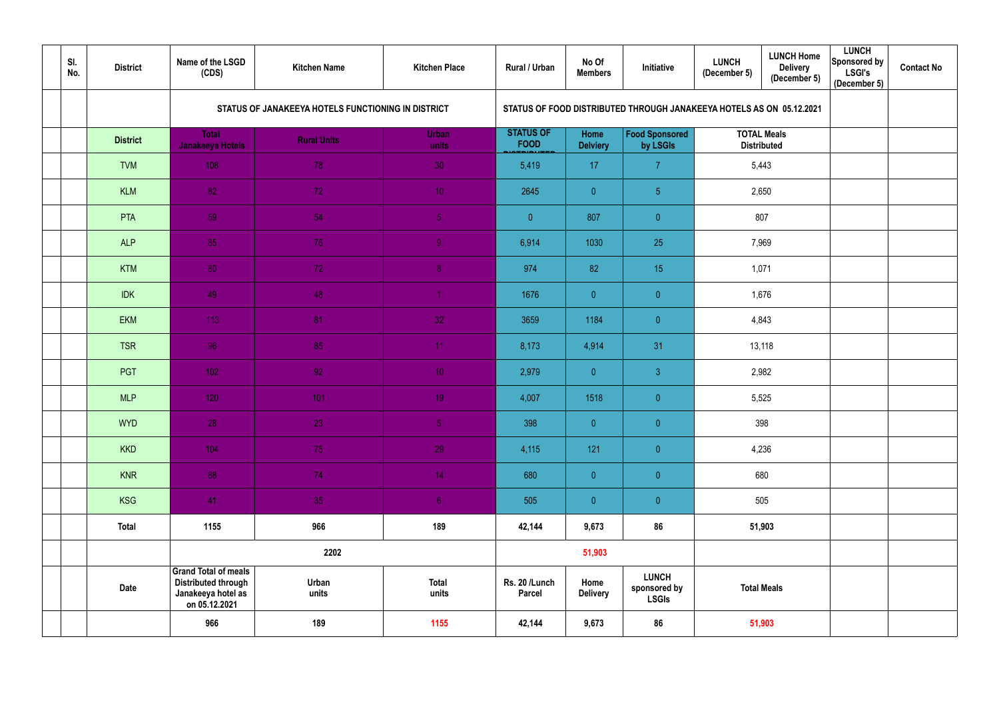| SI.<br>No. | <b>District</b> | Name of the LSGD<br>(CDS)                                                                 | <b>Kitchen Name</b>                                | <b>Kitchen Place</b>  | Rural / Urban                   | No Of<br><b>Members</b> | Initiative                                                           | <b>LUNCH</b><br>(December 5)             | <b>LUNCH Home</b><br><b>Delivery</b><br>(December 5) | <b>LUNCH</b><br>Sponsored by<br><b>LSGI's</b><br>(December 5) | <b>Contact No</b> |
|------------|-----------------|-------------------------------------------------------------------------------------------|----------------------------------------------------|-----------------------|---------------------------------|-------------------------|----------------------------------------------------------------------|------------------------------------------|------------------------------------------------------|---------------------------------------------------------------|-------------------|
|            |                 |                                                                                           | STATUS OF JANAKEEYA HOTELS FUNCTIONING IN DISTRICT |                       |                                 |                         | STATUS OF FOOD DISTRIBUTED THROUGH JANAKEEYA HOTELS AS ON 05.12.2021 |                                          |                                                      |                                                               |                   |
|            | <b>District</b> | <b>Total</b><br>Janakeeya Hotels                                                          | <b>Rural Units</b>                                 | <b>Urban</b><br>units | <b>STATUS OF</b><br><b>FOOD</b> | Home<br><b>Delviery</b> | <b>Food Sponsored</b><br>by LSGIs                                    | <b>TOTAL Meals</b><br><b>Distributed</b> |                                                      |                                                               |                   |
|            | <b>TVM</b>      | 108                                                                                       | 78                                                 | 30                    | 5,419                           | 17                      | $\overline{7}$                                                       |                                          | 5,443                                                |                                                               |                   |
|            | <b>KLM</b>      | 82                                                                                        | $72^{\circ}$                                       | 10 <sup>°</sup>       | 2645                            | $\overline{0}$          | 5 <sub>5</sub>                                                       | 2,650                                    |                                                      |                                                               |                   |
|            | PTA             | 59                                                                                        | 54                                                 | $\overline{5}$        | $\overline{0}$                  | 807                     | $\overline{0}$                                                       | 807                                      |                                                      |                                                               |                   |
|            | <b>ALP</b>      | 85                                                                                        | 76                                                 | 9 <sub>1</sub>        | 6,914                           | 1030                    | 25                                                                   | 7,969                                    |                                                      |                                                               |                   |
|            | <b>KTM</b>      | 80                                                                                        | 72                                                 | 8 <sub>o</sub>        | 974                             | 82                      | 15                                                                   | 1,071                                    |                                                      |                                                               |                   |
|            | <b>IDK</b>      | 49                                                                                        | 48                                                 | $\overline{1}$        | 1676                            | $\overline{0}$          | $\overline{0}$                                                       | 1,676                                    |                                                      |                                                               |                   |
|            | <b>EKM</b>      | 113                                                                                       | 81                                                 | 32                    | 3659                            | 1184                    | $\overline{0}$                                                       | 4,843                                    |                                                      |                                                               |                   |
|            | <b>TSR</b>      | 96                                                                                        | 85                                                 | 11 <sub>1</sub>       | 8,173                           | 4,914                   | 31                                                                   |                                          | 13,118                                               |                                                               |                   |
|            | <b>PGT</b>      | 102                                                                                       | 92                                                 | 10 <sub>1</sub>       | 2,979                           | $\overline{0}$          | $\mathbf{3}$                                                         |                                          | 2,982                                                |                                                               |                   |
|            | <b>MLP</b>      | 120                                                                                       | 101                                                | 19 <sup>°</sup>       | 4,007                           | 1518                    | $\overline{0}$                                                       |                                          | 5,525                                                |                                                               |                   |
|            | <b>WYD</b>      | 28                                                                                        | 23                                                 | $\sqrt{5}$            | 398                             | $\overline{0}$          | $\overline{0}$                                                       |                                          | 398                                                  |                                                               |                   |
|            | <b>KKD</b>      | 104                                                                                       | 75                                                 | 29                    | 4,115                           | 121                     | $\overline{0}$                                                       |                                          | 4,236                                                |                                                               |                   |
|            | <b>KNR</b>      | 88                                                                                        | 74                                                 | 14                    | 680                             | $\overline{0}$          | $\overline{0}$                                                       |                                          | 680                                                  |                                                               |                   |
|            | <b>KSG</b>      | 41                                                                                        | 35                                                 | 6 <sub>1</sub>        | 505                             | $\overline{0}$          | $\overline{0}$                                                       |                                          | 505                                                  |                                                               |                   |
|            | <b>Total</b>    | 1155                                                                                      | 966                                                | 189                   | 42,144                          | 9,673                   | 86                                                                   |                                          | 51,903                                               |                                                               |                   |
|            |                 |                                                                                           | 2202                                               |                       |                                 | 51,903                  |                                                                      |                                          |                                                      |                                                               |                   |
|            | <b>Date</b>     | Grand Total of meals<br><b>Distributed through</b><br>Janakeeya hotel as<br>on 05.12.2021 | Urban<br>units                                     | <b>Total</b><br>units | Rs. 20 /Lunch<br>Parcel         | Home<br><b>Delivery</b> | <b>LUNCH</b><br>sponsored by<br><b>LSGIs</b>                         |                                          | <b>Total Meals</b>                                   |                                                               |                   |
|            |                 | 966                                                                                       | 189                                                | 1155                  | 42,144                          | 9,673                   | 86                                                                   |                                          | 51,903                                               |                                                               |                   |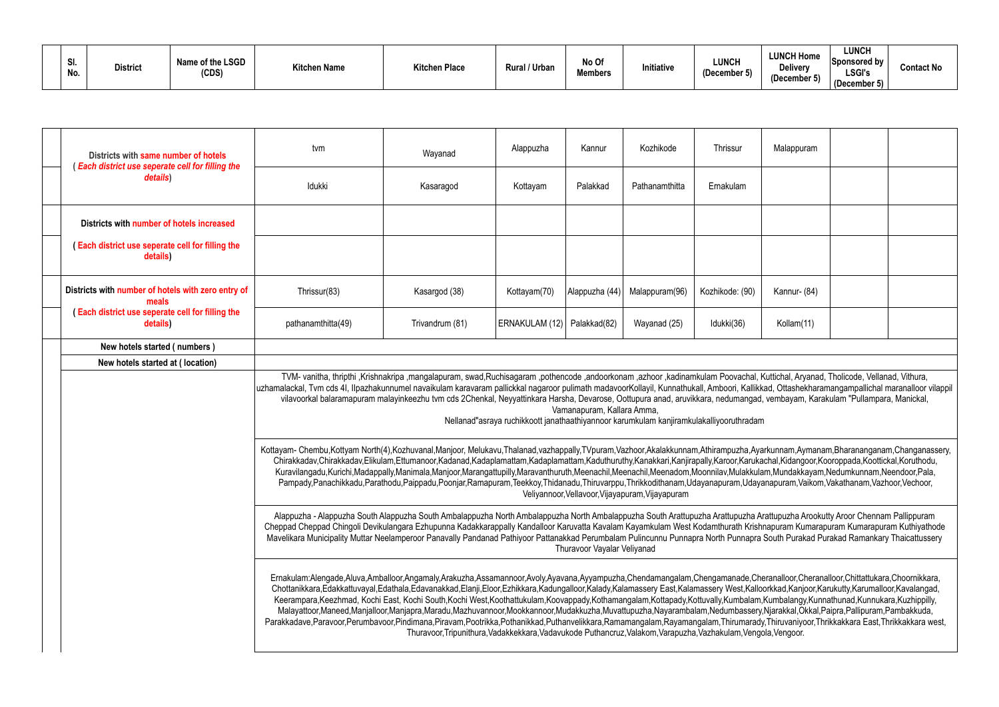| SI.<br>No. | <b>District</b> | Name of the LSGD<br>(CDS) | <b>Kitchen Name</b> | <b>Kitchen Place</b> | Rural / Urban | No Of<br><b>Members</b> | Initiativa<br><b>IIIIIIauve</b> | <b>LUNCH</b><br>(December 5) | <b>LUNCH Home</b><br><b>Delivery</b><br>(December ! | <b>LUNCH</b><br><b>Sponsored by</b><br><b>LSGI's</b><br>December 5) | <b>Contact No</b> |
|------------|-----------------|---------------------------|---------------------|----------------------|---------------|-------------------------|---------------------------------|------------------------------|-----------------------------------------------------|---------------------------------------------------------------------|-------------------|
|------------|-----------------|---------------------------|---------------------|----------------------|---------------|-------------------------|---------------------------------|------------------------------|-----------------------------------------------------|---------------------------------------------------------------------|-------------------|

| Districts with same number of hotels<br>(Each district use seperate cell for filling the | tvm                                                                                                                                                                                                                                                                                                                                                                                                                                                                                                                                                                                                                                                                                                                                            | Wayanad                                                                                                                                                                                                                                                                                   | Alappuzha      | Kannur        | Kozhikode                                        | Thrissur        | Malappuram   |  |  |  |  |
|------------------------------------------------------------------------------------------|------------------------------------------------------------------------------------------------------------------------------------------------------------------------------------------------------------------------------------------------------------------------------------------------------------------------------------------------------------------------------------------------------------------------------------------------------------------------------------------------------------------------------------------------------------------------------------------------------------------------------------------------------------------------------------------------------------------------------------------------|-------------------------------------------------------------------------------------------------------------------------------------------------------------------------------------------------------------------------------------------------------------------------------------------|----------------|---------------|--------------------------------------------------|-----------------|--------------|--|--|--|--|
| details)                                                                                 | Idukki                                                                                                                                                                                                                                                                                                                                                                                                                                                                                                                                                                                                                                                                                                                                         | Kasaragod                                                                                                                                                                                                                                                                                 | Kottayam       | Palakkad      | Pathanamthitta                                   | Ernakulam       |              |  |  |  |  |
| Districts with number of hotels increased                                                |                                                                                                                                                                                                                                                                                                                                                                                                                                                                                                                                                                                                                                                                                                                                                |                                                                                                                                                                                                                                                                                           |                |               |                                                  |                 |              |  |  |  |  |
| (Each district use seperate cell for filling the<br>details)                             |                                                                                                                                                                                                                                                                                                                                                                                                                                                                                                                                                                                                                                                                                                                                                |                                                                                                                                                                                                                                                                                           |                |               |                                                  |                 |              |  |  |  |  |
| Districts with number of hotels with zero entry of<br>meals                              | Thrissur(83)                                                                                                                                                                                                                                                                                                                                                                                                                                                                                                                                                                                                                                                                                                                                   | Kasargod (38)                                                                                                                                                                                                                                                                             | Kottayam(70)   | Alappuzha (44 | Malappuram(96)                                   | Kozhikode: (90) | Kannur- (84) |  |  |  |  |
| (Each district use seperate cell for filling the<br>details)                             | pathanamthitta(49)                                                                                                                                                                                                                                                                                                                                                                                                                                                                                                                                                                                                                                                                                                                             | Trivandrum (81)                                                                                                                                                                                                                                                                           | ERNAKULAM (12) | Palakkad(82)  | Wayanad (25)                                     | Idukki(36)      | Kollam(11)   |  |  |  |  |
| New hotels started (numbers)                                                             |                                                                                                                                                                                                                                                                                                                                                                                                                                                                                                                                                                                                                                                                                                                                                |                                                                                                                                                                                                                                                                                           |                |               |                                                  |                 |              |  |  |  |  |
| New hotels started at (location)                                                         |                                                                                                                                                                                                                                                                                                                                                                                                                                                                                                                                                                                                                                                                                                                                                |                                                                                                                                                                                                                                                                                           |                |               |                                                  |                 |              |  |  |  |  |
|                                                                                          | TVM- vanitha, thripthi ,Krishnakripa ,mangalapuram, swad,Ruchisagaram ,pothencode ,andoorkonam ,azhoor ,kadinamkulam Poovachal, Kuttichal, Aryanad, Tholicode, Vellanad, Vithura,<br>uzhamalackal, Tvm cds 41, Ilpazhakunnumel navaikulam karavaram pallickkal nagaroor pulimath madavoorKollayil, Kunnathukall, Amboori, Kallikkad, Ottashekharamangampallichal maranalloor vil<br>vilavoorkal balaramapuram malayinkeezhu tvm cds 2Chenkal, Neyyattinkara Harsha, Devarose, Oottupura anad, aruvikkara, nedumangad, vembayam, Karakulam "Pullampara, Manickal,<br>Vamanapuram, Kallara Amma,<br>Nellanad"asraya ruchikkoott janathaathiyannoor karumkulam kanjiramkulakalliyooruthradam                                                      |                                                                                                                                                                                                                                                                                           |                |               |                                                  |                 |              |  |  |  |  |
|                                                                                          | Kottayam- Chembu,Kottyam North(4),Kozhuvanal,Manjoor, Melukavu,Thalanad,vazhappally,TVpuram,Vazhoor,Akalakkunnam,Athirampuzha,Ayarkunnam,Aymanam,Bharananganam,Changanass<br>Chirakkadav,Chirakkadav,Elikulam,Ettumanoor,Kadanad,Kadaplamattam,Kadaplamattam,Kaduthuruthy,Kanakkari,Kanjirapally,Karoor,Karukachal,Kidangoor,Kooroppada,Koottickal,Koruthodu,<br>Kuravilangadu,Kurichi,Madappally,Manimala,Manjoor,Marangattupilly,Maravanthuruth,Meenachil,Meenachil,Meenadom,Moonnilav,Mulakkulam,Mundakkayam,Nedumkunnam,Neendoor,Pala,                                                                                                                                                                                                     | Pampady,Panachikkadu,Parathodu,Paippadu,Poonjar,Ramapuram,Teekkoy,Thidanadu,Thiruvarppu,Thrikkodithanam,Udayanapuram,Udayanapuram,Vaikom,Vakathanam,Vazhoor,Vechoor,                                                                                                                      |                |               | Veliyannoor, Vellavoor, Vijayapuram, Vijayapuram |                 |              |  |  |  |  |
|                                                                                          | Alappuzha - Alappuzha South Alappuzha South Ambalappuzha North Ambalappuzha North Ambalappuzha South Arattupuzha Arattupuzha Arattupuzha Arookutty Aroor Chennam Pallippuram<br>Cheppad Cheppad Chingoli Devikulangara Ezhupunna Kadakkarappally Kandalloor Karuvatta Kavalam Kayamkulam West Kodamthurath Krishnapuram Kumarapuram Kumarapuram Kuthiyatho<br>Mavelikara Municipality Muttar Neelamperoor Panavally Pandanad Pathiyoor Pattanakkad Perumbalam Pulincunnu Punnapra North Punnapra South Purakad Purakad Ramankary Thaicattusser<br>Thuravoor Vayalar Veliyanad                                                                                                                                                                  |                                                                                                                                                                                                                                                                                           |                |               |                                                  |                 |              |  |  |  |  |
|                                                                                          | Ernakulam:Alengade,Aluva,Amballoor,Angamaly,Arakuzha,Assamannoor,Avoly,Ayavana,Ayyampuzha,Chendamangalam,Chengamanade,Cheranalloor,Cheranalloor,Chittattukara,Choornikkara<br>Chottanikkara,Edakkattuvayal,Edathala,Edavanakkad,Elanji,Eloor,Ezhikkara,Kadungalloor,Kalady,Kalamassery East,Kalamassery West,Kalloorkkad,Kanjoor,Karukutty,Karumalloor,Kavalangad<br>Keerampara, Keezhmad, Kochi East, Kochi South, Kochi West, Koothattukulam, Koovappady, Kothamangalam, Kottapady, Kottuvally, Kumbalam, Kumbalangy, Kunnathunad, Kunnukara, Kuzhippilly,<br>Parakkadave,Paravoor,Perumbavoor,Pindimana,Piravam,Pootrikka,Pothanikkad,Puthanvelikkara,Ramamangalam,Rayamangalam,Thirumarady,Thiruvaniyoor,Thrikkakkara East,Thrikkakkara we | Malayattoor,Maneed,Manjalloor,Manjapra,Maradu,Mazhuvannoor,Mookkannoor,Mudakkuzha,Muvattupuzha,Nayarambalam,Nedumbassery,Njarakkal,Okkal,Paipra,Pallipuram,Pambakkuda,<br>Thuravoor, Tripunithura, Vadakkekkara, Vadavukode Puthancruz, Valakom, Varapuzha, Vazhakulam, Vengola, Vengoor. |                |               |                                                  |                 |              |  |  |  |  |

| Malappuram   |  |
|--------------|--|
|              |  |
|              |  |
|              |  |
| Kannur- (84) |  |
| Kollam(11)   |  |
|              |  |

, Kuttichal, Aryanad, Tholicode, Vellanad, Vithura, likkad, Ottashekharamangampallichal maranalloor vilappil ad, vembayam, Karakulam "Pullampara, Manickal,

Kyarkunnam,Aymanam,Bharananganam,Changanassery, Chirakkadav,Chirakkadav,Elikulam,Ettumanoor,Kadanad,Kadaplamattam,Kadaplamattam,Kaduthuruthy,Kanakkari,Kanjirapally,Karoor,Karukachal,Kidangoor,Kooroppada,Koottickal,Koruthodu, adam,Mundakkayam,Nedumkunnam,Neendoor,Pala, ayanapuram,Vaikom,Vakathanam,Vazhoor,Vechoor, <sup>.</sup>

Cheranalloor,Cheranalloor,Chittattukara,Choornikkara, .<br>Illoorkkad,Kanjoor,Karukutty,Karumalloor,Kavalangad, Parakkadave,Paravoor,Perumbavoor,Pindimana,Piravam,Pootrikka,Pothanikkad,Puthanvelikkara,Ramamangalam,Rayamangalam,Thirumarady,Thiruvaniyoor,Thrikkakkara East,Thrikkakkara west, ngola,Vengoor.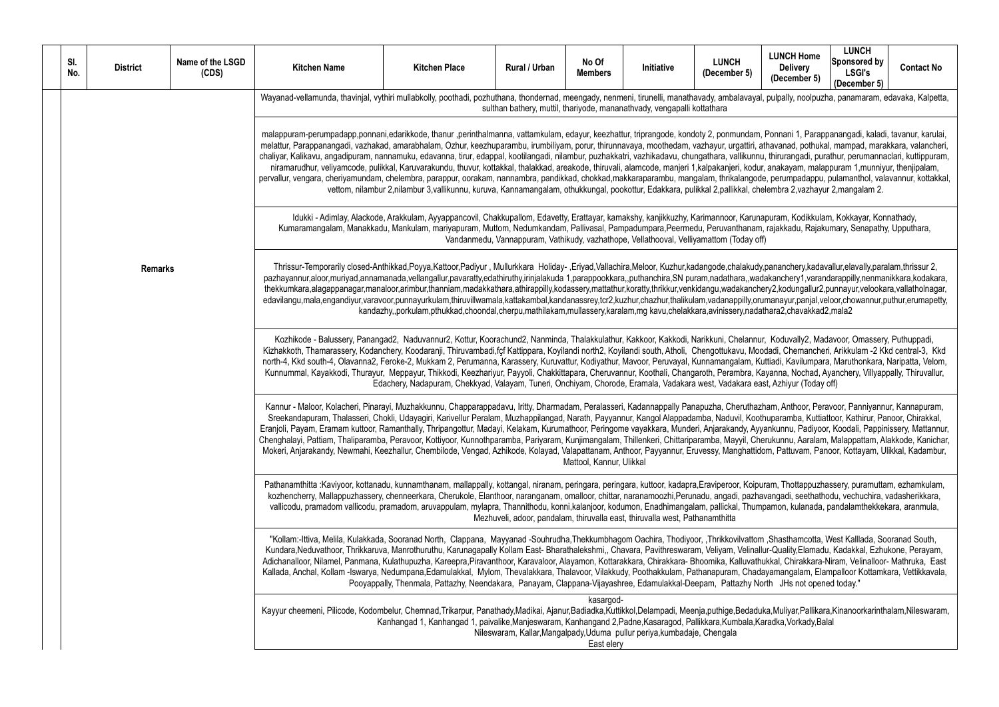al, pulpally, noolpuzha, panamaram, edavaka, Kalpetta, meengady, nenmeni, pulpally, noolpuzha, panamaram, pulp

m, Ponnani 1, Parappanangadi, kaladi, tavanur, karulai, , athavanad, pothukal, mampad, marakkara, valancheri, nu, thirurangadi, purathur, perumannaclari, kuttippuram, lur, anakayam, malappuram 1, munniyur, thenjipalam, perumpadappu, pulamanthol, valavannur, kottakkal, nannambu, parambadappu, perumpadappu, pulamanthol, valavannur, kottakkal, butaur 3,vallikunnu, kurusalam, kurusal, pookottur, edak<br>Buruva, Puliskal 2, pallikkal 2, pallikkal 2, pallikkal 2, chelembra 2, chelembra 2,

Inapuram, Kodikkulam, Kokkayar, Konnathady, m, rajakkadu, Rajakumary, Senapathy, Upputhara,

dy,pananchery,kadavallur,elavally,paralam,thrissur 2, adakanchery1,varandarappilly,nenmanikkara,kodakara, thery2,kodungallur2,punnayur,velookara,vallatholnagar, prumanayur,panjal,veloor,chowannur,puthur,erumapetty, dathara2.chavakkad2.mala2

nur, Koduvally2, Madavoor, Omassery, Puthuppadi, oodadi, Chemancheri, Arikkulam -2 Kkd central-3, Kkd Kuttiadi, Kavilumpara, Maruthonkara, Naripatta, Velom, Kayanna, Nochad, Ayanchery, Villyappally, Thiruvallur, east, Azhiyur (Today off)

azham, Anthoor, Peravoor, Panniyannur, Kannapuram, *Panannann*, E othuparamba, Kuttiattoor, Kathirur, Panoor, Chirakkal, Eranjoli, Payam, Eramam kuttoor, Ramanthally, Thripangottur, Madayi, Kelakam, Kurumathoor, Peringome vayakkara, Munderi, Anjarakandy, Ayyankunnu, Padiyoor, Koodali, Pappinissery, Mattannur, Cherukunnu, Aaralam, Malappattam, Alakkode, Kanichar, Kunittar, Chittari, Cherukunnu, Aaralam, Malappattam, A idom, Pattuvam, Panoor, Kottayam, Ulikkal, Kadambur,

puram, Thottappuzhassery, puramuttam, ezhamkulam, havangadi, seethathodu, vechuchira, vadasherikkara, naranganam, pazhavanganangana mpamon, kulanada, pandalamthekkekara, aranmula,

m Shasthamcotta, West Kalllada, Sooranad South, Clappanad -South, Shasthamcotta, West Kalllada, Sooranad South, allur-Quality, Elamadu, Kadakkal, Ezhukone, Perayam, thukkal, Chirakkara-Niram, Velinalloor- Mathruka, East kalayamangalam, Elampalloor Kottamkara, Vettikkavala, Thalavor, Pathanangalam, Pathanangalam, Pathanangalam, P North JHs not opened today."

duka, Muliyar, Pallikara, Kinanoorkarinthalam, Nileswaram, Karadka, Vorkady, Balal

| SI.<br>No. | <b>District</b> | Name of the LSGD<br>(CDS) | <b>Kitchen Name</b>                                                                                                                                                                                                                                                                                                                                                                                                                                                                                                                                                                                                                                                                                                                                         | <b>Kitchen Place</b>                                                                                                                                                                                                                                              | Rural / Urban | No Of<br><b>Members</b> | Initiative                                                                              | <b>LUNCH</b><br>(December 5) |  |  |  |
|------------|-----------------|---------------------------|-------------------------------------------------------------------------------------------------------------------------------------------------------------------------------------------------------------------------------------------------------------------------------------------------------------------------------------------------------------------------------------------------------------------------------------------------------------------------------------------------------------------------------------------------------------------------------------------------------------------------------------------------------------------------------------------------------------------------------------------------------------|-------------------------------------------------------------------------------------------------------------------------------------------------------------------------------------------------------------------------------------------------------------------|---------------|-------------------------|-----------------------------------------------------------------------------------------|------------------------------|--|--|--|
|            |                 |                           | Wayanad-vellamunda, thavinjal, vythiri mullabkolly, poothadi, pozhuthana, thondernad, meengady, nenmeni, tirunelli, manathavady, ambalavayal,                                                                                                                                                                                                                                                                                                                                                                                                                                                                                                                                                                                                               |                                                                                                                                                                                                                                                                   |               |                         | sulthan bathery, muttil, thariyode, mananathvady, vengapalli kottathara                 |                              |  |  |  |
|            |                 |                           | malappuram-perumpadapp,ponnani,edarikkode, thanur ,perinthalmanna, vattamkulam, edayur, keezhattur, triprangode, kondoty 2, ponmundam, F<br>melattur, Parappanangadi, vazhakad, amarabhalam, Ozhur, keezhuparambu, irumbiliyam, porur, thirunnavaya, moothedam, vazhayur, urgattiri, atl<br>chaliyar, Kalikavu, angadipuram, nannamuku, edavanna, tirur, edappal, kootilangadi, nilambur, puzhakkatri, vazhikadavu, chungathara, vallikunnu,<br>niramarudhur, veliyamcode, pulikkal, Karuvarakundu, thuvur, kottakkal, thalakkad, areakode, thiruvali, alamcode, manjeri 1,kalpakanjeri, kodur,<br>pervallur, vengara, cheriyamundam, chelembra, parappur, oorakam, nannambra, pandikkad, chokkad,makkaraparambu, mangalam, thrikalangode                   | vettom, nilambur 2,nilambur 3,vallikunnu, kuruva, Kannamangalam, othukkungal, pookottur, Edakkara, pulikkal 2,pallikkal, chel                                                                                                                                     |               |                         |                                                                                         |                              |  |  |  |
|            |                 |                           |                                                                                                                                                                                                                                                                                                                                                                                                                                                                                                                                                                                                                                                                                                                                                             | Idukki - Adimlay, Alackode, Arakkulam, Ayyappancovil, Chakkupallom, Edavetty, Erattayar, kamakshy, kanjikkuzhy, Karimannoor, Karunar<br>Kumaramangalam, Manakkadu, Mankulam, mariyapuram, Muttom, Nedumkandam, Pallivasal, Pampadumpara, Peermedu, Peruvanthanam, |               |                         | Vandanmedu, Vannappuram, Vathikudy, vazhathope, Vellathooval, Velliyamattom (Today off) |                              |  |  |  |
|            | <b>Remarks</b>  |                           | pazhayannur,aloor,muriyad,annamanada,vellangallur,pavaratty,edathiruthy,irinjalakuda 1,parappookkara,,puthanchira,SN puram,nadathara,,wada<br>thekkumkara,alagappanagar,manaloor,arimbur,thanniam,madakkathara,athirappilly,kodassery,mattathur,koratty,thrikkur,venkidangu,wadakancher<br>edavilangu,mala,engandiyur,varavoor,punnayurkulam,thiruvillwamala,kattakambal,kandanassrey,tcr2,kuzhur,chazhur,thalikulam,vadanappilly,orur                                                                                                                                                                                                                                                                                                                      | Thrissur-Temporarily closed-Anthikkad,Poyya,Kattoor,Padiyur, Mullurkkara Holiday-,Eriyad,Vallachira,Meloor, Kuzhur,kadangode,chalakudy,p<br>kandazhy,,porkulam,pthukkad,choondal,cherpu,mathilakam,mullassery,karalam,mg kavu,chelakkara,avinissery,nadath        |               |                         |                                                                                         |                              |  |  |  |
|            |                 |                           | Kozhikode - Balussery, Panangad2, Naduvannur2, Kottur, Koorachund2, Nanminda, Thalakkulathur, Kakkoor, Kakkodi, Narikkuni, Chelannur,<br>Kizhakkoth, Thamarassery, Kodanchery, Koodaranji, Thiruvambadi, fçf Kattippara, Koyilandi north2, Koyilandi south, Atholi, Chengottukavu, Mooc<br>north-4, Kkd south-4, Olavanna2, Feroke-2, Mukkam 2, Perumanna, Karassery, Kuruvattur, Kodiyathur, Mavoor, Peruvayal, Kunnamangalam, Kut<br>Kunnummal, Kayakkodi, Thurayur, Meppayur, Thikkodi, Keezhariyur, Payyoli, Chakkittapara, Cheruvannur, Koothali, Changaroth, Perambra, Kay<br>Edachery, Nadapuram, Chekkyad, Valayam, Tuneri, Onchiyam, Chorode, Eramala, Vadakara west, Vadakara eas                                                                 |                                                                                                                                                                                                                                                                   |               |                         |                                                                                         |                              |  |  |  |
|            |                 |                           | Kannur - Maloor, Kolacheri, Pinarayi, Muzhakkunnu, Chapparappadavu, Iritty, Dharmadam, Peralasseri, Kadannappally Panapuzha, Cheruthazh<br>Sreekandapuram, Thalasseri, Chokli, Udayagiri, Karivellur Peralam, Muzhappilangad, Narath, Payyannur, Kangol Alappadamba, Naduvil, Kooth<br>Eranjoli, Payam, Eramam kuttoor, Ramanthally, Thripangottur, Madayi, Kelakam, Kurumathoor, Peringome vayakkara, Munderi, Anjarakandy, Ayya<br>Chenghalayi, Pattiam, Thaliparamba, Peravoor, Kottiyoor, Kunnothparamba, Pariyaram, Kunjimangalam, Thillenkeri, Chittariparamba, Mayyil, Cher<br>Mokeri, Anjarakandy, Newmahi, Keezhallur, Chembilode, Vengad, Azhikode, Kolayad, Valapattanam, Anthoor, Payyannur, Eruvessy, Manghattidor<br>Mattool, Kannur, Ulikkal |                                                                                                                                                                                                                                                                   |               |                         |                                                                                         |                              |  |  |  |
|            |                 |                           | Pathanamthitta :Kaviyoor, kottanadu, kunnamthanam, mallappally, kottangal, niranam, peringara, peringara, kuttoor, kadapra,Eraviperoor, Koipura<br>kozhencherry, Mallappuzhassery, chenneerkara, Cherukole, Elanthoor, naranganam, omalloor, chittar, naranamoozhi, Perunadu, angadi, pazhav<br>vallicodu, pramadom vallicodu, pramadom, aruvappulam, mylapra, Thannithodu, konni, kalanjoor, kodumon, Enadhimangalam, pallickal, Thump                                                                                                                                                                                                                                                                                                                     |                                                                                                                                                                                                                                                                   |               |                         | Mezhuveli, adoor, pandalam, thiruvalla east, thiruvalla west, Pathanamthitta            |                              |  |  |  |
|            |                 |                           | "Kollam:-Ittiva, Melila, Kulakkada, Sooranad North, Clappana, Mayyanad -Souhrudha,Thekkumbhagom Oachira, Thodiyoor, ,Thrikkovilvattom<br>Kundara, Neduvathoor, Thrikkaruva, Manrothuruthu, Karunagapally Kollam East-Bharathalekshmi,, Chavara, Pavithreswaram, Veliyam, Velinallu<br>Adichanalloor, Nilamel, Panmana, Kulathupuzha, Kareepra,Piravanthoor, Karavaloor, Alayamon, Kottarakkara, Chirakkara-Bhoomika, Kalluvathul<br>Kallada, Anchal, Kollam -Iswarya, Nedumpana,Edamulakkal, Mylom, Thevalakkara, Thalavoor, Vilakkudy, Poothakkulam, Pathanapuram, Chaday                                                                                                                                                                                  | Pooyappally, Thenmala, Pattazhy, Neendakara, Panayam, Clappana-Vijayashree, Edamulakkal-Deepam, Pattazhy Nor                                                                                                                                                      |               |                         |                                                                                         |                              |  |  |  |
|            |                 |                           | Kayyur cheemeni, Pilicode, Kodombelur, Chemnad, Trikarpur, Panathady, Madikai, Ajanur, Badiadka, Kuttikkol, Delampadi, Meenja, puthige, Bedaduk                                                                                                                                                                                                                                                                                                                                                                                                                                                                                                                                                                                                             | Kanhangad 1, Kanhangad 1, paivalike, Manjeswaram, Kanhangand 2, Padne, Kasaragod, Pallikkara, Kumbala, Kar                                                                                                                                                        |               | kasargod-<br>East elery | Nileswaram, Kallar, Mangalpady, Uduma pullur periya, kumbadaje, Chengala                |                              |  |  |  |